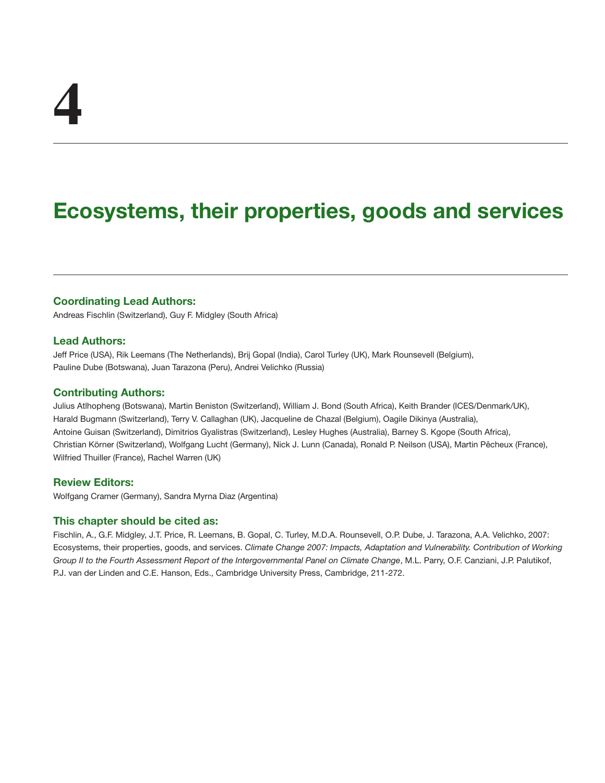# **Ecosystems, their properties, goods and services**

# **Coordinating Lead Authors:**

Andreas Fischlin (Switzerland), Guy F. Midgley (South Africa)

## **Lead Authors:**

Jeff Price (USA), Rik Leemans (The Netherlands), Brij Gopal (India), Carol Turley (UK), Mark Rounsevell (Belgium), Pauline Dube (Botswana), Juan Tarazona (Peru), Andrei Velichko (Russia)

# **Contributing Authors:**

Julius Atlhopheng (Botswana), Martin Beniston (Switzerland), William J. Bond (South Africa), Keith Brander (ICES/Denmark/UK), Harald Bugmann (Switzerland), Terry V. Callaghan (UK), Jacqueline de Chazal (Belgium), Oagile Dikinya (Australia), Antoine Guisan (Switzerland), Dimitrios Gyalistras (Switzerland), Lesley Hughes (Australia), Barney S. Kgope (South Africa), Christian Körner (Switzerland), Wolfgang Lucht (Germany), Nick J. Lunn (Canada), Ronald P. Neilson (USA), Martin Pêcheux (France), Wilfried Thuiller (France), Rachel Warren (UK)

# **Review Editors:**

Wolfgang Cramer (Germany), Sandra Myrna Diaz (Argentina)

# **This chapter should be cited as:**

Fischlin, A., G.F. Midgley, J.T. Price, R. Leemans, B. Gopal, C. Turley, M.D.A. Rounsevell, O.P. Dube, J. Tarazona, A.A. Velichko, 2007: Ecosystems, their properties, goods, and services. *Climate Change 2007: Impacts, Adaptation and Vulnerability. Contribution of Working Group II to the Fourth Assessment Report of the Intergovernmental Panel on Climate Change*, M.L. Parry, O.F. Canziani, J.P. Palutikof, P.J. van der Linden and C.E. Hanson, Eds., Cambridge University Press, Cambridge, 211-272.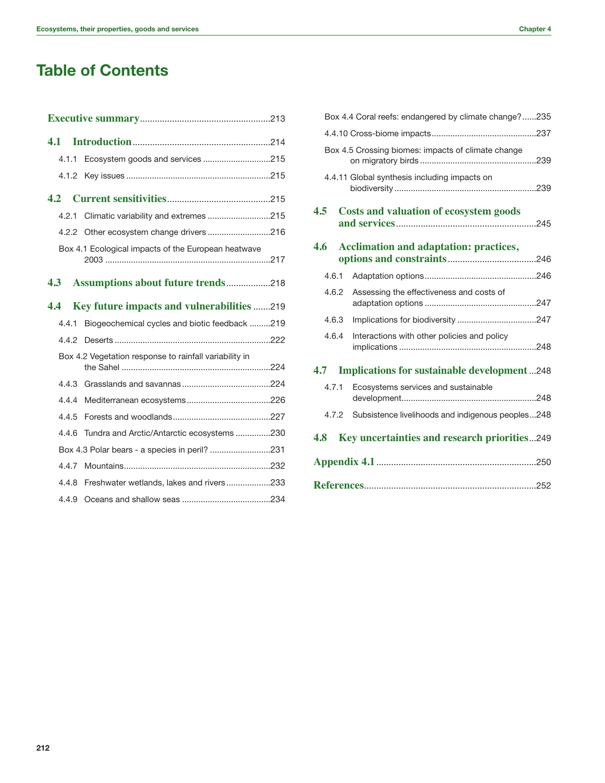# **Table of Contents**

|     | 4.1   |                                                        |  |  |  |
|-----|-------|--------------------------------------------------------|--|--|--|
|     | 4.1.1 | Ecosystem goods and services 215                       |  |  |  |
|     | 4.1.2 |                                                        |  |  |  |
| 4.2 |       |                                                        |  |  |  |
|     | 4.2.1 | Climatic variability and extremes 215                  |  |  |  |
|     |       | 4.2.2 Other ecosystem change drivers 216               |  |  |  |
|     |       | Box 4.1 Ecological impacts of the European heatwave    |  |  |  |
| 4.3 |       | Assumptions about future trends218                     |  |  |  |
|     | 4.4   | Key future impacts and vulnerabilities 219             |  |  |  |
|     | 4.4.1 | Biogeochemical cycles and biotic feedback 219          |  |  |  |
|     | 4.4.2 |                                                        |  |  |  |
|     |       | Box 4.2 Vegetation response to rainfall variability in |  |  |  |
|     | 4.4.3 |                                                        |  |  |  |
|     | 4.4.4 |                                                        |  |  |  |
|     | 4.4.5 |                                                        |  |  |  |
|     | 4.4.6 | Tundra and Arctic/Antarctic ecosystems 230             |  |  |  |
|     |       | Box 4.3 Polar bears - a species in peril? 231          |  |  |  |
|     | 4.4.7 |                                                        |  |  |  |
|     | 4.4.8 | Freshwater wetlands, lakes and rivers233               |  |  |  |
|     | 4.4.9 |                                                        |  |  |  |

|       | Box 4.4 Coral reefs: endangered by climate change?235 |  |  |  |
|-------|-------------------------------------------------------|--|--|--|
|       |                                                       |  |  |  |
|       | Box 4.5 Crossing biomes: impacts of climate change    |  |  |  |
|       | 4.4.11 Global synthesis including impacts on          |  |  |  |
| 4.5   | <b>Costs and valuation of ecosystem goods</b>         |  |  |  |
| 4.6   | <b>Acclimation and adaptation: practices,</b>         |  |  |  |
| 4.6.1 |                                                       |  |  |  |
| 4.6.2 | Assessing the effectiveness and costs of              |  |  |  |
| 4.6.3 |                                                       |  |  |  |
| 4.6.4 | Interactions with other policies and policy           |  |  |  |
| 4.7   | <b>Implications for sustainable development248</b>    |  |  |  |
| 4.7.1 | Ecosystems services and sustainable                   |  |  |  |
| 4.7.2 | Subsistence livelihoods and indigenous peoples248     |  |  |  |
| 4.8   | Key uncertainties and research priorities249          |  |  |  |
|       |                                                       |  |  |  |
|       |                                                       |  |  |  |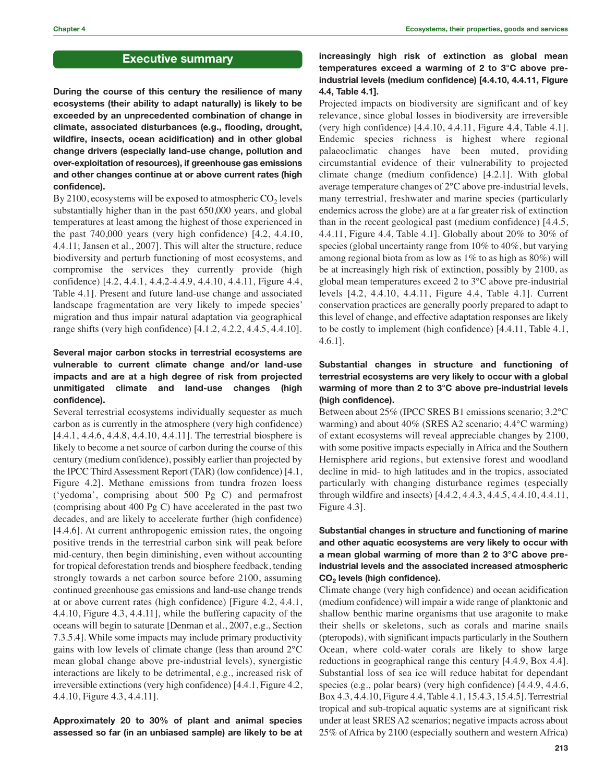# **Executive summary**

**During the course of this century the resilience of many ecosystems (their ability to adapt naturally) is likely to be exceeded by an unprecedented combination of change in climate, associated disturbances (e.g., flooding, drought, wildfire, insects, ocean acidification) and in other global change drivers (especially land-use change, pollution and over-exploitation of resources), if greenhouse gas emissions and other changes continue at or above current rates (high confidence).**

By 2100, ecosystems will be exposed to atmospheric  $CO<sub>2</sub>$  levels substantially higher than in the past 650,000 years, and global temperatures at least among the highest of those experienced in the past 740,000 years (very high confidence) [4.2, 4.4.10, 4.4.11; Jansen et al., 2007]. This will alter the structure, reduce biodiversity and perturb functioning of most ecosystems, and compromise the services they currently provide (high confidence) [4.2, 4.4.1, 4.4.2-4.4.9, 4.4.10, 4.4.11, Figure 4.4, Table 4.1]. Present and future land-use change and associated landscape fragmentation are very likely to impede species' migration and thus impair natural adaptation via geographical range shifts (very high confidence) [4.1.2, 4.2.2, 4.4.5, 4.4.10].

# **Several major carbon stocks in terrestrial ecosystems are vulnerable to current climate change and/or land-use impacts and are at a high degree of risk from projected unmitigated climate and land-use changes (high confidence).**

Several terrestrial ecosystems individually sequester as much carbon as is currently in the atmosphere (very high confidence) [4.4.1, 4.4.6, 4.4.8, 4.4.10, 4.4.11]. The terrestrial biosphere is likely to become a net source of carbon during the course of this century (medium confidence), possibly earlier than projected by the IPCC Third Assessment Report (TAR) (low confidence) [4.1, Figure 4.2]. Methane emissions from tundra frozen loess ('yedoma', comprising about 500 Pg C) and permafrost (comprising about 400 Pg C) have accelerated in the past two decades, and are likely to accelerate further (high confidence) [4.4.6]. At current anthropogenic emission rates, the ongoing positive trends in the terrestrial carbon sink will peak before mid-century, then begin diminishing, even without accounting for tropical deforestation trends and biosphere feedback, tending strongly towards a net carbon source before 2100, assuming continued greenhouse gas emissions and land-use change trends at or above current rates (high confidence) [Figure 4.2, 4.4.1, 4.4.10, Figure 4.3, 4.4.11], while the buffering capacity of the oceans will begin to saturate [Denman et al., 2007, e.g., Section 7.3.5.4]. While some impacts may include primary productivity gains with low levels of climate change (less than around 2°C mean global change above pre-industrial levels), synergistic interactions are likely to be detrimental, e.g., increased risk of irreversible extinctions (very high confidence) [4.4.1, Figure 4.2, 4.4.10, Figure 4.3, 4.4.11].

**Approximately 20 to 30% of plant and animal species assessed so far (in an unbiased sample) are likely to be at**

# **increasingly high risk of extinction as global mean temperatures exceed a warming of 2 to 3°C above preindustrial levels (medium confidence) [4.4.10, 4.4.11, Figure 4.4, Table 4.1].**

Projected impacts on biodiversity are significant and of key relevance, since global losses in biodiversity are irreversible (very high confidence) [4.4.10, 4.4.11, Figure 4.4, Table 4.1]. Endemic species richness is highest where regional palaeoclimatic changes have been muted, providing circumstantial evidence of their vulnerability to projected climate change (medium confidence) [4.2.1]. With global average temperature changes of 2°C above pre-industrial levels, many terrestrial, freshwater and marine species (particularly endemics across the globe) are at a far greater risk of extinction than in the recent geological past (medium confidence) [4.4.5, 4.4.11, Figure 4.4, Table 4.1]. Globally about 20% to 30% of species (global uncertainty range from 10% to 40%, but varying among regional biota from as low as 1% to as high as 80%) will be at increasingly high risk of extinction, possibly by 2100, as global mean temperatures exceed 2 to 3°C above pre-industrial levels [4.2, 4.4.10, 4.4.11, Figure 4.4, Table 4.1]. Current conservation practices are generally poorly prepared to adapt to this level of change, and effective adaptation responses are likely to be costly to implement (high confidence) [4.4.11, Table 4.1, 4.6.1].

# **Substantial changes in structure and functioning of terrestrial ecosystems are very likely to occur with a global warming of more than 2 to 3°C above pre-industrial levels (high confidence).**

Between about 25% (IPCC SRES B1 emissions scenario; 3.2°C warming) and about 40% (SRES A2 scenario; 4.4°C warming) of extant ecosystems will reveal appreciable changes by 2100, with some positive impacts especially in Africa and the Southern Hemisphere arid regions, but extensive forest and woodland decline in mid- to high latitudes and in the tropics, associated particularly with changing disturbance regimes (especially through wildfire and insects) [4.4.2, 4.4.3, 4.4.5, 4.4.10, 4.4.11, Figure 4.3].

# **Substantial changes in structure and functioning of marine and other aquatic ecosystems are very likely to occur with a mean global warming of more than 2 to 3°C above preindustrial levels and the associated increased atmospheric CO2 levels (high confidence).**

Climate change (very high confidence) and ocean acidification (medium confidence) will impair a wide range of planktonic and shallow benthic marine organisms that use aragonite to make their shells or skeletons, such as corals and marine snails (pteropods), with significant impacts particularly in the Southern Ocean, where cold-water corals are likely to show large reductions in geographical range this century [4.4.9, Box 4.4]. Substantial loss of sea ice will reduce habitat for dependant species (e.g., polar bears) (very high confidence) [4.4.9, 4.4.6, Box 4.3, 4.4.10, Figure 4.4, Table 4.1, 15.4.3, 15.4.5]. Terrestrial tropical and sub-tropical aquatic systems are at significant risk under at least SRES A2 scenarios; negative impacts across about 25% of Africa by 2100 (especially southern and western Africa)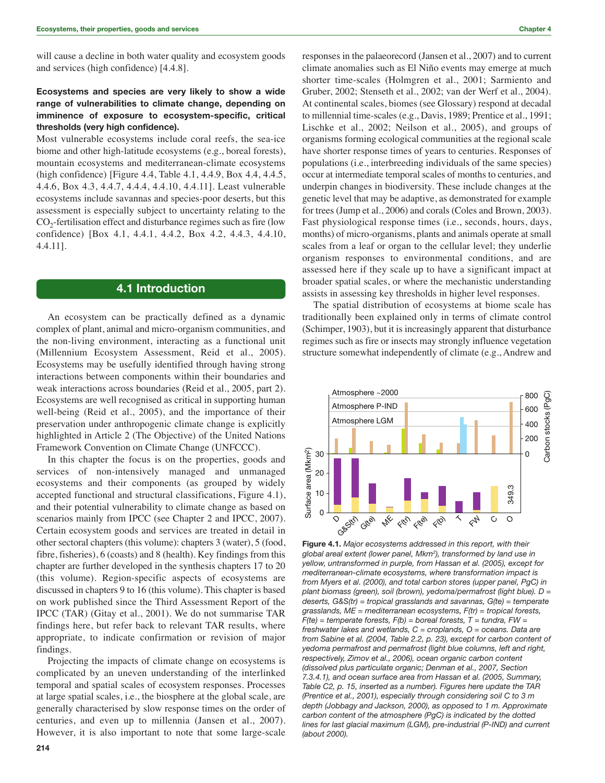will cause a decline in both water quality and ecosystem goods and services (high confidence) [4.4.8].

# **Ecosystems and species are very likely to show a wide range of vulnerabilities to climate change, depending on imminence of exposure to ecosystem-specific, critical thresholds (very high confidence).**

Most vulnerable ecosystems include coral reefs, the sea-ice biome and other high-latitude ecosystems (e.g., boreal forests), mountain ecosystems and mediterranean-climate ecosystems (high confidence) [Figure 4.4, Table 4.1, 4.4.9, Box 4.4, 4.4.5, 4.4.6, Box 4.3, 4.4.7, 4.4.4, 4.4.10, 4.4.11]. Least vulnerable ecosystems include savannas and species-poor deserts, but this assessment is especially subject to uncertainty relating to the  $CO<sub>2</sub>$ -fertilisation effect and disturbance regimes such as fire (low confidence) [Box 4.1, 4.4.1, 4.4.2, Box 4.2, 4.4.3, 4.4.10, 4.4.11].

# **4.1 Introduction**

An ecosystem can be practically defined as a dynamic complex of plant, animal and micro-organism communities, and the non-living environment, interacting as a functional unit (Millennium Ecosystem Assessment, Reid et al., 2005). Ecosystems may be usefully identified through having strong interactions between components within their boundaries and weak interactions across boundaries (Reid et al., 2005, part 2). Ecosystems are well recognised as critical in supporting human well-being (Reid et al., 2005), and the importance of their preservation under anthropogenic climate change is explicitly highlighted in Article 2 (The Objective) of the United Nations Framework Convention on Climate Change (UNFCCC).

In this chapter the focus is on the properties, goods and services of non-intensively managed and unmanaged ecosystems and their components (as grouped by widely accepted functional and structural classifications, Figure 4.1), and their potential vulnerability to climate change as based on scenarios mainly from IPCC (see Chapter 2 and IPCC, 2007). Certain ecosystem goods and services are treated in detail in other sectoral chapters (this volume): chapters 3 (water), 5 (food, fibre, fisheries), 6 (coasts) and 8 (health). Key findings from this chapter are further developed in the synthesis chapters 17 to 20 (this volume). Region-specific aspects of ecosystems are discussed in chapters 9 to 16 (this volume). This chapter is based on work published since the Third Assessment Report of the IPCC (TAR) (Gitay et al., 2001). We do not summarise TAR findings here, but refer back to relevant TAR results, where appropriate, to indicate confirmation or revision of major findings.

Projecting the impacts of climate change on ecosystems is complicated by an uneven understanding of the interlinked temporal and spatial scales of ecosystem responses. Processes at large spatial scales, i.e., the biosphere at the global scale, are generally characterised by slow response times on the order of centuries, and even up to millennia (Jansen et al., 2007). However, it is also important to note that some large-scale

responses in the palaeorecord (Jansen et al., 2007) and to current climate anomalies such as El Niño events may emerge at much shorter time-scales (Holmgren et al., 2001; Sarmiento and Gruber, 2002; Stenseth et al., 2002; van der Werf et al., 2004). At continental scales, biomes (see Glossary) respond at decadal to millennial time-scales (e.g., Davis, 1989; Prentice et al., 1991; Lischke et al., 2002; Neilson et al., 2005), and groups of organisms forming ecological communities at the regional scale have shorter response times of years to centuries. Responses of populations (i.e., interbreeding individuals of the same species) occur at intermediate temporal scales of months to centuries, and underpin changes in biodiversity. These include changes at the genetic level that may be adaptive, as demonstrated for example for trees (Jump et al., 2006) and corals (Coles and Brown, 2003). Fast physiological response times (i.e., seconds, hours, days, months) of micro-organisms, plants and animals operate at small scales from a leaf or organ to the cellular level; they underlie organism responses to environmental conditions, and are assessed here if they scale up to have a significant impact at broader spatial scales, or where the mechanistic understanding assists in assessing key thresholds in higher level responses.

The spatial distribution of ecosystems at biome scale has traditionally been explained only in terms of climate control (Schimper, 1903), but it is increasingly apparent that disturbance regimes such as fire or insects may strongly influence vegetation structure somewhat independently of climate (e.g., Andrew and



**Figure 4.1.** *Major ecosystems addressed in this report, with their global areal extent (lower panel, Mkm2), transformed by land use in yellow, untransformed in purple, from Hassan et al. (2005), except for mediterranean-climate ecosystems, where transformation impact is from Myers et al. (2000), and total carbon stores (upper panel, PgC) in plant biomass (green), soil (brown), yedoma/permafrost (light blue). D = deserts, G&S(tr) = tropical grasslands and savannas, G(te) = temperate grasslands, ME = mediterranean ecosystems, F(tr) = tropical forests, F(te) = temperate forests, F(b) = boreal forests, T = tundra, FW = freshwater lakes and wetlands, C = croplands, O = oceans. Data are from Sabine et al. (2004, Table 2.2, p. 23), except for carbon content of yedoma permafrost and permafrost (light blue columns, left and right, respectively, Zimov et al., 2006), ocean organic carbon content (dissolved plus particulate organic; Denman et al., 2007, Section 7.3.4.1), and ocean surface area from Hassan et al. (2005, Summary, Table C2, p. 15, inserted as a number). Figures here update the TAR (Prentice et al., 2001), especially through considering soil C to 3 m depth (Jobbagy and Jackson, 2000), as opposed to 1 m. Approximate carbon content of the atmosphere (PgC) is indicated by the dotted lines for last glacial maximum (LGM), pre-industrial (P-IND) and current (about 2000).*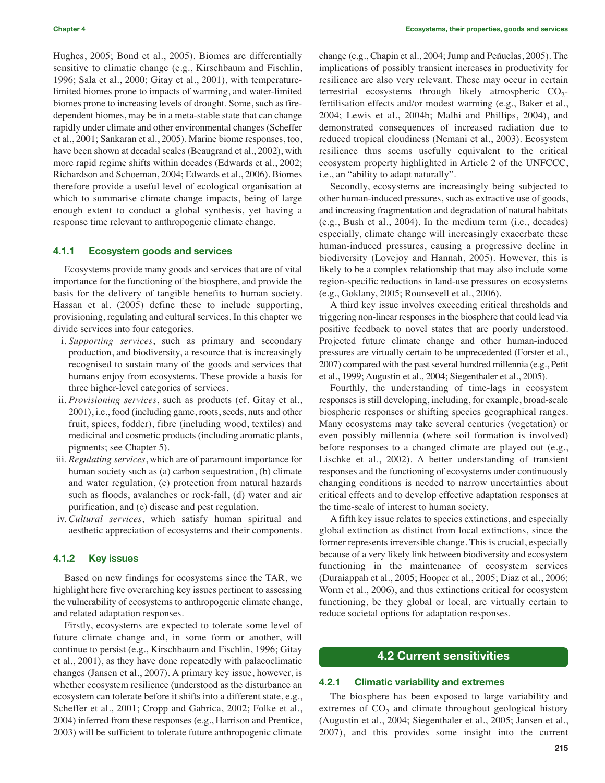Hughes, 2005; Bond et al., 2005). Biomes are differentially sensitive to climatic change (e.g., Kirschbaum and Fischlin, 1996; Sala et al., 2000; Gitay et al., 2001), with temperaturelimited biomes prone to impacts of warming, and water-limited biomes prone to increasing levels of drought. Some, such as firedependent biomes, may be in a meta-stable state that can change rapidly under climate and other environmental changes (Scheffer et al., 2001; Sankaran et al., 2005). Marine biome responses, too, have been shown at decadal scales (Beaugrand et al., 2002), with more rapid regime shifts within decades (Edwards et al., 2002; Richardson and Schoeman, 2004; Edwards et al., 2006). Biomes therefore provide a useful level of ecological organisation at which to summarise climate change impacts, being of large enough extent to conduct a global synthesis, yet having a response time relevant to anthropogenic climate change.

#### **4.1.1 Ecosystem goods and services**

Ecosystems provide many goods and services that are of vital importance for the functioning of the biosphere, and provide the basis for the delivery of tangible benefits to human society. Hassan et al. (2005) define these to include supporting, provisioning, regulating and cultural services. In this chapter we divide services into four categories.

- i. *Supporting services*, such as primary and secondary production, and biodiversity, a resource that is increasingly recognised to sustain many of the goods and services that humans enjoy from ecosystems. These provide a basis for three higher-level categories of services.
- ii. *Provisioning services*, such as products (cf. Gitay et al., 2001), i.e., food (including game, roots, seeds, nuts and other fruit, spices, fodder), fibre (including wood, textiles) and medicinal and cosmetic products (including aromatic plants, pigments; see Chapter 5).
- iii. *Regulating services*, which are of paramount importance for human society such as (a) carbon sequestration, (b) climate and water regulation, (c) protection from natural hazards such as floods, avalanches or rock-fall, (d) water and air purification, and (e) disease and pest regulation.
- iv. *Cultural services*, which satisfy human spiritual and aesthetic appreciation of ecosystems and their components.

#### **4.1.2 Key issues**

Based on new findings for ecosystems since the TAR, we highlight here five overarching key issues pertinent to assessing the vulnerability of ecosystems to anthropogenic climate change, and related adaptation responses.

Firstly, ecosystems are expected to tolerate some level of future climate change and, in some form or another, will continue to persist (e.g., Kirschbaum and Fischlin, 1996; Gitay et al., 2001), as they have done repeatedly with palaeoclimatic changes (Jansen et al., 2007). A primary key issue, however, is whether ecosystem resilience (understood as the disturbance an ecosystem can tolerate before it shifts into a different state, e.g., Scheffer et al., 2001; Cropp and Gabrica, 2002; Folke et al., 2004) inferred from these responses (e.g., Harrison and Prentice, 2003) will be sufficient to tolerate future anthropogenic climate

change (e.g., Chapin et al., 2004; Jump and Peñuelas, 2005). The implications of possibly transient increases in productivity for resilience are also very relevant. These may occur in certain terrestrial ecosystems through likely atmospheric  $CO<sub>2</sub>$ fertilisation effects and/or modest warming (e.g., Baker et al., 2004; Lewis et al., 2004b; Malhi and Phillips, 2004), and demonstrated consequences of increased radiation due to reduced tropical cloudiness (Nemani et al., 2003). Ecosystem resilience thus seems usefully equivalent to the critical ecosystem property highlighted in Article 2 of the UNFCCC, i.e., an "ability to adapt naturally".

Secondly, ecosystems are increasingly being subjected to other human-induced pressures, such as extractive use of goods, and increasing fragmentation and degradation of natural habitats (e.g., Bush et al., 2004). In the medium term (i.e., decades) especially, climate change will increasingly exacerbate these human-induced pressures, causing a progressive decline in biodiversity (Lovejoy and Hannah, 2005). However, this is likely to be a complex relationship that may also include some region-specific reductions in land-use pressures on ecosystems (e.g., Goklany, 2005; Rounsevell et al., 2006).

A third key issue involves exceeding critical thresholds and triggering non-linear responses in the biosphere that could lead via positive feedback to novel states that are poorly understood. Projected future climate change and other human-induced pressures are virtually certain to be unprecedented (Forster et al., 2007) compared with the past several hundred millennia (e.g., Petit et al., 1999; Augustin et al., 2004; Siegenthaler et al., 2005).

Fourthly, the understanding of time-lags in ecosystem responses is still developing, including, for example, broad-scale biospheric responses or shifting species geographical ranges. Many ecosystems may take several centuries (vegetation) or even possibly millennia (where soil formation is involved) before responses to a changed climate are played out (e.g., Lischke et al., 2002). A better understanding of transient responses and the functioning of ecosystems under continuously changing conditions is needed to narrow uncertainties about critical effects and to develop effective adaptation responses at the time-scale of interest to human society.

A fifth key issue relates to species extinctions, and especially global extinction as distinct from local extinctions, since the former represents irreversible change. This is crucial, especially because of a very likely link between biodiversity and ecosystem functioning in the maintenance of ecosystem services (Duraiappah et al., 2005; Hooper et al., 2005; Diaz et al., 2006; Worm et al., 2006), and thus extinctions critical for ecosystem functioning, be they global or local, are virtually certain to reduce societal options for adaptation responses.

# **4.2 Current sensitivities**

#### **4.2.1 Climatic variability and extremes**

The biosphere has been exposed to large variability and extremes of  $CO<sub>2</sub>$  and climate throughout geological history (Augustin et al., 2004; Siegenthaler et al., 2005; Jansen et al., 2007), and this provides some insight into the current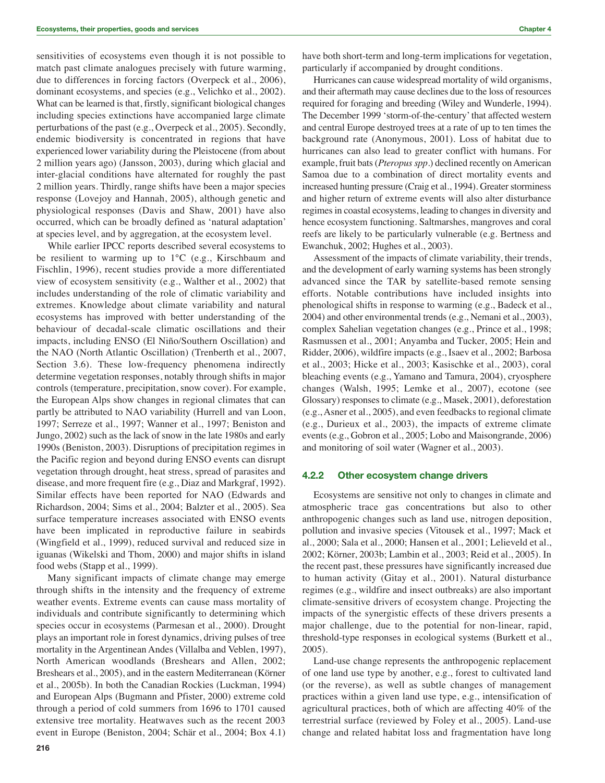sensitivities of ecosystems even though it is not possible to match past climate analogues precisely with future warming, due to differences in forcing factors (Overpeck et al., 2006), dominant ecosystems, and species (e.g., Velichko et al., 2002). What can be learned is that, firstly, significant biological changes including species extinctions have accompanied large climate perturbations of the past (e.g., Overpeck et al., 2005). Secondly, endemic biodiversity is concentrated in regions that have experienced lower variability during the Pleistocene (from about 2 million years ago) (Jansson, 2003), during which glacial and inter-glacial conditions have alternated for roughly the past 2 million years. Thirdly, range shifts have been a major species response (Lovejoy and Hannah, 2005), although genetic and physiological responses (Davis and Shaw, 2001) have also occurred, which can be broadly defined as 'natural adaptation' at species level, and by aggregation, at the ecosystem level.

While earlier IPCC reports described several ecosystems to be resilient to warming up to 1°C (e.g., Kirschbaum and Fischlin, 1996), recent studies provide a more differentiated view of ecosystem sensitivity (e.g., Walther et al., 2002) that includes understanding of the role of climatic variability and extremes. Knowledge about climate variability and natural ecosystems has improved with better understanding of the behaviour of decadal-scale climatic oscillations and their impacts, including ENSO (El Niño/Southern Oscillation) and the NAO (North Atlantic Oscillation) (Trenberth et al., 2007, Section 3.6). These low-frequency phenomena indirectly determine vegetation responses, notably through shifts in major controls (temperature, precipitation, snow cover). For example, the European Alps show changes in regional climates that can partly be attributed to NAO variability (Hurrell and van Loon, 1997; Serreze et al., 1997; Wanner et al., 1997; Beniston and Jungo, 2002) such as the lack of snow in the late 1980s and early 1990s (Beniston, 2003). Disruptions of precipitation regimes in the Pacific region and beyond during ENSO events can disrupt vegetation through drought, heat stress, spread of parasites and disease, and more frequent fire (e.g., Diaz and Markgraf, 1992). Similar effects have been reported for NAO (Edwards and Richardson, 2004; Sims et al., 2004; Balzter et al., 2005). Sea surface temperature increases associated with ENSO events have been implicated in reproductive failure in seabirds (Wingfield et al., 1999), reduced survival and reduced size in iguanas (Wikelski and Thom, 2000) and major shifts in island food webs (Stapp et al., 1999).

Many significant impacts of climate change may emerge through shifts in the intensity and the frequency of extreme weather events. Extreme events can cause mass mortality of individuals and contribute significantly to determining which species occur in ecosystems (Parmesan et al., 2000). Drought plays an important role in forest dynamics, driving pulses of tree mortality in the Argentinean Andes (Villalba and Veblen, 1997), North American woodlands (Breshears and Allen, 2002; Breshears et al., 2005), and in the eastern Mediterranean (Körner et al., 2005b). In both the Canadian Rockies (Luckman, 1994) and European Alps (Bugmann and Pfister, 2000) extreme cold through a period of cold summers from 1696 to 1701 caused extensive tree mortality. Heatwaves such as the recent 2003 event in Europe (Beniston, 2004; Schär et al., 2004; Box 4.1) have both short-term and long-term implications for vegetation, particularly if accompanied by drought conditions.

Hurricanes can cause widespread mortality of wild organisms, and their aftermath may cause declines due to the loss of resources required for foraging and breeding (Wiley and Wunderle, 1994). The December 1999 'storm-of-the-century' that affected western and central Europe destroyed trees at a rate of up to ten times the background rate (Anonymous, 2001). Loss of habitat due to hurricanes can also lead to greater conflict with humans. For example, fruit bats (*Pteropus spp*.) declined recently on American Samoa due to a combination of direct mortality events and increased hunting pressure (Craig et al., 1994). Greater storminess and higher return of extreme events will also alter disturbance regimes in coastal ecosystems, leading to changes in diversity and hence ecosystem functioning. Saltmarshes, mangroves and coral reefs are likely to be particularly vulnerable (e.g. Bertness and Ewanchuk, 2002; Hughes et al., 2003).

Assessment of the impacts of climate variability, their trends, and the development of early warning systems has been strongly advanced since the TAR by satellite-based remote sensing efforts. Notable contributions have included insights into phenological shifts in response to warming (e.g., Badeck et al., 2004) and other environmental trends (e.g., Nemani et al., 2003), complex Sahelian vegetation changes (e.g., Prince et al., 1998; Rasmussen et al., 2001; Anyamba and Tucker, 2005; Hein and Ridder, 2006), wildfire impacts (e.g., Isaev et al., 2002; Barbosa et al., 2003; Hicke et al., 2003; Kasischke et al., 2003), coral bleaching events (e.g., Yamano and Tamura, 2004), cryosphere changes (Walsh, 1995; Lemke et al., 2007), ecotone (see Glossary) responses to climate (e.g., Masek, 2001), deforestation (e.g., Asner et al., 2005), and even feedbacks to regional climate (e.g., Durieux et al., 2003), the impacts of extreme climate events (e.g., Gobron et al., 2005; Lobo and Maisongrande, 2006) and monitoring of soil water (Wagner et al., 2003).

#### **4.2.2 Other ecosystem change drivers**

Ecosystems are sensitive not only to changes in climate and atmospheric trace gas concentrations but also to other anthropogenic changes such as land use, nitrogen deposition, pollution and invasive species (Vitousek et al., 1997; Mack et al., 2000; Sala et al., 2000; Hansen et al., 2001; Lelieveld et al., 2002; Körner, 2003b; Lambin et al., 2003; Reid et al., 2005). In the recent past, these pressures have significantly increased due to human activity (Gitay et al., 2001). Natural disturbance regimes (e.g., wildfire and insect outbreaks) are also important climate-sensitive drivers of ecosystem change. Projecting the impacts of the synergistic effects of these drivers presents a major challenge, due to the potential for non-linear, rapid, threshold-type responses in ecological systems (Burkett et al., 2005).

Land-use change represents the anthropogenic replacement of one land use type by another, e.g., forest to cultivated land (or the reverse), as well as subtle changes of management practices within a given land use type, e.g., intensification of agricultural practices, both of which are affecting 40% of the terrestrial surface (reviewed by Foley et al., 2005). Land-use change and related habitat loss and fragmentation have long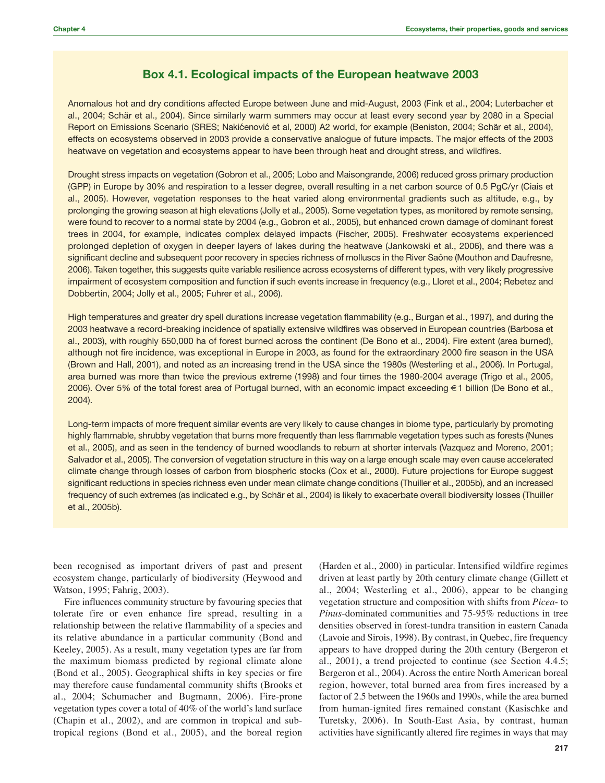# **Box 4.1. Ecological impacts of the European heatwave 2003**

Anomalous hot and dry conditions affected Europe between June and mid-August, 2003 (Fink et al., 2004; Luterbacher et al., 2004; Schär et al., 2004). Since similarly warm summers may occur at least every second year by 2080 in a Special Report on Emissions Scenario (SRES; Nakićenović et al, 2000) A2 world, for example (Beniston, 2004; Schär et al., 2004), effects on ecosystems observed in 2003 provide a conservative analogue of future impacts. The major effects of the 2003 heatwave on vegetation and ecosystems appear to have been through heat and drought stress, and wildfires.

Drought stress impacts on vegetation (Gobron et al., 2005; Lobo and Maisongrande, 2006) reduced gross primary production (GPP) in Europe by 30% and respiration to a lesser degree, overall resulting in a net carbon source of 0.5 PgC/yr (Ciais et al., 2005). However, vegetation responses to the heat varied along environmental gradients such as altitude, e.g., by prolonging the growing season at high elevations (Jolly et al., 2005). Some vegetation types, as monitored by remote sensing, were found to recover to a normal state by 2004 (e.g., Gobron et al., 2005), but enhanced crown damage of dominant forest trees in 2004, for example, indicates complex delayed impacts (Fischer, 2005). Freshwater ecosystems experienced prolonged depletion of oxygen in deeper layers of lakes during the heatwave (Jankowski et al., 2006), and there was a significant decline and subsequent poor recovery in species richness of molluscs in the River Saône (Mouthon and Daufresne, 2006). Taken together, this suggests quite variable resilience across ecosystems of different types, with very likely progressive impairment of ecosystem composition and function if such events increase in frequency (e.g., Lloret et al., 2004; Rebetez and Dobbertin, 2004; Jolly et al., 2005; Fuhrer et al., 2006).

High temperatures and greater dry spell durations increase vegetation flammability (e.g., Burgan et al., 1997), and during the 2003 heatwave a record-breaking incidence of spatially extensive wildfires was observed in European countries (Barbosa et al., 2003), with roughly 650,000 ha of forest burned across the continent (De Bono et al., 2004). Fire extent (area burned), although not fire incidence, was exceptional in Europe in 2003, as found for the extraordinary 2000 fire season in the USA (Brown and Hall, 2001), and noted as an increasing trend in the USA since the 1980s (Westerling et al., 2006). In Portugal, area burned was more than twice the previous extreme (1998) and four times the 1980-2004 average (Trigo et al., 2005, 2006). Over 5% of the total forest area of Portugal burned, with an economic impact exceeding €1 billion (De Bono et al., 2004).

Long-term impacts of more frequent similar events are very likely to cause changes in biome type, particularly by promoting highly flammable, shrubby vegetation that burns more frequently than less flammable vegetation types such as forests (Nunes et al., 2005), and as seen in the tendency of burned woodlands to reburn at shorter intervals (Vazquez and Moreno, 2001; Salvador et al., 2005). The conversion of vegetation structure in this way on a large enough scale may even cause accelerated climate change through losses of carbon from biospheric stocks (Cox et al., 2000). Future projections for Europe suggest significant reductions in species richness even under mean climate change conditions (Thuiller et al., 2005b), and an increased frequency of such extremes (as indicated e.g., by Schär et al., 2004) is likely to exacerbate overall biodiversity losses (Thuiller et al., 2005b).

been recognised as important drivers of past and present ecosystem change, particularly of biodiversity (Heywood and Watson, 1995; Fahrig, 2003).

Fire influences community structure by favouring species that tolerate fire or even enhance fire spread, resulting in a relationship between the relative flammability of a species and its relative abundance in a particular community (Bond and Keeley, 2005). As a result, many vegetation types are far from the maximum biomass predicted by regional climate alone (Bond et al., 2005). Geographical shifts in key species or fire may therefore cause fundamental community shifts (Brooks et al., 2004; Schumacher and Bugmann, 2006). Fire-prone vegetation types cover a total of 40% of the world's land surface (Chapin et al., 2002), and are common in tropical and subtropical regions (Bond et al., 2005), and the boreal region

(Harden et al., 2000) in particular. Intensified wildfire regimes driven at least partly by 20th century climate change (Gillett et al., 2004; Westerling et al., 2006), appear to be changing vegetation structure and composition with shifts from *Picea*- to *Pinus*-dominated communities and 75-95% reductions in tree densities observed in forest-tundra transition in eastern Canada (Lavoie and Sirois, 1998). By contrast, in Quebec, fire frequency appears to have dropped during the 20th century (Bergeron et al., 2001), a trend projected to continue (see Section 4.4.5; Bergeron et al., 2004). Across the entire North American boreal region, however, total burned area from fires increased by a factor of 2.5 between the 1960s and 1990s, while the area burned from human-ignited fires remained constant (Kasischke and Turetsky, 2006). In South-East Asia, by contrast, human activities have significantly altered fire regimes in ways that may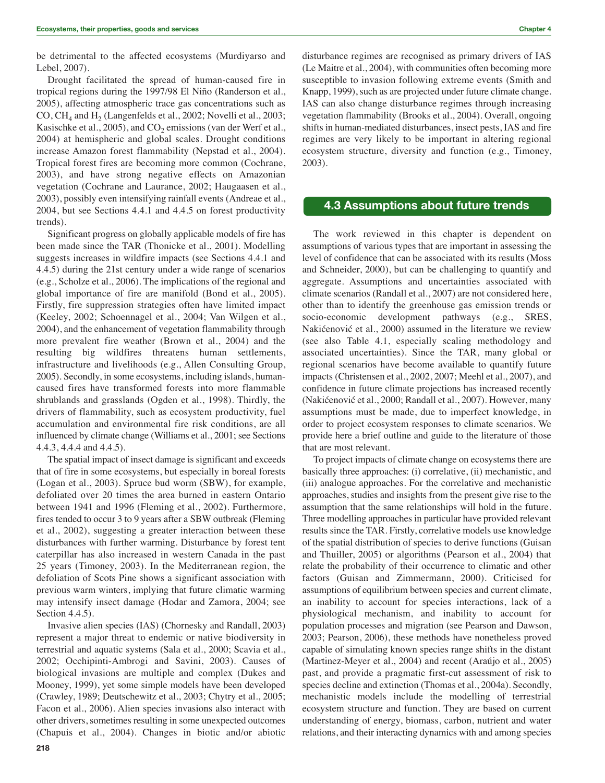be detrimental to the affected ecosystems (Murdiyarso and Lebel, 2007).

Drought facilitated the spread of human-caused fire in tropical regions during the 1997/98 El Niño (Randerson et al., 2005), affecting atmospheric trace gas concentrations such as CO,  $CH<sub>4</sub>$  and  $H<sub>2</sub>$  (Langenfelds et al., 2002; Novelli et al., 2003; Kasischke et al., 2005), and  $CO<sub>2</sub>$  emissions (van der Werf et al., 2004) at hemispheric and global scales. Drought conditions increase Amazon forest flammability (Nepstad et al., 2004). Tropical forest fires are becoming more common (Cochrane, 2003), and have strong negative effects on Amazonian vegetation (Cochrane and Laurance, 2002; Haugaasen et al., 2003), possibly even intensifying rainfall events (Andreae et al., 2004, but see Sections 4.4.1 and 4.4.5 on forest productivity trends).

Significant progress on globally applicable models of fire has been made since the TAR (Thonicke et al., 2001). Modelling suggests increases in wildfire impacts (see Sections 4.4.1 and 4.4.5) during the 21st century under a wide range of scenarios (e.g., Scholze et al., 2006). The implications of the regional and global importance of fire are manifold (Bond et al., 2005). Firstly, fire suppression strategies often have limited impact (Keeley, 2002; Schoennagel et al., 2004; Van Wilgen et al., 2004), and the enhancement of vegetation flammability through more prevalent fire weather (Brown et al., 2004) and the resulting big wildfires threatens human settlements, infrastructure and livelihoods (e.g., Allen Consulting Group, 2005). Secondly, in some ecosystems, including islands, humancaused fires have transformed forests into more flammable shrublands and grasslands (Ogden et al., 1998). Thirdly, the drivers of flammability, such as ecosystem productivity, fuel accumulation and environmental fire risk conditions, are all influenced by climate change (Williams et al., 2001; see Sections 4.4.3, 4.4.4 and 4.4.5).

The spatial impact of insect damage is significant and exceeds that of fire in some ecosystems, but especially in boreal forests (Logan et al., 2003). Spruce bud worm (SBW), for example, defoliated over 20 times the area burned in eastern Ontario between 1941 and 1996 (Fleming et al., 2002). Furthermore, fires tended to occur 3 to 9 years after a SBW outbreak (Fleming et al., 2002), suggesting a greater interaction between these disturbances with further warming. Disturbance by forest tent caterpillar has also increased in western Canada in the past 25 years (Timoney, 2003). In the Mediterranean region, the defoliation of Scots Pine shows a significant association with previous warm winters, implying that future climatic warming may intensify insect damage (Hodar and Zamora, 2004; see Section 4.4.5).

Invasive alien species (IAS) (Chornesky and Randall, 2003) represent a major threat to endemic or native biodiversity in terrestrial and aquatic systems (Sala et al., 2000; Scavia et al., 2002; Occhipinti-Ambrogi and Savini, 2003). Causes of biological invasions are multiple and complex (Dukes and Mooney, 1999), yet some simple models have been developed (Crawley, 1989; Deutschewitz et al., 2003; Chytry et al., 2005; Facon et al., 2006). Alien species invasions also interact with other drivers, sometimes resulting in some unexpected outcomes (Chapuis et al., 2004). Changes in biotic and/or abiotic disturbance regimes are recognised as primary drivers of IAS (Le Maitre et al., 2004), with communities often becoming more susceptible to invasion following extreme events (Smith and Knapp, 1999), such as are projected under future climate change. IAS can also change disturbance regimes through increasing vegetation flammability (Brooks et al., 2004). Overall, ongoing shifts in human-mediated disturbances, insect pests, IAS and fire regimes are very likely to be important in altering regional ecosystem structure, diversity and function (e.g., Timoney, 2003).

# **4.3 Assumptions about future trends**

The work reviewed in this chapter is dependent on assumptions of various types that are important in assessing the level of confidence that can be associated with its results (Moss and Schneider, 2000), but can be challenging to quantify and aggregate. Assumptions and uncertainties associated with climate scenarios (Randall et al., 2007) are not considered here, other than to identify the greenhouse gas emission trends or socio-economic development pathways (e.g., SRES, Nakićenović et al., 2000) assumed in the literature we review (see also Table 4.1, especially scaling methodology and associated uncertainties). Since the TAR, many global or regional scenarios have become available to quantify future impacts (Christensen et al., 2002, 2007; Meehl et al., 2007), and confidence in future climate projections has increased recently (Nakićenović et al., 2000; Randall et al., 2007). However, many assumptions must be made, due to imperfect knowledge, in order to project ecosystem responses to climate scenarios. We provide here a brief outline and guide to the literature of those that are most relevant.

To project impacts of climate change on ecosystems there are basically three approaches: (i) correlative, (ii) mechanistic, and (iii) analogue approaches. For the correlative and mechanistic approaches, studies and insights from the present give rise to the assumption that the same relationships will hold in the future. Three modelling approaches in particular have provided relevant results since the TAR. Firstly, correlative models use knowledge of the spatial distribution of species to derive functions (Guisan and Thuiller, 2005) or algorithms (Pearson et al., 2004) that relate the probability of their occurrence to climatic and other factors (Guisan and Zimmermann, 2000). Criticised for assumptions of equilibrium between species and current climate, an inability to account for species interactions, lack of a physiological mechanism, and inability to account for population processes and migration (see Pearson and Dawson, 2003; Pearson, 2006), these methods have nonetheless proved capable of simulating known species range shifts in the distant (Martinez-Meyer et al., 2004) and recent (Araújo et al., 2005) past, and provide a pragmatic first-cut assessment of risk to species decline and extinction (Thomas et al., 2004a). Secondly, mechanistic models include the modelling of terrestrial ecosystem structure and function. They are based on current understanding of energy, biomass, carbon, nutrient and water relations, and their interacting dynamics with and among species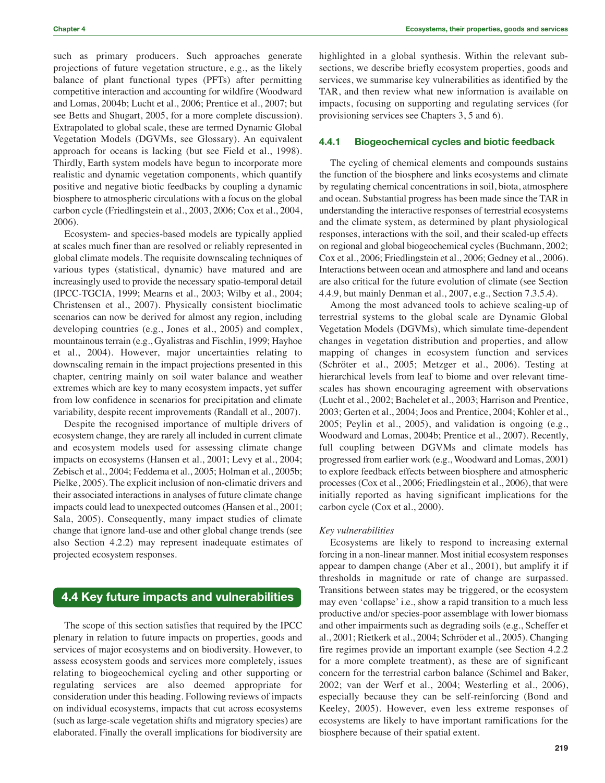such as primary producers. Such approaches generate projections of future vegetation structure, e.g., as the likely balance of plant functional types (PFTs) after permitting competitive interaction and accounting for wildfire (Woodward and Lomas, 2004b; Lucht et al., 2006; Prentice et al., 2007; but see Betts and Shugart, 2005, for a more complete discussion). Extrapolated to global scale, these are termed Dynamic Global Vegetation Models (DGVMs, see Glossary). An equivalent approach for oceans is lacking (but see Field et al., 1998). Thirdly, Earth system models have begun to incorporate more realistic and dynamic vegetation components, which quantify positive and negative biotic feedbacks by coupling a dynamic biosphere to atmospheric circulations with a focus on the global carbon cycle (Friedlingstein et al., 2003, 2006; Cox et al., 2004, 2006).

Ecosystem- and species-based models are typically applied at scales much finer than are resolved or reliably represented in global climate models. The requisite downscaling techniques of various types (statistical, dynamic) have matured and are increasingly used to provide the necessary spatio-temporal detail (IPCC-TGCIA, 1999; Mearns et al., 2003; Wilby et al., 2004; Christensen et al., 2007). Physically consistent bioclimatic scenarios can now be derived for almost any region, including developing countries (e.g., Jones et al., 2005) and complex, mountainous terrain (e.g., Gyalistras and Fischlin, 1999; Hayhoe et al., 2004). However, major uncertainties relating to downscaling remain in the impact projections presented in this chapter, centring mainly on soil water balance and weather extremes which are key to many ecosystem impacts, yet suffer from low confidence in scenarios for precipitation and climate variability, despite recent improvements (Randall et al., 2007).

Despite the recognised importance of multiple drivers of ecosystem change, they are rarely all included in current climate and ecosystem models used for assessing climate change impacts on ecosystems (Hansen et al., 2001; Levy et al., 2004; Zebisch et al., 2004; Feddema et al., 2005; Holman et al., 2005b; Pielke, 2005). The explicit inclusion of non-climatic drivers and their associated interactions in analyses of future climate change impacts could lead to unexpected outcomes (Hansen et al., 2001; Sala, 2005). Consequently, many impact studies of climate change that ignore land-use and other global change trends (see also Section 4.2.2) may represent inadequate estimates of projected ecosystem responses.

# **4.4 Key future impacts and vulnerabilities**

The scope of this section satisfies that required by the IPCC plenary in relation to future impacts on properties, goods and services of major ecosystems and on biodiversity. However, to assess ecosystem goods and services more completely, issues relating to biogeochemical cycling and other supporting or regulating services are also deemed appropriate for consideration under this heading. Following reviews of impacts on individual ecosystems, impacts that cut across ecosystems (such as large-scale vegetation shifts and migratory species) are elaborated. Finally the overall implications for biodiversity are highlighted in a global synthesis. Within the relevant subsections, we describe briefly ecosystem properties, goods and services, we summarise key vulnerabilities as identified by the TAR, and then review what new information is available on impacts, focusing on supporting and regulating services (for provisioning services see Chapters 3, 5 and 6).

### **4.4.1 Biogeochemical cycles and biotic feedback**

The cycling of chemical elements and compounds sustains the function of the biosphere and links ecosystems and climate by regulating chemical concentrations in soil, biota, atmosphere and ocean. Substantial progress has been made since the TAR in understanding the interactive responses of terrestrial ecosystems and the climate system, as determined by plant physiological responses, interactions with the soil, and their scaled-up effects on regional and global biogeochemical cycles (Buchmann, 2002; Cox et al., 2006; Friedlingstein et al., 2006; Gedney et al., 2006). Interactions between ocean and atmosphere and land and oceans are also critical for the future evolution of climate (see Section 4.4.9, but mainly Denman et al., 2007, e.g., Section 7.3.5.4).

Among the most advanced tools to achieve scaling-up of terrestrial systems to the global scale are Dynamic Global Vegetation Models (DGVMs), which simulate time-dependent changes in vegetation distribution and properties, and allow mapping of changes in ecosystem function and services (Schröter et al., 2005; Metzger et al., 2006). Testing at hierarchical levels from leaf to biome and over relevant timescales has shown encouraging agreement with observations (Lucht et al., 2002; Bachelet et al., 2003; Harrison and Prentice, 2003; Gerten et al., 2004; Joos and Prentice, 2004; Kohler et al., 2005; Peylin et al., 2005), and validation is ongoing (e.g., Woodward and Lomas, 2004b; Prentice et al., 2007). Recently, full coupling between DGVMs and climate models has progressed from earlier work (e.g., Woodward and Lomas, 2001) to explore feedback effects between biosphere and atmospheric processes (Cox et al., 2006; Friedlingstein et al., 2006), that were initially reported as having significant implications for the carbon cycle (Cox et al., 2000).

#### *Key vulnerabilities*

Ecosystems are likely to respond to increasing external forcing in a non-linear manner. Most initial ecosystem responses appear to dampen change (Aber et al., 2001), but amplify it if thresholds in magnitude or rate of change are surpassed. Transitions between states may be triggered, or the ecosystem may even 'collapse' i.e., show a rapid transition to a much less productive and/or species-poor assemblage with lower biomass and other impairments such as degrading soils (e.g., Scheffer et al., 2001; Rietkerk et al., 2004; Schröder et al., 2005). Changing fire regimes provide an important example (see Section 4.2.2 for a more complete treatment), as these are of significant concern for the terrestrial carbon balance (Schimel and Baker, 2002; van der Werf et al., 2004; Westerling et al., 2006), especially because they can be self-reinforcing (Bond and Keeley, 2005). However, even less extreme responses of ecosystems are likely to have important ramifications for the biosphere because of their spatial extent.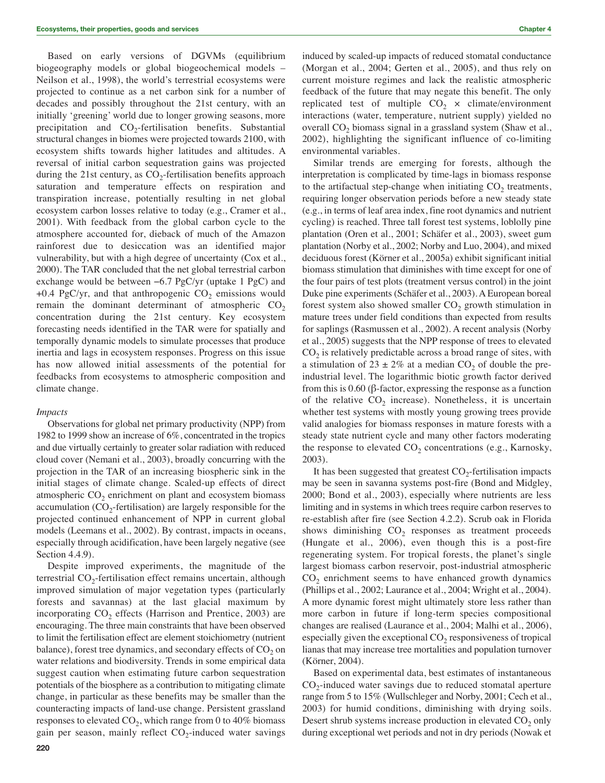Based on early versions of DGVMs (equilibrium biogeography models or global biogeochemical models – Neilson et al., 1998), the world's terrestrial ecosystems were projected to continue as a net carbon sink for a number of decades and possibly throughout the 21st century, with an initially 'greening' world due to longer growing seasons, more precipitation and  $CO<sub>2</sub>$ -fertilisation benefits. Substantial structural changes in biomes were projected towards 2100, with ecosystem shifts towards higher latitudes and altitudes. A reversal of initial carbon sequestration gains was projected during the 21st century, as  $CO<sub>2</sub>$ -fertilisation benefits approach saturation and temperature effects on respiration and transpiration increase, potentially resulting in net global ecosystem carbon losses relative to today (e.g., Cramer et al., 2001). With feedback from the global carbon cycle to the atmosphere accounted for, dieback of much of the Amazon rainforest due to desiccation was an identified major vulnerability, but with a high degree of uncertainty (Cox et al., 2000). The TAR concluded that the net global terrestrial carbon exchange would be between −6.7 PgC/yr (uptake 1 PgC) and +0.4 PgC/yr, and that anthropogenic  $CO<sub>2</sub>$  emissions would remain the dominant determinant of atmospheric  $CO<sub>2</sub>$ concentration during the 21st century. Key ecosystem forecasting needs identified in the TAR were for spatially and temporally dynamic models to simulate processes that produce inertia and lags in ecosystem responses. Progress on this issue has now allowed initial assessments of the potential for feedbacks from ecosystems to atmospheric composition and climate change.

#### *Impacts*

Observations for global net primary productivity (NPP) from 1982 to 1999 show an increase of 6%, concentrated in the tropics and due virtually certainly to greater solar radiation with reduced cloud cover (Nemani et al., 2003), broadly concurring with the projection in the TAR of an increasing biospheric sink in the initial stages of climate change. Scaled-up effects of direct atmospheric  $CO<sub>2</sub>$  enrichment on plant and ecosystem biomass accumulation  $(CO<sub>2</sub>$ -fertilisation) are largely responsible for the projected continued enhancement of NPP in current global models (Leemans et al., 2002). By contrast, impacts in oceans, especially through acidification, have been largely negative (see Section 4.4.9).

Despite improved experiments, the magnitude of the terrestrial  $CO<sub>2</sub>$ -fertilisation effect remains uncertain, although improved simulation of major vegetation types (particularly forests and savannas) at the last glacial maximum by incorporating  $CO<sub>2</sub>$  effects (Harrison and Prentice, 2003) are encouraging. The three main constraints that have been observed to limit the fertilisation effect are element stoichiometry (nutrient balance), forest tree dynamics, and secondary effects of  $CO<sub>2</sub>$  on water relations and biodiversity. Trends in some empirical data suggest caution when estimating future carbon sequestration potentials of the biosphere as a contribution to mitigating climate change, in particular as these benefits may be smaller than the counteracting impacts of land-use change. Persistent grassland responses to elevated  $CO_2$ , which range from 0 to 40% biomass gain per season, mainly reflect  $CO_2$ -induced water savings induced by scaled-up impacts of reduced stomatal conductance (Morgan et al., 2004; Gerten et al., 2005), and thus rely on current moisture regimes and lack the realistic atmospheric feedback of the future that may negate this benefit. The only replicated test of multiple  $CO_2 \times$  climate/environment interactions (water, temperature, nutrient supply) yielded no overall  $CO<sub>2</sub>$  biomass signal in a grassland system (Shaw et al., 2002), highlighting the significant influence of co-limiting environmental variables.

Similar trends are emerging for forests, although the interpretation is complicated by time-lags in biomass response to the artifactual step-change when initiating  $CO<sub>2</sub>$  treatments, requiring longer observation periods before a new steady state (e.g., in terms of leaf area index, fine root dynamics and nutrient cycling) is reached. Three tall forest test systems, loblolly pine plantation (Oren et al., 2001; Schäfer et al., 2003), sweet gum plantation (Norby et al., 2002; Norby and Luo, 2004), and mixed deciduous forest (Körner et al., 2005a) exhibit significant initial biomass stimulation that diminishes with time except for one of the four pairs of test plots (treatment versus control) in the joint Duke pine experiments (Schäfer et al., 2003). A European boreal forest system also showed smaller  $CO<sub>2</sub>$  growth stimulation in mature trees under field conditions than expected from results for saplings (Rasmussen et al., 2002). A recent analysis (Norby et al., 2005) suggests that the NPP response of trees to elevated  $CO<sub>2</sub>$  is relatively predictable across a broad range of sites, with a stimulation of 23  $\pm$  2% at a median CO<sub>2</sub> of double the preindustrial level. The logarithmic biotic growth factor derived from this is  $0.60$  ( $\beta$ -factor, expressing the response as a function of the relative  $CO<sub>2</sub>$  increase). Nonetheless, it is uncertain whether test systems with mostly young growing trees provide valid analogies for biomass responses in mature forests with a steady state nutrient cycle and many other factors moderating the response to elevated  $CO<sub>2</sub>$  concentrations (e.g., Karnosky, 2003).

It has been suggested that greatest  $CO<sub>2</sub>$ -fertilisation impacts may be seen in savanna systems post-fire (Bond and Midgley, 2000; Bond et al., 2003), especially where nutrients are less limiting and in systems in which trees require carbon reserves to re-establish after fire (see Section 4.2.2). Scrub oak in Florida shows diminishing  $CO<sub>2</sub>$  responses as treatment proceeds (Hungate et al., 2006), even though this is a post-fire regenerating system. For tropical forests, the planet's single largest biomass carbon reservoir, post-industrial atmospheric  $CO<sub>2</sub>$  enrichment seems to have enhanced growth dynamics (Phillips et al., 2002; Laurance et al., 2004; Wright et al., 2004). A more dynamic forest might ultimately store less rather than more carbon in future if long-term species compositional changes are realised (Laurance et al., 2004; Malhi et al., 2006), especially given the exceptional  $CO<sub>2</sub>$  responsiveness of tropical lianas that may increase tree mortalities and population turnover (Körner, 2004).

Based on experimental data, best estimates of instantaneous  $CO<sub>2</sub>$ -induced water savings due to reduced stomatal aperture range from 5 to 15% (Wullschleger and Norby, 2001; Cech et al., 2003) for humid conditions, diminishing with drying soils. Desert shrub systems increase production in elevated  $CO<sub>2</sub>$  only during exceptional wet periods and not in dry periods (Nowak et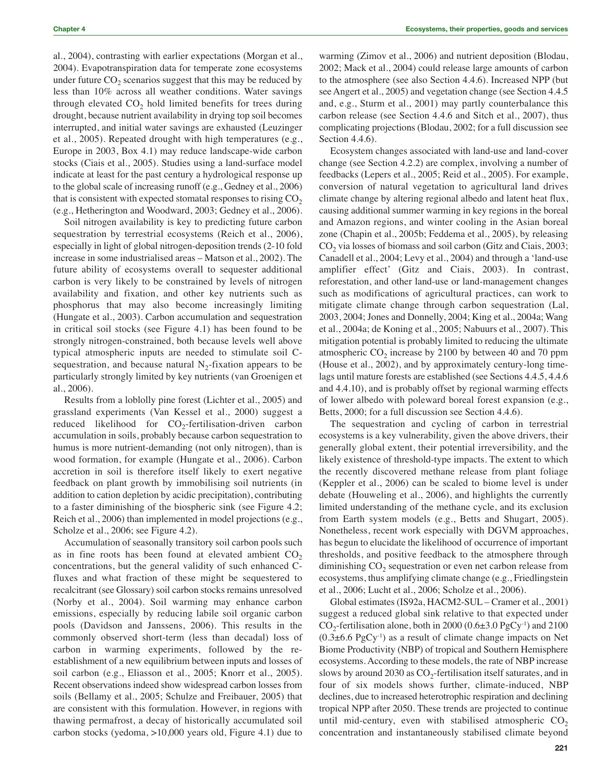**Chapter 4 Ecosystems, their properties, goods and services**

al., 2004), contrasting with earlier expectations (Morgan et al., 2004). Evapotranspiration data for temperate zone ecosystems under future  $CO<sub>2</sub>$  scenarios suggest that this may be reduced by less than 10% across all weather conditions. Water savings through elevated  $CO<sub>2</sub>$  hold limited benefits for trees during drought, because nutrient availability in drying top soil becomes interrupted, and initial water savings are exhausted (Leuzinger et al., 2005). Repeated drought with high temperatures (e.g., Europe in 2003, Box 4.1) may reduce landscape-wide carbon stocks (Ciais et al., 2005). Studies using a land-surface model indicate at least for the past century a hydrological response up to the global scale of increasing runoff (e.g., Gedney et al., 2006) that is consistent with expected stomatal responses to rising  $CO<sub>2</sub>$ (e.g., Hetherington and Woodward, 2003; Gedney et al., 2006).

Soil nitrogen availability is key to predicting future carbon sequestration by terrestrial ecosystems (Reich et al., 2006), especially in light of global nitrogen-deposition trends (2-10 fold increase in some industrialised areas – Matson et al., 2002). The future ability of ecosystems overall to sequester additional carbon is very likely to be constrained by levels of nitrogen availability and fixation, and other key nutrients such as phosphorus that may also become increasingly limiting (Hungate et al., 2003). Carbon accumulation and sequestration in critical soil stocks (see Figure 4.1) has been found to be strongly nitrogen-constrained, both because levels well above typical atmospheric inputs are needed to stimulate soil Csequestration, and because natural  $N<sub>2</sub>$ -fixation appears to be particularly strongly limited by key nutrients (van Groenigen et al., 2006).

Results from a loblolly pine forest (Lichter et al., 2005) and grassland experiments (Van Kessel et al., 2000) suggest a reduced likelihood for  $CO<sub>2</sub>$ -fertilisation-driven carbon accumulation in soils, probably because carbon sequestration to humus is more nutrient-demanding (not only nitrogen), than is wood formation, for example (Hungate et al., 2006). Carbon accretion in soil is therefore itself likely to exert negative feedback on plant growth by immobilising soil nutrients (in addition to cation depletion by acidic precipitation), contributing to a faster diminishing of the biospheric sink (see Figure 4.2; Reich et al., 2006) than implemented in model projections (e.g., Scholze et al., 2006; see Figure 4.2).

Accumulation of seasonally transitory soil carbon pools such as in fine roots has been found at elevated ambient  $CO<sub>2</sub>$ concentrations, but the general validity of such enhanced Cfluxes and what fraction of these might be sequestered to recalcitrant (see Glossary) soil carbon stocks remains unresolved (Norby et al., 2004). Soil warming may enhance carbon emissions, especially by reducing labile soil organic carbon pools (Davidson and Janssens, 2006). This results in the commonly observed short-term (less than decadal) loss of carbon in warming experiments, followed by the reestablishment of a new equilibrium between inputs and losses of soil carbon (e.g., Eliasson et al., 2005; Knorr et al., 2005). Recent observations indeed show widespread carbon losses from soils (Bellamy et al., 2005; Schulze and Freibauer, 2005) that are consistent with this formulation. However, in regions with thawing permafrost, a decay of historically accumulated soil carbon stocks (yedoma, >10,000 years old, Figure 4.1) due to

warming (Zimov et al., 2006) and nutrient deposition (Blodau, 2002; Mack et al., 2004) could release large amounts of carbon to the atmosphere (see also Section 4.4.6). Increased NPP (but see Angert et al., 2005) and vegetation change (see Section 4.4.5 and, e.g., Sturm et al., 2001) may partly counterbalance this carbon release (see Section 4.4.6 and Sitch et al., 2007), thus complicating projections (Blodau, 2002; for a full discussion see Section 4.4.6).

Ecosystem changes associated with land-use and land-cover change (see Section 4.2.2) are complex, involving a number of feedbacks (Lepers et al., 2005; Reid et al., 2005). For example, conversion of natural vegetation to agricultural land drives climate change by altering regional albedo and latent heat flux, causing additional summer warming in key regions in the boreal and Amazon regions, and winter cooling in the Asian boreal zone (Chapin et al., 2005b; Feddema et al., 2005), by releasing CO<sub>2</sub> via losses of biomass and soil carbon (Gitz and Ciais, 2003; Canadell et al., 2004; Levy et al., 2004) and through a 'land-use amplifier effect' (Gitz and Ciais, 2003). In contrast, reforestation, and other land-use or land-management changes such as modifications of agricultural practices, can work to mitigate climate change through carbon sequestration (Lal, 2003, 2004; Jones and Donnelly, 2004; King et al., 2004a; Wang et al., 2004a; de Koning et al., 2005; Nabuurs et al., 2007). This mitigation potential is probably limited to reducing the ultimate atmospheric  $CO<sub>2</sub>$  increase by 2100 by between 40 and 70 ppm (House et al., 2002), and by approximately century-long timelags until mature forests are established (see Sections 4.4.5, 4.4.6 and 4.4.10), and is probably offset by regional warming effects of lower albedo with poleward boreal forest expansion (e.g., Betts, 2000; for a full discussion see Section 4.4.6).

The sequestration and cycling of carbon in terrestrial ecosystems is a key vulnerability, given the above drivers, their generally global extent, their potential irreversibility, and the likely existence of threshold-type impacts. The extent to which the recently discovered methane release from plant foliage (Keppler et al., 2006) can be scaled to biome level is under debate (Houweling et al., 2006), and highlights the currently limited understanding of the methane cycle, and its exclusion from Earth system models (e.g., Betts and Shugart, 2005). Nonetheless, recent work especially with DGVM approaches, has begun to elucidate the likelihood of occurrence of important thresholds, and positive feedback to the atmosphere through diminishing  $CO<sub>2</sub>$  sequestration or even net carbon release from ecosystems, thus amplifying climate change (e.g., Friedlingstein et al., 2006; Lucht et al., 2006; Scholze et al., 2006).

Global estimates (IS92a, HACM2-SUL – Cramer et al., 2001) suggest a reduced global sink relative to that expected under  $CO_2$ -fertilisation alone, both in 2000 (0.6 $\pm$ 3.0 PgCy<sup>-1</sup>) and 2100  $(0.3\pm6.6 \text{ PgCy}^{-1})$  as a result of climate change impacts on Net Biome Productivity (NBP) of tropical and Southern Hemisphere ecosystems. According to these models, the rate of NBP increase slows by around 2030 as  $CO_2$ -fertilisation itself saturates, and in four of six models shows further, climate-induced, NBP declines, due to increased heterotrophic respiration and declining tropical NPP after 2050. These trends are projected to continue until mid-century, even with stabilised atmospheric  $CO<sub>2</sub>$ concentration and instantaneously stabilised climate beyond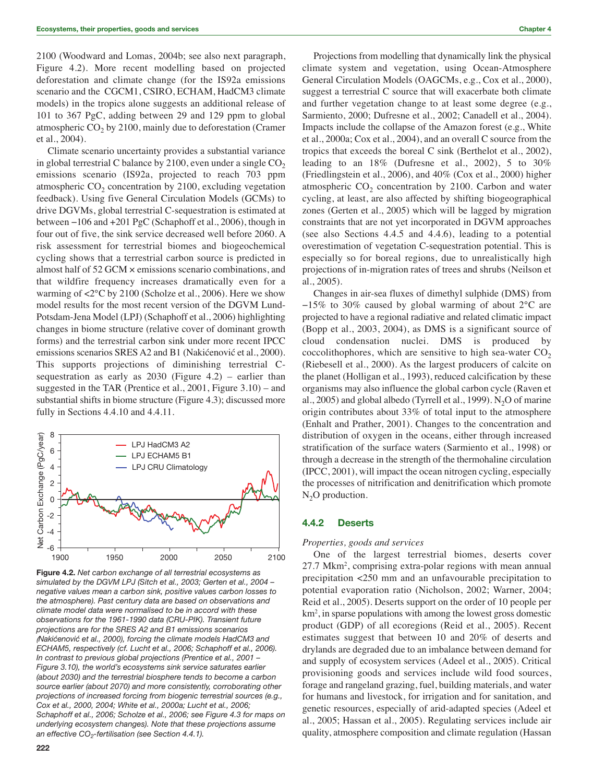2100 (Woodward and Lomas, 2004b; see also next paragraph, Figure 4.2). More recent modelling based on projected deforestation and climate change (for the IS92a emissions scenario and the CGCM1, CSIRO, ECHAM, HadCM3 climate models) in the tropics alone suggests an additional release of 101 to 367 PgC, adding between 29 and 129 ppm to global atmospheric  $CO<sub>2</sub>$  by 2100, mainly due to deforestation (Cramer et al., 2004).

Climate scenario uncertainty provides a substantial variance in global terrestrial C balance by 2100, even under a single  $CO<sub>2</sub>$ emissions scenario (IS92a, projected to reach 703 ppm atmospheric  $CO<sub>2</sub>$  concentration by 2100, excluding vegetation feedback). Using five General Circulation Models (GCMs) to drive DGVMs, global terrestrial C-sequestration is estimated at between −106 and +201 PgC (Schaphoff et al., 2006), though in four out of five, the sink service decreased well before 2060. A risk assessment for terrestrial biomes and biogeochemical cycling shows that a terrestrial carbon source is predicted in almost half of 52 GCM × emissions scenario combinations, and that wildfire frequency increases dramatically even for a warming of <2°C by 2100 (Scholze et al., 2006). Here we show model results for the most recent version of the DGVM Lund-Potsdam-Jena Model (LPJ) (Schaphoff et al., 2006) highlighting changes in biome structure (relative cover of dominant growth forms) and the terrestrial carbon sink under more recent IPCC emissions scenarios SRES A2 and B1 (Nakićenović et al., 2000). This supports projections of diminishing terrestrial Csequestration as early as 2030 (Figure 4.2) – earlier than suggested in the TAR (Prentice et al., 2001, Figure 3.10) – and substantial shifts in biome structure (Figure 4.3); discussed more fully in Sections 4.4.10 and 4.4.11.



**Figure 4.2.** *Net carbon exchange of all terrestrial ecosystems as simulated by the DGVM LPJ (Sitch et al., 2003; Gerten et al., 2004 – negative values mean a carbon sink, positive values carbon losses to the atmosphere). Past century data are based on observations and climate model data were normalised to be in accord with these observations for the 1961-1990 data (CRU-PIK). Transient future projections are for the SRES A2 and B1 emissions scenarios (Naki´cenovi´c et al., 2000), forcing the climate models HadCM3 and ECHAM5, respectively (cf. Lucht et al., 2006; Schaphoff et al., 2006). In contrast to previous global projections (Prentice et al., 2001 – Figure 3.10), the world's ecosystems sink service saturates earlier (about 2030) and the terrestrial biosphere tends to become a carbon source earlier (about 2070) and more consistently, corroborating other projections of increased forcing from biogenic terrestrial sources (e.g., Cox et al., 2000, 2004; White et al., 2000a; Lucht et al., 2006; Schaphoff et al., 2006; Scholze et al., 2006; see Figure 4.3 for maps on underlying ecosystem changes). Note that these projections assume* an effective CO<sub>2</sub>-fertilisation (see Section 4.4.1).

Projections from modelling that dynamically link the physical climate system and vegetation, using Ocean-Atmosphere General Circulation Models (OAGCMs, e.g., Cox et al., 2000), suggest a terrestrial C source that will exacerbate both climate and further vegetation change to at least some degree (e.g., Sarmiento, 2000; Dufresne et al., 2002; Canadell et al., 2004). Impacts include the collapse of the Amazon forest (e.g., White et al., 2000a; Cox et al., 2004), and an overall C source from the tropics that exceeds the boreal C sink (Berthelot et al., 2002), leading to an 18% (Dufresne et al., 2002), 5 to 30% (Friedlingstein et al., 2006), and 40% (Cox et al., 2000) higher atmospheric  $CO<sub>2</sub>$  concentration by 2100. Carbon and water cycling, at least, are also affected by shifting biogeographical zones (Gerten et al., 2005) which will be lagged by migration constraints that are not yet incorporated in DGVM approaches (see also Sections 4.4.5 and 4.4.6), leading to a potential overestimation of vegetation C-sequestration potential. This is especially so for boreal regions, due to unrealistically high projections of in-migration rates of trees and shrubs (Neilson et al., 2005).

Changes in air-sea fluxes of dimethyl sulphide (DMS) from −15% to 30% caused by global warming of about 2°C are projected to have a regional radiative and related climatic impact (Bopp et al., 2003, 2004), as DMS is a significant source of cloud condensation nuclei. DMS is produced by coccolithophores, which are sensitive to high sea-water  $CO<sub>2</sub>$ (Riebesell et al., 2000). As the largest producers of calcite on the planet (Holligan et al., 1993), reduced calcification by these organisms may also influence the global carbon cycle (Raven et al., 2005) and global albedo (Tyrrell et al., 1999). N<sub>2</sub>O of marine origin contributes about 33% of total input to the atmosphere (Enhalt and Prather, 2001). Changes to the concentration and distribution of oxygen in the oceans, either through increased stratification of the surface waters (Sarmiento et al., 1998) or through a decrease in the strength of the thermohaline circulation (IPCC, 2001), will impact the ocean nitrogen cycling, especially the processes of nitrification and denitrification which promote  $N<sub>2</sub>O$  production.

#### **4.4.2 Deserts**

#### *Properties, goods and services*

One of the largest terrestrial biomes, deserts cover 27.7 Mkm2 , comprising extra-polar regions with mean annual precipitation <250 mm and an unfavourable precipitation to potential evaporation ratio (Nicholson, 2002; Warner, 2004; Reid et al., 2005). Deserts support on the order of 10 people per km2 , in sparse populations with among the lowest gross domestic product (GDP) of all ecoregions (Reid et al., 2005). Recent estimates suggest that between 10 and 20% of deserts and drylands are degraded due to an imbalance between demand for and supply of ecosystem services (Adeel et al., 2005). Critical provisioning goods and services include wild food sources, forage and rangeland grazing, fuel, building materials, and water for humans and livestock, for irrigation and for sanitation, and genetic resources, especially of arid-adapted species (Adeel et al., 2005; Hassan et al., 2005). Regulating services include air quality, atmosphere composition and climate regulation (Hassan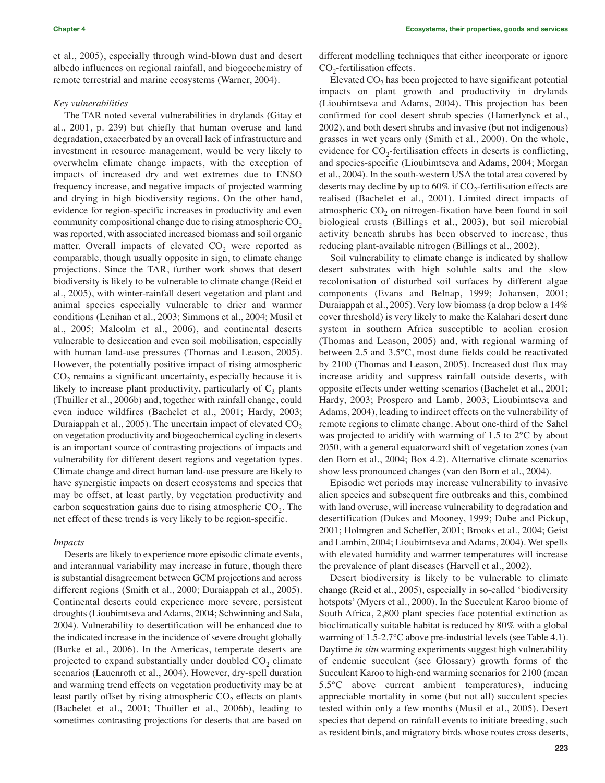et al., 2005), especially through wind-blown dust and desert albedo influences on regional rainfall, and biogeochemistry of remote terrestrial and marine ecosystems (Warner, 2004).

#### *Key vulnerabilities*

The TAR noted several vulnerabilities in drylands (Gitay et al., 2001, p. 239) but chiefly that human overuse and land degradation, exacerbated by an overall lack of infrastructure and investment in resource management, would be very likely to overwhelm climate change impacts, with the exception of impacts of increased dry and wet extremes due to ENSO frequency increase, and negative impacts of projected warming and drying in high biodiversity regions. On the other hand, evidence for region-specific increases in productivity and even community compositional change due to rising atmospheric  $CO<sub>2</sub>$ was reported, with associated increased biomass and soil organic matter. Overall impacts of elevated  $CO<sub>2</sub>$  were reported as comparable, though usually opposite in sign, to climate change projections. Since the TAR, further work shows that desert biodiversity is likely to be vulnerable to climate change (Reid et al., 2005), with winter-rainfall desert vegetation and plant and animal species especially vulnerable to drier and warmer conditions (Lenihan et al., 2003; Simmons et al., 2004; Musil et al., 2005; Malcolm et al., 2006), and continental deserts vulnerable to desiccation and even soil mobilisation, especially with human land-use pressures (Thomas and Leason, 2005). However, the potentially positive impact of rising atmospheric  $CO<sub>2</sub>$  remains a significant uncertainty, especially because it is likely to increase plant productivity, particularly of  $C_3$  plants (Thuiller et al., 2006b) and, together with rainfall change, could even induce wildfires (Bachelet et al., 2001; Hardy, 2003; Duraiappah et al., 2005). The uncertain impact of elevated  $CO<sub>2</sub>$ on vegetation productivity and biogeochemical cycling in deserts is an important source of contrasting projections of impacts and vulnerability for different desert regions and vegetation types. Climate change and direct human land-use pressure are likely to have synergistic impacts on desert ecosystems and species that may be offset, at least partly, by vegetation productivity and carbon sequestration gains due to rising atmospheric  $CO<sub>2</sub>$ . The net effect of these trends is very likely to be region-specific.

#### *Impacts*

Deserts are likely to experience more episodic climate events, and interannual variability may increase in future, though there is substantial disagreement between GCM projections and across different regions (Smith et al., 2000; Duraiappah et al., 2005). Continental deserts could experience more severe, persistent droughts (Lioubimtseva and Adams, 2004; Schwinning and Sala, 2004). Vulnerability to desertification will be enhanced due to the indicated increase in the incidence of severe drought globally (Burke et al., 2006). In the Americas, temperate deserts are projected to expand substantially under doubled  $CO<sub>2</sub>$  climate scenarios (Lauenroth et al., 2004). However, dry-spell duration and warming trend effects on vegetation productivity may be at least partly offset by rising atmospheric  $CO<sub>2</sub>$  effects on plants (Bachelet et al., 2001; Thuiller et al., 2006b), leading to sometimes contrasting projections for deserts that are based on different modelling techniques that either incorporate or ignore  $CO<sub>2</sub>$ -fertilisation effects.

Elevated  $CO<sub>2</sub>$  has been projected to have significant potential impacts on plant growth and productivity in drylands (Lioubimtseva and Adams, 2004). This projection has been confirmed for cool desert shrub species (Hamerlynck et al., 2002), and both desert shrubs and invasive (but not indigenous) grasses in wet years only (Smith et al., 2000). On the whole, evidence for  $CO_2$ -fertilisation effects in deserts is conflicting, and species-specific (Lioubimtseva and Adams, 2004; Morgan et al., 2004). In the south-western USA the total area covered by deserts may decline by up to  $60\%$  if  $CO<sub>2</sub>$ -fertilisation effects are realised (Bachelet et al., 2001). Limited direct impacts of atmospheric  $CO<sub>2</sub>$  on nitrogen-fixation have been found in soil biological crusts (Billings et al., 2003), but soil microbial activity beneath shrubs has been observed to increase, thus reducing plant-available nitrogen (Billings et al., 2002).

Soil vulnerability to climate change is indicated by shallow desert substrates with high soluble salts and the slow recolonisation of disturbed soil surfaces by different algae components (Evans and Belnap, 1999; Johansen, 2001; Duraiappah et al., 2005). Very low biomass (a drop below a 14% cover threshold) is very likely to make the Kalahari desert dune system in southern Africa susceptible to aeolian erosion (Thomas and Leason, 2005) and, with regional warming of between 2.5 and 3.5°C, most dune fields could be reactivated by 2100 (Thomas and Leason, 2005). Increased dust flux may increase aridity and suppress rainfall outside deserts, with opposite effects under wetting scenarios (Bachelet et al., 2001; Hardy, 2003; Prospero and Lamb, 2003; Lioubimtseva and Adams, 2004), leading to indirect effects on the vulnerability of remote regions to climate change. About one-third of the Sahel was projected to aridify with warming of 1.5 to 2°C by about 2050, with a general equatorward shift of vegetation zones (van den Born et al., 2004; Box 4.2). Alternative climate scenarios show less pronounced changes (van den Born et al., 2004).

Episodic wet periods may increase vulnerability to invasive alien species and subsequent fire outbreaks and this, combined with land overuse, will increase vulnerability to degradation and desertification (Dukes and Mooney, 1999; Dube and Pickup, 2001; Holmgren and Scheffer, 2001; Brooks et al., 2004; Geist and Lambin, 2004; Lioubimtseva and Adams, 2004). Wet spells with elevated humidity and warmer temperatures will increase the prevalence of plant diseases (Harvell et al., 2002).

Desert biodiversity is likely to be vulnerable to climate change (Reid et al., 2005), especially in so-called 'biodiversity hotspots' (Myers et al., 2000). In the Succulent Karoo biome of South Africa, 2,800 plant species face potential extinction as bioclimatically suitable habitat is reduced by 80% with a global warming of 1.5-2.7°C above pre-industrial levels (see Table 4.1). Daytime *in situ* warming experiments suggest high vulnerability of endemic succulent (see Glossary) growth forms of the Succulent Karoo to high-end warming scenarios for 2100 (mean 5.5°C above current ambient temperatures), inducing appreciable mortality in some (but not all) succulent species tested within only a few months (Musil et al., 2005). Desert species that depend on rainfall events to initiate breeding, such as resident birds, and migratory birds whose routes cross deserts,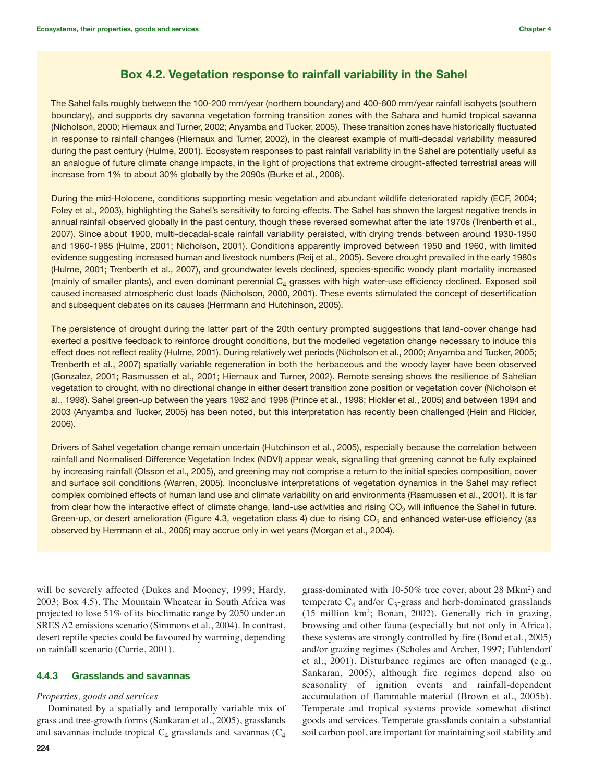# **Box 4.2. Vegetation response to rainfall variability in the Sahel**

The Sahel falls roughly between the 100-200 mm/year (northern boundary) and 400-600 mm/year rainfall isohyets (southern boundary), and supports dry savanna vegetation forming transition zones with the Sahara and humid tropical savanna (Nicholson, 2000; Hiernaux and Turner, 2002; Anyamba and Tucker, 2005). These transition zones have historically fluctuated in response to rainfall changes (Hiernaux and Turner, 2002), in the clearest example of multi-decadal variability measured during the past century (Hulme, 2001). Ecosystem responses to past rainfall variability in the Sahel are potentially useful as an analogue of future climate change impacts, in the light of projections that extreme drought-affected terrestrial areas will increase from 1% to about 30% globally by the 2090s (Burke et al., 2006).

During the mid-Holocene, conditions supporting mesic vegetation and abundant wildlife deteriorated rapidly (ECF, 2004; Foley et al., 2003), highlighting the Sahel's sensitivity to forcing effects. The Sahel has shown the largest negative trends in annual rainfall observed globally in the past century, though these reversed somewhat after the late 1970s (Trenberth et al., 2007). Since about 1900, multi-decadal-scale rainfall variability persisted, with drying trends between around 1930-1950 and 1960-1985 (Hulme, 2001; Nicholson, 2001). Conditions apparently improved between 1950 and 1960, with limited evidence suggesting increased human and livestock numbers (Reij et al., 2005). Severe drought prevailed in the early 1980s (Hulme, 2001; Trenberth et al., 2007), and groundwater levels declined, species-specific woody plant mortality increased (mainly of smaller plants), and even dominant perennial  $C_4$  grasses with high water-use efficiency declined. Exposed soil caused increased atmospheric dust loads (Nicholson, 2000, 2001). These events stimulated the concept of desertification and subsequent debates on its causes (Herrmann and Hutchinson, 2005).

The persistence of drought during the latter part of the 20th century prompted suggestions that land-cover change had exerted a positive feedback to reinforce drought conditions, but the modelled vegetation change necessary to induce this effect does not reflect reality (Hulme, 2001). During relatively wet periods (Nicholson et al., 2000; Anyamba and Tucker, 2005; Trenberth et al., 2007) spatially variable regeneration in both the herbaceous and the woody layer have been observed (Gonzalez, 2001; Rasmussen et al., 2001; Hiernaux and Turner, 2002). Remote sensing shows the resilience of Sahelian vegetation to drought, with no directional change in either desert transition zone position or vegetation cover (Nicholson et al., 1998). Sahel green-up between the years 1982 and 1998 (Prince et al., 1998; Hickler et al., 2005) and between 1994 and 2003 (Anyamba and Tucker, 2005) has been noted, but this interpretation has recently been challenged (Hein and Ridder, 2006).

Drivers of Sahel vegetation change remain uncertain (Hutchinson et al., 2005), especially because the correlation between rainfall and Normalised Difference Vegetation Index (NDVI) appear weak, signalling that greening cannot be fully explained by increasing rainfall (Olsson et al., 2005), and greening may not comprise a return to the initial species composition, cover and surface soil conditions (Warren, 2005). Inconclusive interpretations of vegetation dynamics in the Sahel may reflect complex combined effects of human land use and climate variability on arid environments (Rasmussen et al., 2001). It is far from clear how the interactive effect of climate change, land-use activities and rising  $CO<sub>2</sub>$  will influence the Sahel in future. Green-up, or desert amelioration (Figure 4.3, vegetation class 4) due to rising  $CO<sub>2</sub>$  and enhanced water-use efficiency (as observed by Herrmann et al., 2005) may accrue only in wet years (Morgan et al., 2004).

will be severely affected (Dukes and Mooney, 1999; Hardy, 2003; Box 4.5). The Mountain Wheatear in South Africa was projected to lose 51% of its bioclimatic range by 2050 under an SRES A2 emissions scenario (Simmons et al., 2004). In contrast, desert reptile species could be favoured by warming, depending on rainfall scenario (Currie, 2001).

### **4.4.3 Grasslands and savannas**

#### *Properties, goods and services*

Dominated by a spatially and temporally variable mix of grass and tree-growth forms (Sankaran et al., 2005), grasslands and savannas include tropical  $C_4$  grasslands and savannas  $(C_4)$  grass-dominated with 10-50% tree cover, about 28 Mkm2 ) and temperate  $C_4$  and/or  $C_3$ -grass and herb-dominated grasslands (15 million km2 ; Bonan, 2002). Generally rich in grazing, browsing and other fauna (especially but not only in Africa), these systems are strongly controlled by fire (Bond et al., 2005) and/or grazing regimes (Scholes and Archer, 1997; Fuhlendorf et al., 2001). Disturbance regimes are often managed (e.g., Sankaran, 2005), although fire regimes depend also on seasonality of ignition events and rainfall-dependent accumulation of flammable material (Brown et al., 2005b). Temperate and tropical systems provide somewhat distinct goods and services. Temperate grasslands contain a substantial soil carbon pool, are important for maintaining soil stability and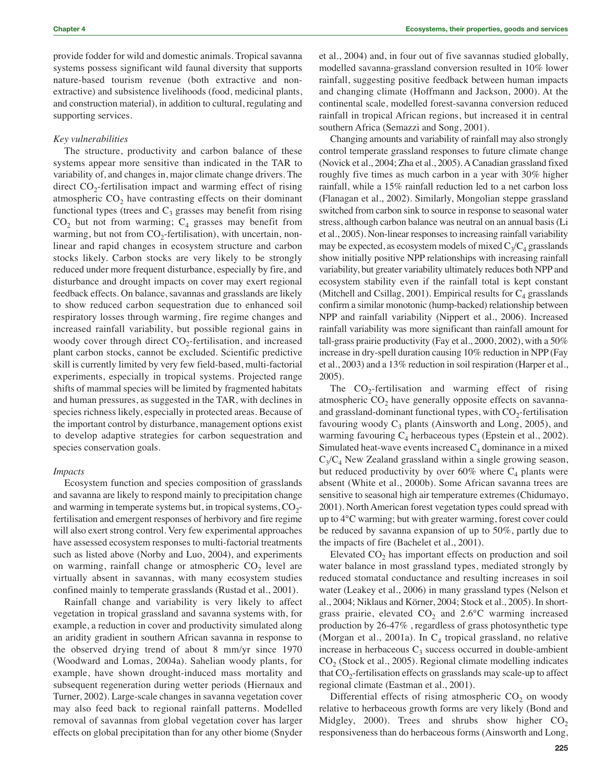provide fodder for wild and domestic animals. Tropical savanna systems possess significant wild faunal diversity that supports nature-based tourism revenue (both extractive and nonextractive) and subsistence livelihoods (food, medicinal plants, and construction material), in addition to cultural, regulating and supporting services.

#### *Key vulnerabilities*

The structure, productivity and carbon balance of these systems appear more sensitive than indicated in the TAR to variability of, and changes in, major climate change drivers. The direct  $CO<sub>2</sub>$ -fertilisation impact and warming effect of rising atmospheric  $CO<sub>2</sub>$  have contrasting effects on their dominant functional types (trees and  $C_3$  grasses may benefit from rising  $CO<sub>2</sub>$  but not from warming;  $C<sub>4</sub>$  grasses may benefit from warming, but not from  $CO_2$ -fertilisation), with uncertain, nonlinear and rapid changes in ecosystem structure and carbon stocks likely. Carbon stocks are very likely to be strongly reduced under more frequent disturbance, especially by fire, and disturbance and drought impacts on cover may exert regional feedback effects. On balance, savannas and grasslands are likely to show reduced carbon sequestration due to enhanced soil respiratory losses through warming, fire regime changes and increased rainfall variability, but possible regional gains in woody cover through direct  $CO<sub>2</sub>$ -fertilisation, and increased plant carbon stocks, cannot be excluded. Scientific predictive skill is currently limited by very few field-based, multi-factorial experiments, especially in tropical systems. Projected range shifts of mammal species will be limited by fragmented habitats and human pressures, as suggested in the TAR, with declines in species richness likely, especially in protected areas. Because of the important control by disturbance, management options exist to develop adaptive strategies for carbon sequestration and species conservation goals.

#### *Impacts*

Ecosystem function and species composition of grasslands and savanna are likely to respond mainly to precipitation change and warming in temperate systems but, in tropical systems,  $CO<sub>2</sub>$ fertilisation and emergent responses of herbivory and fire regime will also exert strong control. Very few experimental approaches have assessed ecosystem responses to multi-factorial treatments such as listed above (Norby and Luo, 2004), and experiments on warming, rainfall change or atmospheric  $CO<sub>2</sub>$  level are virtually absent in savannas, with many ecosystem studies confined mainly to temperate grasslands (Rustad et al., 2001).

Rainfall change and variability is very likely to affect vegetation in tropical grassland and savanna systems with, for example, a reduction in cover and productivity simulated along an aridity gradient in southern African savanna in response to the observed drying trend of about 8 mm/yr since 1970 (Woodward and Lomas, 2004a). Sahelian woody plants, for example, have shown drought-induced mass mortality and subsequent regeneration during wetter periods (Hiernaux and Turner, 2002). Large-scale changes in savanna vegetation cover may also feed back to regional rainfall patterns. Modelled removal of savannas from global vegetation cover has larger effects on global precipitation than for any other biome (Snyder et al., 2004) and, in four out of five savannas studied globally, modelled savanna-grassland conversion resulted in 10% lower rainfall, suggesting positive feedback between human impacts and changing climate (Hoffmann and Jackson, 2000). At the continental scale, modelled forest-savanna conversion reduced rainfall in tropical African regions, but increased it in central southern Africa (Semazzi and Song, 2001).

Changing amounts and variability of rainfall may also strongly control temperate grassland responses to future climate change (Novick et al., 2004; Zha et al., 2005). A Canadian grassland fixed roughly five times as much carbon in a year with 30% higher rainfall, while a 15% rainfall reduction led to a net carbon loss (Flanagan et al., 2002). Similarly, Mongolian steppe grassland switched from carbon sink to source in response to seasonal water stress, although carbon balance was neutral on an annual basis (Li et al., 2005). Non-linear responses to increasing rainfall variability may be expected, as ecosystem models of mixed  $C_2/C_4$  grasslands show initially positive NPP relationships with increasing rainfall variability, but greater variability ultimately reduces both NPP and ecosystem stability even if the rainfall total is kept constant (Mitchell and Csillag, 2001). Empirical results for  $C_4$  grasslands confirm a similar monotonic (hump-backed) relationship between NPP and rainfall variability (Nippert et al., 2006). Increased rainfall variability was more significant than rainfall amount for tall-grass prairie productivity (Fay et al., 2000, 2002), with a 50% increase in dry-spell duration causing 10% reduction in NPP (Fay et al., 2003) and a 13% reduction in soil respiration (Harper et al., 2005).

The  $CO<sub>2</sub>$ -fertilisation and warming effect of rising atmospheric  $CO<sub>2</sub>$  have generally opposite effects on savannaand grassland-dominant functional types, with  $CO_2$ -fertilisation favouring woody  $C_3$  plants (Ainsworth and Long, 2005), and warming favouring  $C_4$  herbaceous types (Epstein et al., 2002). Simulated heat-wave events increased  $C_4$  dominance in a mixed  $C_3/C_4$  New Zealand grassland within a single growing season, but reduced productivity by over 60% where  $C_4$  plants were absent (White et al., 2000b). Some African savanna trees are sensitive to seasonal high air temperature extremes (Chidumayo, 2001). North American forest vegetation types could spread with up to 4°C warming; but with greater warming, forest cover could be reduced by savanna expansion of up to 50%, partly due to the impacts of fire (Bachelet et al., 2001).

Elevated  $CO<sub>2</sub>$  has important effects on production and soil water balance in most grassland types, mediated strongly by reduced stomatal conductance and resulting increases in soil water (Leakey et al., 2006) in many grassland types (Nelson et al., 2004; Niklaus and Körner, 2004; Stock et al., 2005). In shortgrass prairie, elevated  $CO<sub>2</sub>$  and 2.6°C warming increased production by 26-47% , regardless of grass photosynthetic type (Morgan et al., 2001a). In  $C_4$  tropical grassland, no relative increase in herbaceous  $C_3$  success occurred in double-ambient  $CO<sub>2</sub>$  (Stock et al., 2005). Regional climate modelling indicates that  $CO<sub>2</sub>$ -fertilisation effects on grasslands may scale-up to affect regional climate (Eastman et al., 2001).

Differential effects of rising atmospheric  $CO<sub>2</sub>$  on woody relative to herbaceous growth forms are very likely (Bond and Midgley, 2000). Trees and shrubs show higher  $CO<sub>2</sub>$ responsiveness than do herbaceous forms (Ainsworth and Long,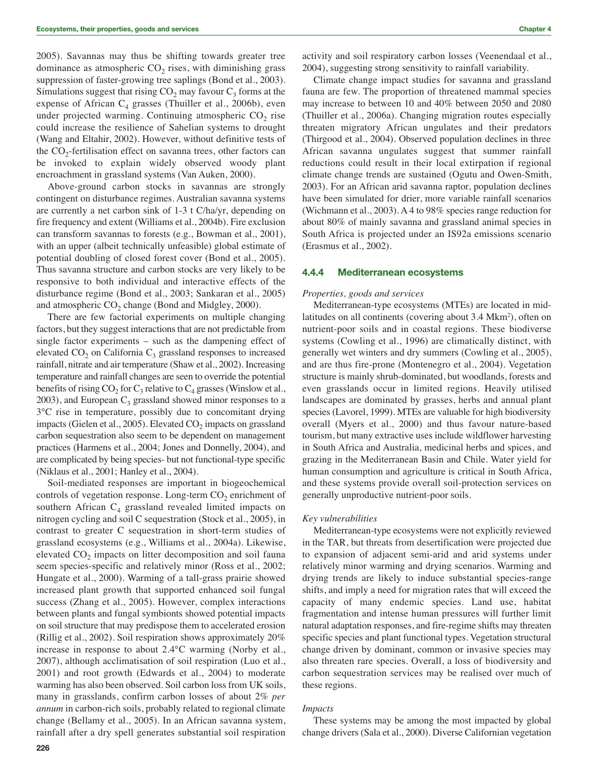2005). Savannas may thus be shifting towards greater tree dominance as atmospheric  $CO<sub>2</sub>$  rises, with diminishing grass suppression of faster-growing tree saplings (Bond et al., 2003). Simulations suggest that rising  $CO<sub>2</sub>$  may favour  $C<sub>3</sub>$  forms at the expense of African  $C_4$  grasses (Thuiller et al., 2006b), even under projected warming. Continuing atmospheric  $CO<sub>2</sub>$  rise could increase the resilience of Sahelian systems to drought (Wang and Eltahir, 2002). However, without definitive tests of the  $CO<sub>2</sub>$ -fertilisation effect on savanna trees, other factors can be invoked to explain widely observed woody plant encroachment in grassland systems (Van Auken, 2000).

Above-ground carbon stocks in savannas are strongly contingent on disturbance regimes. Australian savanna systems are currently a net carbon sink of 1-3 t C/ha/yr, depending on fire frequency and extent (Williams et al., 2004b). Fire exclusion can transform savannas to forests (e.g., Bowman et al., 2001), with an upper (albeit technically unfeasible) global estimate of potential doubling of closed forest cover (Bond et al., 2005). Thus savanna structure and carbon stocks are very likely to be responsive to both individual and interactive effects of the disturbance regime (Bond et al., 2003; Sankaran et al., 2005) and atmospheric  $CO<sub>2</sub>$  change (Bond and Midgley, 2000).

There are few factorial experiments on multiple changing factors, but they suggest interactions that are not predictable from single factor experiments – such as the dampening effect of elevated  $CO<sub>2</sub>$  on California  $C<sub>3</sub>$  grassland responses to increased rainfall, nitrate and air temperature (Shaw et al., 2002). Increasing temperature and rainfall changes are seen to override the potential benefits of rising CO<sub>2</sub> for C<sub>3</sub> relative to C<sub>4</sub> grasses (Winslow et al., 2003), and European  $C_3$  grassland showed minor responses to a 3°C rise in temperature, possibly due to concomitant drying impacts (Gielen et al., 2005). Elevated  $CO<sub>2</sub>$  impacts on grassland carbon sequestration also seem to be dependent on management practices (Harmens et al., 2004; Jones and Donnelly, 2004), and are complicated by being species- but not functional-type specific (Niklaus et al., 2001; Hanley et al., 2004).

Soil-mediated responses are important in biogeochemical controls of vegetation response. Long-term  $CO<sub>2</sub>$  enrichment of southern African  $C_4$  grassland revealed limited impacts on nitrogen cycling and soil C sequestration (Stock et al., 2005), in contrast to greater C sequestration in short-term studies of grassland ecosystems (e.g., Williams et al., 2004a). Likewise, elevated  $CO<sub>2</sub>$  impacts on litter decomposition and soil fauna seem species-specific and relatively minor (Ross et al., 2002; Hungate et al., 2000). Warming of a tall-grass prairie showed increased plant growth that supported enhanced soil fungal success (Zhang et al., 2005). However, complex interactions between plants and fungal symbionts showed potential impacts on soil structure that may predispose them to accelerated erosion (Rillig et al., 2002). Soil respiration shows approximately 20% increase in response to about 2.4°C warming (Norby et al., 2007), although acclimatisation of soil respiration (Luo et al., 2001) and root growth (Edwards et al., 2004) to moderate warming has also been observed. Soil carbon loss from UK soils, many in grasslands, confirm carbon losses of about 2% *per annum* in carbon-rich soils, probably related to regional climate change (Bellamy et al., 2005). In an African savanna system, rainfall after a dry spell generates substantial soil respiration activity and soil respiratory carbon losses (Veenendaal et al., 2004), suggesting strong sensitivity to rainfall variability.

Climate change impact studies for savanna and grassland fauna are few. The proportion of threatened mammal species may increase to between 10 and 40% between 2050 and 2080 (Thuiller et al., 2006a). Changing migration routes especially threaten migratory African ungulates and their predators (Thirgood et al., 2004). Observed population declines in three African savanna ungulates suggest that summer rainfall reductions could result in their local extirpation if regional climate change trends are sustained (Ogutu and Owen-Smith, 2003). For an African arid savanna raptor, population declines have been simulated for drier, more variable rainfall scenarios (Wichmann et al., 2003). A 4 to 98% species range reduction for about 80% of mainly savanna and grassland animal species in South Africa is projected under an IS92a emissions scenario (Erasmus et al., 2002).

#### **4.4.4 Mediterranean ecosystems**

#### *Properties, goods and services*

Mediterranean-type ecosystems (MTEs) are located in midlatitudes on all continents (covering about 3.4 Mkm<sup>2</sup>), often on nutrient-poor soils and in coastal regions. These biodiverse systems (Cowling et al., 1996) are climatically distinct, with generally wet winters and dry summers (Cowling et al., 2005), and are thus fire-prone (Montenegro et al., 2004). Vegetation structure is mainly shrub-dominated, but woodlands, forests and even grasslands occur in limited regions. Heavily utilised landscapes are dominated by grasses, herbs and annual plant species (Lavorel, 1999). MTEs are valuable for high biodiversity overall (Myers et al., 2000) and thus favour nature-based tourism, but many extractive uses include wildflower harvesting in South Africa and Australia, medicinal herbs and spices, and grazing in the Mediterranean Basin and Chile. Water yield for human consumption and agriculture is critical in South Africa, and these systems provide overall soil-protection services on generally unproductive nutrient-poor soils.

#### *Key vulnerabilities*

Mediterranean-type ecosystems were not explicitly reviewed in the TAR, but threats from desertification were projected due to expansion of adjacent semi-arid and arid systems under relatively minor warming and drying scenarios. Warming and drying trends are likely to induce substantial species-range shifts, and imply a need for migration rates that will exceed the capacity of many endemic species. Land use, habitat fragmentation and intense human pressures will further limit natural adaptation responses, and fire-regime shifts may threaten specific species and plant functional types. Vegetation structural change driven by dominant, common or invasive species may also threaten rare species. Overall, a loss of biodiversity and carbon sequestration services may be realised over much of these regions.

#### *Impacts*

These systems may be among the most impacted by global change drivers (Sala et al., 2000). Diverse Californian vegetation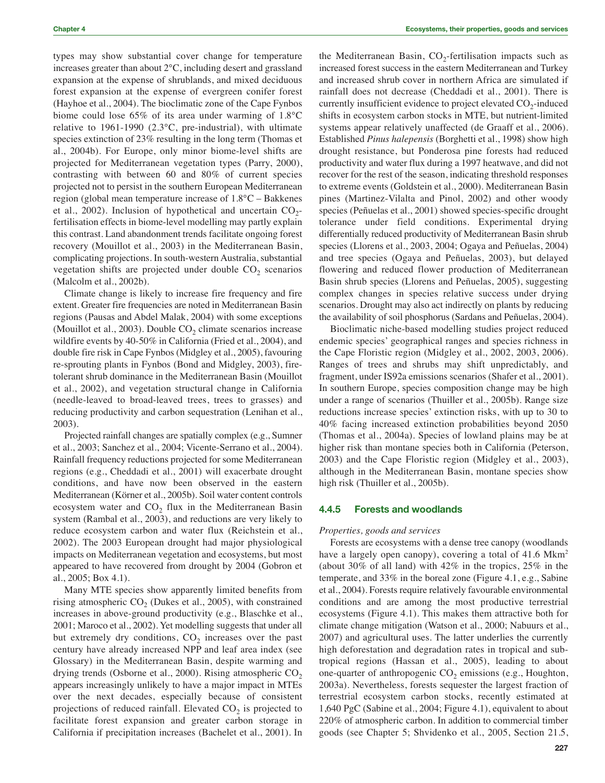types may show substantial cover change for temperature increases greater than about 2°C, including desert and grassland expansion at the expense of shrublands, and mixed deciduous forest expansion at the expense of evergreen conifer forest (Hayhoe et al., 2004). The bioclimatic zone of the Cape Fynbos biome could lose 65% of its area under warming of 1.8°C relative to 1961-1990 (2.3°C, pre-industrial), with ultimate species extinction of 23% resulting in the long term (Thomas et al., 2004b). For Europe, only minor biome-level shifts are projected for Mediterranean vegetation types (Parry, 2000), contrasting with between 60 and 80% of current species projected not to persist in the southern European Mediterranean region (global mean temperature increase of 1.8°C – Bakkenes et al., 2002). Inclusion of hypothetical and uncertain  $CO_2$ fertilisation effects in biome-level modelling may partly explain this contrast. Land abandonment trends facilitate ongoing forest recovery (Mouillot et al., 2003) in the Mediterranean Basin, complicating projections. In south-western Australia, substantial vegetation shifts are projected under double  $CO<sub>2</sub>$  scenarios (Malcolm et al., 2002b).

Climate change is likely to increase fire frequency and fire extent. Greater fire frequencies are noted in Mediterranean Basin regions (Pausas and Abdel Malak, 2004) with some exceptions (Mouillot et al., 2003). Double  $CO<sub>2</sub>$  climate scenarios increase wildfire events by 40-50% in California (Fried et al., 2004), and double fire risk in Cape Fynbos (Midgley et al., 2005), favouring re-sprouting plants in Fynbos (Bond and Midgley, 2003), firetolerant shrub dominance in the Mediterranean Basin (Mouillot et al., 2002), and vegetation structural change in California (needle-leaved to broad-leaved trees, trees to grasses) and reducing productivity and carbon sequestration (Lenihan et al., 2003).

Projected rainfall changes are spatially complex (e.g., Sumner et al., 2003; Sanchez et al., 2004; Vicente-Serrano et al., 2004). Rainfall frequency reductions projected for some Mediterranean regions (e.g., Cheddadi et al., 2001) will exacerbate drought conditions, and have now been observed in the eastern Mediterranean (Körner et al., 2005b). Soil water content controls ecosystem water and  $CO<sub>2</sub>$  flux in the Mediterranean Basin system (Rambal et al., 2003), and reductions are very likely to reduce ecosystem carbon and water flux (Reichstein et al., 2002). The 2003 European drought had major physiological impacts on Mediterranean vegetation and ecosystems, but most appeared to have recovered from drought by 2004 (Gobron et al., 2005; Box 4.1).

Many MTE species show apparently limited benefits from rising atmospheric  $CO<sub>2</sub>$  (Dukes et al., 2005), with constrained increases in above-ground productivity (e.g., Blaschke et al., 2001; Maroco et al., 2002). Yet modelling suggests that under all but extremely dry conditions,  $CO<sub>2</sub>$  increases over the past century have already increased NPP and leaf area index (see Glossary) in the Mediterranean Basin, despite warming and drying trends (Osborne et al., 2000). Rising atmospheric  $CO<sub>2</sub>$ appears increasingly unlikely to have a major impact in MTEs over the next decades, especially because of consistent projections of reduced rainfall. Elevated  $CO<sub>2</sub>$  is projected to facilitate forest expansion and greater carbon storage in California if precipitation increases (Bachelet et al., 2001). In the Mediterranean Basin,  $CO_2$ -fertilisation impacts such as increased forest success in the eastern Mediterranean and Turkey and increased shrub cover in northern Africa are simulated if rainfall does not decrease (Cheddadi et al., 2001). There is currently insufficient evidence to project elevated  $CO<sub>2</sub>$ -induced shifts in ecosystem carbon stocks in MTE, but nutrient-limited systems appear relatively unaffected (de Graaff et al., 2006). Established *Pinus halepensis* (Borghetti et al., 1998) show high drought resistance, but Ponderosa pine forests had reduced productivity and water flux during a 1997 heatwave, and did not recover for the rest of the season, indicating threshold responses to extreme events (Goldstein et al., 2000). Mediterranean Basin pines (Martinez-Vilalta and Pinol, 2002) and other woody species (Peñuelas et al., 2001) showed species-specific drought tolerance under field conditions. Experimental drying differentially reduced productivity of Mediterranean Basin shrub species (Llorens et al., 2003, 2004; Ogaya and Peñuelas, 2004) and tree species (Ogaya and Peñuelas, 2003), but delayed flowering and reduced flower production of Mediterranean Basin shrub species (Llorens and Peñuelas, 2005), suggesting complex changes in species relative success under drying scenarios. Drought may also act indirectly on plants by reducing the availability of soil phosphorus (Sardans and Peñuelas, 2004).

Bioclimatic niche-based modelling studies project reduced endemic species' geographical ranges and species richness in the Cape Floristic region (Midgley et al., 2002, 2003, 2006). Ranges of trees and shrubs may shift unpredictably, and fragment, under IS92a emissions scenarios (Shafer et al., 2001). In southern Europe, species composition change may be high under a range of scenarios (Thuiller et al., 2005b). Range size reductions increase species' extinction risks, with up to 30 to 40% facing increased extinction probabilities beyond 2050 (Thomas et al., 2004a). Species of lowland plains may be at higher risk than montane species both in California (Peterson, 2003) and the Cape Floristic region (Midgley et al., 2003), although in the Mediterranean Basin, montane species show high risk (Thuiller et al., 2005b).

#### **4.4.5 Forests and woodlands**

#### *Properties, goods and services*

Forests are ecosystems with a dense tree canopy (woodlands have a largely open canopy), covering a total of 41.6 Mkm<sup>2</sup> (about 30% of all land) with 42% in the tropics, 25% in the temperate, and 33% in the boreal zone (Figure 4.1, e.g., Sabine et al., 2004). Forests require relatively favourable environmental conditions and are among the most productive terrestrial ecosystems (Figure 4.1). This makes them attractive both for climate change mitigation (Watson et al., 2000; Nabuurs et al., 2007) and agricultural uses. The latter underlies the currently high deforestation and degradation rates in tropical and subtropical regions (Hassan et al., 2005), leading to about one-quarter of anthropogenic  $CO<sub>2</sub>$  emissions (e.g., Houghton, 2003a). Nevertheless, forests sequester the largest fraction of terrestrial ecosystem carbon stocks, recently estimated at 1,640 PgC (Sabine et al., 2004; Figure 4.1), equivalent to about 220% of atmospheric carbon. In addition to commercial timber goods (see Chapter 5; Shvidenko et al., 2005, Section 21.5,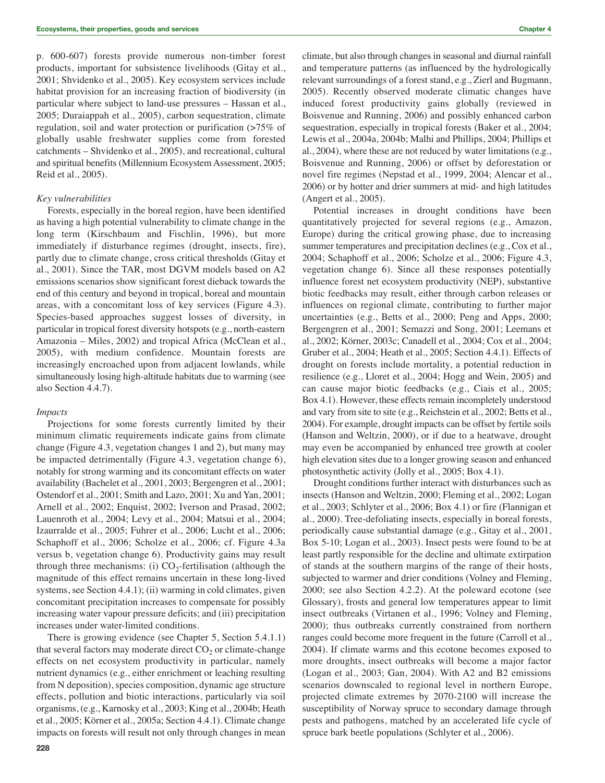p. 600-607) forests provide numerous non-timber forest products, important for subsistence livelihoods (Gitay et al., 2001; Shvidenko et al., 2005). Key ecosystem services include habitat provision for an increasing fraction of biodiversity (in particular where subject to land-use pressures – Hassan et al., 2005; Duraiappah et al., 2005), carbon sequestration, climate regulation, soil and water protection or purification (>75% of globally usable freshwater supplies come from forested catchments – Shvidenko et al., 2005), and recreational, cultural and spiritual benefits (Millennium Ecosystem Assessment, 2005; Reid et al., 2005).

#### *Key vulnerabilities*

Forests, especially in the boreal region, have been identified as having a high potential vulnerability to climate change in the long term (Kirschbaum and Fischlin, 1996), but more immediately if disturbance regimes (drought, insects, fire), partly due to climate change, cross critical thresholds (Gitay et al., 2001). Since the TAR, most DGVM models based on A2 emissions scenarios show significant forest dieback towards the end of this century and beyond in tropical, boreal and mountain areas, with a concomitant loss of key services (Figure 4.3). Species-based approaches suggest losses of diversity, in particular in tropical forest diversity hotspots (e.g., north-eastern Amazonia – Miles, 2002) and tropical Africa (McClean et al., 2005), with medium confidence. Mountain forests are increasingly encroached upon from adjacent lowlands, while simultaneously losing high-altitude habitats due to warming (see also Section 4.4.7).

#### *Impacts*

Projections for some forests currently limited by their minimum climatic requirements indicate gains from climate change (Figure 4.3, vegetation changes 1 and 2), but many may be impacted detrimentally (Figure 4.3, vegetation change 6), notably for strong warming and its concomitant effects on water availability (Bachelet et al., 2001, 2003; Bergengren et al., 2001; Ostendorf et al., 2001; Smith and Lazo, 2001; Xu and Yan, 2001; Arnell et al., 2002; Enquist, 2002; Iverson and Prasad, 2002; Lauenroth et al., 2004; Levy et al., 2004; Matsui et al., 2004; Izaurralde et al., 2005; Fuhrer et al., 2006; Lucht et al., 2006; Schaphoff et al., 2006; Scholze et al., 2006; cf. Figure 4.3a versus b, vegetation change 6). Productivity gains may result through three mechanisms: (i)  $CO<sub>2</sub>$ -fertilisation (although the magnitude of this effect remains uncertain in these long-lived systems, see Section 4.4.1); (ii) warming in cold climates, given concomitant precipitation increases to compensate for possibly increasing water vapour pressure deficits; and (iii) precipitation increases under water-limited conditions.

There is growing evidence (see Chapter 5, Section 5.4.1.1) that several factors may moderate direct  $CO<sub>2</sub>$  or climate-change effects on net ecosystem productivity in particular, namely nutrient dynamics (e.g., either enrichment or leaching resulting from N deposition), species composition, dynamic age structure effects, pollution and biotic interactions, particularly via soil organisms, (e.g., Karnosky et al., 2003; King et al., 2004b; Heath et al., 2005; Körner et al., 2005a; Section 4.4.1). Climate change impacts on forests will result not only through changes in mean climate, but also through changes in seasonal and diurnal rainfall and temperature patterns (as influenced by the hydrologically relevant surroundings of a forest stand, e.g., Zierl and Bugmann, 2005). Recently observed moderate climatic changes have induced forest productivity gains globally (reviewed in Boisvenue and Running, 2006) and possibly enhanced carbon sequestration, especially in tropical forests (Baker et al., 2004; Lewis et al., 2004a, 2004b; Malhi and Phillips, 2004; Phillips et al., 2004), where these are not reduced by water limitations (e.g., Boisvenue and Running, 2006) or offset by deforestation or novel fire regimes (Nepstad et al., 1999, 2004; Alencar et al., 2006) or by hotter and drier summers at mid- and high latitudes (Angert et al., 2005).

Potential increases in drought conditions have been quantitatively projected for several regions (e.g., Amazon, Europe) during the critical growing phase, due to increasing summer temperatures and precipitation declines (e.g., Cox et al., 2004; Schaphoff et al., 2006; Scholze et al., 2006; Figure 4.3, vegetation change 6). Since all these responses potentially influence forest net ecosystem productivity (NEP), substantive biotic feedbacks may result, either through carbon releases or influences on regional climate, contributing to further major uncertainties (e.g., Betts et al., 2000; Peng and Apps, 2000; Bergengren et al., 2001; Semazzi and Song, 2001; Leemans et al., 2002; Körner, 2003c; Canadell et al., 2004; Cox et al., 2004; Gruber et al., 2004; Heath et al., 2005; Section 4.4.1). Effects of drought on forests include mortality, a potential reduction in resilience (e.g., Lloret et al., 2004; Hogg and Wein, 2005) and can cause major biotic feedbacks (e.g., Ciais et al., 2005; Box 4.1). However, these effects remain incompletely understood and vary from site to site (e.g., Reichstein et al., 2002; Betts et al., 2004). For example, drought impacts can be offset by fertile soils (Hanson and Weltzin, 2000), or if due to a heatwave, drought may even be accompanied by enhanced tree growth at cooler high elevation sites due to a longer growing season and enhanced photosynthetic activity (Jolly et al., 2005; Box 4.1).

Drought conditions further interact with disturbances such as insects (Hanson and Weltzin, 2000; Fleming et al., 2002; Logan et al., 2003; Schlyter et al., 2006; Box 4.1) or fire (Flannigan et al., 2000). Tree-defoliating insects, especially in boreal forests, periodically cause substantial damage (e.g., Gitay et al., 2001, Box 5-10; Logan et al., 2003). Insect pests were found to be at least partly responsible for the decline and ultimate extirpation of stands at the southern margins of the range of their hosts, subjected to warmer and drier conditions (Volney and Fleming, 2000; see also Section 4.2.2). At the poleward ecotone (see Glossary), frosts and general low temperatures appear to limit insect outbreaks (Virtanen et al., 1996; Volney and Fleming, 2000); thus outbreaks currently constrained from northern ranges could become more frequent in the future (Carroll et al., 2004). If climate warms and this ecotone becomes exposed to more droughts, insect outbreaks will become a major factor (Logan et al., 2003; Gan, 2004). With A2 and B2 emissions scenarios downscaled to regional level in northern Europe, projected climate extremes by 2070-2100 will increase the susceptibility of Norway spruce to secondary damage through pests and pathogens, matched by an accelerated life cycle of spruce bark beetle populations (Schlyter et al., 2006).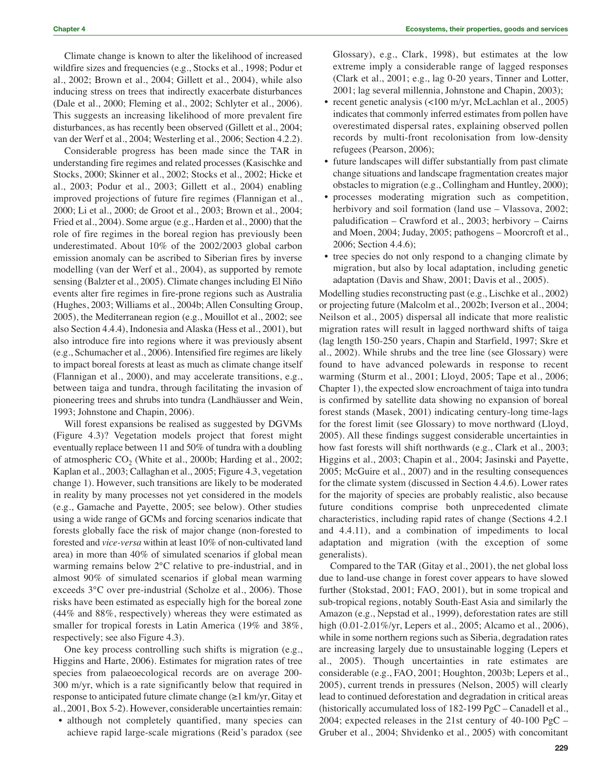Climate change is known to alter the likelihood of increased wildfire sizes and frequencies (e.g., Stocks et al., 1998; Podur et al., 2002; Brown et al., 2004; Gillett et al., 2004), while also inducing stress on trees that indirectly exacerbate disturbances (Dale et al., 2000; Fleming et al., 2002; Schlyter et al., 2006). This suggests an increasing likelihood of more prevalent fire disturbances, as has recently been observed (Gillett et al., 2004; van der Werf et al., 2004; Westerling et al., 2006; Section 4.2.2).

Considerable progress has been made since the TAR in understanding fire regimes and related processes (Kasischke and Stocks, 2000; Skinner et al., 2002; Stocks et al., 2002; Hicke et al., 2003; Podur et al., 2003; Gillett et al., 2004) enabling improved projections of future fire regimes (Flannigan et al., 2000; Li et al., 2000; de Groot et al., 2003; Brown et al., 2004; Fried et al., 2004). Some argue (e.g., Harden et al., 2000) that the role of fire regimes in the boreal region has previously been underestimated. About 10% of the 2002/2003 global carbon emission anomaly can be ascribed to Siberian fires by inverse modelling (van der Werf et al., 2004), as supported by remote sensing (Balzter et al., 2005). Climate changes including El Niño events alter fire regimes in fire-prone regions such as Australia (Hughes, 2003; Williams et al., 2004b; Allen Consulting Group, 2005), the Mediterranean region (e.g., Mouillot et al., 2002; see also Section 4.4.4), Indonesia and Alaska (Hess et al., 2001), but also introduce fire into regions where it was previously absent (e.g., Schumacher et al., 2006). Intensified fire regimes are likely to impact boreal forests at least as much as climate change itself (Flannigan et al., 2000), and may accelerate transitions, e.g., between taiga and tundra, through facilitating the invasion of pioneering trees and shrubs into tundra (Landhäusser and Wein, 1993; Johnstone and Chapin, 2006).

Will forest expansions be realised as suggested by DGVMs (Figure 4.3)? Vegetation models project that forest might eventually replace between 11 and 50% of tundra with a doubling of atmospheric  $CO<sub>2</sub>$  (White et al., 2000b; Harding et al., 2002; Kaplan et al., 2003; Callaghan et al., 2005; Figure 4.3, vegetation change 1). However, such transitions are likely to be moderated in reality by many processes not yet considered in the models (e.g., Gamache and Payette, 2005; see below). Other studies using a wide range of GCMs and forcing scenarios indicate that forests globally face the risk of major change (non-forested to forested and *vice-versa* within at least 10% of non-cultivated land area) in more than 40% of simulated scenarios if global mean warming remains below 2°C relative to pre-industrial, and in almost 90% of simulated scenarios if global mean warming exceeds 3°C over pre-industrial (Scholze et al., 2006). Those risks have been estimated as especially high for the boreal zone (44% and 88%, respectively) whereas they were estimated as smaller for tropical forests in Latin America (19% and 38%, respectively; see also Figure 4.3).

One key process controlling such shifts is migration (e.g., Higgins and Harte, 2006). Estimates for migration rates of tree species from palaeoecological records are on average 200- 300 m/yr, which is a rate significantly below that required in response to anticipated future climate change (≥1 km/yr, Gitay et al., 2001, Box 5-2). However, considerable uncertainties remain:

• although not completely quantified, many species can achieve rapid large-scale migrations (Reid's paradox (see Glossary), e.g., Clark, 1998), but estimates at the low extreme imply a considerable range of lagged responses (Clark et al., 2001; e.g., lag 0-20 years, Tinner and Lotter, 2001; lag several millennia, Johnstone and Chapin, 2003);

- recent genetic analysis (<100 m/yr, McLachlan et al., 2005) indicates that commonly inferred estimates from pollen have overestimated dispersal rates, explaining observed pollen records by multi-front recolonisation from low-density refugees (Pearson, 2006);
- future landscapes will differ substantially from past climate change situations and landscape fragmentation creates major obstacles to migration (e.g., Collingham and Huntley, 2000);
- processes moderating migration such as competition, herbivory and soil formation (land use – Vlassova, 2002; paludification – Crawford et al., 2003; herbivory – Cairns and Moen, 2004; Juday, 2005; pathogens – Moorcroft et al., 2006; Section 4.4.6);
- tree species do not only respond to a changing climate by migration, but also by local adaptation, including genetic adaptation (Davis and Shaw, 2001; Davis et al., 2005).

Modelling studies reconstructing past (e.g., Lischke et al., 2002) or projecting future (Malcolm et al., 2002b; Iverson et al., 2004; Neilson et al., 2005) dispersal all indicate that more realistic migration rates will result in lagged northward shifts of taiga (lag length 150-250 years, Chapin and Starfield, 1997; Skre et al., 2002). While shrubs and the tree line (see Glossary) were found to have advanced polewards in response to recent warming (Sturm et al., 2001; Lloyd, 2005; Tape et al., 2006; Chapter 1), the expected slow encroachment of taiga into tundra is confirmed by satellite data showing no expansion of boreal forest stands (Masek, 2001) indicating century-long time-lags for the forest limit (see Glossary) to move northward (Lloyd, 2005). All these findings suggest considerable uncertainties in how fast forests will shift northwards (e.g., Clark et al., 2003; Higgins et al., 2003; Chapin et al., 2004; Jasinski and Payette, 2005; McGuire et al., 2007) and in the resulting consequences for the climate system (discussed in Section 4.4.6). Lower rates for the majority of species are probably realistic, also because future conditions comprise both unprecedented climate characteristics, including rapid rates of change (Sections 4.2.1 and 4.4.11), and a combination of impediments to local adaptation and migration (with the exception of some generalists).

Compared to the TAR (Gitay et al., 2001), the net global loss due to land-use change in forest cover appears to have slowed further (Stokstad, 2001; FAO, 2001), but in some tropical and sub-tropical regions, notably South-East Asia and similarly the Amazon (e.g., Nepstad et al., 1999), deforestation rates are still high (0.01-2.01%/yr, Lepers et al., 2005; Alcamo et al., 2006), while in some northern regions such as Siberia, degradation rates are increasing largely due to unsustainable logging (Lepers et al., 2005). Though uncertainties in rate estimates are considerable (e.g., FAO, 2001; Houghton, 2003b; Lepers et al., 2005), current trends in pressures (Nelson, 2005) will clearly lead to continued deforestation and degradation in critical areas (historically accumulated loss of 182-199 PgC – Canadell et al., 2004; expected releases in the 21st century of 40-100 PgC – Gruber et al., 2004; Shvidenko et al., 2005) with concomitant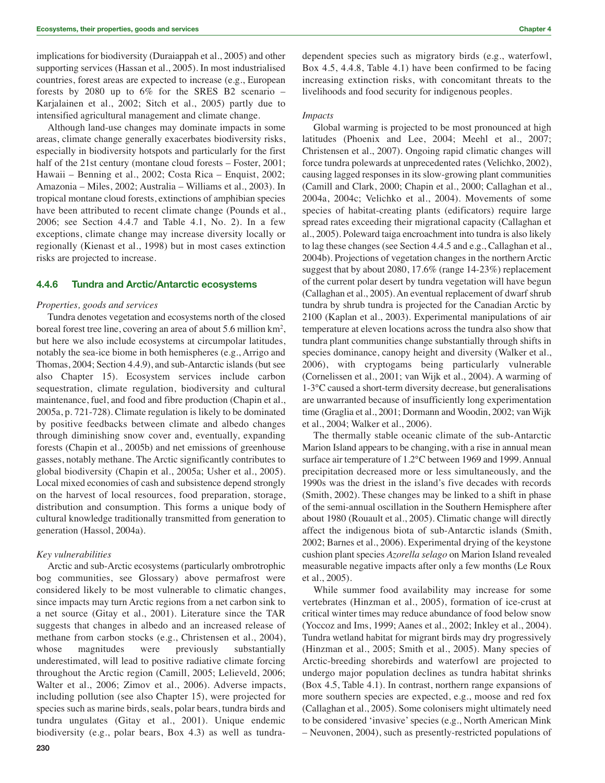implications for biodiversity (Duraiappah et al., 2005) and other supporting services (Hassan et al., 2005). In most industrialised countries, forest areas are expected to increase (e.g., European forests by 2080 up to 6% for the SRES B2 scenario – Karjalainen et al., 2002; Sitch et al., 2005) partly due to intensified agricultural management and climate change.

Although land-use changes may dominate impacts in some areas, climate change generally exacerbates biodiversity risks, especially in biodiversity hotspots and particularly for the first half of the 21st century (montane cloud forests – Foster, 2001; Hawaii – Benning et al., 2002; Costa Rica – Enquist, 2002; Amazonia – Miles, 2002; Australia – Williams et al., 2003). In tropical montane cloud forests, extinctions of amphibian species have been attributed to recent climate change (Pounds et al., 2006; see Section 4.4.7 and Table 4.1, No. 2). In a few exceptions, climate change may increase diversity locally or regionally (Kienast et al., 1998) but in most cases extinction risks are projected to increase.

#### **4.4.6 Tundra and Arctic/Antarctic ecosystems**

#### *Properties, goods and services*

Tundra denotes vegetation and ecosystems north of the closed boreal forest tree line, covering an area of about 5.6 million km<sup>2</sup>, but here we also include ecosystems at circumpolar latitudes, notably the sea-ice biome in both hemispheres (e.g., Arrigo and Thomas, 2004; Section 4.4.9), and sub-Antarctic islands (but see also Chapter 15). Ecosystem services include carbon sequestration, climate regulation, biodiversity and cultural maintenance, fuel, and food and fibre production (Chapin et al., 2005a, p. 721-728). Climate regulation is likely to be dominated by positive feedbacks between climate and albedo changes through diminishing snow cover and, eventually, expanding forests (Chapin et al., 2005b) and net emissions of greenhouse gasses, notably methane. The Arctic significantly contributes to global biodiversity (Chapin et al., 2005a; Usher et al., 2005). Local mixed economies of cash and subsistence depend strongly on the harvest of local resources, food preparation, storage, distribution and consumption. This forms a unique body of cultural knowledge traditionally transmitted from generation to generation (Hassol, 2004a).

#### *Key vulnerabilities*

Arctic and sub-Arctic ecosystems (particularly ombrotrophic bog communities, see Glossary) above permafrost were considered likely to be most vulnerable to climatic changes, since impacts may turn Arctic regions from a net carbon sink to a net source (Gitay et al., 2001). Literature since the TAR suggests that changes in albedo and an increased release of methane from carbon stocks (e.g., Christensen et al., 2004), whose magnitudes were previously substantially underestimated, will lead to positive radiative climate forcing throughout the Arctic region (Camill, 2005; Lelieveld, 2006; Walter et al., 2006; Zimov et al., 2006). Adverse impacts, including pollution (see also Chapter 15), were projected for species such as marine birds, seals, polar bears, tundra birds and tundra ungulates (Gitay et al., 2001). Unique endemic biodiversity (e.g., polar bears, Box 4.3) as well as tundradependent species such as migratory birds (e.g., waterfowl, Box 4.5, 4.4.8, Table 4.1) have been confirmed to be facing increasing extinction risks, with concomitant threats to the livelihoods and food security for indigenous peoples.

#### *Impacts*

Global warming is projected to be most pronounced at high latitudes (Phoenix and Lee, 2004; Meehl et al., 2007; Christensen et al., 2007). Ongoing rapid climatic changes will force tundra polewards at unprecedented rates (Velichko, 2002), causing lagged responses in its slow-growing plant communities (Camill and Clark, 2000; Chapin et al., 2000; Callaghan et al., 2004a, 2004c; Velichko et al., 2004). Movements of some species of habitat-creating plants (edificators) require large spread rates exceeding their migrational capacity (Callaghan et al., 2005). Poleward taiga encroachment into tundra is also likely to lag these changes (see Section 4.4.5 and e.g., Callaghan et al., 2004b). Projections of vegetation changes in the northern Arctic suggest that by about 2080, 17.6% (range 14-23%) replacement of the current polar desert by tundra vegetation will have begun (Callaghan et al., 2005). An eventual replacement of dwarf shrub tundra by shrub tundra is projected for the Canadian Arctic by 2100 (Kaplan et al., 2003). Experimental manipulations of air temperature at eleven locations across the tundra also show that tundra plant communities change substantially through shifts in species dominance, canopy height and diversity (Walker et al., 2006), with cryptogams being particularly vulnerable (Cornelissen et al., 2001; van Wijk et al., 2004). A warming of 1-3°C caused a short-term diversity decrease, but generalisations are unwarranted because of insufficiently long experimentation time (Graglia et al., 2001; Dormann and Woodin, 2002; van Wijk et al., 2004; Walker et al., 2006).

The thermally stable oceanic climate of the sub-Antarctic Marion Island appears to be changing, with a rise in annual mean surface air temperature of 1.2°C between 1969 and 1999. Annual precipitation decreased more or less simultaneously, and the 1990s was the driest in the island's five decades with records (Smith, 2002). These changes may be linked to a shift in phase of the semi-annual oscillation in the Southern Hemisphere after about 1980 (Rouault et al., 2005). Climatic change will directly affect the indigenous biota of sub-Antarctic islands (Smith, 2002; Barnes et al., 2006). Experimental drying of the keystone cushion plant species *Azorella selago* on Marion Island revealed measurable negative impacts after only a few months (Le Roux et al., 2005).

While summer food availability may increase for some vertebrates (Hinzman et al., 2005), formation of ice-crust at critical winter times may reduce abundance of food below snow (Yoccoz and Ims, 1999; Aanes et al., 2002; Inkley et al., 2004). Tundra wetland habitat for migrant birds may dry progressively (Hinzman et al., 2005; Smith et al., 2005). Many species of Arctic-breeding shorebirds and waterfowl are projected to undergo major population declines as tundra habitat shrinks (Box 4.5, Table 4.1). In contrast, northern range expansions of more southern species are expected, e.g., moose and red fox (Callaghan et al., 2005). Some colonisers might ultimately need to be considered 'invasive' species (e.g., North American Mink – Neuvonen, 2004), such as presently-restricted populations of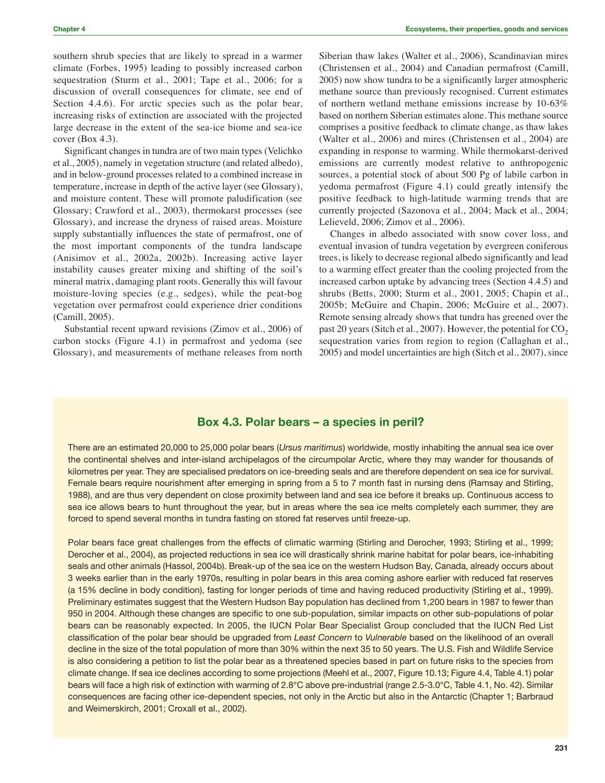southern shrub species that are likely to spread in a warmer climate (Forbes, 1995) leading to possibly increased carbon sequestration (Sturm et al., 2001; Tape et al., 2006; for a discussion of overall consequences for climate, see end of Section 4.4.6). For arctic species such as the polar bear, increasing risks of extinction are associated with the projected large decrease in the extent of the sea-ice biome and sea-ice cover (Box 4.3).

Significant changes in tundra are of two main types (Velichko et al., 2005), namely in vegetation structure (and related albedo), and in below-ground processes related to a combined increase in temperature, increase in depth of the active layer (see Glossary), and moisture content. These will promote paludification (see Glossary; Crawford et al., 2003), thermokarst processes (see Glossary), and increase the dryness of raised areas. Moisture supply substantially influences the state of permafrost, one of the most important components of the tundra landscape (Anisimov et al., 2002a, 2002b). Increasing active layer instability causes greater mixing and shifting of the soil's mineral matrix, damaging plant roots. Generally this will favour moisture-loving species (e.g., sedges), while the peat-bog vegetation over permafrost could experience drier conditions (Camill, 2005).

Substantial recent upward revisions (Zimov et al., 2006) of carbon stocks (Figure 4.1) in permafrost and yedoma (see Glossary), and measurements of methane releases from north

Siberian thaw lakes (Walter et al., 2006), Scandinavian mires (Christensen et al., 2004) and Canadian permafrost (Camill, 2005) now show tundra to be a significantly larger atmospheric methane source than previously recognised. Current estimates of northern wetland methane emissions increase by 10-63% based on northern Siberian estimates alone. This methane source comprises a positive feedback to climate change, as thaw lakes (Walter et al., 2006) and mires (Christensen et al., 2004) are expanding in response to warming. While thermokarst-derived emissions are currently modest relative to anthropogenic sources, a potential stock of about 500 Pg of labile carbon in yedoma permafrost (Figure 4.1) could greatly intensify the positive feedback to high-latitude warming trends that are currently projected (Sazonova et al., 2004; Mack et al., 2004; Lelieveld, 2006; Zimov et al., 2006).

Changes in albedo associated with snow cover loss, and eventual invasion of tundra vegetation by evergreen coniferous trees, is likely to decrease regional albedo significantly and lead to a warming effect greater than the cooling projected from the increased carbon uptake by advancing trees (Section 4.4.5) and shrubs (Betts, 2000; Sturm et al., 2001, 2005; Chapin et al., 2005b; McGuire and Chapin, 2006; McGuire et al., 2007). Remote sensing already shows that tundra has greened over the past 20 years (Sitch et al., 2007). However, the potential for  $CO<sub>2</sub>$ sequestration varies from region to region (Callaghan et al., 2005) and model uncertainties are high (Sitch et al., 2007), since

# **Box 4.3. Polar bears – a species in peril?**

There are an estimated 20,000 to 25,000 polar bears (*Ursus maritimus*) worldwide, mostly inhabiting the annual sea ice over the continental shelves and inter-island archipelagos of the circumpolar Arctic, where they may wander for thousands of kilometres per year. They are specialised predators on ice-breeding seals and are therefore dependent on sea ice for survival. Female bears require nourishment after emerging in spring from a 5 to 7 month fast in nursing dens (Ramsay and Stirling, 1988), and are thus very dependent on close proximity between land and sea ice before it breaks up. Continuous access to sea ice allows bears to hunt throughout the year, but in areas where the sea ice melts completely each summer, they are forced to spend several months in tundra fasting on stored fat reserves until freeze-up.

Polar bears face great challenges from the effects of climatic warming (Stirling and Derocher, 1993; Stirling et al., 1999; Derocher et al., 2004), as projected reductions in sea ice will drastically shrink marine habitat for polar bears, ice-inhabiting seals and other animals (Hassol, 2004b). Break-up of the sea ice on the western Hudson Bay, Canada, already occurs about 3 weeks earlier than in the early 1970s, resulting in polar bears in this area coming ashore earlier with reduced fat reserves (a 15% decline in body condition), fasting for longer periods of time and having reduced productivity (Stirling et al., 1999). Preliminary estimates suggest that the Western Hudson Bay population has declined from 1,200 bears in 1987 to fewer than 950 in 2004. Although these changes are specific to one sub-population, similar impacts on other sub-populations of polar bears can be reasonably expected. In 2005, the IUCN Polar Bear Specialist Group concluded that the IUCN Red List classification of the polar bear should be upgraded from *Least Concern* to *Vulnerable* based on the likelihood of an overall decline in the size of the total population of more than 30% within the next 35 to 50 years. The U.S. Fish and Wildlife Service is also considering a petition to list the polar bear as a threatened species based in part on future risks to the species from climate change. If sea ice declines according to some projections (Meehl et al., 2007, Figure 10.13; Figure 4.4, Table 4.1) polar bears will face a high risk of extinction with warming of 2.8°C above pre-industrial (range 2.5-3.0°C, Table 4.1, No. 42). Similar consequences are facing other ice-dependent species, not only in the Arctic but also in the Antarctic (Chapter 1; Barbraud and Weimerskirch, 2001; Croxall et al., 2002).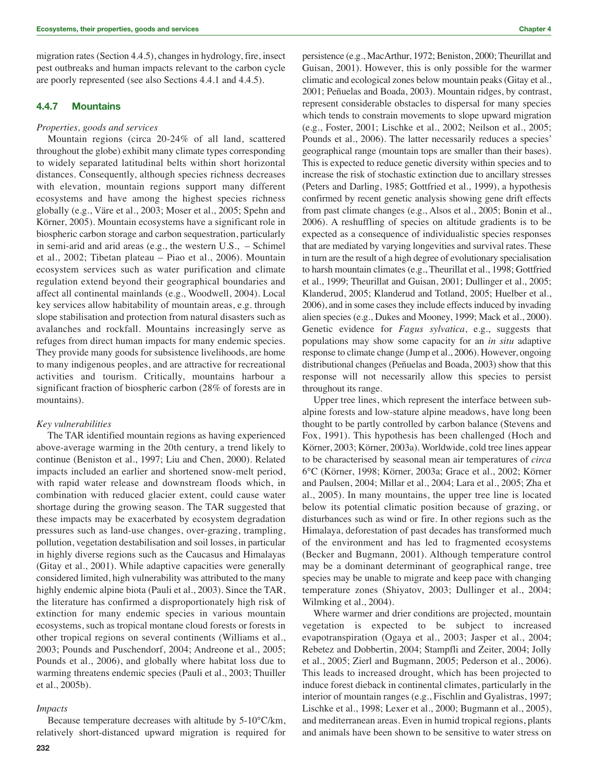migration rates (Section 4.4.5), changes in hydrology, fire, insect pest outbreaks and human impacts relevant to the carbon cycle are poorly represented (see also Sections 4.4.1 and 4.4.5).

#### **4.4.7 Mountains**

#### *Properties, goods and services*

Mountain regions (circa 20-24% of all land, scattered throughout the globe) exhibit many climate types corresponding to widely separated latitudinal belts within short horizontal distances. Consequently, although species richness decreases with elevation, mountain regions support many different ecosystems and have among the highest species richness globally (e.g., Väre et al., 2003; Moser et al., 2005; Spehn and Körner, 2005). Mountain ecosystems have a significant role in biospheric carbon storage and carbon sequestration, particularly in semi-arid and arid areas (e.g., the western U.S., – Schimel et al., 2002; Tibetan plateau – Piao et al., 2006). Mountain ecosystem services such as water purification and climate regulation extend beyond their geographical boundaries and affect all continental mainlands (e.g., Woodwell, 2004). Local key services allow habitability of mountain areas, e.g. through slope stabilisation and protection from natural disasters such as avalanches and rockfall. Mountains increasingly serve as refuges from direct human impacts for many endemic species. They provide many goods for subsistence livelihoods, are home to many indigenous peoples, and are attractive for recreational activities and tourism. Critically, mountains harbour a significant fraction of biospheric carbon (28% of forests are in mountains).

#### *Key vulnerabilities*

The TAR identified mountain regions as having experienced above-average warming in the 20th century, a trend likely to continue (Beniston et al., 1997; Liu and Chen, 2000). Related impacts included an earlier and shortened snow-melt period, with rapid water release and downstream floods which, in combination with reduced glacier extent, could cause water shortage during the growing season. The TAR suggested that these impacts may be exacerbated by ecosystem degradation pressures such as land-use changes, over-grazing, trampling, pollution, vegetation destabilisation and soil losses, in particular in highly diverse regions such as the Caucasus and Himalayas (Gitay et al., 2001). While adaptive capacities were generally considered limited, high vulnerability was attributed to the many highly endemic alpine biota (Pauli et al., 2003). Since the TAR, the literature has confirmed a disproportionately high risk of extinction for many endemic species in various mountain ecosystems, such as tropical montane cloud forests or forests in other tropical regions on several continents (Williams et al., 2003; Pounds and Puschendorf, 2004; Andreone et al., 2005; Pounds et al., 2006), and globally where habitat loss due to warming threatens endemic species (Pauli et al., 2003; Thuiller et al., 2005b).

#### *Impacts*

Because temperature decreases with altitude by 5-10°C/km, relatively short-distanced upward migration is required for persistence (e.g., MacArthur, 1972; Beniston, 2000; Theurillat and Guisan, 2001). However, this is only possible for the warmer climatic and ecological zones below mountain peaks (Gitay et al., 2001; Peñuelas and Boada, 2003). Mountain ridges, by contrast, represent considerable obstacles to dispersal for many species which tends to constrain movements to slope upward migration (e.g., Foster, 2001; Lischke et al., 2002; Neilson et al., 2005; Pounds et al., 2006). The latter necessarily reduces a species' geographical range (mountain tops are smaller than their bases). This is expected to reduce genetic diversity within species and to increase the risk of stochastic extinction due to ancillary stresses (Peters and Darling, 1985; Gottfried et al., 1999), a hypothesis confirmed by recent genetic analysis showing gene drift effects from past climate changes (e.g., Alsos et al., 2005; Bonin et al., 2006). A reshuffling of species on altitude gradients is to be expected as a consequence of individualistic species responses that are mediated by varying longevities and survival rates. These in turn are the result of a high degree of evolutionary specialisation to harsh mountain climates (e.g., Theurillat et al., 1998; Gottfried et al., 1999; Theurillat and Guisan, 2001; Dullinger et al., 2005; Klanderud, 2005; Klanderud and Totland, 2005; Huelber et al., 2006), and in some cases they include effects induced by invading alien species (e.g., Dukes and Mooney, 1999; Mack et al., 2000). Genetic evidence for *Fagus sylvatica*, e.g., suggests that populations may show some capacity for an *in situ* adaptive response to climate change (Jump et al., 2006). However, ongoing distributional changes (Peñuelas and Boada, 2003) show that this response will not necessarily allow this species to persist throughout its range.

Upper tree lines, which represent the interface between subalpine forests and low-stature alpine meadows, have long been thought to be partly controlled by carbon balance (Stevens and Fox, 1991). This hypothesis has been challenged (Hoch and Körner, 2003; Körner, 2003a). Worldwide, cold tree lines appear to be characterised by seasonal mean air temperatures of *circa* 6°C (Körner, 1998; Körner, 2003a; Grace et al., 2002; Körner and Paulsen, 2004; Millar et al., 2004; Lara et al., 2005; Zha et al., 2005). In many mountains, the upper tree line is located below its potential climatic position because of grazing, or disturbances such as wind or fire. In other regions such as the Himalaya, deforestation of past decades has transformed much of the environment and has led to fragmented ecosystems (Becker and Bugmann, 2001). Although temperature control may be a dominant determinant of geographical range, tree species may be unable to migrate and keep pace with changing temperature zones (Shiyatov, 2003; Dullinger et al., 2004; Wilmking et al., 2004).

Where warmer and drier conditions are projected, mountain vegetation is expected to be subject to increased evapotranspiration (Ogaya et al., 2003; Jasper et al., 2004; Rebetez and Dobbertin, 2004; Stampfli and Zeiter, 2004; Jolly et al., 2005; Zierl and Bugmann, 2005; Pederson et al., 2006). This leads to increased drought, which has been projected to induce forest dieback in continental climates, particularly in the interior of mountain ranges (e.g., Fischlin and Gyalistras, 1997; Lischke et al., 1998; Lexer et al., 2000; Bugmann et al., 2005), and mediterranean areas. Even in humid tropical regions, plants and animals have been shown to be sensitive to water stress on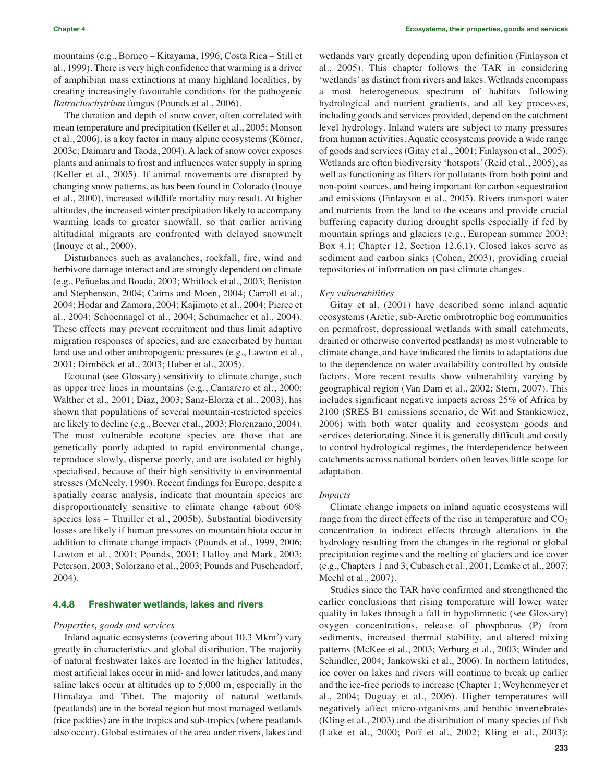**Chapter 4 Ecosystems, their properties, goods and services**

mountains (e.g., Borneo – Kitayama, 1996; Costa Rica – Still et al., 1999). There is very high confidence that warming is a driver of amphibian mass extinctions at many highland localities, by creating increasingly favourable conditions for the pathogenic *Batrachochytrium* fungus (Pounds et al., 2006).

The duration and depth of snow cover, often correlated with mean temperature and precipitation (Keller et al., 2005; Monson et al., 2006), is a key factor in many alpine ecosystems (Körner, 2003c; Daimaru and Taoda, 2004). A lack of snow cover exposes plants and animals to frost and influences water supply in spring (Keller et al., 2005). If animal movements are disrupted by changing snow patterns, as has been found in Colorado (Inouye et al., 2000), increased wildlife mortality may result. At higher altitudes, the increased winter precipitation likely to accompany warming leads to greater snowfall, so that earlier arriving altitudinal migrants are confronted with delayed snowmelt (Inouye et al., 2000).

Disturbances such as avalanches, rockfall, fire, wind and herbivore damage interact and are strongly dependent on climate (e.g., Peñuelas and Boada, 2003; Whitlock et al., 2003; Beniston and Stephenson, 2004; Cairns and Moen, 2004; Carroll et al., 2004; Hodar and Zamora, 2004; Kajimoto et al., 2004; Pierce et al., 2004; Schoennagel et al., 2004; Schumacher et al., 2004). These effects may prevent recruitment and thus limit adaptive migration responses of species, and are exacerbated by human land use and other anthropogenic pressures (e.g., Lawton et al., 2001; Dirnböck et al., 2003; Huber et al., 2005).

Ecotonal (see Glossary) sensitivity to climate change, such as upper tree lines in mountains (e.g., Camarero et al., 2000; Walther et al., 2001; Diaz, 2003; Sanz-Elorza et al., 2003), has shown that populations of several mountain-restricted species are likely to decline (e.g., Beever et al., 2003; Florenzano, 2004). The most vulnerable ecotone species are those that are genetically poorly adapted to rapid environmental change, reproduce slowly, disperse poorly, and are isolated or highly specialised, because of their high sensitivity to environmental stresses (McNeely, 1990). Recent findings for Europe, despite a spatially coarse analysis, indicate that mountain species are disproportionately sensitive to climate change (about 60% species loss – Thuiller et al., 2005b). Substantial biodiversity losses are likely if human pressures on mountain biota occur in addition to climate change impacts (Pounds et al., 1999, 2006; Lawton et al., 2001; Pounds, 2001; Halloy and Mark, 2003; Peterson, 2003; Solorzano et al., 2003; Pounds and Puschendorf, 2004).

#### **4.4.8 Freshwater wetlands, lakes and rivers**

#### *Properties, goods and services*

Inland aquatic ecosystems (covering about 10.3 Mkm<sup>2</sup>) vary greatly in characteristics and global distribution. The majority of natural freshwater lakes are located in the higher latitudes, most artificial lakes occur in mid- and lower latitudes, and many saline lakes occur at altitudes up to 5,000 m, especially in the Himalaya and Tibet. The majority of natural wetlands (peatlands) are in the boreal region but most managed wetlands (rice paddies) are in the tropics and sub-tropics (where peatlands also occur). Global estimates of the area under rivers, lakes and wetlands vary greatly depending upon definition (Finlayson et al., 2005). This chapter follows the TAR in considering 'wetlands' as distinct from rivers and lakes. Wetlands encompass a most heterogeneous spectrum of habitats following hydrological and nutrient gradients, and all key processes, including goods and services provided, depend on the catchment level hydrology. Inland waters are subject to many pressures from human activities. Aquatic ecosystems provide a wide range of goods and services (Gitay et al., 2001; Finlayson et al., 2005). Wetlands are often biodiversity 'hotspots' (Reid et al., 2005), as well as functioning as filters for pollutants from both point and non-point sources, and being important for carbon sequestration and emissions (Finlayson et al., 2005). Rivers transport water and nutrients from the land to the oceans and provide crucial buffering capacity during drought spells especially if fed by mountain springs and glaciers (e.g., European summer 2003; Box 4.1; Chapter 12, Section 12.6.1). Closed lakes serve as sediment and carbon sinks (Cohen, 2003), providing crucial repositories of information on past climate changes.

#### *Key vulnerabilities*

Gitay et al. (2001) have described some inland aquatic ecosystems (Arctic, sub-Arctic ombrotrophic bog communities on permafrost, depressional wetlands with small catchments, drained or otherwise converted peatlands) as most vulnerable to climate change, and have indicated the limits to adaptations due to the dependence on water availability controlled by outside factors. More recent results show vulnerability varying by geographical region (Van Dam et al., 2002; Stern, 2007). This includes significant negative impacts across 25% of Africa by 2100 (SRES B1 emissions scenario, de Wit and Stankiewicz, 2006) with both water quality and ecosystem goods and services deteriorating. Since it is generally difficult and costly to control hydrological regimes, the interdependence between catchments across national borders often leaves little scope for adaptation.

#### *Impacts*

Climate change impacts on inland aquatic ecosystems will range from the direct effects of the rise in temperature and  $CO<sub>2</sub>$ concentration to indirect effects through alterations in the hydrology resulting from the changes in the regional or global precipitation regimes and the melting of glaciers and ice cover (e.g., Chapters 1 and 3; Cubasch et al., 2001; Lemke et al., 2007; Meehl et al., 2007).

Studies since the TAR have confirmed and strengthened the earlier conclusions that rising temperature will lower water quality in lakes through a fall in hypolimnetic (see Glossary) oxygen concentrations, release of phosphorus (P) from sediments, increased thermal stability, and altered mixing patterns (McKee et al., 2003; Verburg et al., 2003; Winder and Schindler, 2004; Jankowski et al., 2006). In northern latitudes, ice cover on lakes and rivers will continue to break up earlier and the ice-free periods to increase (Chapter 1; Weyhenmeyer et al., 2004; Duguay et al., 2006). Higher temperatures will negatively affect micro-organisms and benthic invertebrates (Kling et al., 2003) and the distribution of many species of fish (Lake et al., 2000; Poff et al., 2002; Kling et al., 2003);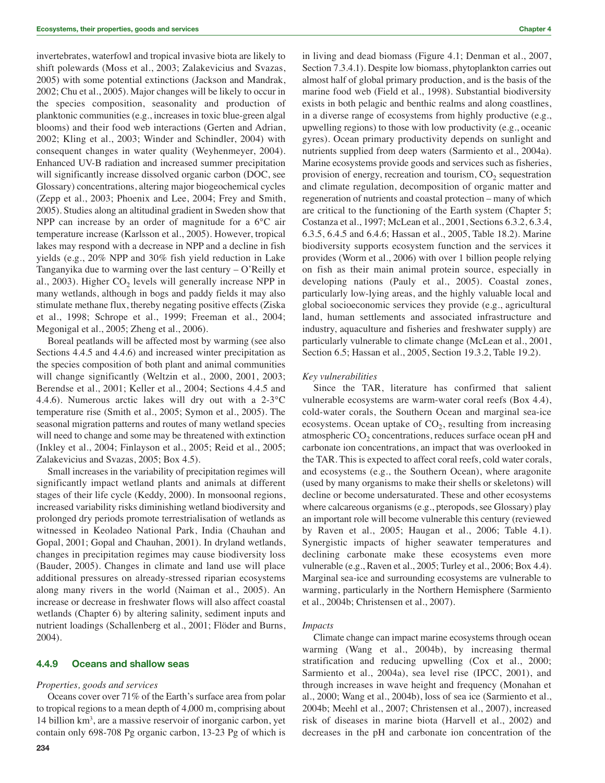invertebrates, waterfowl and tropical invasive biota are likely to shift polewards (Moss et al., 2003; Zalakevicius and Svazas, 2005) with some potential extinctions (Jackson and Mandrak, 2002; Chu et al., 2005). Major changes will be likely to occur in the species composition, seasonality and production of planktonic communities (e.g., increases in toxic blue-green algal blooms) and their food web interactions (Gerten and Adrian, 2002; Kling et al., 2003; Winder and Schindler, 2004) with consequent changes in water quality (Weyhenmeyer, 2004). Enhanced UV-B radiation and increased summer precipitation will significantly increase dissolved organic carbon (DOC, see Glossary) concentrations, altering major biogeochemical cycles (Zepp et al., 2003; Phoenix and Lee, 2004; Frey and Smith, 2005). Studies along an altitudinal gradient in Sweden show that NPP can increase by an order of magnitude for a 6°C air temperature increase (Karlsson et al., 2005). However, tropical lakes may respond with a decrease in NPP and a decline in fish yields (e.g., 20% NPP and 30% fish yield reduction in Lake Tanganyika due to warming over the last century – O'Reilly et al., 2003). Higher  $CO<sub>2</sub>$  levels will generally increase NPP in many wetlands, although in bogs and paddy fields it may also stimulate methane flux, thereby negating positive effects (Ziska et al., 1998; Schrope et al., 1999; Freeman et al., 2004; Megonigal et al., 2005; Zheng et al., 2006).

Boreal peatlands will be affected most by warming (see also Sections 4.4.5 and 4.4.6) and increased winter precipitation as the species composition of both plant and animal communities will change significantly (Weltzin et al., 2000, 2001, 2003; Berendse et al., 2001; Keller et al., 2004; Sections 4.4.5 and 4.4.6). Numerous arctic lakes will dry out with a  $2-3^{\circ}$ C temperature rise (Smith et al., 2005; Symon et al., 2005). The seasonal migration patterns and routes of many wetland species will need to change and some may be threatened with extinction (Inkley et al., 2004; Finlayson et al., 2005; Reid et al., 2005; Zalakevicius and Svazas, 2005; Box 4.5).

Small increases in the variability of precipitation regimes will significantly impact wetland plants and animals at different stages of their life cycle (Keddy, 2000). In monsoonal regions, increased variability risks diminishing wetland biodiversity and prolonged dry periods promote terrestrialisation of wetlands as witnessed in Keoladeo National Park, India (Chauhan and Gopal, 2001; Gopal and Chauhan, 2001). In dryland wetlands, changes in precipitation regimes may cause biodiversity loss (Bauder, 2005). Changes in climate and land use will place additional pressures on already-stressed riparian ecosystems along many rivers in the world (Naiman et al., 2005). An increase or decrease in freshwater flows will also affect coastal wetlands (Chapter 6) by altering salinity, sediment inputs and nutrient loadings (Schallenberg et al., 2001; Flöder and Burns, 2004).

### **4.4.9 Oceans and shallow seas**

#### *Properties, goods and services*

Oceans cover over 71% of the Earth's surface area from polar to tropical regions to a mean depth of 4,000 m, comprising about 14 billion km<sup>3</sup>, are a massive reservoir of inorganic carbon, yet contain only 698-708 Pg organic carbon, 13-23 Pg of which is

in living and dead biomass (Figure 4.1; Denman et al., 2007, Section 7.3.4.1). Despite low biomass, phytoplankton carries out almost half of global primary production, and is the basis of the marine food web (Field et al., 1998). Substantial biodiversity exists in both pelagic and benthic realms and along coastlines, in a diverse range of ecosystems from highly productive (e.g., upwelling regions) to those with low productivity (e.g., oceanic gyres). Ocean primary productivity depends on sunlight and nutrients supplied from deep waters (Sarmiento et al., 2004a). Marine ecosystems provide goods and services such as fisheries, provision of energy, recreation and tourism,  $CO<sub>2</sub>$  sequestration and climate regulation, decomposition of organic matter and regeneration of nutrients and coastal protection – many of which are critical to the functioning of the Earth system (Chapter 5; Costanza et al., 1997; McLean et al., 2001, Sections 6.3.2, 6.3.4, 6.3.5, 6.4.5 and 6.4.6; Hassan et al., 2005, Table 18.2). Marine biodiversity supports ecosystem function and the services it provides (Worm et al., 2006) with over 1 billion people relying on fish as their main animal protein source, especially in developing nations (Pauly et al., 2005). Coastal zones, particularly low-lying areas, and the highly valuable local and global socioeconomic services they provide (e.g., agricultural land, human settlements and associated infrastructure and industry, aquaculture and fisheries and freshwater supply) are particularly vulnerable to climate change (McLean et al., 2001, Section 6.5; Hassan et al., 2005, Section 19.3.2, Table 19.2).

#### *Key vulnerabilities*

Since the TAR, literature has confirmed that salient vulnerable ecosystems are warm-water coral reefs (Box 4.4), cold-water corals, the Southern Ocean and marginal sea-ice ecosystems. Ocean uptake of  $CO<sub>2</sub>$ , resulting from increasing atmospheric  $CO<sub>2</sub>$  concentrations, reduces surface ocean pH and carbonate ion concentrations, an impact that was overlooked in the TAR. This is expected to affect coral reefs, cold water corals, and ecosystems (e.g., the Southern Ocean), where aragonite (used by many organisms to make their shells or skeletons) will decline or become undersaturated. These and other ecosystems where calcareous organisms (e.g., pteropods, see Glossary) play an important role will become vulnerable this century (reviewed by Raven et al., 2005; Haugan et al., 2006; Table 4.1). Synergistic impacts of higher seawater temperatures and declining carbonate make these ecosystems even more vulnerable (e.g., Raven et al., 2005; Turley et al., 2006; Box 4.4). Marginal sea-ice and surrounding ecosystems are vulnerable to warming, particularly in the Northern Hemisphere (Sarmiento et al., 2004b; Christensen et al., 2007).

#### *Impacts*

Climate change can impact marine ecosystems through ocean warming (Wang et al., 2004b), by increasing thermal stratification and reducing upwelling (Cox et al., 2000; Sarmiento et al., 2004a), sea level rise (IPCC, 2001), and through increases in wave height and frequency (Monahan et al., 2000; Wang et al., 2004b), loss of sea ice (Sarmiento et al., 2004b; Meehl et al., 2007; Christensen et al., 2007), increased risk of diseases in marine biota (Harvell et al., 2002) and decreases in the pH and carbonate ion concentration of the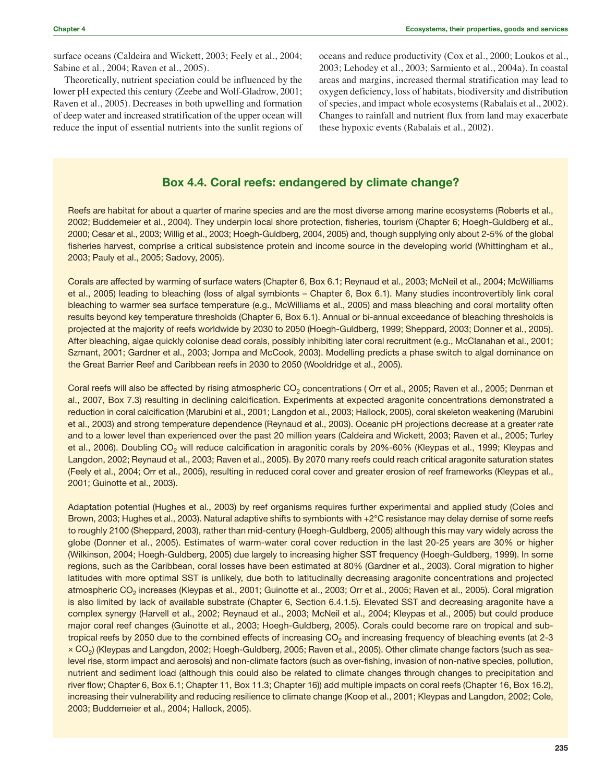surface oceans (Caldeira and Wickett, 2003; Feely et al., 2004; Sabine et al., 2004; Raven et al., 2005).

Theoretically, nutrient speciation could be influenced by the lower pH expected this century (Zeebe and Wolf-Gladrow, 2001; Raven et al., 2005). Decreases in both upwelling and formation of deep water and increased stratification of the upper ocean will reduce the input of essential nutrients into the sunlit regions of oceans and reduce productivity (Cox et al., 2000; Loukos et al., 2003; Lehodey et al., 2003; Sarmiento et al., 2004a). In coastal areas and margins, increased thermal stratification may lead to oxygen deficiency, loss of habitats, biodiversity and distribution of species, and impact whole ecosystems (Rabalais et al., 2002). Changes to rainfall and nutrient flux from land may exacerbate these hypoxic events (Rabalais et al., 2002).

# **Box 4.4. Coral reefs: endangered by climate change?**

Reefs are habitat for about a quarter of marine species and are the most diverse among marine ecosystems (Roberts et al., 2002; Buddemeier et al., 2004). They underpin local shore protection, fisheries, tourism (Chapter 6; Hoegh-Guldberg et al., 2000; Cesar et al., 2003; Willig et al., 2003; Hoegh-Guldberg, 2004, 2005) and, though supplying only about 2-5% of the global fisheries harvest, comprise a critical subsistence protein and income source in the developing world (Whittingham et al., 2003; Pauly et al., 2005; Sadovy, 2005).

Corals are affected by warming of surface waters (Chapter 6, Box 6.1; Reynaud et al., 2003; McNeil et al., 2004; McWilliams et al., 2005) leading to bleaching (loss of algal symbionts – Chapter 6, Box 6.1). Many studies incontrovertibly link coral bleaching to warmer sea surface temperature (e.g., McWilliams et al., 2005) and mass bleaching and coral mortality often results beyond key temperature thresholds (Chapter 6, Box 6.1). Annual or bi-annual exceedance of bleaching thresholds is projected at the majority of reefs worldwide by 2030 to 2050 (Hoegh-Guldberg, 1999; Sheppard, 2003; Donner et al., 2005). After bleaching, algae quickly colonise dead corals, possibly inhibiting later coral recruitment (e.g., McClanahan et al., 2001; Szmant, 2001; Gardner et al., 2003; Jompa and McCook, 2003). Modelling predicts a phase switch to algal dominance on the Great Barrier Reef and Caribbean reefs in 2030 to 2050 (Wooldridge et al., 2005).

Coral reefs will also be affected by rising atmospheric CO<sub>2</sub> concentrations (Orr et al., 2005; Raven et al., 2005; Denman et al., 2007, Box 7.3) resulting in declining calcification. Experiments at expected aragonite concentrations demonstrated a reduction in coral calcification (Marubini et al., 2001; Langdon et al., 2003; Hallock, 2005), coral skeleton weakening (Marubini et al., 2003) and strong temperature dependence (Reynaud et al., 2003). Oceanic pH projections decrease at a greater rate and to a lower level than experienced over the past 20 million years (Caldeira and Wickett, 2003; Raven et al., 2005; Turley et al., 2006). Doubling CO<sub>2</sub> will reduce calcification in aragonitic corals by 20%-60% (Kleypas et al., 1999; Kleypas and Langdon, 2002; Reynaud et al., 2003; Raven et al., 2005). By 2070 many reefs could reach critical aragonite saturation states (Feely et al., 2004; Orr et al., 2005), resulting in reduced coral cover and greater erosion of reef frameworks (Kleypas et al., 2001; Guinotte et al., 2003).

Adaptation potential (Hughes et al., 2003) by reef organisms requires further experimental and applied study (Coles and Brown, 2003; Hughes et al., 2003). Natural adaptive shifts to symbionts with +2°C resistance may delay demise of some reefs to roughly 2100 (Sheppard, 2003), rather than mid-century (Hoegh-Guldberg, 2005) although this may vary widely across the globe (Donner et al., 2005). Estimates of warm-water coral cover reduction in the last 20-25 years are 30% or higher (Wilkinson, 2004; Hoegh-Guldberg, 2005) due largely to increasing higher SST frequency (Hoegh-Guldberg, 1999). In some regions, such as the Caribbean, coral losses have been estimated at 80% (Gardner et al., 2003). Coral migration to higher latitudes with more optimal SST is unlikely, due both to latitudinally decreasing aragonite concentrations and projected atmospheric CO<sub>2</sub> increases (Kleypas et al., 2001; Guinotte et al., 2003; Orr et al., 2005; Raven et al., 2005). Coral migration is also limited by lack of available substrate (Chapter 6, Section 6.4.1.5). Elevated SST and decreasing aragonite have a complex synergy (Harvell et al., 2002; Reynaud et al., 2003; McNeil et al., 2004; Kleypas et al., 2005) but could produce major coral reef changes (Guinotte et al., 2003; Hoegh-Guldberg, 2005). Corals could become rare on tropical and subtropical reefs by 2050 due to the combined effects of increasing  $CO<sub>2</sub>$  and increasing frequency of bleaching events (at 2-3  $\times$  CO<sub>2</sub>) (Kleypas and Langdon, 2002; Hoegh-Guldberg, 2005; Raven et al., 2005). Other climate change factors (such as sealevel rise, storm impact and aerosols) and non-climate factors (such as over-fishing, invasion of non-native species, pollution, nutrient and sediment load (although this could also be related to climate changes through changes to precipitation and river flow; Chapter 6, Box 6.1; Chapter 11, Box 11.3; Chapter 16)) add multiple impacts on coral reefs (Chapter 16, Box 16.2), increasing their vulnerability and reducing resilience to climate change (Koop et al., 2001; Kleypas and Langdon, 2002; Cole, 2003; Buddemeier et al., 2004; Hallock, 2005).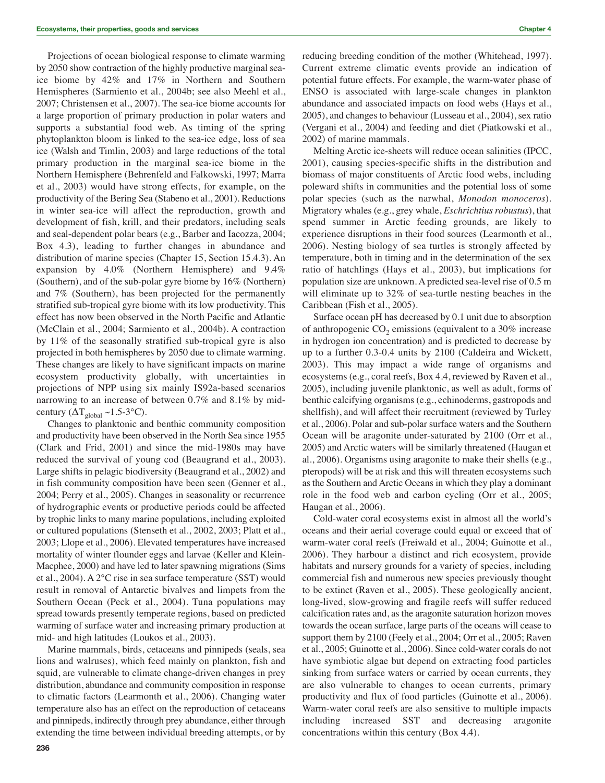Projections of ocean biological response to climate warming by 2050 show contraction of the highly productive marginal seaice biome by 42% and 17% in Northern and Southern Hemispheres (Sarmiento et al., 2004b; see also Meehl et al., 2007; Christensen et al., 2007). The sea-ice biome accounts for a large proportion of primary production in polar waters and supports a substantial food web. As timing of the spring phytoplankton bloom is linked to the sea-ice edge, loss of sea ice (Walsh and Timlin, 2003) and large reductions of the total primary production in the marginal sea-ice biome in the Northern Hemisphere (Behrenfeld and Falkowski, 1997; Marra et al., 2003) would have strong effects, for example, on the productivity of the Bering Sea (Stabeno et al., 2001). Reductions in winter sea-ice will affect the reproduction, growth and development of fish, krill, and their predators, including seals and seal-dependent polar bears (e.g., Barber and Iacozza, 2004; Box 4.3), leading to further changes in abundance and distribution of marine species (Chapter 15, Section 15.4.3). An expansion by 4.0% (Northern Hemisphere) and 9.4% (Southern), and of the sub-polar gyre biome by 16% (Northern) and 7% (Southern), has been projected for the permanently stratified sub-tropical gyre biome with its low productivity. This effect has now been observed in the North Pacific and Atlantic (McClain et al., 2004; Sarmiento et al., 2004b). A contraction by 11% of the seasonally stratified sub-tropical gyre is also projected in both hemispheres by 2050 due to climate warming. These changes are likely to have significant impacts on marine ecosystem productivity globally, with uncertainties in projections of NPP using six mainly IS92a-based scenarios narrowing to an increase of between 0.7% and 8.1% by midcentury  $(\Delta T_{\text{global}} \sim 1.5\text{-}3^{\circ}\text{C}).$ 

Changes to planktonic and benthic community composition and productivity have been observed in the North Sea since 1955 (Clark and Frid, 2001) and since the mid-1980s may have reduced the survival of young cod (Beaugrand et al., 2003). Large shifts in pelagic biodiversity (Beaugrand et al., 2002) and in fish community composition have been seen (Genner et al., 2004; Perry et al., 2005). Changes in seasonality or recurrence of hydrographic events or productive periods could be affected by trophic links to many marine populations, including exploited or cultured populations (Stenseth et al., 2002, 2003; Platt et al., 2003; Llope et al., 2006). Elevated temperatures have increased mortality of winter flounder eggs and larvae (Keller and Klein-Macphee, 2000) and have led to later spawning migrations (Sims et al., 2004). A 2°C rise in sea surface temperature (SST) would result in removal of Antarctic bivalves and limpets from the Southern Ocean (Peck et al., 2004). Tuna populations may spread towards presently temperate regions, based on predicted warming of surface water and increasing primary production at mid- and high latitudes (Loukos et al., 2003).

Marine mammals, birds, cetaceans and pinnipeds (seals, sea lions and walruses), which feed mainly on plankton, fish and squid, are vulnerable to climate change-driven changes in prey distribution, abundance and community composition in response to climatic factors (Learmonth et al., 2006). Changing water temperature also has an effect on the reproduction of cetaceans and pinnipeds, indirectly through prey abundance, either through extending the time between individual breeding attempts, or by reducing breeding condition of the mother (Whitehead, 1997). Current extreme climatic events provide an indication of potential future effects. For example, the warm-water phase of ENSO is associated with large-scale changes in plankton abundance and associated impacts on food webs (Hays et al., 2005), and changes to behaviour (Lusseau et al., 2004), sex ratio (Vergani et al., 2004) and feeding and diet (Piatkowski et al., 2002) of marine mammals.

Melting Arctic ice-sheets will reduce ocean salinities (IPCC, 2001), causing species-specific shifts in the distribution and biomass of major constituents of Arctic food webs, including poleward shifts in communities and the potential loss of some polar species (such as the narwhal, *Monodon monoceros*). Migratory whales (e.g., grey whale, *Eschrichtius robustus*), that spend summer in Arctic feeding grounds, are likely to experience disruptions in their food sources (Learmonth et al., 2006). Nesting biology of sea turtles is strongly affected by temperature, both in timing and in the determination of the sex ratio of hatchlings (Hays et al., 2003), but implications for population size are unknown. A predicted sea-level rise of 0.5 m will eliminate up to 32% of sea-turtle nesting beaches in the Caribbean (Fish et al., 2005).

Surface ocean pH has decreased by 0.1 unit due to absorption of anthropogenic  $CO<sub>2</sub>$  emissions (equivalent to a 30% increase in hydrogen ion concentration) and is predicted to decrease by up to a further 0.3-0.4 units by 2100 (Caldeira and Wickett, 2003). This may impact a wide range of organisms and ecosystems (e.g., coral reefs, Box 4.4, reviewed by Raven et al., 2005), including juvenile planktonic, as well as adult, forms of benthic calcifying organisms (e.g., echinoderms, gastropods and shellfish), and will affect their recruitment (reviewed by Turley et al., 2006). Polar and sub-polar surface waters and the Southern Ocean will be aragonite under-saturated by 2100 (Orr et al., 2005) and Arctic waters will be similarly threatened (Haugan et al., 2006). Organisms using aragonite to make their shells (e.g., pteropods) will be at risk and this will threaten ecosystems such as the Southern and Arctic Oceans in which they play a dominant role in the food web and carbon cycling (Orr et al., 2005; Haugan et al., 2006).

Cold-water coral ecosystems exist in almost all the world's oceans and their aerial coverage could equal or exceed that of warm-water coral reefs (Freiwald et al., 2004; Guinotte et al., 2006). They harbour a distinct and rich ecosystem, provide habitats and nursery grounds for a variety of species, including commercial fish and numerous new species previously thought to be extinct (Raven et al., 2005). These geologically ancient, long-lived, slow-growing and fragile reefs will suffer reduced calcification rates and, as the aragonite saturation horizon moves towards the ocean surface, large parts of the oceans will cease to support them by 2100 (Feely et al., 2004; Orr et al., 2005; Raven et al., 2005; Guinotte et al., 2006). Since cold-water corals do not have symbiotic algae but depend on extracting food particles sinking from surface waters or carried by ocean currents, they are also vulnerable to changes to ocean currents, primary productivity and flux of food particles (Guinotte et al., 2006). Warm-water coral reefs are also sensitive to multiple impacts including increased SST and decreasing aragonite concentrations within this century (Box 4.4).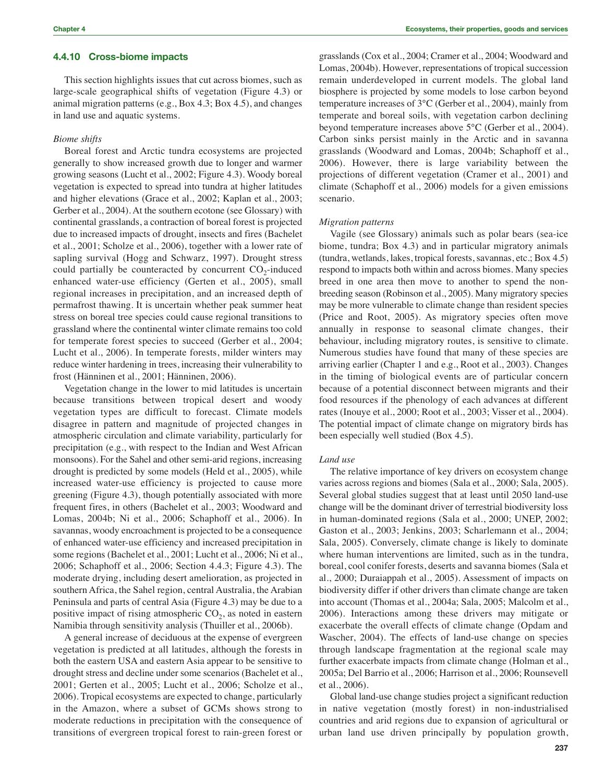#### **4.4.10 Cross-biome impacts**

This section highlights issues that cut across biomes, such as large-scale geographical shifts of vegetation (Figure 4.3) or animal migration patterns (e.g., Box 4.3; Box 4.5), and changes in land use and aquatic systems.

#### *Biome shifts*

Boreal forest and Arctic tundra ecosystems are projected generally to show increased growth due to longer and warmer growing seasons (Lucht et al., 2002; Figure 4.3). Woody boreal vegetation is expected to spread into tundra at higher latitudes and higher elevations (Grace et al., 2002; Kaplan et al., 2003; Gerber et al., 2004). At the southern ecotone (see Glossary) with continental grasslands, a contraction of boreal forest is projected due to increased impacts of drought, insects and fires (Bachelet et al., 2001; Scholze et al., 2006), together with a lower rate of sapling survival (Hogg and Schwarz, 1997). Drought stress could partially be counteracted by concurrent  $CO<sub>2</sub>$ -induced enhanced water-use efficiency (Gerten et al., 2005), small regional increases in precipitation, and an increased depth of permafrost thawing. It is uncertain whether peak summer heat stress on boreal tree species could cause regional transitions to grassland where the continental winter climate remains too cold for temperate forest species to succeed (Gerber et al., 2004; Lucht et al., 2006). In temperate forests, milder winters may reduce winter hardening in trees, increasing their vulnerability to frost (Hänninen et al., 2001; Hänninen, 2006).

Vegetation change in the lower to mid latitudes is uncertain because transitions between tropical desert and woody vegetation types are difficult to forecast. Climate models disagree in pattern and magnitude of projected changes in atmospheric circulation and climate variability, particularly for precipitation (e.g., with respect to the Indian and West African monsoons). For the Sahel and other semi-arid regions, increasing drought is predicted by some models (Held et al., 2005), while increased water-use efficiency is projected to cause more greening (Figure 4.3), though potentially associated with more frequent fires, in others (Bachelet et al., 2003; Woodward and Lomas, 2004b; Ni et al., 2006; Schaphoff et al., 2006). In savannas, woody encroachment is projected to be a consequence of enhanced water-use efficiency and increased precipitation in some regions (Bachelet et al., 2001; Lucht et al., 2006; Ni et al., 2006; Schaphoff et al., 2006; Section 4.4.3; Figure 4.3). The moderate drying, including desert amelioration, as projected in southern Africa, the Sahel region, central Australia, the Arabian Peninsula and parts of central Asia (Figure 4.3) may be due to a positive impact of rising atmospheric  $CO<sub>2</sub>$ , as noted in eastern Namibia through sensitivity analysis (Thuiller et al., 2006b).

A general increase of deciduous at the expense of evergreen vegetation is predicted at all latitudes, although the forests in both the eastern USA and eastern Asia appear to be sensitive to drought stress and decline under some scenarios (Bachelet et al., 2001; Gerten et al., 2005; Lucht et al., 2006; Scholze et al., 2006). Tropical ecosystems are expected to change, particularly in the Amazon, where a subset of GCMs shows strong to moderate reductions in precipitation with the consequence of transitions of evergreen tropical forest to rain-green forest or

grasslands (Cox et al., 2004; Cramer et al., 2004; Woodward and Lomas, 2004b). However, representations of tropical succession remain underdeveloped in current models. The global land biosphere is projected by some models to lose carbon beyond temperature increases of 3°C (Gerber et al., 2004), mainly from temperate and boreal soils, with vegetation carbon declining beyond temperature increases above 5°C (Gerber et al., 2004). Carbon sinks persist mainly in the Arctic and in savanna grasslands (Woodward and Lomas, 2004b; Schaphoff et al., 2006). However, there is large variability between the projections of different vegetation (Cramer et al., 2001) and climate (Schaphoff et al., 2006) models for a given emissions scenario.

#### *Migration patterns*

Vagile (see Glossary) animals such as polar bears (sea-ice biome, tundra; Box 4.3) and in particular migratory animals (tundra, wetlands, lakes, tropical forests, savannas, etc.; Box 4.5) respond to impacts both within and across biomes. Many species breed in one area then move to another to spend the nonbreeding season (Robinson et al., 2005). Many migratory species may be more vulnerable to climate change than resident species (Price and Root, 2005). As migratory species often move annually in response to seasonal climate changes, their behaviour, including migratory routes, is sensitive to climate. Numerous studies have found that many of these species are arriving earlier (Chapter 1 and e.g., Root et al., 2003). Changes in the timing of biological events are of particular concern because of a potential disconnect between migrants and their food resources if the phenology of each advances at different rates (Inouye et al., 2000; Root et al., 2003; Visser et al., 2004). The potential impact of climate change on migratory birds has been especially well studied (Box 4.5).

#### *Land use*

The relative importance of key drivers on ecosystem change varies across regions and biomes (Sala et al., 2000; Sala, 2005). Several global studies suggest that at least until 2050 land-use change will be the dominant driver of terrestrial biodiversity loss in human-dominated regions (Sala et al., 2000; UNEP, 2002; Gaston et al., 2003; Jenkins, 2003; Scharlemann et al., 2004; Sala, 2005). Conversely, climate change is likely to dominate where human interventions are limited, such as in the tundra, boreal, cool conifer forests, deserts and savanna biomes (Sala et al., 2000; Duraiappah et al., 2005). Assessment of impacts on biodiversity differ if other drivers than climate change are taken into account (Thomas et al., 2004a; Sala, 2005; Malcolm et al., 2006). Interactions among these drivers may mitigate or exacerbate the overall effects of climate change (Opdam and Wascher, 2004). The effects of land-use change on species through landscape fragmentation at the regional scale may further exacerbate impacts from climate change (Holman et al., 2005a; Del Barrio et al., 2006; Harrison et al., 2006; Rounsevell et al., 2006).

Global land-use change studies project a significant reduction in native vegetation (mostly forest) in non-industrialised countries and arid regions due to expansion of agricultural or urban land use driven principally by population growth,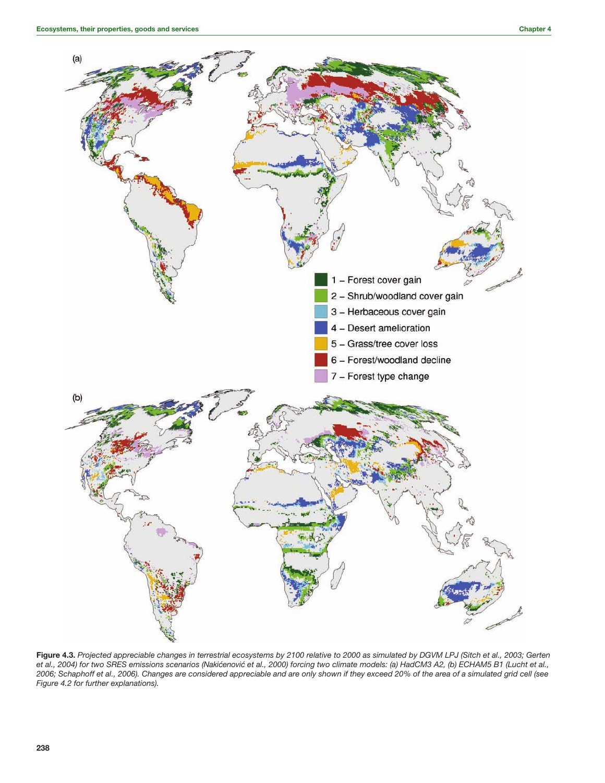

**Figure 4.3.** *Projected appreciable changes in terrestrial ecosystems by 2100 relative to 2000 as simulated by DGVM LPJ (Sitch et al., 2003; Gerten* et al., 2004) for two SRES emissions scenarios (Nakićenović et al., 2000) forcing two climate models: (a) HadCM3 A2, (b) ECHAM5 B1 (Lucht et al., *2006; Schaphoff et al., 2006). Changes are considered appreciable and are only shown if they exceed 20% of the area of a simulated grid cell (see Figure 4.2 for further explanations).*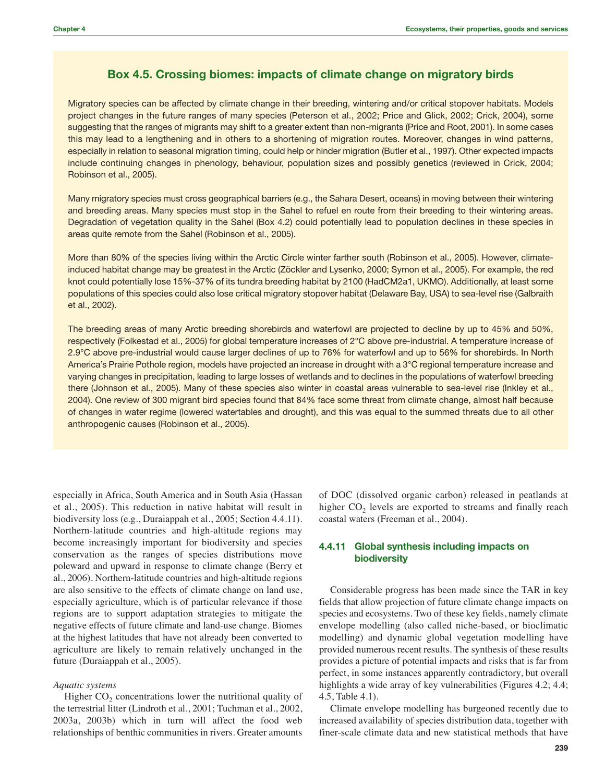# **Box 4.5. Crossing biomes: impacts of climate change on migratory birds**

Migratory species can be affected by climate change in their breeding, wintering and/or critical stopover habitats. Models project changes in the future ranges of many species (Peterson et al., 2002; Price and Glick, 2002; Crick, 2004), some suggesting that the ranges of migrants may shift to a greater extent than non-migrants (Price and Root, 2001). In some cases this may lead to a lengthening and in others to a shortening of migration routes. Moreover, changes in wind patterns, especially in relation to seasonal migration timing, could help or hinder migration (Butler et al., 1997). Other expected impacts include continuing changes in phenology, behaviour, population sizes and possibly genetics (reviewed in Crick, 2004; Robinson et al., 2005).

Many migratory species must cross geographical barriers (e.g., the Sahara Desert, oceans) in moving between their wintering and breeding areas. Many species must stop in the Sahel to refuel en route from their breeding to their wintering areas. Degradation of vegetation quality in the Sahel (Box 4.2) could potentially lead to population declines in these species in areas quite remote from the Sahel (Robinson et al., 2005).

More than 80% of the species living within the Arctic Circle winter farther south (Robinson et al., 2005). However, climateinduced habitat change may be greatest in the Arctic (Zöckler and Lysenko, 2000; Symon et al., 2005). For example, the red knot could potentially lose 15%-37% of its tundra breeding habitat by 2100 (HadCM2a1, UKMO). Additionally, at least some populations of this species could also lose critical migratory stopover habitat (Delaware Bay, USA) to sea-level rise (Galbraith et al., 2002).

The breeding areas of many Arctic breeding shorebirds and waterfowl are projected to decline by up to 45% and 50%, respectively (Folkestad et al., 2005) for global temperature increases of 2°C above pre-industrial. A temperature increase of 2.9°C above pre-industrial would cause larger declines of up to 76% for waterfowl and up to 56% for shorebirds. In North America's Prairie Pothole region, models have projected an increase in drought with a 3°C regional temperature increase and varying changes in precipitation, leading to large losses of wetlands and to declines in the populations of waterfowl breeding there (Johnson et al., 2005). Many of these species also winter in coastal areas vulnerable to sea-level rise (Inkley et al., 2004). One review of 300 migrant bird species found that 84% face some threat from climate change, almost half because of changes in water regime (lowered watertables and drought), and this was equal to the summed threats due to all other anthropogenic causes (Robinson et al., 2005).

especially in Africa, South America and in South Asia (Hassan et al., 2005). This reduction in native habitat will result in biodiversity loss (e.g., Duraiappah et al., 2005; Section 4.4.11). Northern-latitude countries and high-altitude regions may become increasingly important for biodiversity and species conservation as the ranges of species distributions move poleward and upward in response to climate change (Berry et al., 2006). Northern-latitude countries and high-altitude regions are also sensitive to the effects of climate change on land use, especially agriculture, which is of particular relevance if those regions are to support adaptation strategies to mitigate the negative effects of future climate and land-use change. Biomes at the highest latitudes that have not already been converted to agriculture are likely to remain relatively unchanged in the future (Duraiappah et al., 2005).

#### *Aquatic systems*

Higher  $CO<sub>2</sub>$  concentrations lower the nutritional quality of the terrestrial litter (Lindroth et al., 2001; Tuchman et al., 2002, 2003a, 2003b) which in turn will affect the food web relationships of benthic communities in rivers. Greater amounts of DOC (dissolved organic carbon) released in peatlands at higher  $CO<sub>2</sub>$  levels are exported to streams and finally reach coastal waters (Freeman et al., 2004).

# **4.4.11 Global synthesis including impacts on biodiversity**

Considerable progress has been made since the TAR in key fields that allow projection of future climate change impacts on species and ecosystems. Two of these key fields, namely climate envelope modelling (also called niche-based, or bioclimatic modelling) and dynamic global vegetation modelling have provided numerous recent results. The synthesis of these results provides a picture of potential impacts and risks that is far from perfect, in some instances apparently contradictory, but overall highlights a wide array of key vulnerabilities (Figures 4.2; 4.4; 4.5, Table 4.1).

Climate envelope modelling has burgeoned recently due to increased availability of species distribution data, together with finer-scale climate data and new statistical methods that have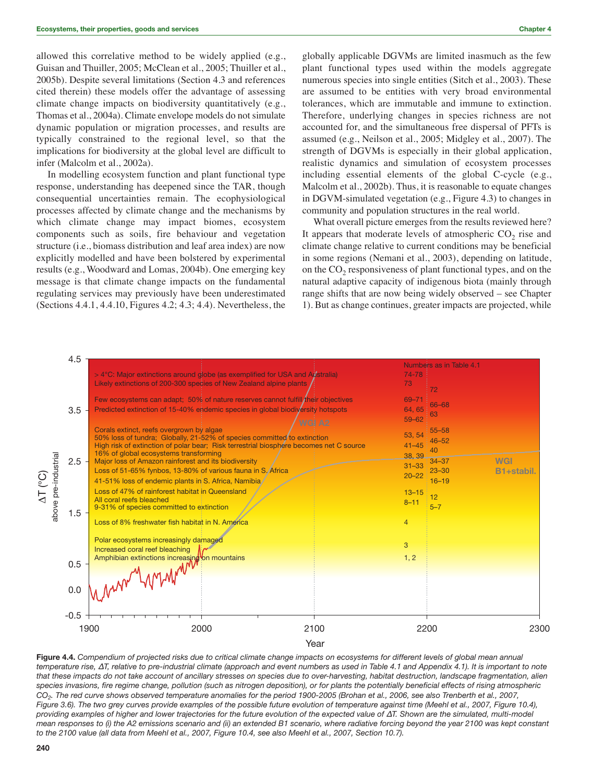allowed this correlative method to be widely applied (e.g., Guisan and Thuiller, 2005; McClean et al., 2005; Thuiller et al., 2005b). Despite several limitations (Section 4.3 and references cited therein) these models offer the advantage of assessing climate change impacts on biodiversity quantitatively (e.g., Thomas et al., 2004a). Climate envelope models do not simulate dynamic population or migration processes, and results are typically constrained to the regional level, so that the implications for biodiversity at the global level are difficult to infer (Malcolm et al., 2002a).

In modelling ecosystem function and plant functional type response, understanding has deepened since the TAR, though consequential uncertainties remain. The ecophysiological processes affected by climate change and the mechanisms by which climate change may impact biomes, ecosystem components such as soils, fire behaviour and vegetation structure (i.e., biomass distribution and leaf area index) are now explicitly modelled and have been bolstered by experimental results (e.g., Woodward and Lomas, 2004b). One emerging key message is that climate change impacts on the fundamental regulating services may previously have been underestimated (Sections 4.4.1, 4.4.10, Figures 4.2; 4.3; 4.4). Nevertheless, the globally applicable DGVMs are limited inasmuch as the few plant functional types used within the models aggregate numerous species into single entities (Sitch et al., 2003). These are assumed to be entities with very broad environmental tolerances, which are immutable and immune to extinction. Therefore, underlying changes in species richness are not accounted for, and the simultaneous free dispersal of PFTs is assumed (e.g., Neilson et al., 2005; Midgley et al., 2007). The strength of DGVMs is especially in their global application, realistic dynamics and simulation of ecosystem processes including essential elements of the global C-cycle (e.g., Malcolm et al., 2002b). Thus, it is reasonable to equate changes in DGVM-simulated vegetation (e.g., Figure 4.3) to changes in community and population structures in the real world.

What overall picture emerges from the results reviewed here? It appears that moderate levels of atmospheric  $CO<sub>2</sub>$  rise and climate change relative to current conditions may be beneficial in some regions (Nemani et al., 2003), depending on latitude, on the  $CO<sub>2</sub>$  responsiveness of plant functional types, and on the natural adaptive capacity of indigenous biota (mainly through range shifts that are now being widely observed – see Chapter 1). But as change continues, greater impacts are projected, while



**Figure 4.4.** *Compendium of projected risks due to critical climate change impacts on ecosystems for different levels of global mean annual temperature rise,* ∆*T, relative to pre-industrial climate (approach and event numbers as used in Table 4.1 and Appendix 4.1). It is important to note that these impacts do not take account of ancillary stresses on species due to over-harvesting, habitat destruction, landscape fragmentation, alien species invasions, fire regime change, pollution (such as nitrogen deposition), or for plants the potentially beneficial effects of rising atmospheric CO2. The red curve shows observed temperature anomalies for the period 1900-2005 (Brohan et al., 2006, see also Trenberth et al., 2007, Figure 3.6). The two grey curves provide examples of the possible future evolution of temperature against time (Meehl et al., 2007, Figure 10.4), providing examples of higher and lower trajectories for the future evolution of the expected value of* ∆*T. Shown are the simulated, multi-model mean responses to (i) the A2 emissions scenario and (ii) an extended B1 scenario, where radiative forcing beyond the year 2100 was kept constant to the 2100 value (all data from Meehl et al., 2007, Figure 10.4, see also Meehl et al., 2007, Section 10.7).*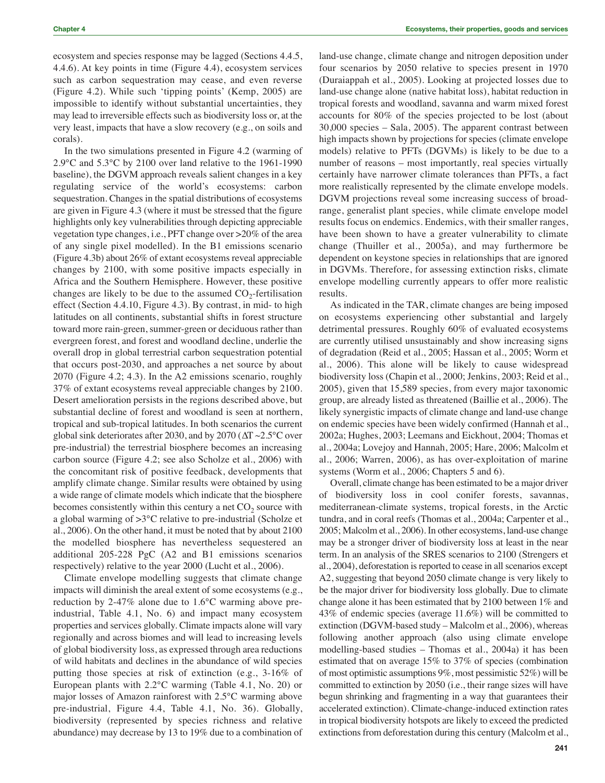ecosystem and species response may be lagged (Sections 4.4.5, 4.4.6). At key points in time (Figure 4.4), ecosystem services such as carbon sequestration may cease, and even reverse (Figure 4.2). While such 'tipping points' (Kemp, 2005) are impossible to identify without substantial uncertainties, they may lead to irreversible effects such as biodiversity loss or, at the very least, impacts that have a slow recovery (e.g., on soils and corals).

In the two simulations presented in Figure 4.2 (warming of 2.9°C and 5.3°C by 2100 over land relative to the 1961-1990 baseline), the DGVM approach reveals salient changes in a key regulating service of the world's ecosystems: carbon sequestration. Changes in the spatial distributions of ecosystems are given in Figure 4.3 (where it must be stressed that the figure highlights only key vulnerabilities through depicting appreciable vegetation type changes, i.e., PFT change over >20% of the area of any single pixel modelled). In the B1 emissions scenario (Figure 4.3b) about 26% of extant ecosystems reveal appreciable changes by 2100, with some positive impacts especially in Africa and the Southern Hemisphere. However, these positive changes are likely to be due to the assumed  $CO<sub>2</sub>$ -fertilisation effect (Section 4.4.10, Figure 4.3). By contrast, in mid- to high latitudes on all continents, substantial shifts in forest structure toward more rain-green, summer-green or deciduous rather than evergreen forest, and forest and woodland decline, underlie the overall drop in global terrestrial carbon sequestration potential that occurs post-2030, and approaches a net source by about 2070 (Figure 4.2; 4.3). In the A2 emissions scenario, roughly 37% of extant ecosystems reveal appreciable changes by 2100. Desert amelioration persists in the regions described above, but substantial decline of forest and woodland is seen at northern, tropical and sub-tropical latitudes. In both scenarios the current global sink deteriorates after 2030, and by 2070 (∆T ~2.5°C over pre-industrial) the terrestrial biosphere becomes an increasing carbon source (Figure 4.2; see also Scholze et al., 2006) with the concomitant risk of positive feedback, developments that amplify climate change. Similar results were obtained by using a wide range of climate models which indicate that the biosphere becomes consistently within this century a net  $CO<sub>2</sub>$  source with a global warming of >3°C relative to pre-industrial (Scholze et al., 2006). On the other hand, it must be noted that by about 2100 the modelled biosphere has nevertheless sequestered an additional 205-228 PgC (A2 and B1 emissions scenarios respectively) relative to the year 2000 (Lucht et al., 2006).

Climate envelope modelling suggests that climate change impacts will diminish the areal extent of some ecosystems (e.g., reduction by 2-47% alone due to 1.6°C warming above preindustrial, Table 4.1, No. 6) and impact many ecosystem properties and services globally. Climate impacts alone will vary regionally and across biomes and will lead to increasing levels of global biodiversity loss, as expressed through area reductions of wild habitats and declines in the abundance of wild species putting those species at risk of extinction (e.g., 3-16% of European plants with 2.2°C warming (Table 4.1, No. 20) or major losses of Amazon rainforest with 2.5°C warming above pre-industrial, Figure 4.4, Table 4.1, No. 36). Globally, biodiversity (represented by species richness and relative abundance) may decrease by 13 to 19% due to a combination of

land-use change, climate change and nitrogen deposition under four scenarios by 2050 relative to species present in 1970 (Duraiappah et al., 2005). Looking at projected losses due to land-use change alone (native habitat loss), habitat reduction in tropical forests and woodland, savanna and warm mixed forest accounts for 80% of the species projected to be lost (about 30,000 species – Sala, 2005). The apparent contrast between high impacts shown by projections for species (climate envelope models) relative to PFTs (DGVMs) is likely to be due to a number of reasons – most importantly, real species virtually certainly have narrower climate tolerances than PFTs, a fact more realistically represented by the climate envelope models. DGVM projections reveal some increasing success of broadrange, generalist plant species, while climate envelope model results focus on endemics. Endemics, with their smaller ranges, have been shown to have a greater vulnerability to climate change (Thuiller et al., 2005a), and may furthermore be dependent on keystone species in relationships that are ignored in DGVMs. Therefore, for assessing extinction risks, climate envelope modelling currently appears to offer more realistic results.

As indicated in the TAR, climate changes are being imposed on ecosystems experiencing other substantial and largely detrimental pressures. Roughly 60% of evaluated ecosystems are currently utilised unsustainably and show increasing signs of degradation (Reid et al., 2005; Hassan et al., 2005; Worm et al., 2006). This alone will be likely to cause widespread biodiversity loss (Chapin et al., 2000; Jenkins, 2003; Reid et al., 2005), given that 15,589 species, from every major taxonomic group, are already listed as threatened (Baillie et al., 2006). The likely synergistic impacts of climate change and land-use change on endemic species have been widely confirmed (Hannah et al., 2002a; Hughes, 2003; Leemans and Eickhout, 2004; Thomas et al., 2004a; Lovejoy and Hannah, 2005; Hare, 2006; Malcolm et al., 2006; Warren, 2006), as has over-exploitation of marine systems (Worm et al., 2006; Chapters 5 and 6).

Overall, climate change has been estimated to be a major driver of biodiversity loss in cool conifer forests, savannas, mediterranean-climate systems, tropical forests, in the Arctic tundra, and in coral reefs (Thomas et al., 2004a; Carpenter et al., 2005; Malcolm et al., 2006). In other ecosystems, land-use change may be a stronger driver of biodiversity loss at least in the near term. In an analysis of the SRES scenarios to 2100 (Strengers et al., 2004), deforestation is reported to cease in all scenarios except A2, suggesting that beyond 2050 climate change is very likely to be the major driver for biodiversity loss globally. Due to climate change alone it has been estimated that by 2100 between 1% and 43% of endemic species (average 11.6%) will be committed to extinction (DGVM-based study – Malcolm et al., 2006), whereas following another approach (also using climate envelope modelling-based studies – Thomas et al., 2004a) it has been estimated that on average 15% to 37% of species (combination of most optimistic assumptions 9%, most pessimistic 52%) will be committed to extinction by 2050 (i.e., their range sizes will have begun shrinking and fragmenting in a way that guarantees their accelerated extinction). Climate-change-induced extinction rates in tropical biodiversity hotspots are likely to exceed the predicted extinctions from deforestation during this century (Malcolm et al.,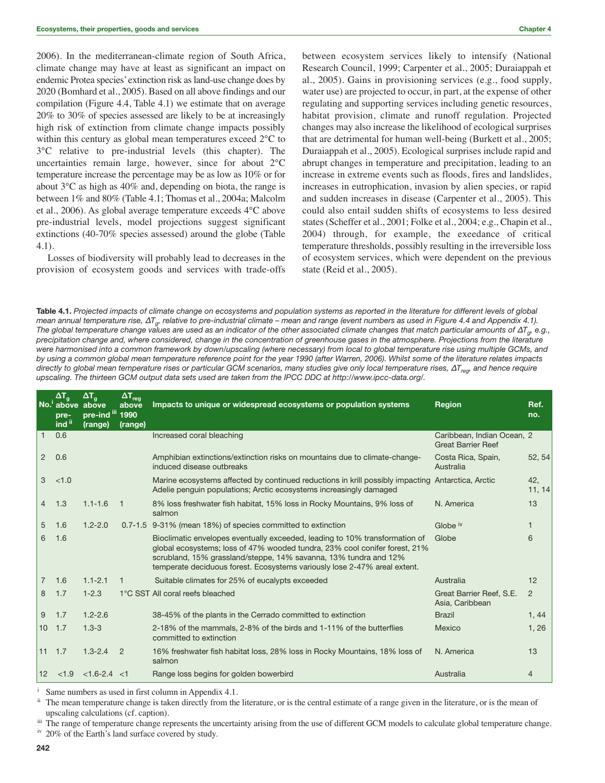2006). In the mediterranean-climate region of South Africa, climate change may have at least as significant an impact on endemic Protea species'extinction risk as land-use change does by 2020 (Bomhard et al., 2005). Based on all above findings and our compilation (Figure 4.4, Table 4.1) we estimate that on average 20% to 30% of species assessed are likely to be at increasingly high risk of extinction from climate change impacts possibly within this century as global mean temperatures exceed  $2^{\circ}C$  to 3°C relative to pre-industrial levels (this chapter). The uncertainties remain large, however, since for about 2°C temperature increase the percentage may be as low as 10% or for about 3°C as high as 40% and, depending on biota, the range is between 1% and 80% (Table 4.1; Thomas et al., 2004a; Malcolm et al., 2006). As global average temperature exceeds 4°C above pre-industrial levels, model projections suggest significant extinctions (40-70% species assessed) around the globe (Table 4.1).

Losses of biodiversity will probably lead to decreases in the provision of ecosystem goods and services with trade-offs between ecosystem services likely to intensify (National Research Council, 1999; Carpenter et al., 2005; Duraiappah et al., 2005). Gains in provisioning services (e.g., food supply, water use) are projected to occur, in part, at the expense of other regulating and supporting services including genetic resources, habitat provision, climate and runoff regulation. Projected changes may also increase the likelihood of ecological surprises that are detrimental for human well-being (Burkett et al., 2005; Duraiappah et al., 2005). Ecological surprises include rapid and abrupt changes in temperature and precipitation, leading to an increase in extreme events such as floods, fires and landslides, increases in eutrophication, invasion by alien species, or rapid and sudden increases in disease (Carpenter et al., 2005). This could also entail sudden shifts of ecosystems to less desired states (Scheffer et al., 2001; Folke et al., 2004; e.g., Chapin et al., 2004) through, for example, the exeedance of critical temperature thresholds, possibly resulting in the irreversible loss of ecosystem services, which were dependent on the previous state (Reid et al., 2005).

**Table 4.1.** *Projected impacts of climate change on ecosystems and population systems as reported in the literature for different levels of global mean annual temperature rise,* <sup>∆</sup>*Tg, relative to pre-industrial climate – mean and range (event numbers as used in Figure 4.4 and Appendix 4.1). The global temperature change values are used as an indicator of the other associated climate changes that match particular amounts of* <sup>∆</sup>*Tg, e.g., precipitation change and, where considered, change in the concentration of greenhouse gases in the atmosphere. Projections from the literature were harmonised into a common framework by down/upscaling (where necessary) from local to global temperature rise using multiple GCMs, and by using a common global mean temperature reference point for the year 1990 (after Warren, 2006). Whilst some of the literature relates impacts directly to global mean temperature rises or particular GCM scenarios, many studies give only local temperature rises,* <sup>∆</sup>*Treg, and hence require upscaling. The thirteen GCM output data sets used are taken from the IPCC DDC at http://www.ipcc-data.org/.*

|                | $\Delta T_{q}$<br>No. above above<br>pre-<br>ind ii | $\Delta T_{\alpha}$<br>pre-ind iii 1990<br>(range) | $\Delta T_{reg}$<br>above<br>(range) | Impacts to unique or widespread ecosystems or population systems                                                                                                                                                                                                                                           | <b>Region</b>                                           | Ref.<br>no.    |
|----------------|-----------------------------------------------------|----------------------------------------------------|--------------------------------------|------------------------------------------------------------------------------------------------------------------------------------------------------------------------------------------------------------------------------------------------------------------------------------------------------------|---------------------------------------------------------|----------------|
|                | 0.6                                                 |                                                    |                                      | Increased coral bleaching                                                                                                                                                                                                                                                                                  | Caribbean, Indian Ocean, 2<br><b>Great Barrier Reef</b> |                |
| $\overline{2}$ | 0.6                                                 |                                                    |                                      | Amphibian extinctions/extinction risks on mountains due to climate-change-<br>induced disease outbreaks                                                                                                                                                                                                    | Costa Rica, Spain,<br>Australia                         | 52, 54         |
| 3              | < 1.0                                               |                                                    |                                      | Marine ecosystems affected by continued reductions in krill possibly impacting Antarctica, Arctic<br>Adelie penguin populations; Arctic ecosystems increasingly damaged                                                                                                                                    |                                                         | 42,<br>11, 14  |
| 4              | 1.3                                                 | $1.1 - 1.6$                                        |                                      | 8% loss freshwater fish habitat, 15% loss in Rocky Mountains, 9% loss of<br>salmon                                                                                                                                                                                                                         | N. America                                              | 13             |
| 5              | 1.6                                                 | $1.2 - 2.0$                                        |                                      | 0.7-1.5 9-31% (mean 18%) of species committed to extinction                                                                                                                                                                                                                                                | Globe iv                                                | 1              |
| 6              | 1.6                                                 |                                                    |                                      | Bioclimatic envelopes eventually exceeded, leading to 10% transformation of<br>global ecosystems; loss of 47% wooded tundra, 23% cool conifer forest, 21%<br>scrubland, 15% grassland/steppe, 14% savanna, 13% tundra and 12%<br>temperate deciduous forest. Ecosystems variously lose 2-47% areal extent. | Globe                                                   | 6              |
| $\overline{7}$ | 1.6                                                 | $1.1 - 2.1$                                        | $\mathbf{1}$                         | Suitable climates for 25% of eucalypts exceeded                                                                                                                                                                                                                                                            | Australia                                               | 12             |
| 8              | 1.7                                                 | $1 - 2.3$                                          |                                      | 1°C SST All coral reefs bleached                                                                                                                                                                                                                                                                           | Great Barrier Reef, S.E.<br>Asia, Caribbean             | $\overline{2}$ |
| 9              | 1.7                                                 | $1.2 - 2.6$                                        |                                      | 38-45% of the plants in the Cerrado committed to extinction                                                                                                                                                                                                                                                | <b>Brazil</b>                                           | 1, 44          |
| 10             | 1.7                                                 | $1.3 - 3$                                          |                                      | 2-18% of the mammals, 2-8% of the birds and 1-11% of the butterflies<br>committed to extinction                                                                                                                                                                                                            | Mexico                                                  | 1,26           |
| 11             | 1.7                                                 | $1.3 - 2.4$                                        | $\overline{2}$                       | 16% freshwater fish habitat loss, 28% loss in Rocky Mountains, 18% loss of<br>salmon                                                                                                                                                                                                                       | N. America                                              | 13             |
| 12             | < 1.9                                               | $< 1.6 - 2.4 < 1$                                  |                                      | Range loss begins for golden bowerbird                                                                                                                                                                                                                                                                     | Australia                                               | 4              |

<sup>i</sup> Same numbers as used in first column in Appendix 4.1.<br>
<sup>ii</sup> The mean temperature abongs is taken directly from the

The mean temperature change is taken directly from the literature, or is the central estimate of a range given in the literature, or is the mean of upscaling calculations (cf. caption).

iii The range of temperature change represents the uncertainty arising from the use of different GCM models to calculate global temperature change.

<sup>iv</sup> 20% of the Earth's land surface covered by study.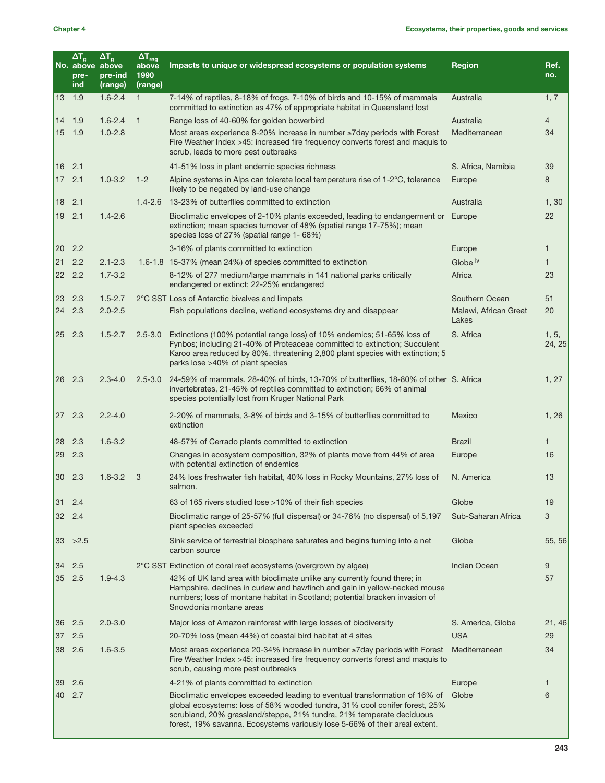|             | $\Delta T_g$<br>No. above above<br>pre-<br>ind | $\Delta T_{q}$<br>pre-ind<br>(range) | $\Delta T_{reg}$<br>above<br>1990<br>(range) | Impacts to unique or widespread ecosystems or population systems                                                                                                                                                                                                                                                 | <b>Region</b>                  | Ref.<br>no.     |
|-------------|------------------------------------------------|--------------------------------------|----------------------------------------------|------------------------------------------------------------------------------------------------------------------------------------------------------------------------------------------------------------------------------------------------------------------------------------------------------------------|--------------------------------|-----------------|
|             | 13 1.9                                         | $1.6 - 2.4$                          | $\mathbf{1}$                                 | 7-14% of reptiles, 8-18% of frogs, 7-10% of birds and 10-15% of mammals<br>committed to extinction as 47% of appropriate habitat in Queensland lost                                                                                                                                                              | Australia                      | 1, 7            |
|             | $14$ 1.9                                       | $1.6 - 2.4$                          | $\mathbf{1}$                                 | Range loss of 40-60% for golden bowerbird                                                                                                                                                                                                                                                                        | Australia                      | 4               |
|             | $15$ 1.9                                       | $1.0 - 2.8$                          |                                              | Most areas experience 8-20% increase in number ≥7day periods with Forest<br>Fire Weather Index >45: increased fire frequency converts forest and maquis to<br>scrub, leads to more pest outbreaks                                                                                                                | Mediterranean                  | 34              |
| $16$ 2.1    |                                                |                                      |                                              | 41-51% loss in plant endemic species richness                                                                                                                                                                                                                                                                    | S. Africa, Namibia             | 39              |
| 172.1       |                                                | $1.0 - 3.2$                          | $1 - 2$                                      | Alpine systems in Alps can tolerate local temperature rise of 1-2°C, tolerance<br>likely to be negated by land-use change                                                                                                                                                                                        | Europe                         | 8               |
| $18$ 2.1    |                                                |                                      | $1.4 - 2.6$                                  | 13-23% of butterflies committed to extinction                                                                                                                                                                                                                                                                    | Australia                      | 1, 30           |
| $19$ 2.1    |                                                | $1.4 - 2.6$                          |                                              | Bioclimatic envelopes of 2-10% plants exceeded, leading to endangerment or<br>extinction; mean species turnover of 48% (spatial range 17-75%); mean<br>species loss of 27% (spatial range 1-68%)                                                                                                                 | Europe                         | 22              |
|             | 20 2.2                                         |                                      |                                              | 3-16% of plants committed to extinction                                                                                                                                                                                                                                                                          | Europe                         | 1               |
| 21          | 2.2                                            | $2.1 - 2.3$                          |                                              | 1.6-1.8 15-37% (mean 24%) of species committed to extinction                                                                                                                                                                                                                                                     | Globe iv                       | 1               |
| 22 2.2      |                                                | $1.7 - 3.2$                          |                                              | 8-12% of 277 medium/large mammals in 141 national parks critically<br>endangered or extinct; 22-25% endangered                                                                                                                                                                                                   | Africa                         | 23              |
| 23          | 2.3                                            | $1.5 - 2.7$                          |                                              | 2°C SST Loss of Antarctic bivalves and limpets                                                                                                                                                                                                                                                                   | Southern Ocean                 | 51              |
|             | 24 2.3                                         | $2.0 - 2.5$                          |                                              | Fish populations decline, wetland ecosystems dry and disappear                                                                                                                                                                                                                                                   | Malawi, African Great<br>Lakes | 20              |
| $ 25 \t2.3$ |                                                | $1.5 - 2.7$                          | $2.5 - 3.0$                                  | Extinctions (100% potential range loss) of 10% endemics; 51-65% loss of<br>Fynbos; including 21-40% of Proteaceae committed to extinction; Succulent<br>Karoo area reduced by 80%, threatening 2,800 plant species with extinction; 5<br>parks lose >40% of plant species                                        | S. Africa                      | 1, 5,<br>24, 25 |
| 26 2.3      |                                                | $2.3 - 4.0$                          | $2.5 - 3.0$                                  | 24-59% of mammals, 28-40% of birds, 13-70% of butterflies, 18-80% of other S. Africa<br>invertebrates, 21-45% of reptiles committed to extinction; 66% of animal<br>species potentially lost from Kruger National Park                                                                                           |                                | 1, 27           |
| $ 27 \t2.3$ |                                                | $2.2 - 4.0$                          |                                              | 2-20% of mammals, 3-8% of birds and 3-15% of butterflies committed to<br>extinction                                                                                                                                                                                                                              | Mexico                         | 1, 26           |
| $ 28 \t2.3$ |                                                | $1.6 - 3.2$                          |                                              | 48-57% of Cerrado plants committed to extinction                                                                                                                                                                                                                                                                 | <b>Brazil</b>                  | 1               |
| 29          | 2.3                                            |                                      |                                              | Changes in ecosystem composition, 32% of plants move from 44% of area<br>with potential extinction of endemics                                                                                                                                                                                                   | Europe                         | 16              |
|             | 30 2.3                                         | $1.6 - 3.2$                          | 3                                            | 24% loss freshwater fish habitat, 40% loss in Rocky Mountains, 27% loss of<br>salmon.                                                                                                                                                                                                                            | N. America                     | 13              |
| $ 31 \t2.4$ |                                                |                                      |                                              | 63 of 165 rivers studied lose >10% of their fish species                                                                                                                                                                                                                                                         | Globe                          | 19              |
| 32 2.4      |                                                |                                      |                                              | Bioclimatic range of 25-57% (full dispersal) or 34-76% (no dispersal) of 5,197<br>plant species exceeded                                                                                                                                                                                                         | Sub-Saharan Africa             | 3               |
|             | $ 33 \rangle >2.5$                             |                                      |                                              | Sink service of terrestrial biosphere saturates and begins turning into a net<br>carbon source                                                                                                                                                                                                                   | Globe                          | 55, 56          |
| 34          | 2.5                                            |                                      |                                              | 2°C SST Extinction of coral reef ecosystems (overgrown by algae)                                                                                                                                                                                                                                                 | <b>Indian Ocean</b>            | 9               |
| $ 35 \t2.5$ |                                                | $1.9 - 4.3$                          |                                              | 42% of UK land area with bioclimate unlike any currently found there; in<br>Hampshire, declines in curlew and hawfinch and gain in yellow-necked mouse<br>numbers; loss of montane habitat in Scotland; potential bracken invasion of<br>Snowdonia montane areas                                                 |                                | 57              |
| 36 2.5      |                                                | $2.0 - 3.0$                          |                                              | Major loss of Amazon rainforest with large losses of biodiversity                                                                                                                                                                                                                                                | S. America, Globe              | 21, 46          |
| 37          | 2.5                                            |                                      |                                              | 20-70% loss (mean 44%) of coastal bird habitat at 4 sites                                                                                                                                                                                                                                                        | <b>USA</b>                     | 29              |
|             | 38 2.6                                         | $1.6 - 3.5$                          |                                              | Most areas experience 20-34% increase in number ≥7day periods with Forest<br>Fire Weather Index >45: increased fire frequency converts forest and maquis to<br>scrub, causing more pest outbreaks                                                                                                                | Mediterranean                  | 34              |
| $ 39 \t2.6$ |                                                |                                      |                                              | 4-21% of plants committed to extinction                                                                                                                                                                                                                                                                          | Europe                         | 1               |
| 40 2.7      |                                                |                                      |                                              | Bioclimatic envelopes exceeded leading to eventual transformation of 16% of<br>global ecosystems: loss of 58% wooded tundra, 31% cool conifer forest, 25%<br>scrubland, 20% grassland/steppe, 21% tundra, 21% temperate deciduous<br>forest, 19% savanna. Ecosystems variously lose 5-66% of their areal extent. | Globe                          | 6               |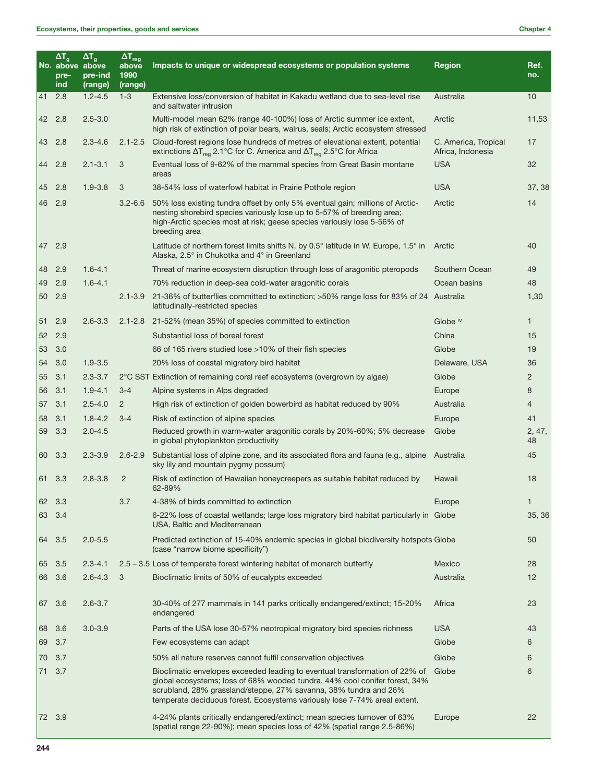|    | $\Delta$ T $_{\alpha}$<br>No. above above<br>pre-<br>ind | $\Delta T_{q}$<br>pre-ind<br>(range) | $\Delta T_{reg}$<br>above<br>1990<br>(range) | Impacts to unique or widespread ecosystems or population systems                                                                                                                                                                                                                                           | <b>Region</b>                             | Ref.<br>no.    |
|----|----------------------------------------------------------|--------------------------------------|----------------------------------------------|------------------------------------------------------------------------------------------------------------------------------------------------------------------------------------------------------------------------------------------------------------------------------------------------------------|-------------------------------------------|----------------|
| 41 | 2.8                                                      | $1.2 - 4.5$                          | $1 - 3$                                      | Extensive loss/conversion of habitat in Kakadu wetland due to sea-level rise<br>and saltwater intrusion                                                                                                                                                                                                    | Australia                                 | 10             |
| 42 | 2.8                                                      | $2.5 - 3.0$                          |                                              | Multi-model mean 62% (range 40-100%) loss of Arctic summer ice extent,<br>high risk of extinction of polar bears, walrus, seals; Arctic ecosystem stressed                                                                                                                                                 | Arctic                                    | 11,53          |
|    | 43 2.8                                                   | $2.3 - 4.6$                          | $2.1 - 2.5$                                  | Cloud-forest regions lose hundreds of metres of elevational extent, potential<br>extinctions $\Delta T_{\text{req}}$ 2.1°C for C. America and $\Delta T_{\text{req}}$ 2.5°C for Africa                                                                                                                     | C. America, Tropical<br>Africa, Indonesia | 17             |
| 44 | 2.8                                                      | $2.1 - 3.1$                          | 3                                            | Eventual loss of 9-62% of the mammal species from Great Basin montane<br>areas                                                                                                                                                                                                                             | <b>USA</b>                                | 32             |
| 45 | 2.8                                                      | $1.9 - 3.8$                          | 3                                            | 38-54% loss of waterfowl habitat in Prairie Pothole region                                                                                                                                                                                                                                                 | <b>USA</b>                                | 37, 38         |
| 46 | 2.9                                                      |                                      | $3.2 - 6.6$                                  | 50% loss existing tundra offset by only 5% eventual gain; millions of Arctic-<br>nesting shorebird species variously lose up to 5-57% of breeding area;<br>high-Arctic species most at risk; geese species variously lose 5-56% of<br>breeding area                                                        | Arctic                                    | 14             |
|    | 47 2.9                                                   |                                      |                                              | Latitude of northern forest limits shifts N. by 0.5° latitude in W. Europe, 1.5° in Arctic<br>Alaska, 2.5° in Chukotka and 4° in Greenland                                                                                                                                                                 |                                           | 40             |
| 48 | 2.9                                                      | $1.6 - 4.1$                          |                                              | Threat of marine ecosystem disruption through loss of aragonitic pteropods                                                                                                                                                                                                                                 | Southern Ocean                            | 49             |
| 49 | 2.9                                                      | $1.6 - 4.1$                          |                                              | 70% reduction in deep-sea cold-water aragonitic corals                                                                                                                                                                                                                                                     | Ocean basins                              | 48             |
| 50 | 2.9                                                      |                                      |                                              | 2.1-3.9 21-36% of butterflies committed to extinction; >50% range loss for 83% of 24 Australia<br>latitudinally-restricted species                                                                                                                                                                         |                                           | 1,30           |
| 51 | 2.9                                                      | $2.6 - 3.3$                          |                                              | 2.1-2.8 21-52% (mean 35%) of species committed to extinction                                                                                                                                                                                                                                               | Globe iv                                  | 1              |
| 52 | 2.9                                                      |                                      |                                              | Substantial loss of boreal forest                                                                                                                                                                                                                                                                          | China                                     | 15             |
| 53 | 3.0                                                      |                                      |                                              | 66 of 165 rivers studied lose >10% of their fish species                                                                                                                                                                                                                                                   | Globe                                     | 19             |
| 54 | 3.0                                                      | $1.9 - 3.5$                          |                                              | 20% loss of coastal migratory bird habitat                                                                                                                                                                                                                                                                 | Delaware, USA                             | 36             |
| 55 | 3.1                                                      | $2.3 - 3.7$                          |                                              | 2°C SST Extinction of remaining coral reef ecosystems (overgrown by algae)                                                                                                                                                                                                                                 | Globe                                     | 2              |
| 56 | 3.1                                                      | $1.9 - 4.1$                          | $3 - 4$                                      | Alpine systems in Alps degraded                                                                                                                                                                                                                                                                            | Europe                                    | 8              |
| 57 | 3.1                                                      | $2.5 - 4.0$                          | $\overline{2}$                               | High risk of extinction of golden bowerbird as habitat reduced by 90%                                                                                                                                                                                                                                      | Australia                                 | $\overline{4}$ |
| 58 | 3.1                                                      | $1.8 - 4.2$                          | $3 - 4$                                      | Risk of extinction of alpine species                                                                                                                                                                                                                                                                       | Europe                                    | 41             |
| 59 | 3.3                                                      | $2.0 - 4.5$                          |                                              | Reduced growth in warm-water aragonitic corals by 20%-60%; 5% decrease<br>in global phytoplankton productivity                                                                                                                                                                                             | Globe                                     | 2, 47,<br>48   |
| 60 | 3.3                                                      | $2.3 - 3.9$                          | $2.6 - 2.9$                                  | Substantial loss of alpine zone, and its associated flora and fauna (e.g., alpine<br>sky lily and mountain pygmy possum)                                                                                                                                                                                   | Australia                                 | 45             |
| 61 | 3.3                                                      | $2.8 - 3.8$                          | 2                                            | Risk of extinction of Hawaiian honeycreepers as suitable habitat reduced by<br>62-89%                                                                                                                                                                                                                      | Hawaii                                    | 18             |
| 62 | 3.3                                                      |                                      | 3.7                                          | 4-38% of birds committed to extinction                                                                                                                                                                                                                                                                     | Europe                                    | $\mathbf{1}$   |
|    | 63 3.4                                                   |                                      |                                              | 6-22% loss of coastal wetlands; large loss migratory bird habitat particularly in Globe<br>USA, Baltic and Mediterranean                                                                                                                                                                                   |                                           | 35, 36         |
| 64 | 3.5                                                      | $2.0 - 5.5$                          |                                              | Predicted extinction of 15-40% endemic species in global biodiversity hotspots Globe<br>(case "narrow biome specificity")                                                                                                                                                                                  |                                           | 50             |
| 65 | 3.5                                                      | $2.3 - 4.1$                          |                                              | 2.5 – 3.5 Loss of temperate forest wintering habitat of monarch butterfly                                                                                                                                                                                                                                  | Mexico                                    | 28             |
|    | 66 3.6                                                   | $2.6 - 4.3$                          | 3                                            | Bioclimatic limits of 50% of eucalypts exceeded                                                                                                                                                                                                                                                            | Australia                                 | 12             |
|    | 67 3.6                                                   | $2.6 - 3.7$                          |                                              | 30-40% of 277 mammals in 141 parks critically endangered/extinct; 15-20%<br>endangered                                                                                                                                                                                                                     | Africa                                    | 23             |
| 68 | 3.6                                                      | $3.0 - 3.9$                          |                                              | Parts of the USA lose 30-57% neotropical migratory bird species richness                                                                                                                                                                                                                                   | <b>USA</b>                                | 43             |
| 69 | 3.7                                                      |                                      |                                              | Few ecosystems can adapt                                                                                                                                                                                                                                                                                   | Globe                                     | 6              |
| 70 | 3.7                                                      |                                      |                                              | 50% all nature reserves cannot fulfil conservation objectives                                                                                                                                                                                                                                              | Globe                                     | 6              |
| 71 | 3.7                                                      |                                      |                                              | Bioclimatic envelopes exceeded leading to eventual transformation of 22% of<br>global ecosystems; loss of 68% wooded tundra, 44% cool conifer forest, 34%<br>scrubland, 28% grassland/steppe, 27% savanna, 38% tundra and 26%<br>temperate deciduous forest. Ecosystems variously lose 7-74% areal extent. | Globe                                     | 6              |
|    | 72 3.9                                                   |                                      |                                              | 4-24% plants critically endangered/extinct; mean species turnover of 63%<br>(spatial range 22-90%); mean species loss of 42% (spatial range 2.5-86%)                                                                                                                                                       | Europe                                    | 22             |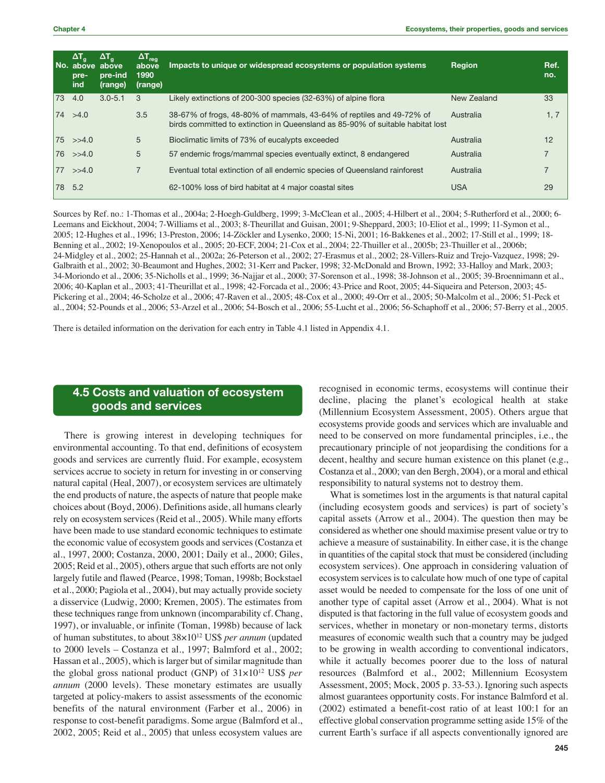|    | $\Delta I_{g}$<br>No. above above<br>pre-<br>ind | $\Delta T_{q}$<br>pre-ind<br>(range) | $\Delta T_{reg}$<br>above<br>1990<br>(range) | Impacts to unique or widespread ecosystems or population systems                                                                                       | <b>Region</b> | Ref.<br>no. |
|----|--------------------------------------------------|--------------------------------------|----------------------------------------------|--------------------------------------------------------------------------------------------------------------------------------------------------------|---------------|-------------|
| 73 | 4.0                                              | $3.0 - 5.1$                          | 3                                            | Likely extinctions of 200-300 species (32-63%) of alpine flora                                                                                         | New Zealand   | 33          |
| 74 | >4.0                                             |                                      | 3.5                                          | 38-67% of frogs, 48-80% of mammals, 43-64% of reptiles and 49-72% of<br>birds committed to extinction in Queensland as 85-90% of suitable habitat lost | Australia     | 1, 7        |
|    | 75 > 4.0                                         |                                      | 5                                            | Bioclimatic limits of 73% of eucalypts exceeded                                                                                                        | Australia     | 12          |
|    | $76$ $>>$ 4.0                                    |                                      | 5                                            | 57 endemic frogs/mammal species eventually extinct, 8 endangered                                                                                       | Australia     |             |
| 77 | >>4.0                                            |                                      |                                              | Eventual total extinction of all endemic species of Queensland rainforest                                                                              | Australia     |             |
|    | 78 5.2                                           |                                      |                                              | 62-100% loss of bird habitat at 4 major coastal sites                                                                                                  | <b>USA</b>    | 29          |

Sources by Ref. no.: 1-Thomas et al., 2004a; 2-Hoegh-Guldberg, 1999; 3-McClean et al., 2005; 4-Hilbert et al., 2004; 5-Rutherford et al., 2000; 6- Leemans and Eickhout, 2004; 7-Williams et al., 2003; 8-Theurillat and Guisan, 2001; 9-Sheppard, 2003; 10-Eliot et al., 1999; 11-Symon et al., 2005; 12-Hughes et al., 1996; 13-Preston, 2006; 14-Zöckler and Lysenko, 2000; 15-Ni, 2001; 16-Bakkenes et al., 2002; 17-Still et al., 1999; 18- Benning et al., 2002; 19-Xenopoulos et al., 2005; 20-ECF, 2004; 21-Cox et al., 2004; 22-Thuiller et al., 2005b; 23-Thuiller et al., 2006b; 24-Midgley et al., 2002; 25-Hannah et al., 2002a; 26-Peterson et al., 2002; 27-Erasmus et al., 2002; 28-Villers-Ruiz and Trejo-Vazquez, 1998; 29- Galbraith et al., 2002; 30-Beaumont and Hughes, 2002; 31-Kerr and Packer, 1998; 32-McDonald and Brown, 1992; 33-Halloy and Mark, 2003; 34-Moriondo et al., 2006; 35-Nicholls et al., 1999; 36-Najjar et al., 2000; 37-Sorenson et al., 1998; 38-Johnson et al., 2005; 39-Broennimann et al., 2006; 40-Kaplan et al., 2003; 41-Theurillat et al., 1998; 42-Forcada et al., 2006; 43-Price and Root, 2005; 44-Siqueira and Peterson, 2003; 45- Pickering et al., 2004; 46-Scholze et al., 2006; 47-Raven et al., 2005; 48-Cox et al., 2000; 49-Orr et al., 2005; 50-Malcolm et al., 2006; 51-Peck et al., 2004; 52-Pounds et al., 2006; 53-Arzel et al., 2006; 54-Bosch et al., 2006; 55-Lucht et al., 2006; 56-Schaphoff et al., 2006; 57-Berry et al., 2005.

There is detailed information on the derivation for each entry in Table 4.1 listed in Appendix 4.1.

# **4.5 Costs and valuation of ecosystem goods and services**

There is growing interest in developing techniques for environmental accounting. To that end, definitions of ecosystem goods and services are currently fluid. For example, ecosystem services accrue to society in return for investing in or conserving natural capital (Heal, 2007), or ecosystem services are ultimately the end products of nature, the aspects of nature that people make choices about (Boyd, 2006). Definitions aside, all humans clearly rely on ecosystem services (Reid et al., 2005). While many efforts have been made to use standard economic techniques to estimate the economic value of ecosystem goods and services (Costanza et al., 1997, 2000; Costanza, 2000, 2001; Daily et al., 2000; Giles, 2005; Reid et al., 2005), others argue that such efforts are not only largely futile and flawed (Pearce, 1998; Toman, 1998b; Bockstael et al., 2000; Pagiola et al., 2004), but may actually provide society a disservice (Ludwig, 2000; Kremen, 2005). The estimates from these techniques range from unknown (incomparability cf. Chang, 1997), or invaluable, or infinite (Toman, 1998b) because of lack of human substitutes, to about 38×1012 US\$ *per annum* (updated to 2000 levels – Costanza et al., 1997; Balmford et al., 2002; Hassan et al., 2005), which is larger but of similar magnitude than the global gross national product (GNP) of 31×1012 US\$ *per annum* (2000 levels). These monetary estimates are usually targeted at policy-makers to assist assessments of the economic benefits of the natural environment (Farber et al., 2006) in response to cost-benefit paradigms. Some argue (Balmford et al., 2002, 2005; Reid et al., 2005) that unless ecosystem values are

recognised in economic terms, ecosystems will continue their decline, placing the planet's ecological health at stake (Millennium Ecosystem Assessment, 2005). Others argue that ecosystems provide goods and services which are invaluable and need to be conserved on more fundamental principles, i.e., the precautionary principle of not jeopardising the conditions for a decent, healthy and secure human existence on this planet (e.g., Costanza et al., 2000; van den Bergh, 2004), or a moral and ethical responsibility to natural systems not to destroy them.

What is sometimes lost in the arguments is that natural capital (including ecosystem goods and services) is part of society's capital assets (Arrow et al., 2004). The question then may be considered as whether one should maximise present value or try to achieve a measure of sustainability. In either case, it is the change in quantities of the capital stock that must be considered (including ecosystem services). One approach in considering valuation of ecosystem services is to calculate how much of one type of capital asset would be needed to compensate for the loss of one unit of another type of capital asset (Arrow et al., 2004). What is not disputed is that factoring in the full value of ecosystem goods and services, whether in monetary or non-monetary terms, distorts measures of economic wealth such that a country may be judged to be growing in wealth according to conventional indicators, while it actually becomes poorer due to the loss of natural resources (Balmford et al., 2002; Millennium Ecosystem Assessment, 2005; Mock, 2005 p. 33-53.). Ignoring such aspects almost guarantees opportunity costs. For instance Balmford et al. (2002) estimated a benefit-cost ratio of at least 100:1 for an effective global conservation programme setting aside 15% of the current Earth's surface if all aspects conventionally ignored are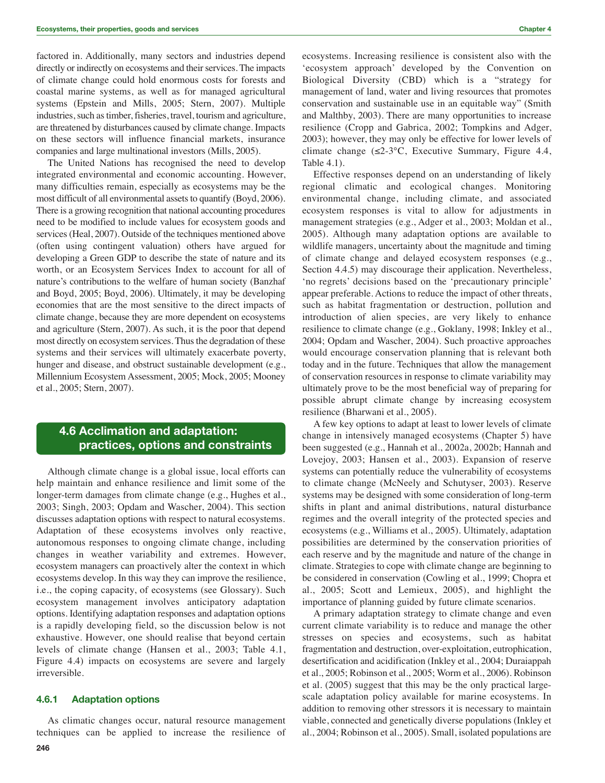factored in. Additionally, many sectors and industries depend directly or indirectly on ecosystems and their services. The impacts of climate change could hold enormous costs for forests and coastal marine systems, as well as for managed agricultural systems (Epstein and Mills, 2005; Stern, 2007). Multiple industries, such as timber, fisheries, travel, tourism and agriculture, are threatened by disturbances caused by climate change. Impacts on these sectors will influence financial markets, insurance companies and large multinational investors (Mills, 2005).

The United Nations has recognised the need to develop integrated environmental and economic accounting. However, many difficulties remain, especially as ecosystems may be the most difficult of all environmental assets to quantify (Boyd, 2006). There is a growing recognition that national accounting procedures need to be modified to include values for ecosystem goods and services (Heal, 2007). Outside of the techniques mentioned above (often using contingent valuation) others have argued for developing a Green GDP to describe the state of nature and its worth, or an Ecosystem Services Index to account for all of nature's contributions to the welfare of human society (Banzhaf and Boyd, 2005; Boyd, 2006). Ultimately, it may be developing economies that are the most sensitive to the direct impacts of climate change, because they are more dependent on ecosystems and agriculture (Stern, 2007). As such, it is the poor that depend most directly on ecosystem services. Thus the degradation of these systems and their services will ultimately exacerbate poverty, hunger and disease, and obstruct sustainable development (e.g., Millennium Ecosystem Assessment, 2005; Mock, 2005; Mooney et al., 2005; Stern, 2007).

# **4.6 Acclimation and adaptation: practices, options and constraints**

Although climate change is a global issue, local efforts can help maintain and enhance resilience and limit some of the longer-term damages from climate change (e.g., Hughes et al., 2003; Singh, 2003; Opdam and Wascher, 2004). This section discusses adaptation options with respect to natural ecosystems. Adaptation of these ecosystems involves only reactive, autonomous responses to ongoing climate change, including changes in weather variability and extremes. However, ecosystem managers can proactively alter the context in which ecosystems develop. In this way they can improve the resilience, i.e., the coping capacity, of ecosystems (see Glossary). Such ecosystem management involves anticipatory adaptation options. Identifying adaptation responses and adaptation options is a rapidly developing field, so the discussion below is not exhaustive. However, one should realise that beyond certain levels of climate change (Hansen et al., 2003; Table 4.1, Figure 4.4) impacts on ecosystems are severe and largely irreversible.

### **4.6.1 Adaptation options**

As climatic changes occur, natural resource management techniques can be applied to increase the resilience of

ecosystems. Increasing resilience is consistent also with the 'ecosystem approach' developed by the Convention on Biological Diversity (CBD) which is a "strategy for management of land, water and living resources that promotes conservation and sustainable use in an equitable way" (Smith and Malthby, 2003). There are many opportunities to increase resilience (Cropp and Gabrica, 2002; Tompkins and Adger, 2003); however, they may only be effective for lower levels of climate change  $(\leq 2.3^{\circ}C,$  Executive Summary, Figure 4.4, Table 4.1).

Effective responses depend on an understanding of likely regional climatic and ecological changes. Monitoring environmental change, including climate, and associated ecosystem responses is vital to allow for adjustments in management strategies (e.g., Adger et al., 2003; Moldan et al., 2005). Although many adaptation options are available to wildlife managers, uncertainty about the magnitude and timing of climate change and delayed ecosystem responses (e.g., Section 4.4.5) may discourage their application. Nevertheless, 'no regrets' decisions based on the 'precautionary principle' appear preferable. Actions to reduce the impact of other threats, such as habitat fragmentation or destruction, pollution and introduction of alien species, are very likely to enhance resilience to climate change (e.g., Goklany, 1998; Inkley et al., 2004; Opdam and Wascher, 2004). Such proactive approaches would encourage conservation planning that is relevant both today and in the future. Techniques that allow the management of conservation resources in response to climate variability may ultimately prove to be the most beneficial way of preparing for possible abrupt climate change by increasing ecosystem resilience (Bharwani et al., 2005).

A few key options to adapt at least to lower levels of climate change in intensively managed ecosystems (Chapter 5) have been suggested (e.g., Hannah et al., 2002a, 2002b; Hannah and Lovejoy, 2003; Hansen et al., 2003). Expansion of reserve systems can potentially reduce the vulnerability of ecosystems to climate change (McNeely and Schutyser, 2003). Reserve systems may be designed with some consideration of long-term shifts in plant and animal distributions, natural disturbance regimes and the overall integrity of the protected species and ecosystems (e.g., Williams et al., 2005). Ultimately, adaptation possibilities are determined by the conservation priorities of each reserve and by the magnitude and nature of the change in climate. Strategies to cope with climate change are beginning to be considered in conservation (Cowling et al., 1999; Chopra et al., 2005; Scott and Lemieux, 2005), and highlight the importance of planning guided by future climate scenarios.

A primary adaptation strategy to climate change and even current climate variability is to reduce and manage the other stresses on species and ecosystems, such as habitat fragmentation and destruction, over-exploitation, eutrophication, desertification and acidification (Inkley et al., 2004; Duraiappah et al., 2005; Robinson et al., 2005; Worm et al., 2006). Robinson et al. (2005) suggest that this may be the only practical largescale adaptation policy available for marine ecosystems. In addition to removing other stressors it is necessary to maintain viable, connected and genetically diverse populations (Inkley et al., 2004; Robinson et al., 2005). Small, isolated populations are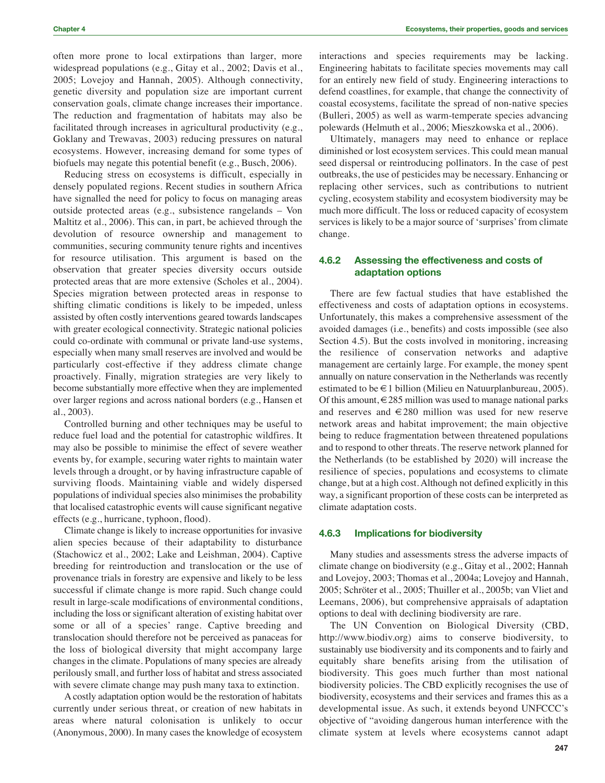often more prone to local extirpations than larger, more widespread populations (e.g., Gitay et al., 2002; Davis et al., 2005; Lovejoy and Hannah, 2005). Although connectivity, genetic diversity and population size are important current conservation goals, climate change increases their importance. The reduction and fragmentation of habitats may also be facilitated through increases in agricultural productivity (e.g., Goklany and Trewavas, 2003) reducing pressures on natural ecosystems. However, increasing demand for some types of biofuels may negate this potential benefit (e.g., Busch, 2006).

Reducing stress on ecosystems is difficult, especially in densely populated regions. Recent studies in southern Africa have signalled the need for policy to focus on managing areas outside protected areas (e.g., subsistence rangelands – Von Maltitz et al., 2006). This can, in part, be achieved through the devolution of resource ownership and management to communities, securing community tenure rights and incentives for resource utilisation. This argument is based on the observation that greater species diversity occurs outside protected areas that are more extensive (Scholes et al., 2004). Species migration between protected areas in response to shifting climatic conditions is likely to be impeded, unless assisted by often costly interventions geared towards landscapes with greater ecological connectivity. Strategic national policies could co-ordinate with communal or private land-use systems, especially when many small reserves are involved and would be particularly cost-effective if they address climate change proactively. Finally, migration strategies are very likely to become substantially more effective when they are implemented over larger regions and across national borders (e.g., Hansen et al., 2003).

Controlled burning and other techniques may be useful to reduce fuel load and the potential for catastrophic wildfires. It may also be possible to minimise the effect of severe weather events by, for example, securing water rights to maintain water levels through a drought, or by having infrastructure capable of surviving floods. Maintaining viable and widely dispersed populations of individual species also minimises the probability that localised catastrophic events will cause significant negative effects (e.g., hurricane, typhoon, flood).

Climate change is likely to increase opportunities for invasive alien species because of their adaptability to disturbance (Stachowicz et al., 2002; Lake and Leishman, 2004). Captive breeding for reintroduction and translocation or the use of provenance trials in forestry are expensive and likely to be less successful if climate change is more rapid. Such change could result in large-scale modifications of environmental conditions, including the loss or significant alteration of existing habitat over some or all of a species' range. Captive breeding and translocation should therefore not be perceived as panaceas for the loss of biological diversity that might accompany large changes in the climate. Populations of many species are already perilously small, and further loss of habitat and stress associated with severe climate change may push many taxa to extinction.

A costly adaptation option would be the restoration of habitats currently under serious threat, or creation of new habitats in areas where natural colonisation is unlikely to occur (Anonymous, 2000). In many cases the knowledge of ecosystem interactions and species requirements may be lacking. Engineering habitats to facilitate species movements may call for an entirely new field of study. Engineering interactions to defend coastlines, for example, that change the connectivity of coastal ecosystems, facilitate the spread of non-native species (Bulleri, 2005) as well as warm-temperate species advancing polewards (Helmuth et al., 2006; Mieszkowska et al., 2006).

Ultimately, managers may need to enhance or replace diminished or lost ecosystem services. This could mean manual seed dispersal or reintroducing pollinators. In the case of pest outbreaks, the use of pesticides may be necessary. Enhancing or replacing other services, such as contributions to nutrient cycling, ecosystem stability and ecosystem biodiversity may be much more difficult. The loss or reduced capacity of ecosystem services is likely to be a major source of 'surprises' from climate change.

### **4.6.2 Assessing the effectiveness and costs of adaptation options**

There are few factual studies that have established the effectiveness and costs of adaptation options in ecosystems. Unfortunately, this makes a comprehensive assessment of the avoided damages (i.e., benefits) and costs impossible (see also Section 4.5). But the costs involved in monitoring, increasing the resilience of conservation networks and adaptive management are certainly large. For example, the money spent annually on nature conservation in the Netherlands was recently estimated to be  $\in$  1 billion (Milieu en Natuurplanbureau, 2005). Of this amount,  $\epsilon$  285 million was used to manage national parks and reserves and  $\in$  280 million was used for new reserve network areas and habitat improvement; the main objective being to reduce fragmentation between threatened populations and to respond to other threats. The reserve network planned for the Netherlands (to be established by 2020) will increase the resilience of species, populations and ecosystems to climate change, but at a high cost. Although not defined explicitly in this way, a significant proportion of these costs can be interpreted as climate adaptation costs.

#### **4.6.3 Implications for biodiversity**

Many studies and assessments stress the adverse impacts of climate change on biodiversity (e.g., Gitay et al., 2002; Hannah and Lovejoy, 2003; Thomas et al., 2004a; Lovejoy and Hannah, 2005; Schröter et al., 2005; Thuiller et al., 2005b; van Vliet and Leemans, 2006), but comprehensive appraisals of adaptation options to deal with declining biodiversity are rare.

The UN Convention on Biological Diversity (CBD, http://www.biodiv.org) aims to conserve biodiversity, to sustainably use biodiversity and its components and to fairly and equitably share benefits arising from the utilisation of biodiversity. This goes much further than most national biodiversity policies. The CBD explicitly recognises the use of biodiversity, ecosystems and their services and frames this as a developmental issue. As such, it extends beyond UNFCCC's objective of "avoiding dangerous human interference with the climate system at levels where ecosystems cannot adapt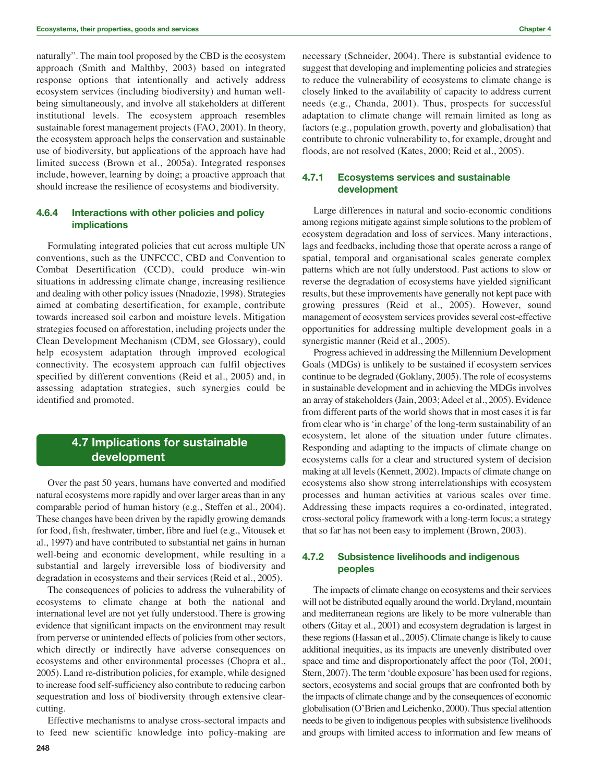naturally". The main tool proposed by the CBD is the ecosystem approach (Smith and Malthby, 2003) based on integrated response options that intentionally and actively address ecosystem services (including biodiversity) and human wellbeing simultaneously, and involve all stakeholders at different institutional levels. The ecosystem approach resembles sustainable forest management projects (FAO, 2001). In theory, the ecosystem approach helps the conservation and sustainable use of biodiversity, but applications of the approach have had limited success (Brown et al., 2005a). Integrated responses include, however, learning by doing; a proactive approach that should increase the resilience of ecosystems and biodiversity.

### **4.6.4 Interactions with other policies and policy implications**

Formulating integrated policies that cut across multiple UN conventions, such as the UNFCCC, CBD and Convention to Combat Desertification (CCD), could produce win-win situations in addressing climate change, increasing resilience and dealing with other policy issues (Nnadozie, 1998). Strategies aimed at combating desertification, for example, contribute towards increased soil carbon and moisture levels. Mitigation strategies focused on afforestation, including projects under the Clean Development Mechanism (CDM, see Glossary), could help ecosystem adaptation through improved ecological connectivity. The ecosystem approach can fulfil objectives specified by different conventions (Reid et al., 2005) and, in assessing adaptation strategies, such synergies could be identified and promoted.

# **4.7 Implications for sustainable development**

Over the past 50 years, humans have converted and modified natural ecosystems more rapidly and over larger areas than in any comparable period of human history (e.g., Steffen et al., 2004). These changes have been driven by the rapidly growing demands for food, fish, freshwater, timber, fibre and fuel (e.g., Vitousek et al., 1997) and have contributed to substantial net gains in human well-being and economic development, while resulting in a substantial and largely irreversible loss of biodiversity and degradation in ecosystems and their services (Reid et al., 2005).

The consequences of policies to address the vulnerability of ecosystems to climate change at both the national and international level are not yet fully understood. There is growing evidence that significant impacts on the environment may result from perverse or unintended effects of policies from other sectors, which directly or indirectly have adverse consequences on ecosystems and other environmental processes (Chopra et al., 2005). Land re-distribution policies, for example, while designed to increase food self-sufficiency also contribute to reducing carbon sequestration and loss of biodiversity through extensive clearcutting.

Effective mechanisms to analyse cross-sectoral impacts and to feed new scientific knowledge into policy-making are

necessary (Schneider, 2004). There is substantial evidence to suggest that developing and implementing policies and strategies to reduce the vulnerability of ecosystems to climate change is closely linked to the availability of capacity to address current needs (e.g., Chanda, 2001). Thus, prospects for successful adaptation to climate change will remain limited as long as factors (e.g., population growth, poverty and globalisation) that contribute to chronic vulnerability to, for example, drought and floods, are not resolved (Kates, 2000; Reid et al., 2005).

### **4.7.1 Ecosystems services and sustainable development**

Large differences in natural and socio-economic conditions among regions mitigate against simple solutions to the problem of ecosystem degradation and loss of services. Many interactions, lags and feedbacks, including those that operate across a range of spatial, temporal and organisational scales generate complex patterns which are not fully understood. Past actions to slow or reverse the degradation of ecosystems have yielded significant results, but these improvements have generally not kept pace with growing pressures (Reid et al., 2005). However, sound management of ecosystem services provides several cost-effective opportunities for addressing multiple development goals in a synergistic manner (Reid et al., 2005).

Progress achieved in addressing the Millennium Development Goals (MDGs) is unlikely to be sustained if ecosystem services continue to be degraded (Goklany, 2005). The role of ecosystems in sustainable development and in achieving the MDGs involves an array of stakeholders (Jain, 2003; Adeel et al., 2005). Evidence from different parts of the world shows that in most cases it is far from clear who is 'in charge' of the long-term sustainability of an ecosystem, let alone of the situation under future climates. Responding and adapting to the impacts of climate change on ecosystems calls for a clear and structured system of decision making at all levels (Kennett, 2002). Impacts of climate change on ecosystems also show strong interrelationships with ecosystem processes and human activities at various scales over time. Addressing these impacts requires a co-ordinated, integrated, cross-sectoral policy framework with a long-term focus; a strategy that so far has not been easy to implement (Brown, 2003).

# **4.7.2 Subsistence livelihoods and indigenous peoples**

The impacts of climate change on ecosystems and their services will not be distributed equally around the world. Dryland, mountain and mediterranean regions are likely to be more vulnerable than others (Gitay et al., 2001) and ecosystem degradation is largest in these regions (Hassan et al., 2005). Climate change is likely to cause additional inequities, as its impacts are unevenly distributed over space and time and disproportionately affect the poor (Tol, 2001; Stern, 2007). The term 'double exposure'has been used for regions, sectors, ecosystems and social groups that are confronted both by the impacts of climate change and by the consequences of economic globalisation (O'Brien and Leichenko, 2000). Thus special attention needs to be given to indigenous peoples with subsistence livelihoods and groups with limited access to information and few means of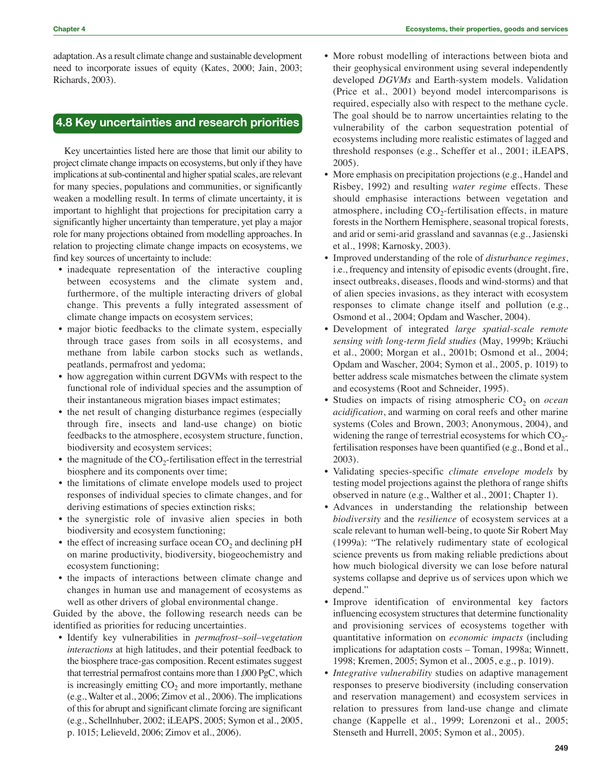adaptation.As a result climate change and sustainable development need to incorporate issues of equity (Kates, 2000; Jain, 2003; Richards, 2003).

# **4.8 Key uncertainties and research priorities**

Key uncertainties listed here are those that limit our ability to project climate change impacts on ecosystems, but only if they have implications at sub-continental and higher spatial scales, are relevant for many species, populations and communities, or significantly weaken a modelling result. In terms of climate uncertainty, it is important to highlight that projections for precipitation carry a significantly higher uncertainty than temperature, yet play a major role for many projections obtained from modelling approaches. In relation to projecting climate change impacts on ecosystems, we find key sources of uncertainty to include:

- inadequate representation of the interactive coupling between ecosystems and the climate system and, furthermore, of the multiple interacting drivers of global change. This prevents a fully integrated assessment of climate change impacts on ecosystem services;
- major biotic feedbacks to the climate system, especially through trace gases from soils in all ecosystems, and methane from labile carbon stocks such as wetlands, peatlands, permafrost and yedoma;
- how aggregation within current DGVMs with respect to the functional role of individual species and the assumption of their instantaneous migration biases impact estimates;
- the net result of changing disturbance regimes (especially through fire, insects and land-use change) on biotic feedbacks to the atmosphere, ecosystem structure, function, biodiversity and ecosystem services;
- the magnitude of the  $CO<sub>2</sub>$ -fertilisation effect in the terrestrial biosphere and its components over time;
- the limitations of climate envelope models used to project responses of individual species to climate changes, and for deriving estimations of species extinction risks;
- the synergistic role of invasive alien species in both biodiversity and ecosystem functioning;
- $\bullet$  the effect of increasing surface ocean CO<sub>2</sub> and declining pH on marine productivity, biodiversity, biogeochemistry and ecosystem functioning;
- the impacts of interactions between climate change and changes in human use and management of ecosystems as well as other drivers of global environmental change.

Guided by the above, the following research needs can be identified as priorities for reducing uncertainties.

• Identify key vulnerabilities in *permafrost–soil–vegetation interactions* at high latitudes, and their potential feedback to the biosphere trace-gas composition. Recent estimates suggest that terrestrial permafrost contains more than 1,000 PgC, which is increasingly emitting  $CO<sub>2</sub>$  and more importantly, methane (e.g., Walter et al., 2006; Zimov et al., 2006). The implications of this for abrupt and significant climate forcing are significant (e.g., Schellnhuber, 2002; iLEAPS, 2005; Symon et al., 2005, p. 1015; Lelieveld, 2006; Zimov et al., 2006).

- More robust modelling of interactions between biota and their geophysical environment using several independently developed *DGVMs* and Earth-system models. Validation (Price et al., 2001) beyond model intercomparisons is required, especially also with respect to the methane cycle. The goal should be to narrow uncertainties relating to the vulnerability of the carbon sequestration potential of ecosystems including more realistic estimates of lagged and threshold responses (e.g., Scheffer et al., 2001; iLEAPS, 2005).
- More emphasis on precipitation projections (e.g., Handel and Risbey, 1992) and resulting *water regime* effects. These should emphasise interactions between vegetation and atmosphere, including  $CO<sub>2</sub>$ -fertilisation effects, in mature forests in the Northern Hemisphere, seasonal tropical forests, and arid or semi-arid grassland and savannas (e.g., Jasienski et al., 1998; Karnosky, 2003).
- Improved understanding of the role of *disturbance regimes*, i.e., frequency and intensity of episodic events (drought, fire, insect outbreaks, diseases, floods and wind-storms) and that of alien species invasions, as they interact with ecosystem responses to climate change itself and pollution (e.g., Osmond et al., 2004; Opdam and Wascher, 2004).
- Development of integrated *large spatial-scale remote sensing with long-term field studies* (May, 1999b; Kräuchi et al., 2000; Morgan et al., 2001b; Osmond et al., 2004; Opdam and Wascher, 2004; Symon et al., 2005, p. 1019) to better address scale mismatches between the climate system and ecosystems (Root and Schneider, 1995).
- Studies on impacts of rising atmospheric CO<sub>2</sub> on *ocean acidification*, and warming on coral reefs and other marine systems (Coles and Brown, 2003; Anonymous, 2004), and widening the range of terrestrial ecosystems for which  $CO<sub>2</sub>$ fertilisation responses have been quantified (e.g., Bond et al., 2003).
- Validating species-specific *climate envelope models* by testing model projections against the plethora of range shifts observed in nature (e.g., Walther et al., 2001; Chapter 1).
- Advances in understanding the relationship between *biodiversity* and the *resilience* of ecosystem services at a scale relevant to human well-being, to quote Sir Robert May (1999a): "The relatively rudimentary state of ecological science prevents us from making reliable predictions about how much biological diversity we can lose before natural systems collapse and deprive us of services upon which we depend."
- Improve identification of environmental key factors influencing ecosystem structures that determine functionality and provisioning services of ecosystems together with quantitative information on *economic impacts* (including implications for adaptation costs – Toman, 1998a; Winnett, 1998; Kremen, 2005; Symon et al., 2005, e.g., p. 1019).
- *Integrative vulnerability* studies on adaptive management responses to preserve biodiversity (including conservation and reservation management) and ecosystem services in relation to pressures from land-use change and climate change (Kappelle et al., 1999; Lorenzoni et al., 2005; Stenseth and Hurrell, 2005; Symon et al., 2005).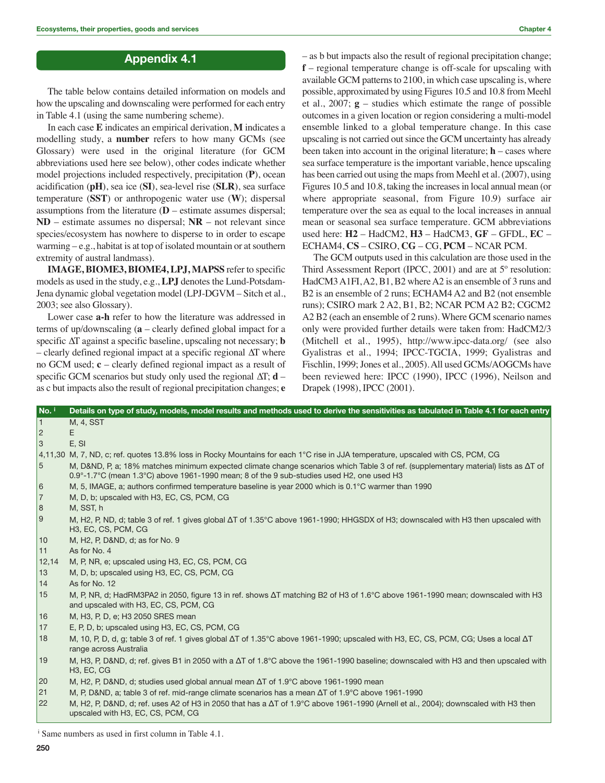# **Appendix 4.1**

The table below contains detailed information on models and how the upscaling and downscaling were performed for each entry in Table 4.1 (using the same numbering scheme).

In each case **E** indicates an empirical derivation, **M** indicates a modelling study, a **number** refers to how many GCMs (see Glossary) were used in the original literature (for GCM abbreviations used here see below), other codes indicate whether model projections included respectively, precipitation (**P**), ocean acidification (**pH**), sea ice (**SI**), sea-level rise (**SLR**), sea surface temperature (**SST**) or anthropogenic water use (**W**); dispersal assumptions from the literature (**D** – estimate assumes dispersal; **ND** – estimate assumes no dispersal; **NR** – not relevant since species/ecosystem has nowhere to disperse to in order to escape warming – e.g., habitat is at top of isolated mountain or at southern extremity of austral landmass).

**IMAGE, BIOME3, BIOME4, LPJ, MAPSS** refer to specific models as used in the study, e.g., **LPJ** denotes the Lund-Potsdam-Jena dynamic global vegetation model (LPJ-DGVM – Sitch et al., 2003; see also Glossary).

Lower case **a-h** refer to how the literature was addressed in terms of up/downscaling (**a** – clearly defined global impact for a specific ∆T against a specific baseline, upscaling not necessary; **b** – clearly defined regional impact at a specific regional ∆T where no GCM used; **c** – clearly defined regional impact as a result of specific GCM scenarios but study only used the regional ∆T; **d** – as c but impacts also the result of regional precipitation changes; **e** – as b but impacts also the result of regional precipitation change; **f** – regional temperature change is off-scale for upscaling with available GCM patterns to 2100, in which case upscaling is, where possible, approximated by using Figures 10.5 and 10.8 from Meehl et al., 2007; **g** – studies which estimate the range of possible outcomes in a given location or region considering a multi-model ensemble linked to a global temperature change. In this case upscaling is not carried out since the GCM uncertainty has already been taken into account in the original literature; **h** – cases where sea surface temperature is the important variable, hence upscaling has been carried out using the maps from Meehl et al. (2007), using Figures 10.5 and 10.8, taking the increases in local annual mean (or where appropriate seasonal, from Figure 10.9) surface air temperature over the sea as equal to the local increases in annual mean or seasonal sea surface temperature. GCM abbreviations used here: **H2** – HadCM2, **H3** – HadCM3, **GF** – GFDL, **EC** – ECHAM4, **CS** – CSIRO, **CG** – CG, **PCM** – NCAR PCM.

The GCM outputs used in this calculation are those used in the Third Assessment Report (IPCC, 2001) and are at 5º resolution: HadCM3 A1FI, A2, B1, B2 where A2 is an ensemble of 3 runs and B2 is an ensemble of 2 runs; ECHAM4 A2 and B2 (not ensemble runs); CSIRO mark 2 A2, B1, B2; NCAR PCM A2 B2; CGCM2 A2 B2 (each an ensemble of 2 runs). Where GCM scenario names only were provided further details were taken from: HadCM2/3 (Mitchell et al., 1995), http://www.ipcc-data.org/ (see also Gyalistras et al., 1994; IPCC-TGCIA, 1999; Gyalistras and Fischlin, 1999; Jones et al., 2005).All used GCMs/AOGCMs have been reviewed here: IPCC (1990), IPCC (1996), Neilson and Drapek (1998), IPCC (2001).

| No. <sup>i</sup> | Details on type of study, models, model results and methods used to derive the sensitivities as tabulated in Table 4.1 for each entry                                                                                                   |
|------------------|-----------------------------------------------------------------------------------------------------------------------------------------------------------------------------------------------------------------------------------------|
| $\vert$ 1        | M, 4, SST                                                                                                                                                                                                                               |
| $\overline{c}$   | E                                                                                                                                                                                                                                       |
| 3                | E, SI                                                                                                                                                                                                                                   |
|                  | 4,11,30 M, 7, ND, c; ref. quotes 13.8% loss in Rocky Mountains for each 1°C rise in JJA temperature, upscaled with CS, PCM, CG                                                                                                          |
| 5                | M, D&ND, P, a; 18% matches minimum expected climate change scenarios which Table 3 of ref. (supplementary material) lists as $\Delta T$ of<br>0.9°-1.7°C (mean 1.3°C) above 1961-1990 mean; 8 of the 9 sub-studies used H2, one used H3 |
| 6                | M, 5, IMAGE, a; authors confirmed temperature baseline is year 2000 which is 0.1°C warmer than 1990                                                                                                                                     |
| 7                | M, D, b; upscaled with H3, EC, CS, PCM, CG                                                                                                                                                                                              |
| 8                | M, SST, h                                                                                                                                                                                                                               |
| $\overline{9}$   | M, H2, P, ND, d; table 3 of ref. 1 gives global $\Delta T$ of 1.35°C above 1961-1990; HHGSDX of H3; downscaled with H3 then upscaled with<br>H <sub>3</sub> , EC, CS, PCM, CG                                                           |
| 10               | M, H2, P, D&ND, d; as for No. 9                                                                                                                                                                                                         |
| 11               | As for No. 4                                                                                                                                                                                                                            |
| 12,14            | M, P, NR, e; upscaled using H3, EC, CS, PCM, CG                                                                                                                                                                                         |
| 13               | M, D, b; upscaled using H3, EC, CS, PCM, CG                                                                                                                                                                                             |
| 14               | As for No. 12                                                                                                                                                                                                                           |
| 15               | M, P, NR, d; HadRM3PA2 in 2050, figure 13 in ref. shows $\Delta T$ matching B2 of H3 of 1.6°C above 1961-1990 mean; downscaled with H3<br>and upscaled with H3, EC, CS, PCM, CG                                                         |
| 16               | M, H3, P, D, e; H3 2050 SRES mean                                                                                                                                                                                                       |
| <b>17</b>        | E, P, D, b; upscaled using H3, EC, CS, PCM, CG                                                                                                                                                                                          |
| 18               | M, 10, P, D, d, g; table 3 of ref. 1 gives global $\Delta T$ of 1.35°C above 1961-1990; upscaled with H3, EC, CS, PCM, CG; Uses a local $\Delta T$<br>range across Australia                                                            |
| 19               | M, H3, P, D&ND, d; ref. gives B1 in 2050 with a ΔT of 1.8°C above the 1961-1990 baseline; downscaled with H3 and then upscaled with<br>H <sub>3</sub> , EC, CG                                                                          |
| 20               | M, H2, P, D&ND, d; studies used global annual mean $\Delta T$ of 1.9°C above 1961-1990 mean                                                                                                                                             |
| 21               | M, P, D&ND, a; table 3 of ref. mid-range climate scenarios has a mean $\Delta T$ of 1.9°C above 1961-1990                                                                                                                               |
| 22               | M, H2, P, D&ND, d; ref. uses A2 of H3 in 2050 that has a $\Delta T$ of 1.9°C above 1961-1990 (Arnell et al., 2004); downscaled with H3 then<br>upscaled with H3, EC, CS, PCM, CG                                                        |

<sup>i</sup> Same numbers as used in first column in Table 4.1.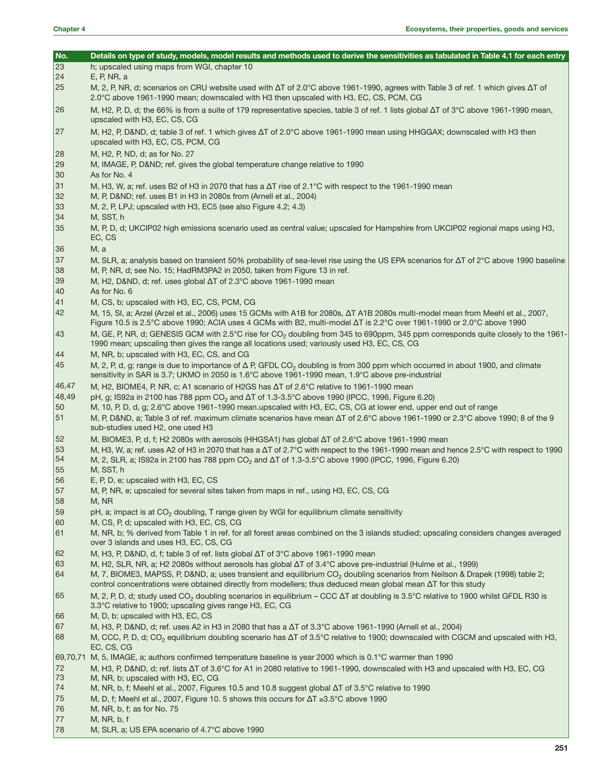| No.      | Details on type of study, models, model results and methods used to derive the sensitivities as tabulated in Table 4.1 for each entry                                                                                                                             |
|----------|-------------------------------------------------------------------------------------------------------------------------------------------------------------------------------------------------------------------------------------------------------------------|
| 23<br>24 | h; upscaled using maps from WGI, chapter 10<br>E, P, NR, a                                                                                                                                                                                                        |
| 25       | M, 2, P, NR, d; scenarios on CRU website used with $\Delta T$ of 2.0°C above 1961-1990, agrees with Table 3 of ref. 1 which gives $\Delta T$ of<br>2.0°C above 1961-1990 mean; downscaled with H3 then upscaled with H3, EC, CS, PCM, CG                          |
| 26       | M, H2, P, D, d; the 66% is from a suite of 179 representative species, table 3 of ref. 1 lists global ∆T of 3°C above 1961-1990 mean,<br>upscaled with H3, EC, CS, CG                                                                                             |
| 27       | M, H2, P, D&ND, d; table 3 of ref. 1 which gives $\Delta T$ of 2.0°C above 1961-1990 mean using HHGGAX; downscaled with H3 then<br>upscaled with H3, EC, CS, PCM, CG                                                                                              |
| 28       | M, H2, P, ND, d; as for No. 27                                                                                                                                                                                                                                    |
| 29       | M, IMAGE, P, D&ND ref. gives the global temperature change relative to 1990                                                                                                                                                                                       |
| 30       | As for No. 4                                                                                                                                                                                                                                                      |
| 31       | M, H3, W, a; ref. uses B2 of H3 in 2070 that has a $\Delta T$ rise of 2.1°C with respect to the 1961-1990 mean                                                                                                                                                    |
| 32       | M, P, D&ND ref. uses B1 in H3 in 2080s from (Arnell et al., 2004)                                                                                                                                                                                                 |
| 33       | M, 2, P, LPJ; upscaled with H3, EC5 (see also Figure 4.2; 4.3)                                                                                                                                                                                                    |
| 34       | M, SST, h                                                                                                                                                                                                                                                         |
| 35       | M, P, D, d; UKCIP02 high emissions scenario used as central value; upscaled for Hampshire from UKCIP02 regional maps using H3,<br>EC, CS                                                                                                                          |
| 36       | M, a                                                                                                                                                                                                                                                              |
| 37<br>38 | M, SLR, a; analysis based on transient 50% probability of sea-level rise using the US EPA scenarios for ΔT of 2°C above 1990 baseline<br>M, P, NR, d; see No. 15; HadRM3PA2 in 2050, taken from Figure 13 in ref.                                                 |
| 39       | M, H2, D&ND, d; ref. uses global $\Delta T$ of 2.3°C above 1961-1990 mean                                                                                                                                                                                         |
| 40       | As for No. 6                                                                                                                                                                                                                                                      |
| 41       | M, CS, b; upscaled with H3, EC, CS, PCM, CG                                                                                                                                                                                                                       |
| 42       | M, 15, SI, a; Arzel (Arzel et al., 2006) uses 15 GCMs with A1B for 2080s, $\Delta T$ A1B 2080s multi-model mean from Meehl et al., 2007,<br>Figure 10.5 is 2.5°C above 1990; ACIA uses 4 GCMs with B2, multi-model ∆T is 2.2°C over 1961-1990 or 2.0°C above 1990 |
| 43       | M, GE, P, NR, d; GENESIS GCM with 2.5°C rise for CO <sub>2</sub> doubling from 345 to 690ppm, 345 ppm corresponds quite closely to the 1961-<br>1990 mean; upscaling then gives the range all locations used; variously used H3, EC, CS, CG                       |
| 44       | M, NR, b; upscaled with H3, EC, CS, and CG                                                                                                                                                                                                                        |
| 45       | M, 2, P, d, g; range is due to importance of $\Delta$ P, GFDL CO <sub>2</sub> doubling is from 300 ppm which occurred in about 1900, and climate<br>sensitivity in SAR is 3.7; UKMO in 2050 is 1.6°C above 1961-1990 mean, 1.9°C above pre-industrial             |
| 46,47    | M, H2, BIOME4, P, NR, c; A1 scenario of H2GS has ΔT of 2.6°C relative to 1961-1990 mean                                                                                                                                                                           |
| 48,49    | pH, g; IS92a in 2100 has 788 ppm CO <sub>2</sub> and ΔT of 1.3-3.5°C above 1990 (IPCC, 1996, Figure 6.20)                                                                                                                                                         |
| 50       | M, 10, P, D, d, g; 2.6°C above 1961-1990 mean.upscaled with H3, EC, CS, CG at lower end, upper end out of range                                                                                                                                                   |
| 51       | M, P, D&ND, a; Table 3 of ref. maximum climate scenarios have mean $\Delta T$ of 2.6°C above 1961-1990 or 2.3°C above 1990; 8 of the 9<br>sub-studies used H2, one used H3                                                                                        |
| 52       | M, BIOME3, P, d, f; H2 2080s with aerosols (HHGSA1) has global $\Delta T$ of 2.6°C above 1961-1990 mean                                                                                                                                                           |
| 53       | M, H3, W, a; ref. uses A2 of H3 in 2070 that has a $\Delta T$ of 2.7°C with respect to the 1961-1990 mean and hence 2.5°C with respect to 1990                                                                                                                    |
| 54<br>55 | M, 2, SLR, a; IS92a in 2100 has 788 ppm CO <sub>2</sub> and $\Delta T$ of 1.3-3.5°C above 1990 (IPCC, 1996, Figure 6.20)<br>M, SST, h                                                                                                                             |
| 56       | E, P, D, e; upscaled with H3, EC, CS                                                                                                                                                                                                                              |
| 57       | M, P, NR, e; upscaled for several sites taken from maps in ref., using H3, EC, CS, CG                                                                                                                                                                             |
| 58       | M, NR                                                                                                                                                                                                                                                             |
| 59       | pH, a; impact is at CO <sub>2</sub> doubling, T range given by WGI for equilibrium climate sensitivity                                                                                                                                                            |
| 60       | M, CS, P, d; upscaled with H3, EC, CS, CG                                                                                                                                                                                                                         |
| 61       | M, NR, b; % derived from Table 1 in ref. for all forest areas combined on the 3 islands studied; upscaling considers changes averaged<br>over 3 islands and uses H3, EC, CS, CG                                                                                   |
| 62       | M, H3, P, D&ND, d, f; table 3 of ref. lists global ΔT of 3°C above 1961-1990 mean                                                                                                                                                                                 |
| 63       | M, H2, SLR, NR, a; H2 2080s without aerosols has global $\Delta T$ of 3.4°C above pre-industrial (Hulme et al., 1999)                                                                                                                                             |
| 64       | M, 7, BIOME3, MAPSS, P, D&ND, a; uses transient and equilibrium CO <sub>2</sub> doubling scenarios from Neilson & Drapek (1998) table 2;<br>control concentrations were obtained directly from modellers; thus deduced mean global mean $\Delta T$ for this study |
| 65       | M, 2, P, D, d; study used CO <sub>2</sub> doubling scenarios in equilibrium – CCC $\Delta T$ at doubling is 3.5°C relative to 1900 whilst GFDL R30 is<br>3.3°C relative to 1900; upscaling gives range H3, EC, CG                                                 |
| 66       | M, D, b; upscaled with H3, EC, CS                                                                                                                                                                                                                                 |
| 67       | M, H3, P, D&ND, d; ref. uses A2 in H3 in 2080 that has a $\Delta T$ of 3.3°C above 1961-1990 (Arnell et al., 2004)                                                                                                                                                |
| 68       | M, CCC, P, D, d; CO <sub>2</sub> equilibrium doubling scenario has $\Delta T$ of 3.5°C relative to 1900; downscaled with CGCM and upscaled with H3,<br>EC, CS, CG                                                                                                 |
| 69,70,71 | M, 5, IMAGE, a; authors confirmed temperature baseline is year 2000 which is 0.1°C warmer than 1990                                                                                                                                                               |
| 72<br>73 | M, H3, P, D&ND, d; ref. lists $\Delta T$ of 3.6°C for A1 in 2080 relative to 1961-1990, downscaled with H3 and upscaled with H3, EC, CG<br>M, NR, b; upscaled with H3, EC, CG                                                                                     |
| 74       | M, NR, b, f; Meehl et al., 2007, Figures 10.5 and 10.8 suggest global $\Delta T$ of 3.5°C relative to 1990                                                                                                                                                        |
| 75       | M, D, f; Meehl et al., 2007, Figure 10. 5 shows this occurs for $\Delta T \ge 3.5^{\circ} \text{C}$ above 1990                                                                                                                                                    |
| 76       | M, NR, b, f; as for No. 75                                                                                                                                                                                                                                        |
| 77       | M, NR, b, f                                                                                                                                                                                                                                                       |
| 78       | M, SLR, a; US EPA scenario of 4.7°C above 1990                                                                                                                                                                                                                    |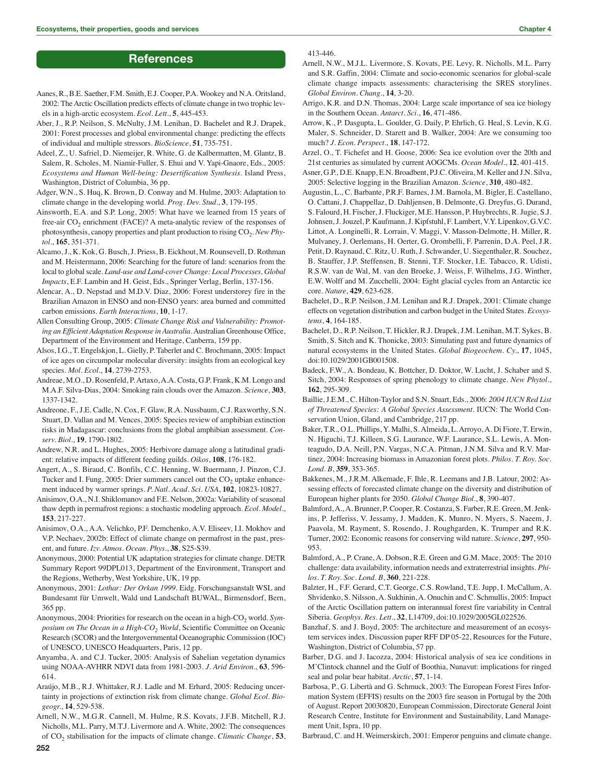# **References**

- Aanes, R., B.E. Saether, F.M. Smith, E.J. Cooper, P.A. Wookey and N.A. Oritsland, 2002: The Arctic Oscillation predicts effects of climate change in two trophic levels in a high-arctic ecosystem. *Ecol. Lett.*, **5**, 445-453.
- Aber, J., R.P. Neilson, S. McNulty, J.M. Lenihan, D. Bachelet and R.J. Drapek, 2001: Forest processes and global environmental change: predicting the effects of individual and multiple stressors. *BioScience*, **51**, 735-751.
- Adeel, Z., U. Safriel, D. Niemeijer, R. White, G. de Kalbermatten, M. Glantz, B. Salem, R. Scholes, M. Niamir-Fuller, S. Ehui and V. Yapi-Gnaore, Eds., 2005: *Ecosystems and Human Well-being: Desertification Synthesis*. Island Press, Washington, District of Columbia, 36 pp.
- Adger, W.N., S. Huq, K. Brown, D. Conway and M. Hulme, 2003: Adaptation to climate change in the developing world. *Prog. Dev. Stud.*, **3**, 179-195.
- Ainsworth, E.A. and S.P. Long, 2005: What have we learned from 15 years of free-air CO<sub>2</sub> enrichment (FACE)? A meta-analytic review of the responses of photosynthesis, canopy properties and plant production to rising CO<sub>2</sub>. New Phy*tol.*, **165**, 351-371.
- Alcamo, J., K. Kok, G. Busch, J. Priess, B. Eickhout, M. Rounsevell, D. Rothman and M. Heistermann, 2006: Searching for the future of land: scenarios from the local to global scale. *Land-use and Land-cover Change: Local Processes, Global Impacts*, E.F. Lambin and H. Geist, Eds., Springer Verlag, Berlin, 137-156.
- Alencar, A., D. Nepstad and M.D.V. Diaz, 2006: Forest understorey fire in the Brazilian Amazon in ENSO and non-ENSO years: area burned and committed carbon emissions. *Earth Interactions*, **10**, 1-17.
- Allen Consulting Group, 2005: *Climate Change Risk and Vulnerability: Promoting an Efficient Adaptation Response in Australia*. Australian Greenhouse Office, Department of the Environment and Heritage, Canberra, 159 pp.
- Alsos, I.G., T. Engelskjon, L. Gielly, P. Taberlet and C. Brochmann, 2005: Impact of ice ages on circumpolar molecular diversity: insights from an ecological key species. *Mol. Ecol*., **14**, 2739-2753.
- Andreae, M.O., D. Rosenfeld, P. Artaxo, A.A. Costa, G.P. Frank, K.M. Longo and M.A.F. Silva-Dias, 2004: Smoking rain clouds over the Amazon. *Science*, **303**, 1337-1342.
- Andreone, F., J.E. Cadle, N. Cox, F. Glaw, R.A. Nussbaum, C.J. Raxworthy, S.N. Stuart, D. Vallan and M. Vences, 2005: Species review of amphibian extinction risks in Madagascar: conclusions from the global amphibian assessment. *Conserv. Biol.*, **19**, 1790-1802.
- Andrew, N.R. and L. Hughes, 2005: Herbivore damage along a latitudinal gradient: relative impacts of different feeding guilds. *Oikos*, **108**, 176-182.
- Angert, A., S. Biraud, C. Bonfils, C.C. Henning, W. Buermann, J. Pinzon, C.J. Tucker and I. Fung, 2005: Drier summers cancel out the  $CO<sub>2</sub>$  uptake enhancement induced by warmer springs. *P. Natl. Acad. Sci. USA*, **102**, 10823-10827.
- Anisimov, O.A., N.I. Shiklomanov and F.E. Nelson, 2002a: Variability of seasonal thaw depth in permafrost regions: a stochastic modeling approach. *Ecol. Model.*, **153**, 217-227.
- Anisimov, O.A., A.A. Velichko, P.F. Demchenko, A.V. Eliseev, I.I. Mokhov and V.P. Nechaev, 2002b: Effect of climate change on permafrost in the past, present, and future. *Izv. Atmos. Ocean. Phys.*, **38**, S25-S39.
- Anonymous, 2000: Potential UK adaptation strategies for climate change. DETR Summary Report 99DPL013, Department of the Environment, Transport and the Regions, Wetherby, West Yorkshire, UK, 19 pp.
- Anonymous, 2001: *Lothar: Der Orkan 1999*. Eidg. Forschungsanstalt WSL and Bundesamt für Umwelt, Wald und Landschaft BUWAL, Birmensdorf, Bern, 365 pp.
- Anonymous, 2004: Priorities for research on the ocean in a high-CO<sub>2</sub> world. Sym*posium on The Ocean in a High-CO<sub>2</sub> World*, Scientific Committee on Oceanic Research (SCOR) and the Intergovernmental Oceanographic Commission (IOC) of UNESCO, UNESCO Headquarters, Paris, 12 pp.
- Anyamba, A. and C.J. Tucker, 2005: Analysis of Sahelian vegetation dynamics using NOAA-AVHRR NDVI data from 1981-2003. *J. Arid Environ.*, **63**, 596- 614.
- Araújo, M.B., R.J. Whittaker, R.J. Ladle and M. Erhard, 2005: Reducing uncertainty in projections of extinction risk from climate change. *Global Ecol. Biogeogr.*, **14**, 529-538.
- Arnell, N.W., M.G.R. Cannell, M. Hulme, R.S. Kovats, J.F.B. Mitchell, R.J. Nicholls, M.L. Parry, M.T.J. Livermore and A. White, 2002: The consequences of CO2 stabilisation for the impacts of climate change. *Climatic Change*, **53**,
- Arnell, N.W., M.J.L. Livermore, S. Kovats, P.E. Levy, R. Nicholls, M.L. Parry and S.R. Gaffin, 2004: Climate and socio-economic scenarios for global-scale climate change impacts assessments: characterising the SRES storylines. *Global Environ. Chang.*, **14**, 3-20.
- Arrigo, K.R. and D.N. Thomas, 2004: Large scale importance of sea ice biology in the Southern Ocean. *Antarct. Sci.*, **16**, 471-486.
- Arrow, K., P. Dasgupta, L. Goulder, G. Daily, P. Ehrlich, G. Heal, S. Levin, K.G. Maler, S. Schneider, D. Starett and B. Walker, 2004: Are we consuming too much? *J. Econ. Perspect.*, **18**, 147-172.
- Arzel, O., T. Fichefet and H. Goose, 2006: Sea ice evolution over the 20th and 21st centuries as simulated by current AOGCMs. *Ocean Model.*, **12**, 401-415.
- Asner, G.P., D.E. Knapp, E.N. Broadbent, P.J.C. Oliveira, M. Keller and J.N. Silva, 2005: Selective logging in the Brazilian Amazon. *Science*, **310**, 480-482.
- Augustin, L., C. Barbante, P.R.F. Barnes, J.M. Barnola, M. Bigler, E. Castellano, O. Cattani, J. Chappellaz, D. Dahljensen, B. Delmonte, G. Dreyfus, G. Durand, S. Falourd, H. Fischer, J. Fluckiger, M.E. Hansson, P. Huybrechts, R. Jugie, S.J. Johnsen, J. Jouzel, P. Kaufmann, J. Kipfstuhl, F. Lambert, V.Y. Lipenkov, G.V.C. Littot, A. Longinelli, R. Lorrain, V. Maggi, V. Masson-Delmotte, H. Miller, R. Mulvaney, J. Oerlemans, H. Oerter, G. Orombelli, F. Parrenin, D.A. Peel, J.R. Petit, D. Raynaud, C. Ritz, U. Ruth, J. Schwander, U. Siegenthaler, R. Souchez, B. Stauffer, J.P. Steffensen, B. Stenni, T.F. Stocker, I.E. Tabacco, R. Udisti, R.S.W. van de Wal, M. van den Broeke, J. Weiss, F. Wilhelms, J.G. Winther, E.W. Wolff and M. Zucchelli, 2004: Eight glacial cycles from an Antarctic ice core. *Nature*, **429**, 623-628.
- Bachelet, D., R.P. Neilson, J.M. Lenihan and R.J. Drapek, 2001: Climate change effects on vegetation distribution and carbon budget in the United States. *Ecosystems*, **4**, 164-185.
- Bachelet, D., R.P. Neilson, T. Hickler, R.J. Drapek, J.M. Lenihan, M.T. Sykes, B. Smith, S. Sitch and K. Thonicke, 2003: Simulating past and future dynamics of natural ecosystems in the United States. *Global Biogeochem. Cy.*, **17**, 1045, doi:10.1029/2001GB001508.
- Badeck, F.W., A. Bondeau, K. Bottcher, D. Doktor, W. Lucht, J. Schaber and S. Sitch, 2004: Responses of spring phenology to climate change. *New Phytol.*, **162**, 295-309.
- Baillie, J.E.M., C. Hilton-Taylor and S.N. Stuart, Eds., 2006: *2004 IUCN Red List of Threatened Species: A Global Species Assessment*. IUCN: The World Conservation Union, Gland, and Cambridge, 217 pp.
- Baker, T.R., O.L. Phillips, Y. Malhi, S. Almeida, L. Arroyo, A. Di Fiore, T. Erwin, N. Higuchi, T.J. Killeen, S.G. Laurance, W.F. Laurance, S.L. Lewis, A. Monteagudo, D.A. Neill, P.N. Vargas, N.C.A. Pitman, J.N.M. Silva and R.V. Martinez, 2004: Increasing biomass in Amazonian forest plots. *Philos. T. Roy. Soc. Lond. B*, **359**, 353-365.
- Bakkenes, M., J.R.M. Alkemade, F. Ihle, R. Leemans and J.B. Latour, 2002: Assessing effects of forecasted climate change on the diversity and distribution of European higher plants for 2050. *Global Change Biol.*, **8**, 390-407.
- Balmford, A., A. Brunner, P. Cooper, R. Costanza, S. Farber, R.E. Green, M. Jenkins, P. Jefferiss, V. Jessamy, J. Madden, K. Munro, N. Myers, S. Naeem, J. Paavola, M. Rayment, S. Rosendo, J. Roughgarden, K. Trumper and R.K. Turner, 2002: Economic reasons for conserving wild nature. *Science*, **297**, 950- 953.
- Balmford, A., P. Crane, A. Dobson, R.E. Green and G.M. Mace, 2005: The 2010 challenge: data availability, information needs and extraterrestrial insights. *Philos. T. Roy. Soc. Lond. B*, **360**, 221-228.
- Balzter, H., F.F. Gerard, C.T. George, C.S. Rowland, T.E. Jupp, I. McCallum, A. Shvidenko, S. Nilsson, A. Sukhinin, A. Onuchin and C. Schmullis, 2005: Impact of the Arctic Oscillation pattern on interannual forest fire variability in Central Siberia. *Geophys. Res. Lett.*, **32**, L14709, doi:10.1029/2005GL022526.
- Banzhaf, S. and J. Boyd, 2005: The architecture and measurement of an ecosystem services index. Discussion paper RFF DP 05-22, Resources for the Future, Washington, District of Columbia, 57 pp.
- Barber, D.G. and J. Iacozza, 2004: Historical analysis of sea ice conditions in M'Clintock channel and the Gulf of Boothia, Nunavut: implications for ringed seal and polar bear habitat. *Arctic*, **57**, 1-14.
- Barbosa, P., G. Libertà and G. Schmuck, 2003: The European Forest Fires Information System (EFFIS) results on the 2003 fire season in Portugal by the 20th of August. Report 20030820, European Commission, Directorate General Joint Research Centre, Institute for Environment and Sustainability, Land Management Unit, Ispra, 10 pp.
- Barbraud, C. and H. Weimerskirch, 2001: Emperor penguins and climate change.

<sup>413-446.</sup>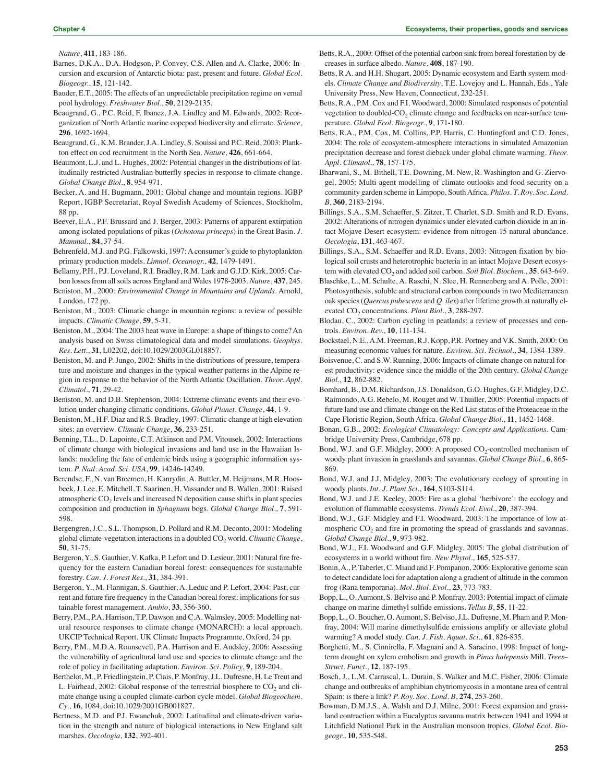*Nature*, **411**, 183-186.

- Barnes, D.K.A., D.A. Hodgson, P. Convey, C.S. Allen and A. Clarke, 2006: Incursion and excursion of Antarctic biota: past, present and future. *Global Ecol. Biogeogr.*, **15**, 121-142.
- Bauder, E.T., 2005: The effects of an unpredictable precipitation regime on vernal pool hydrology. *Freshwater Biol.*, **50**, 2129-2135.
- Beaugrand, G., P.C. Reid, F. Ibanez, J.A. Lindley and M. Edwards, 2002: Reorganization of North Atlantic marine copepod biodiversity and climate. *Science*, **296**, 1692-1694.
- Beaugrand, G., K.M. Brander, J.A. Lindley, S. Souissi and P.C. Reid, 2003: Plankton effect on cod recruitment in the North Sea. *Nature*, **426**, 661-664.
- Beaumont, L.J. and L. Hughes, 2002: Potential changes in the distributions of latitudinally restricted Australian butterfly species in response to climate change. *Global Change Biol.*, **8**, 954-971.
- Becker, A. and H. Bugmann, 2001: Global change and mountain regions. IGBP Report, IGBP Secretariat, Royal Swedish Academy of Sciences, Stockholm, 88 pp.
- Beever, E.A., P.F. Brussard and J. Berger, 2003: Patterns of apparent extirpation among isolated populations of pikas (*Ochotona princeps*) in the Great Basin. *J. Mammal.*, **84**, 37-54.
- Behrenfeld, M.J. and P.G. Falkowski, 1997: A consumer's guide to phytoplankton primary production models. *Limnol. Oceanogr.*, **42**, 1479-1491.
- Bellamy, P.H., P.J. Loveland, R.I. Bradley, R.M. Lark and G.J.D. Kirk, 2005: Carbon losses from all soils across England and Wales 1978-2003. *Nature*, **437**, 245.
- Beniston, M., 2000: *Environmental Change in Mountains and Uplands*. Arnold, London, 172 pp.
- Beniston, M., 2003: Climatic change in mountain regions: a review of possible impacts. *Climatic Change*, **59**, 5-31.
- Beniston, M., 2004: The 2003 heat wave in Europe: a shape of things to come? An analysis based on Swiss climatological data and model simulations. *Geophys. Res. Lett.*, **31**, L02202, doi:10.1029/2003GL018857.
- Beniston, M. and P. Jungo, 2002: Shifts in the distributions of pressure, temperature and moisture and changes in the typical weather patterns in the Alpine region in response to the behavior of the North Atlantic Oscillation. *Theor. Appl. Climatol.*, **71**, 29-42.
- Beniston, M. and D.B. Stephenson, 2004: Extreme climatic events and their evolution under changing climatic conditions. *Global Planet. Change*, **44**, 1-9.
- Beniston, M., H.F. Diaz and R.S. Bradley, 1997: Climatic change at high elevation sites: an overview. *Climatic Change*, **36**, 233-251.
- Benning, T.L., D. Lapointe, C.T. Atkinson and P.M. Vitousek, 2002: Interactions of climate change with biological invasions and land use in the Hawaiian Islands: modeling the fate of endemic birds using a geographic information system. *P. Natl. Acad. Sci. USA*, **99**, 14246-14249.
- Berendse, F., N. van Breemen, H. Kanrydin, A. Buttler, M. Heijmans, M.R. Hoosbeek, J. Lee, E. Mitchell, T. Saarinen, H. Vassander and B. Wallen, 2001: Raised atmospheric  $CO<sub>2</sub>$  levels and increased N deposition cause shifts in plant species composition and production in *Sphagnum* bogs. *Global Change Biol.*, **7**, 591- 598.
- Bergengren, J.C., S.L. Thompson, D. Pollard and R.M. Deconto, 2001: Modeling global climate-vegetation interactions in a doubled CO<sub>2</sub> world. *Climatic Change*, **50**, 31-75.
- Bergeron, Y., S. Gauthier, V. Kafka, P. Lefort and D. Lesieur, 2001: Natural fire frequency for the eastern Canadian boreal forest: consequences for sustainable forestry. *Can. J. Forest Res.*, **31**, 384-391.
- Bergeron, Y., M. Flannigan, S. Gauthier, A. Leduc and P. Lefort, 2004: Past, current and future fire frequency in the Canadian boreal forest: implications for sustainable forest management. *Ambio*, **33**, 356-360.
- Berry, P.M., P.A. Harrison, T.P. Dawson and C.A. Walmsley, 2005: Modelling natural resource responses to climate change (MONARCH): a local approach. UKCIP Technical Report, UK Climate Impacts Programme, Oxford, 24 pp.
- Berry, P.M., M.D.A. Rounsevell, P.A. Harrison and E. Audsley, 2006: Assessing the vulnerability of agricultural land use and species to climate change and the role of policy in facilitating adaptation. *Environ. Sci. Policy*, **9**, 189-204.
- Berthelot, M., P. Friedlingstein, P. Ciais, P. Monfray, J.L. Dufresne, H. Le Treut and L. Fairhead, 2002: Global response of the terrestrial biosphere to  $CO<sub>2</sub>$  and climate change using a coupled climate-carbon cycle model. *Global Biogeochem. Cy.*, **16**, 1084, doi:10.1029/2001GB001827.
- Bertness, M.D. and P.J. Ewanchuk, 2002: Latitudinal and climate-driven variation in the strength and nature of biological interactions in New England salt marshes. *Oecologia*, **132**, 392-401.
- Betts, R.A., 2000: Offset of the potential carbon sink from boreal forestation by decreases in surface albedo. *Nature*, **408**, 187-190.
- Betts, R.A. and H.H. Shugart, 2005: Dynamic ecosystem and Earth system models. *Climate Change and Biodiversity*, T.E. Lovejoy and L. Hannah, Eds., Yale University Press, New Haven, Connecticut, 232-251.
- Betts, R.A., P.M. Cox and F.I. Woodward, 2000: Simulated responses of potential vegetation to doubled-CO<sub>2</sub> climate change and feedbacks on near-surface temperature. *Global Ecol. Biogeogr.*, **9**, 171-180.
- Betts, R.A., P.M. Cox, M. Collins, P.P. Harris, C. Huntingford and C.D. Jones, 2004: The role of ecosystem-atmosphere interactions in simulated Amazonian precipitation decrease and forest dieback under global climate warming. *Theor. Appl. Climatol.*, **78**, 157-175.
- Bharwani, S., M. Bithell, T.E. Downing, M. New, R. Washington and G. Ziervogel, 2005: Multi-agent modelling of climate outlooks and food security on a community garden scheme in Limpopo, South Africa. *Philos. T. Roy. Soc. Lond. B*, **360**, 2183-2194.
- Billings, S.A., S.M. Schaeffer, S. Zitzer, T. Charlet, S.D. Smith and R.D. Evans, 2002: Alterations of nitrogen dynamics under elevated carbon dioxide in an intact Mojave Desert ecosystem: evidence from nitrogen-15 natural abundance. *Oecologia*, **131**, 463-467.
- Billings, S.A., S.M. Schaeffer and R.D. Evans, 2003: Nitrogen fixation by biological soil crusts and heterotrophic bacteria in an intact Mojave Desert ecosystem with elevated CO<sub>2</sub> and added soil carbon. *Soil Biol. Biochem.*, 35, 643-649.
- Blaschke, L., M. Schulte, A. Raschi, N. Slee, H. Rennenberg and A. Polle, 2001: Photosynthesis, soluble and structural carbon compounds in two Mediterranean oak species (*Quercus pubescens* and *Q. ilex*) after lifetime growth at naturally elevated CO<sub>2</sub> concentrations. *Plant Biol.*, 3, 288-297.
- Blodau, C., 2002: Carbon cycling in peatlands: a review of processes and controls. *Environ. Rev.*, **10**, 111-134.
- Bockstael, N.E., A.M. Freeman, R.J. Kopp, P.R. Portney and V.K. Smith, 2000: On measuring economic values for nature. *Environ. Sci. Technol.*, **34**, 1384-1389.
- Boisvenue, C. and S.W. Running, 2006: Impacts of climate change on natural forest productivity: evidence since the middle of the 20th century. *Global Change Biol.*, **12**, 862-882.
- Bomhard, B., D.M. Richardson, J.S. Donaldson, G.O. Hughes, G.F. Midgley, D.C. Raimondo, A.G. Rebelo, M. Rouget and W. Thuiller, 2005: Potential impacts of future land use and climate change on the Red List status of the Proteaceae in the Cape Floristic Region, South Africa. *Global Change Biol.*, **11**, 1452-1468.
- Bonan, G.B., 2002: *Ecological Climatology: Concepts and Applications*. Cambridge University Press, Cambridge, 678 pp.
- Bond, W.J. and G.F. Midgley, 2000: A proposed  $CO_2$ -controlled mechanism of woody plant invasion in grasslands and savannas. *Global Change Biol.*, **6**, 865- 869.
- Bond, W.J. and J.J. Midgley, 2003: The evolutionary ecology of sprouting in woody plants. *Int. J. Plant Sci.*, **164**, S103-S114.
- Bond, W.J. and J.E. Keeley, 2005: Fire as a global 'herbivore': the ecology and evolution of flammable ecosystems. *Trends Ecol. Evol.*, **20**, 387-394.
- Bond, W.J., G.F. Midgley and F.I. Woodward, 2003: The importance of low atmospheric  $CO<sub>2</sub>$  and fire in promoting the spread of grasslands and savannas. *Global Change Biol.*, **9**, 973-982.
- Bond, W.J., F.I. Woodward and G.F. Midgley, 2005: The global distribution of ecosystems in a world without fire. *New Phytol.*, **165**, 525-537.
- Bonin, A., P. Taberlet, C. Miaud and F. Pompanon, 2006: Explorative genome scan to detect candidate loci for adaptation along a gradient of altitude in the common frog (Rana temporaria). *Mol. Biol. Evol*., **23**, 773-783.
- Bopp, L., O. Aumont, S. Belviso and P. Monfray, 2003: Potential impact of climate change on marine dimethyl sulfide emissions. *Tellus B*, **55**, 11-22.
- Bopp, L., O. Boucher, O. Aumont, S. Belviso, J.L. Dufresne, M. Pham and P. Monfray, 2004: Will marine dimethylsulfide emissions amplify or alleviate global warming? A model study. *Can. J. Fish. Aquat. Sci.*, **61**, 826-835.
- Borghetti, M., S. Cinnirella, F. Magnani and A. Saracino, 1998: Impact of longterm drought on xylem embolism and growth in *Pinus halepensis* Mill. *Trees– Struct. Funct.*, **12**, 187-195.
- Bosch, J., L.M. Carrascal, L. Durain, S. Walker and M.C. Fisher, 2006: Climate change and outbreaks of amphibian chytriomycosis in a montane area of central Spain: is there a link? *P. Roy. Soc. Lond. B*, **274**, 253-260.
- Bowman, D.M.J.S., A. Walsh and D.J. Milne, 2001: Forest expansion and grassland contraction within a Eucalyptus savanna matrix between 1941 and 1994 at Litchfield National Park in the Australian monsoon tropics. *Global Ecol. Biogeogr.*, **10**, 535-548.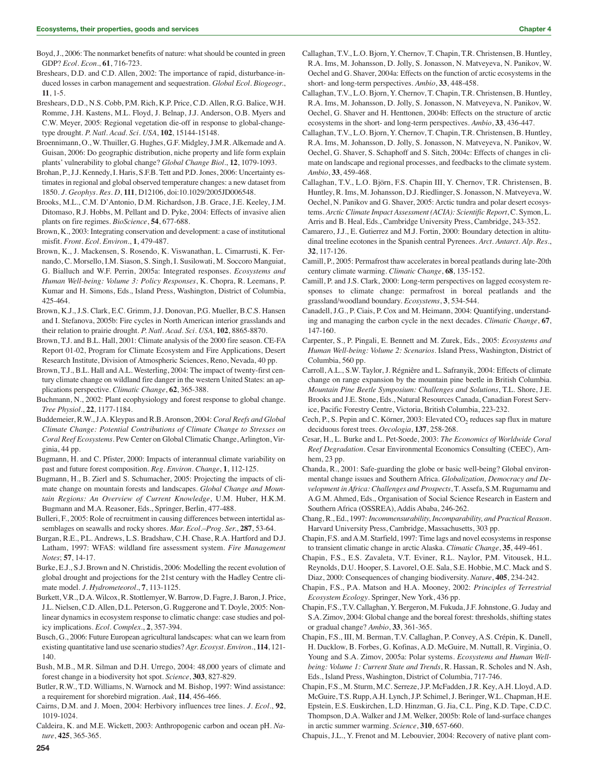Breshears, D.D. and C.D. Allen, 2002: The importance of rapid, disturbance-induced losses in carbon management and sequestration. *Global Ecol. Biogeogr.*, **11**, 1-5.

Breshears, D.D., N.S. Cobb, P.M. Rich, K.P. Price, C.D. Allen, R.G. Balice, W.H. Romme, J.H. Kastens, M.L. Floyd, J. Belnap, J.J. Anderson, O.B. Myers and C.W. Meyer, 2005: Regional vegetation die-off in response to global-changetype drought. *P. Natl. Acad. Sci. USA*, **102**, 15144-15148.

Broennimann, O., W. Thuiller, G. Hughes, G.F. Midgley, J.M.R. Alkemade and A. Guisan, 2006: Do geographic distribution, niche property and life form explain plants' vulnerability to global change? *Global Change Biol.*, **12**, 1079-1093.

Brohan, P., J.J. Kennedy, I. Haris, S.F.B. Tett and P.D. Jones, 2006: Uncertainty estimates in regional and global observed temperature changes: a new dataset from 1850. *J. Geophys. Res. D*, **111**, D12106, doi:10.1029/2005JD006548.

Brooks, M.L., C.M. D'Antonio, D.M. Richardson, J.B. Grace, J.E. Keeley, J.M. Ditomaso, R.J. Hobbs, M. Pellant and D. Pyke, 2004: Effects of invasive alien plants on fire regimes. *BioScience*, **54**, 677-688.

Brown, K., 2003: Integrating conservation and development: a case of institutional misfit. *Front. Ecol. Environ.*, **1**, 479-487.

Brown, K., J. Mackensen, S. Rosendo, K. Viswanathan, L. Cimarrusti, K. Fernando, C. Morsello, I.M. Siason, S. Singh, I. Susilowati, M. Soccoro Manguiat, G. Bialluch and W.F. Perrin, 2005a: Integrated responses. *Ecosystems and Human Well-being: Volume 3: Policy Responses*, K. Chopra, R. Leemans, P. Kumar and H. Simons, Eds., Island Press, Washington, District of Columbia, 425-464.

Brown, K.J., J.S. Clark, E.C. Grimm, J.J. Donovan, P.G. Mueller, B.C.S. Hansen and I. Stefanova, 2005b: Fire cycles in North American interior grasslands and their relation to prairie drought. *P. Natl. Acad. Sci. USA*, **102**, 8865-8870.

Brown, T.J. and B.L. Hall, 2001: Climate analysis of the 2000 fire season. CE-FA Report 01-02, Program for Climate Ecosystem and Fire Applications, Desert Research Institute, Division of Atmospheric Sciences, Reno, Nevada, 40 pp.

Brown, T.J., B.L. Hall and A.L. Westerling, 2004: The impact of twenty-first century climate change on wildland fire danger in the western United States: an applications perspective. *Climatic Change*, **62**, 365-388.

Buchmann, N., 2002: Plant ecophysiology and forest response to global change. *Tree Physiol.*, **22**, 1177-1184.

Buddemeier, R.W., J.A. Kleypas and R.B. Aronson, 2004: *Coral Reefs and Global Climate Change: Potential Contributions of Climate Change to Stresses on Coral Reef Ecosystems*. Pew Center on Global Climatic Change, Arlington, Virginia, 44 pp.

Bugmann, H. and C. Pfister, 2000: Impacts of interannual climate variability on past and future forest composition. *Reg. Environ. Change*, **1**, 112-125.

Bugmann, H., B. Zierl and S. Schumacher, 2005: Projecting the impacts of climate change on mountain forests and landscapes. *Global Change and Mountain Regions: An Overview of Current Knowledge*, U.M. Huber, H.K.M. Bugmann and M.A. Reasoner, Eds., Springer, Berlin, 477-488.

Bulleri, F., 2005: Role of recruitment in causing differences between intertidal assemblages on seawalls and rocky shores. *Mar. Ecol.–Prog. Ser.*, **287**, 53-64.

Burgan, R.E., P.L. Andrews, L.S. Bradshaw, C.H. Chase, R.A. Hartford and D.J. Latham, 1997: WFAS: wildland fire assessment system. *Fire Management Notes*; **57**, 14-17.

Burke, E.J., S.J. Brown and N. Christidis, 2006: Modelling the recent evolution of global drought and projections for the 21st century with the Hadley Centre climate model. *J. Hydrometeorol.*, **7**, 113-1125.

Burkett, V.R., D.A. Wilcox, R. Stottlemyer, W. Barrow, D. Fagre, J. Baron, J. Price, J.L. Nielsen, C.D. Allen, D.L. Peterson, G. Ruggerone and T. Doyle, 2005: Nonlinear dynamics in ecosystem response to climatic change: case studies and policy implications. *Ecol. Complex.*, **2**, 357-394.

Busch, G., 2006: Future European agricultural landscapes: what can we learn from existing quantitative land use scenario studies? *Agr. Ecosyst. Environ.*, **114**, 121- 140.

Bush, M.B., M.R. Silman and D.H. Urrego, 2004: 48,000 years of climate and forest change in a biodiversity hot spot. *Science*, **303**, 827-829.

Butler, R.W., T.D. Williams, N. Warnock and M. Bishop, 1997: Wind assistance: a requirement for shorebird migration. *Auk*, **114**, 456-466.

Cairns, D.M. and J. Moen, 2004: Herbivory influences tree lines. *J. Ecol.*, **92**, 1019-1024.

Caldeira, K. and M.E. Wickett, 2003: Anthropogenic carbon and ocean pH. *Nature*, **425**, 365-365.

Callaghan, T.V., L.O. Bjorn, Y. Chernov, T. Chapin, T.R. Christensen, B. Huntley, R.A. Ims, M. Johansson, D. Jolly, S. Jonasson, N. Matveyeva, N. Panikov, W. Oechel and G. Shaver, 2004a: Effects on the function of arctic ecosystems in the short- and long-term perspectives. *Ambio*, **33**, 448-458.

Callaghan, T.V., L.O. Bjorn, Y. Chernov, T. Chapin, T.R. Christensen, B. Huntley, R.A. Ims, M. Johansson, D. Jolly, S. Jonasson, N. Matveyeva, N. Panikov, W. Oechel, G. Shaver and H. Henttonen, 2004b: Effects on the structure of arctic ecosystems in the short- and long-term perspectives. *Ambio*, **33**, 436-447.

Callaghan, T.V., L.O. Bjorn, Y. Chernov, T. Chapin, T.R. Christensen, B. Huntley, R.A. Ims, M. Johansson, D. Jolly, S. Jonasson, N. Matveyeva, N. Panikov, W. Oechel, G. Shaver, S. Schaphoff and S. Sitch, 2004c: Effects of changes in climate on landscape and regional processes, and feedbacks to the climate system. *Ambio*, **33**, 459-468.

Callaghan, T.V., L.O. Björn, F.S. Chapin III, Y. Chernov, T.R. Christensen, B. Huntley, R. Ims, M. Johansson, D.J. Riedlinger, S. Jonasson, N. Matveyeva, W. Oechel, N. Panikov and G. Shaver, 2005: Arctic tundra and polar desert ecosystems. *Arctic Climate Impact Assessment (ACIA): Scientific Report*, C. Symon, L. Arris and B. Heal, Eds., Cambridge University Press, Cambridge, 243-352.

Camarero, J.J., E. Gutierrez and M.J. Fortin, 2000: Boundary detection in altitudinal treeline ecotones in the Spanish central Pyrenees. *Arct. Antarct. Alp. Res.*, **32**, 117-126.

Camill, P., 2005: Permafrost thaw accelerates in boreal peatlands during late-20th century climate warming. *Climatic Change*, **68**, 135-152.

Camill, P. and J.S. Clark, 2000: Long-term perspectives on lagged ecosystem responses to climate change: permafrost in boreal peatlands and the grassland/woodland boundary. *Ecosystems*, **3**, 534-544.

Canadell, J.G., P. Ciais, P. Cox and M. Heimann, 2004: Quantifying, understanding and managing the carbon cycle in the next decades. *Climatic Change*, **67**, 147-160.

Carpenter, S., P. Pingali, E. Bennett and M. Zurek, Eds., 2005: *Ecosystems and Human Well-being: Volume 2: Scenarios*. Island Press, Washington, District of Columbia, 560 pp.

Carroll, A.L., S.W. Taylor, J. Régniêre and L. Safranyik, 2004: Effects of climate change on range expansion by the mountain pine beetle in British Columbia. *Mountain Pine Beetle Symposium: Challenges and Solutions*, T.L. Shore, J.E. Brooks and J.E. Stone, Eds., Natural Resources Canada, Canadian Forest Service, Pacific Forestry Centre, Victoria, British Columbia, 223-232.

Cech, P., S. Pepin and C. Körner, 2003: Elevated  $CO<sub>2</sub>$  reduces sap flux in mature deciduous forest trees. *Oecologia*, **137**, 258-268.

Cesar, H., L. Burke and L. Pet-Soede, 2003: *The Economics of Worldwide Coral Reef Degradation*. Cesar Environmental Economics Consulting (CEEC), Arnhem, 23 pp.

Chanda, R., 2001: Safe-guarding the globe or basic well-being? Global environmental change issues and Southern Africa. *Globalization, Democracy and Development in Africa: Challenges and Prospects*, T. Assefa, S.M. Rugumamu and A.G.M. Ahmed, Eds., Organisation of Social Science Research in Eastern and Southern Africa (OSSREA), Addis Ababa, 246-262.

Chang, R., Ed., 1997: *Incommensurability, Incomparability, and Practical Reason*. Harvard University Press, Cambridge, Massachusetts, 303 pp.

Chapin, F.S. and A.M. Starfield, 1997: Time lags and novel ecosystems in response to transient climatic change in arctic Alaska. *Climatic Change*, **35**, 449-461.

Chapin, F.S., E.S. Zavaleta, V.T. Eviner, R.L. Naylor, P.M. Vitousek, H.L. Reynolds, D.U. Hooper, S. Lavorel, O.E. Sala, S.E. Hobbie, M.C. Mack and S. Diaz, 2000: Consequences of changing biodiversity. *Nature*, **405**, 234-242.

Chapin, F.S., P.A. Matson and H.A. Mooney, 2002: *Principles of Terrestrial Ecosystem Ecology*. Springer, New York, 436 pp.

Chapin, F.S., T.V. Callaghan, Y. Bergeron, M. Fukuda, J.F. Johnstone, G. Juday and S.A. Zimov, 2004: Global change and the boreal forest: thresholds, shifting states or gradual change? *Ambio*, **33**, 361-365.

Chapin, F.S., III, M. Berman, T.V. Callaghan, P. Convey, A.S. Crépin, K. Danell, H. Ducklow, B. Forbes, G. Kofinas, A.D. McGuire, M. Nuttall, R. Virginia, O. Young and S.A. Zimov, 2005a: Polar systems. *Ecosystems and Human Wellbeing: Volume 1: Current State and Trends*, R. Hassan, R. Scholes and N. Ash, Eds., Island Press, Washington, District of Columbia, 717-746.

Chapin, F.S., M. Sturm, M.C. Serreze, J.P. McFadden, J.R. Key, A.H. Lloyd, A.D. McGuire, T.S. Rupp, A.H. Lynch, J.P. Schimel, J. Beringer, W.L. Chapman, H.E. Epstein, E.S. Euskirchen, L.D. Hinzman, G. Jia, C.L. Ping, K.D. Tape, C.D.C. Thompson, D.A. Walker and J.M. Welker, 2005b: Role of land-surface changes in arctic summer warming. *Science*, **310**, 657-660.

Chapuis, J.L., Y. Frenot and M. Lebouvier, 2004: Recovery of native plant com-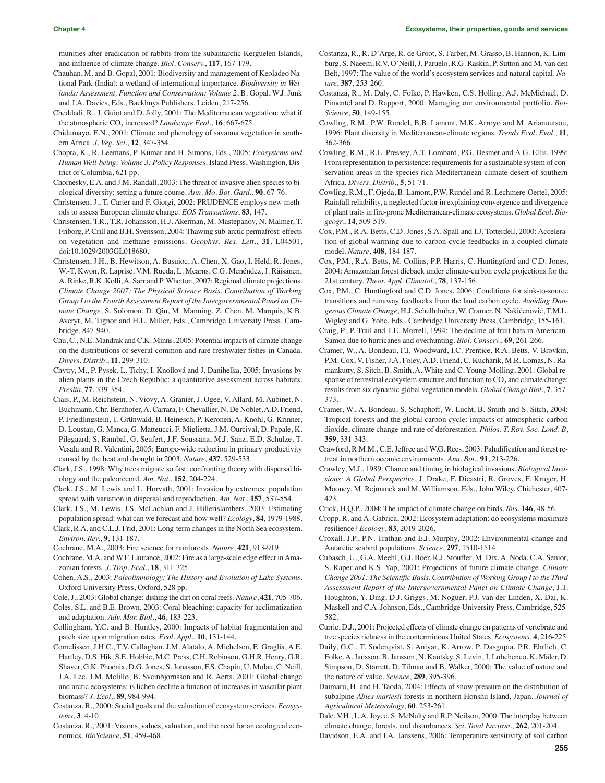munities after eradication of rabbits from the subantarctic Kerguelen Islands, and influence of climate change. *Biol. Conserv.*, **117**, 167-179.

- Chauhan, M. and B. Gopal, 2001: Biodiversity and management of Keoladeo National Park (India): a wetland of international importance. *Biodiversity in Wetlands: Assessment, Function and Conservation: Volume 2*, B. Gopal, W.J. Junk and J.A. Davies, Eds., Backhuys Publishers, Leiden, 217-256.
- Cheddadi, R., J. Guiot and D. Jolly, 2001: The Mediterranean vegetation: what if the atmospheric CO<sub>2</sub> increased? *Landscape Ecol.*, **16**, 667-675.
- Chidumayo, E.N., 2001: Climate and phenology of savanna vegetation in southern Africa. *J. Veg. Sci.*, **12**, 347-354.
- Chopra, K., R. Leemans, P. Kumar and H. Simons, Eds., 2005: *Ecosystems and Human Well-being: Volume 3: Policy Responses*. Island Press, Washington, District of Columbia, 621 pp.
- Chornesky, E.A. and J.M. Randall, 2003: The threat of invasive alien species to biological diversity: setting a future course. *Ann. Mo. Bot. Gard.,* **90**, 67-76.
- Christensen, J., T. Carter and F. Giorgi, 2002: PRUDENCE employs new methods to assess European climate change. *EOS Transactions*, **83**, 147.
- Christensen, T.R., T.R. Johansson, H.J. Akerman, M. Mastepanov, N. Malmer, T. Friborg, P. Crill and B.H. Svensson, 2004: Thawing sub-arctic permafrost: effects on vegetation and methane emissions. *Geophys. Res. Lett.*, **31**, L04501, doi:10.1029/2003GL018680.
- Christensen, J.H., B. Hewitson, A. Busuioc, A. Chen, X. Gao, I. Held, R. Jones, W.-T. Kwon, R. Laprise, V.M. Rueda, L. Mearns, C.G. Menéndez, J. Räisänen, A. Rinke, R.K. Kolli, A. Sarr and P. Whetton, 2007: Regional climate projections. *Climate Change 2007: The Physical Science Basis. Contribution of Working Group I to the Fourth Assessment Report of the Intergovernmental Panel on Climate Change*, S. Solomon, D. Qin, M. Manning, Z. Chen, M. Marquis, K.B. Averyt, M. Tignor and H.L. Miller, Eds., Cambridge University Press, Cambridge, 847-940.
- Chu, C., N.E. Mandrak and C.K. Minns, 2005: Potential impacts of climate change on the distributions of several common and rare freshwater fishes in Canada. *Divers. Distrib.*, **11**, 299-310.
- Chytry, M., P. Pysek, L. Tichy, I. Knollová and J. Danihelka, 2005: Invasions by alien plants in the Czech Republic: a quantitative assessment across habitats. *Preslia*, **77**, 339-354.
- Ciais, P., M. Reichstein, N. Viovy, A. Granier, J. Ogee, V. Allard, M. Aubinet, N. Buchmann, Chr. Bernhofer, A. Carrara, F. Chevallier, N. De Noblet, A.D. Friend, P. Friedlingstein, T. Grünwald, B. Heinesch, P. Keronen, A. Knohl, G. Krinner, D. Loustau, G. Manca, G. Matteucci, F. Miglietta, J.M. Ourcival, D. Papale, K. Pilegaard, S. Rambal, G. Seufert, J.F. Soussana, M.J. Sanz, E.D. Schulze, T. Vesala and R. Valentini, 2005: Europe-wide reduction in primary productivity caused by the heat and drought in 2003. *Nature*, **437**, 529-533.
- Clark, J.S., 1998: Why trees migrate so fast: confronting theory with dispersal biology and the paleorecord. *Am. Nat.*, **152**, 204-224.
- Clark, J.S., M. Lewis and L. Horvath, 2001: Invasion by extremes: population spread with variation in dispersal and reproduction. *Am. Nat.*, **157**, 537-554.
- Clark, J.S., M. Lewis, J.S. McLachlan and J. Hillerislambers, 2003: Estimating population spread: what can we forecast and how well? *Ecology*, **84**, 1979-1988.
- Clark, R.A. and C.L.J. Frid, 2001: Long-term changes in the North Sea ecosystem. *Environ. Rev.*, **9**, 131-187.
- Cochrane, M.A., 2003: Fire science for rainforests. *Nature*, **421**, 913-919.
- Cochrane, M.A. and W.F. Laurance, 2002: Fire as a large-scale edge effect in Amazonian forests. *J. Trop. Ecol.*, **18**, 311-325.
- Cohen, A.S., 2003: *Paleolimnology: The History and Evolution of Lake Systems*. Oxford University Press, Oxford, 528 pp.
- Cole, J., 2003: Global change: dishing the dirt on coral reefs. *Nature*, **421**, 705-706.
- Coles, S.L. and B.E. Brown, 2003: Coral bleaching: capacity for acclimatization and adaptation. *Adv. Mar. Biol.*, **46**, 183-223.
- Collingham, Y.C. and B. Huntley, 2000: Impacts of habitat fragmentation and patch size upon migration rates. *Ecol. Appl.*, **10**, 131-144.
- Cornelissen, J.H.C., T.V. Callaghan, J.M. Alatalo, A. Michelsen, E. Graglia, A.E. Hartley, D.S. Hik, S.E. Hobbie, M.C. Press, C.H. Robinson, G.H.R. Henry, G.R. Shaver, G.K. Phoenix, D.G. Jones, S. Jonasson, F.S. Chapin, U. Molau, C. Neill, J.A. Lee, J.M. Melillo, B. Sveinbjornsson and R. Aerts, 2001: Global change and arctic ecosystems: is lichen decline a function of increases in vascular plant biomass? *J. Ecol.*, **89**, 984-994.
- Costanza, R., 2000: Social goals and the valuation of ecosystem services. *Ecosystems*, **3**, 4-10.
- Costanza, R., 2001: Visions, values, valuation, and the need for an ecological economics. *BioScience*, **51**, 459-468.
- Costanza, R., R. D'Arge, R. de Groot, S. Farber, M. Grasso, B. Hannon, K. Limburg, S. Naeem, R.V. O'Neill, J. Paruelo, R.G. Raskin, P. Sutton and M. van den Belt, 1997: The value of the world's ecosystem services and natural capital. *Nature*, **387**, 253-260.
- Costanza, R., M. Daly, C. Folke, P. Hawken, C.S. Holling, A.J. McMichael, D. Pimentel and D. Rapport, 2000: Managing our environmental portfolio. *Bio-Science*, **50**, 149-155.
- Cowling, R.M., P.W. Rundel, B.B. Lamont, M.K. Arroyo and M. Arianoutsou, 1996: Plant diversity in Mediterranean-climate regions. *Trends Ecol. Evol.*, **11**, 362-366.
- Cowling, R.M., R.L. Pressey, A.T. Lombard, P.G. Desmet and A.G. Ellis, 1999: From representation to persistence: requirements for a sustainable system of conservation areas in the species-rich Mediterranean-climate desert of southern Africa. *Divers. Distrib.*, **5**, 51-71.
- Cowling, R.M., F. Ojeda, B. Lamont, P.W. Rundel and R. Lechmere-Oertel, 2005: Rainfall reliability, a neglected factor in explaining convergence and divergence of plant traits in fire-prone Mediterranean-climate ecosystems. *Global Ecol. Biogeogr.*, **14**, 509-519.
- Cox, P.M., R.A. Betts, C.D. Jones, S.A. Spall and I.J. Totterdell, 2000: Acceleration of global warming due to carbon-cycle feedbacks in a coupled climate model. *Nature*, **408**, 184-187.
- Cox, P.M., R.A. Betts, M. Collins, P.P. Harris, C. Huntingford and C.D. Jones, 2004: Amazonian forest dieback under climate-carbon cycle projections for the 21st century. *Theor. Appl. Climatol.*, **78**, 137-156.
- Cox, P.M., C. Huntingford and C.D. Jones, 2006: Conditions for sink-to-source transitions and runaway feedbacks from the land carbon cycle. *Avoiding Dangerous Climate Change*, H.J. Schellnhuber, W. Cramer, N. Nakićenović, T.M.L. Wigley and G. Yohe, Eds., Cambridge University Press, Cambridge, 155-161.
- Craig, P., P. Trail and T.E. Morrell, 1994: The decline of fruit bats in American-Samoa due to hurricanes and overhunting. *Biol. Conserv.*, **69**, 261-266.
- Cramer, W., A. Bondeau, F.I. Woodward, I.C. Prentice, R.A. Betts, V. Brovkin, P.M. Cox, V. Fisher, J.A. Foley, A.D. Friend, C. Kucharik, M.R. Lomas, N. Ramankutty, S. Sitch, B. Smith, A. White and C. Young-Molling, 2001: Global response of terrestrial ecosystem structure and function to  $CO<sub>2</sub>$  and climate change: results from six dynamic global vegetation models. *Global Change Biol.*, **7**, 357- 373.
- Cramer, W., A. Bondeau, S. Schaphoff, W. Lucht, B. Smith and S. Sitch, 2004: Tropical forests and the global carbon cycle: impacts of atmospheric carbon dioxide, climate change and rate of deforestation. *Philos. T. Roy. Soc. Lond. B*, **359**, 331-343.
- Crawford, R.M.M., C.E. Jeffree and W.G. Rees, 2003: Paludification and forest retreat in northern oceanic environments. *Ann. Bot.*, **91**, 213-226.
- Crawley, M.J., 1989: Chance and timing in biological invasions. *Biological Invasions: A Global Perspective*, J. Drake, F. Dicastri, R. Groves, F. Kruger, H. Mooney, M. Rejmanek and M. Williamson, Eds., John Wiley, Chichester, 407- 423.
- Crick, H.Q.P., 2004: The impact of climate change on birds. *Ibis*, **146**, 48-56.
- Cropp, R. and A. Gabrica, 2002: Ecosystem adaptation: do ecosystems maximize resilience? *Ecology*, **83**, 2019-2026.
- Croxall, J.P., P.N. Trathan and E.J. Murphy, 2002: Environmental change and Antarctic seabird populations. *Science*, **297**, 1510-1514.
- Cubasch, U., G.A. Meehl, G.J. Boer, R.J. Stouffer, M. Dix, A. Noda, C.A. Senior, S. Raper and K.S. Yap, 2001: Projections of future climate change. *Climate Change 2001: The Scientific Basis. Contribution of Working Group I to the Third Assessment Report of the Intergovernmental Panel on Climate Change*, J.T. Houghton, Y. Ding, D.J. Griggs, M. Noguer, P.J. van der Linden, X. Dai, K. Maskell and C.A. Johnson, Eds., Cambridge University Press, Cambridge, 525- 582.
- Currie, D.J., 2001: Projected effects of climate change on patterns of vertebrate and tree species richness in the conterminous United States. *Ecosystems*, **4**, 216-225.
- Daily, G.C., T. Söderqvist, S. Aniyar, K. Arrow, P. Dasgupta, P.R. Ehrlich, C. Folke, A. Jansson, B. Jansson, N. Kautsky, S. Levin, J. Lubchenco, K. Mäler, D. Simpson, D. Starrett, D. Tilman and B. Walker, 2000: The value of nature and the nature of value. *Science*, **289**, 395-396.
- Daimaru, H. and H. Taoda, 2004: Effects of snow pressure on the distribution of subalpine *Abies mariesii* forests in northern Honshu Island, Japan. *Journal of Agricultural Meteorology*, **60**, 253-261.
- Dale, V.H., L.A. Joyce, S. McNulty and R.P. Neilson, 2000: The interplay between climate change, forests, and disturbances. *Sci. Total Environ.*, **262**, 201-204.
- Davidson, E.A. and I.A. Janssens, 2006: Temperature sensitivity of soil carbon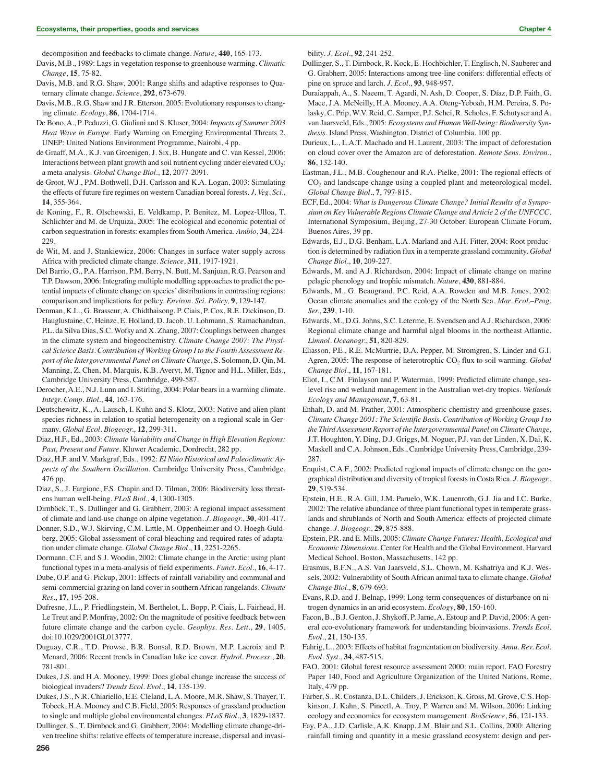decomposition and feedbacks to climate change. *Nature*, **440**, 165-173.

Davis, M.B., 1989: Lags in vegetation response to greenhouse warming. *Climatic Change*, **15**, 75-82.

- Davis, M.B. and R.G. Shaw, 2001: Range shifts and adaptive responses to Quaternary climate change. *Science*, **292**, 673-679.
- Davis, M.B., R.G. Shaw and J.R. Etterson, 2005: Evolutionary responses to changing climate. *Ecology*, **86**, 1704-1714.
- De Bono, A., P. Peduzzi, G. Giuliani and S. Kluser, 2004: *Impacts of Summer 2003 Heat Wave in Europe*. Early Warning on Emerging Environmental Threats 2, UNEP: United Nations Environment Programme, Nairobi, 4 pp.
- de Graaff, M.A., K.J. van Groenigen, J. Six, B. Hungate and C. van Kessel, 2006: Interactions between plant growth and soil nutrient cycling under elevated  $CO_2$ : a meta-analysis. *Global Change Biol.*, **12**, 2077-2091.
- de Groot, W.J., P.M. Bothwell, D.H. Carlsson and K.A. Logan, 2003: Simulating the effects of future fire regimes on western Canadian boreal forests. *J. Veg. Sci.*, **14**, 355-364.
- de Koning, F., R. Olschewski, E. Veldkamp, P. Benitez, M. Lopez-Ulloa, T. Schlichter and M. de Urquiza, 2005: The ecological and economic potential of carbon sequestration in forests: examples from South America. *Ambio*, **34**, 224- 229.
- de Wit, M. and J. Stankiewicz, 2006: Changes in surface water supply across Africa with predicted climate change. *Science*, **311**, 1917-1921.
- Del Barrio, G., P.A. Harrison, P.M. Berry, N. Butt, M. Sanjuan, R.G. Pearson and T.P. Dawson, 2006: Integrating multiple modelling approaches to predict the potential impacts of climate change on species'distributions in contrasting regions: comparison and implications for policy. *Environ. Sci. Policy,* **9**, 129-147.
- Denman, K.L., G. Brasseur, A. Chidthaisong, P. Ciais, P. Cox, R.E. Dickinson, D. Hauglustaine, C. Heinze, E. Holland, D. Jacob, U. Lohmann, S. Ramachandran, P.L. da Silva Dias, S.C. Wofsy and X. Zhang, 2007: Couplings between changes in the climate system and biogeochemistry. *Climate Change 2007: The Physical Science Basis. Contribution of Working Group I to the Fourth Assessment Report of the Intergovernmental Panel on Climate Change*, S. Solomon, D. Qin, M. Manning, Z. Chen, M. Marquis, K.B. Averyt, M. Tignor and H.L. Miller, Eds., Cambridge University Press, Cambridge, 499-587.
- Derocher, A.E., N.J. Lunn and I. Stirling, 2004: Polar bears in a warming climate. *Integr. Comp. Biol.*, **44**, 163-176.
- Deutschewitz, K., A. Lausch, I. Kuhn and S. Klotz, 2003: Native and alien plant species richness in relation to spatial heterogeneity on a regional scale in Germany. *Global Ecol. Biogeogr.*, **12**, 299-311.
- Diaz, H.F., Ed., 2003: *Climate Variability and Change in High Elevation Regions: Past, Present and Future*. Kluwer Academic, Dordrecht, 282 pp.
- Diaz, H.F. and V. Markgraf, Eds., 1992: *El Niño Historical and Paleoclimatic Aspects of the Southern Oscillation*. Cambridge University Press, Cambridge, 476 pp.
- Diaz, S., J. Fargione, F.S. Chapin and D. Tilman, 2006: Biodiversity loss threatens human well-being. *PLoS Biol.*, **4**, 1300-1305.
- Dirnböck, T., S. Dullinger and G. Grabherr, 2003: A regional impact assessment of climate and land-use change on alpine vegetation. *J. Biogeogr.*, **30**, 401-417.
- Donner, S.D., W.J. Skirving, C.M. Little, M. Oppenheimer and O. Hoegh-Guldberg, 2005: Global assessment of coral bleaching and required rates of adaptation under climate change. *Global Change Biol.*, **11**, 2251-2265.
- Dormann, C.F. and S.J. Woodin, 2002: Climate change in the Arctic: using plant functional types in a meta-analysis of field experiments. *Funct. Ecol.*, **16**, 4-17.
- Dube, O.P. and G. Pickup, 2001: Effects of rainfall variability and communal and semi-commercial grazing on land cover in southern African rangelands. *Climate Res.*, **17**, 195-208.
- Dufresne, J.L., P. Friedlingstein, M. Berthelot, L. Bopp, P. Ciais, L. Fairhead, H. Le Treut and P. Monfray, 2002: On the magnitude of positive feedback between future climate change and the carbon cycle. *Geophys. Res. Lett.*, **29**, 1405, doi:10.1029/2001GL013777.
- Duguay, C.R., T.D. Prowse, B.R. Bonsal, R.D. Brown, M.P. Lacroix and P. Menard, 2006: Recent trends in Canadian lake ice cover. *Hydrol. Process.*, **20**, 781-801.
- Dukes, J.S. and H.A. Mooney, 1999: Does global change increase the success of biological invaders? *Trends Ecol. Evol.*, **14**, 135-139.
- Dukes, J.S., N.R. Chiariello, E.E. Cleland, L.A. Moore, M.R. Shaw, S. Thayer, T. Tobeck, H.A. Mooney and C.B. Field, 2005: Responses of grassland production to single and multiple global environmental changes. *PLoS Biol.*, **3**, 1829-1837.
- Dullinger, S., T. Dirnbock and G. Grabherr, 2004: Modelling climate change-driven treeline shifts: relative effects of temperature increase, dispersal and invasi-

bility. *J. Ecol.*, **92**, 241-252.

- Dullinger, S., T. Dirnbock, R. Kock, E. Hochbichler, T. Englisch, N. Sauberer and G. Grabherr, 2005: Interactions among tree-line conifers: differential effects of pine on spruce and larch. *J. Ecol.*, **93**, 948-957.
- Duraiappah, A., S. Naeem, T. Agardi, N. Ash, D. Cooper, S. Díaz, D.P. Faith, G.
- Mace, J.A. McNeilly, H.A. Mooney, A.A. Oteng-Yeboah, H.M. Pereira, S. Polasky, C. Prip, W.V. Reid, C. Samper, P.J. Schei, R. Scholes, F. Schutyser and A. van Jaarsveld, Eds., 2005: *Ecosystems and Human Well-being: Biodiversity Synthesis*. Island Press, Washington, District of Columbia, 100 pp.
- Durieux, L., L.A.T. Machado and H. Laurent, 2003: The impact of deforestation on cloud cover over the Amazon arc of deforestation. *Remote Sens. Environ.*, **86**, 132-140.
- Eastman, J.L., M.B. Coughenour and R.A. Pielke, 2001: The regional effects of CO<sub>2</sub> and landscape change using a coupled plant and meteorological model. *Global Change Biol.*, **7**, 797-815.
- ECF, Ed., 2004: *What is Dangerous Climate Change? Initial Results of a Symposium on Key Vulnerable Regions Climate Change and Article 2 of the UNFCCC*. International Symposium, Beijing, 27-30 October. European Climate Forum, Buenos Aires, 39 pp.
- Edwards, E.J., D.G. Benham, L.A. Marland and A.H. Fitter, 2004: Root production is determined by radiation flux in a temperate grassland community. *Global Change Biol.*, **10**, 209-227.
- Edwards, M. and A.J. Richardson, 2004: Impact of climate change on marine pelagic phenology and trophic mismatch. *Nature*, **430**, 881-884.
- Edwards, M., G. Beaugrand, P.C. Reid, A.A. Rowden and M.B. Jones, 2002: Ocean climate anomalies and the ecology of the North Sea. *Mar. Ecol.–Prog. Ser.*, **239**, 1-10.
- Edwards, M., D.G. Johns, S.C. Leterme, E. Svendsen and A.J. Richardson, 2006: Regional climate change and harmful algal blooms in the northeast Atlantic. *Limnol. Oceanogr.*, **51**, 820-829.
- Eliasson, P.E., R.E. McMurtrie, D.A. Pepper, M. Stromgren, S. Linder and G.I. Agren, 2005: The response of heterotrophic CO<sub>2</sub> flux to soil warming. *Global Change Biol.*, **11**, 167-181.
- Eliot, I., C.M. Finlayson and P. Waterman, 1999: Predicted climate change, sealevel rise and wetland management in the Australian wet-dry tropics. *Wetlands Ecology and Management*, **7**, 63-81.
- Enhalt, D. and M. Prather, 2001: Atmospheric chemistry and greenhouse gases. *Climate Change 2001: The Scientific Basis. Contribution of Working Group I to the Third Assessment Report of the Intergovernmental Panel on Climate Change*, J.T. Houghton, Y. Ding, D.J. Griggs, M. Noguer, P.J. van der Linden, X. Dai, K. Maskell and C.A. Johnson, Eds., Cambridge University Press, Cambridge, 239- 287.
- Enquist, C.A.F., 2002: Predicted regional impacts of climate change on the geographical distribution and diversity of tropical forests in Costa Rica. *J. Biogeogr.*, **29**, 519-534.
- Epstein, H.E., R.A. Gill, J.M. Paruelo, W.K. Lauenroth, G.J. Jia and I.C. Burke, 2002: The relative abundance of three plant functional types in temperate grasslands and shrublands of North and South America: effects of projected climate change. *J. Biogeogr.*, **29**, 875-888.
- Epstein, P.R. and E. Mills, 2005: *Climate Change Futures: Health, Ecological and Economic Dimensions*. Center for Health and the Global Environment, Harvard Medical School, Boston, Massachusetts, 142 pp.
- Erasmus, B.F.N., A.S. Van Jaarsveld, S.L. Chown, M. Kshatriya and K.J. Wessels, 2002: Vulnerability of South African animal taxa to climate change. *Global Change Biol.*, **8**, 679-693.
- Evans, R.D. and J. Belnap, 1999: Long-term consequences of disturbance on nitrogen dynamics in an arid ecosystem. *Ecology*, **80**, 150-160.
- Facon, B., B.J. Genton, J. Shykoff, P. Jarne, A. Estoup and P. David, 2006: A general eco-evolutionary framework for understanding bioinvasions. *Trends Ecol. Evol.*, **21**, 130-135.
- Fahrig, L., 2003: Effects of habitat fragmentation on biodiversity. *Annu. Rev. Ecol. Evol. Syst.*, **34**, 487-515.
- FAO, 2001: Global forest resource assessment 2000: main report. FAO Forestry Paper 140, Food and Agriculture Organization of the United Nations, Rome, Italy, 479 pp.
- Farber, S., R. Costanza, D.L. Childers, J. Erickson, K. Gross, M. Grove, C.S. Hopkinson, J. Kahn, S. Pincetl, A. Troy, P. Warren and M. Wilson, 2006: Linking ecology and economics for ecosystem management. *BioScience*, **56**, 121-133.
- Fay, P.A., J.D. Carlisle, A.K. Knapp, J.M. Blair and S.L. Collins, 2000: Altering rainfall timing and quantity in a mesic grassland ecosystem: design and per-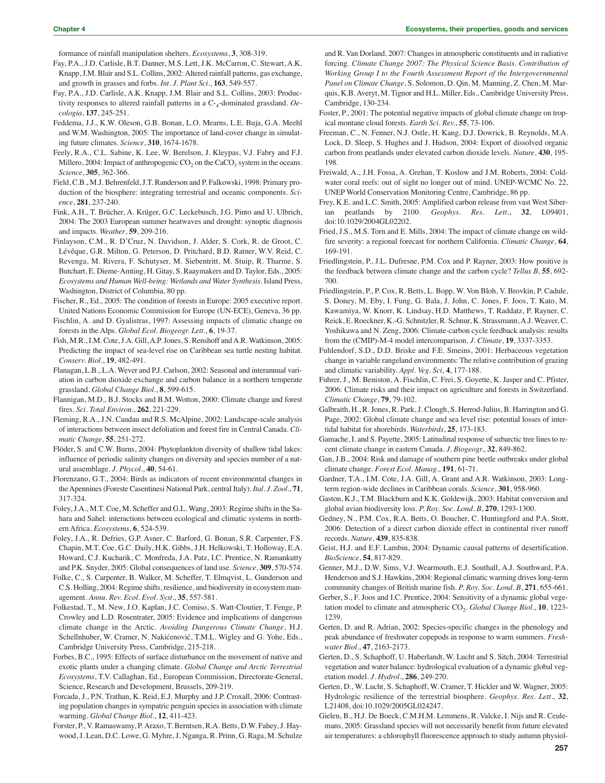formance of rainfall manipulation shelters. *Ecosystems*, **3**, 308-319.

- Fay, P.A., J.D. Carlisle, B.T. Danner, M.S. Lett, J.K. McCarron, C. Stewart, A.K. Knapp, J.M. Blair and S.L. Collins, 2002: Altered rainfall patterns, gas exchange, and growth in grasses and forbs. *Int. J. Plant Sci.*, **163**, 549-557.
- Fay, P.A., J.D. Carlisle, A.K. Knapp, J.M. Blair and S.L. Collins, 2003: Productivity responses to altered rainfall patterns in a C-4-dominated grassland. *Oecologia*, **137**, 245-251.
- Feddema, J.J., K.W. Oleson, G.B. Bonan, L.O. Mearns, L.E. Buja, G.A. Meehl and W.M. Washington, 2005: The importance of land-cover change in simulating future climates. *Science*, **310**, 1674-1678.
- Feely, R.A., C.L. Sabine, K. Lee, W. Berelson, J. Kleypas, V.J. Fabry and F.J. Millero, 2004: Impact of anthropogenic  $CO_2$  on the CaCO<sub>3</sub> system in the oceans. *Science*, **305**, 362-366.
- Field, C.B., M.J. Behrenfeld, J.T. Randerson and P. Falkowski, 1998: Primary production of the biosphere: integrating terrestrial and oceanic components. *Science*, **281**, 237-240.
- Fink, A.H., T. Brücher, A. Krüger, G.C. Leckebusch, J.G. Pinto and U. Ulbrich, 2004: The 2003 European summer heatwaves and drought: synoptic diagnosis and impacts. *Weather*, **59**, 209-216.
- Finlayson, C.M., R. D'Cruz, N. Davidson, J. Alder, S. Cork, R. de Groot, C. Lévêque, G.R. Milton, G. Peterson, D. Pritchard, B.D. Ratner, W.V. Reid, C. Revenga, M. Rivera, F. Schutyser, M. Siebentritt, M. Stuip, R. Tharme, S. Butchart, E. Dieme-Amting, H. Gitay, S. Raaymakers and D. Taylor, Eds., 2005: *Ecosystems and Human Well-being: Wetlands and Water Synthesis*. Island Press, Washington, District of Columbia, 80 pp.
- Fischer, R., Ed., 2005: The condition of forests in Europe: 2005 executive report. United Nations Economic Commission for Europe (UN-ECE), Geneva, 36 pp.
- Fischlin, A. and D. Gyalistras, 1997: Assessing impacts of climatic change on forests in the Alps. *Global Ecol. Biogeogr. Lett.*, **6**, 19-37.
- Fish, M.R., I.M. Cote, J.A. Gill, A.P. Jones, S. Renshoff and A.R. Watkinson, 2005: Predicting the impact of sea-level rise on Caribbean sea turtle nesting habitat. *Conserv. Biol.*, **19**, 482-491.
- Flanagan, L.B., L.A. Wever and P.J. Carlson, 2002: Seasonal and interannual variation in carbon dioxide exchange and carbon balance in a northern temperate grassland. *Global Change Biol.*, **8**, 599-615.
- Flannigan, M.D., B.J. Stocks and B.M. Wotton, 2000: Climate change and forest fires. *Sci. Total Environ.*, **262**, 221-229.
- Fleming, R.A., J.N. Candau and R.S. McAlpine, 2002: Landscape-scale analysis of interactions between insect defoliation and forest fire in Central Canada. *Climatic Change*, **55**, 251-272.
- Flöder, S. and C.W. Burns, 2004: Phytoplankton diversity of shallow tidal lakes: influence of periodic salinity changes on diversity and species number of a natural assemblage. *J. Phycol.*, **40**, 54-61.
- Florenzano, G.T., 2004: Birds as indicators of recent environmental changes in the Apennines (Foreste Casentinesi National Park, central Italy). *Ital. J. Zool.*, **71**, 317-324.
- Foley, J.A., M.T. Coe, M. Scheffer and G.L. Wang, 2003: Regime shifts in the Sahara and Sahel: interactions between ecological and climatic systems in northern Africa. *Ecosystems*, **6**, 524-539.
- Foley, J.A., R. Defries, G.P. Asner, C. Barford, G. Bonan, S.R. Carpenter, F.S. Chapin, M.T. Coe, G.C. Daily, H.K. Gibbs, J.H. Helkowski, T. Holloway, E.A. Howard, C.J. Kucharik, C. Monfreda, J.A. Patz, I.C. Prentice, N. Ramankutty and P.K. Snyder, 2005: Global consequences of land use. *Science*, **309**, 570-574.
- Folke, C., S. Carpenter, B. Walker, M. Scheffer, T. Elmqvist, L. Gunderson and C.S. Holling, 2004: Regime shifts, resilience, and biodiversity in ecosystem management. *Annu. Rev. Ecol. Evol. Syst.*, **35**, 557-581.
- Folkestad, T., M. New, J.O. Kaplan, J.C. Comiso, S. Watt-Cloutier, T. Fenge, P. Crowley and L.D. Rosentrater, 2005: Evidence and implications of dangerous climate change in the Arctic. *Avoiding Dangerous Climate Change*, H.J. Schellnhuber, W. Cramer, N. Nakićenović, T.M.L. Wigley and G. Yohe, Eds., Cambridge University Press, Cambridge, 215-218.
- Forbes, B.C., 1995: Effects of surface disturbance on the movement of native and exotic plants under a changing climate. *Global Change and Arctic Terrestrial Ecosystems*, T.V. Callaghan, Ed., European Commission, Directorate-General, Science, Research and Development, Brussels, 209-219.
- Forcada, J., P.N. Trathan, K. Reid, E.J. Murphy and J.P. Croxall, 2006: Contrasting population changes in sympatric penguin species in association with climate warming. *Global Change Biol.*, **12**, 411-423.
- Forster, P., V. Ramaswamy, P. Araxo, T. Berntsen, R.A. Betts, D.W. Fahey, J. Haywood, J. Lean, D.C. Lowe, G. Myhre, J. Nganga, R. Prinn, G. Raga, M. Schulze

and R. Van Dorland, 2007: Changes in atmospheric constituents and in radiative forcing. *Climate Change 2007: The Physical Science Basis. Contribution of Working Group I to the Fourth Assessment Report of the Intergovernmental Panel on Climate Change*, S. Solomon, D. Qin, M. Manning, Z. Chen, M. Marquis, K.B. Averyt, M. Tignor and H.L. Miller, Eds., Cambridge University Press, Cambridge, 130-234.

- Foster, P., 2001: The potential negative impacts of global climate change on tropical montane cloud forests. *Earth Sci. Rev.*, **55**, 73-106.
- Freeman, C., N. Fenner, N.J. Ostle, H. Kang, D.J. Dowrick, B. Reynolds, M.A. Lock, D. Sleep, S. Hughes and J. Hudson, 2004: Export of dissolved organic carbon from peatlands under elevated carbon dioxide levels. *Nature*, **430**, 195- 198.
- Freiwald, A., J.H. Fossa, A. Grehan, T. Koslow and J.M. Roberts, 2004: Coldwater coral reefs: out of sight no longer out of mind. UNEP-WCMC No. 22, UNEP World Conservation Monitoring Centre, Cambridge, 86 pp.
- Frey, K.E. and L.C. Smith, 2005: Amplified carbon release from vast West Siberian peatlands by 2100. *Geophys. Res. Lett.*, **32**, L09401, doi:10.1029/2004GL02202.
- Fried, J.S., M.S. Torn and E. Mills, 2004: The impact of climate change on wildfire severity: a regional forecast for northern California. *Climatic Change*, **64**, 169-191.
- Friedlingstein, P., J.L. Dufresne, P.M. Cox and P. Rayner, 2003: How positive is the feedback between climate change and the carbon cycle? *Tellus B*, **55**, 692- 700.
- Friedlingstein, P., P. Cox, R. Betts, L. Bopp, W. Von Bloh, V. Brovkin, P. Cadule, S. Doney, M. Eby, I. Fung, G. Bala, J. John, C. Jones, F. Joos, T. Kato, M. Kawamiya, W. Knorr, K. Lindsay, H.D. Matthews, T. Raddatz, P. Rayner, C. Reick, E. Roeckner, K.-G. Schnitzler, R. Schnur, K. Strassmann, A.J. Weaver, C. Yoshikawa and N. Zeng, 2006: Climate-carbon cycle feedback analysis: results from the (CMIP)-M-4 model intercomparison. *J. Climate*, **19**, 3337-3353.
- Fuhlendorf, S.D., D.D. Briske and F.E. Smeins, 2001: Herbaceous vegetation change in variable rangeland environments: The relative contribution of grazing and climatic variability. *Appl. Veg. Sci*, **4**, 177-188.
- Fuhrer, J., M. Beniston, A. Fischlin, C. Frei, S. Goyette, K. Jasper and C. Pfister, 2006: Climate risks and their impact on agriculture and forests in Switzerland. *Climatic Change*, **79**, 79-102.
- Galbraith, H., R. Jones, R. Park, J. Clough, S. Herrod-Julius, B. Harrington and G. Page, 2002: Global climate change and sea level rise: potential losses of intertidal habitat for shorebirds. *Waterbirds*, **25**, 173-183.
- Gamache, I. and S. Payette, 2005: Latitudinal response of subarctic tree lines to recent climate change in eastern Canada. *J. Biogeogr.*, **32**, 849-862.
- Gan, J.B., 2004: Risk and damage of southern pine beetle outbreaks under global climate change. *Forest Ecol. Manag.*, **191**, 61-71.
- Gardner, T.A., I.M. Cote, J.A. Gill, A. Grant and A.R. Watkinson, 2003: Longterm region-wide declines in Caribbean corals. *Science*, **301**, 958-960.
- Gaston, K.J., T.M. Blackburn and K.K. Goldewijk, 2003: Habitat conversion and global avian biodiversity loss. *P. Roy. Soc. Lond. B*, **270**, 1293-1300.
- Gedney, N., P.M. Cox, R.A. Betts, O. Boucher, C. Huntingford and P.A. Stott, 2006: Detection of a direct carbon dioxide effect in continental river runoff records. *Nature*, **439**, 835-838.
- Geist, H.J. and E.F. Lambin, 2004: Dynamic causal patterns of desertification. *BioScience*, **54**, 817-829.
- Genner, M.J., D.W. Sims, V.J. Wearmouth, E.J. Southall, A.J. Southward, P.A. Henderson and S.J. Hawkins, 2004: Regional climatic warming drives long-term community changes of British marine fish. *P. Roy. Soc. Lond. B*, **271**, 655-661.
- Gerber, S., F. Joos and I.C. Prentice, 2004: Sensitivity of a dynamic global vegetation model to climate and atmospheric  $CO_2$ . *Global Change Biol.*, **10**, 1223-1239.
- Gerten, D. and R. Adrian, 2002: Species-specific changes in the phenology and peak abundance of freshwater copepods in response to warm summers. *Freshwater Biol.*, **47**, 2163-2173.
- Gerten, D., S. Schaphoff, U. Haberlandt, W. Lucht and S. Sitch, 2004: Terrestrial vegetation and water balance: hydrological evaluation of a dynamic global vegetation model. *J. Hydrol.*, **286**, 249-270.
- Gerten, D., W. Lucht, S. Schaphoff, W. Cramer, T. Hickler and W. Wagner, 2005: Hydrologic resilience of the terrestrial biosphere. *Geophys. Res. Lett.*, **32**, L21408, doi:10.1029/2005GL024247.
- Gielen, B., H.J. De Boeck, C.M.H.M. Lemmens, R. Valcke, I. Nijs and R. Ceulemans, 2005: Grassland species will not necessarily benefit from future elevated air temperatures: a chlorophyll fluorescence approach to study autumn physiol-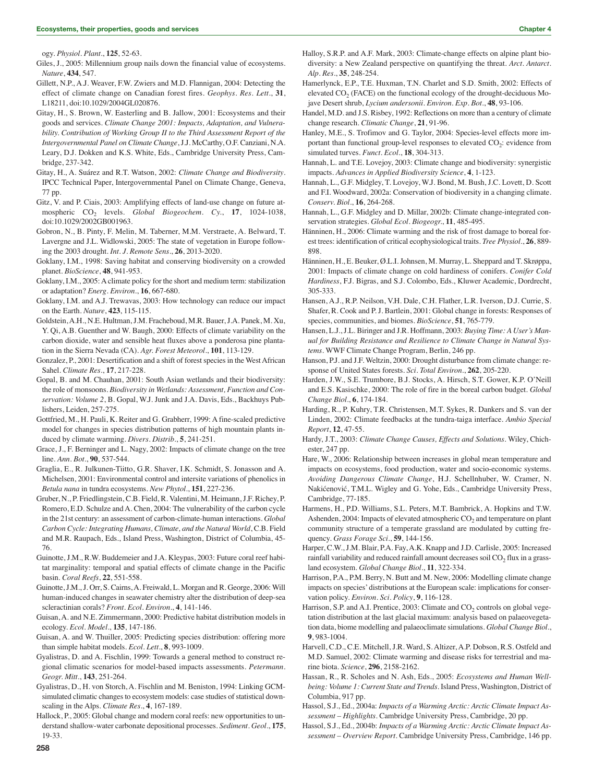ogy. *Physiol. Plant.*, **125**, 52-63.

- Giles, J., 2005: Millennium group nails down the financial value of ecosystems. *Nature*, **434**, 547.
- Gillett, N.P., A.J. Weaver, F.W. Zwiers and M.D. Flannigan, 2004: Detecting the effect of climate change on Canadian forest fires. *Geophys. Res. Lett.*, **31**, L18211, doi:10.1029/2004GL020876.
- Gitay, H., S. Brown, W. Easterling and B. Jallow, 2001: Ecosystems and their goods and services. *Climate Change 2001: Impacts, Adaptation, and Vulnerability. Contribution of Working Group II to the Third Assessment Report of the Intergovernmental Panel on Climate Change*, J.J. McCarthy, O.F. Canziani, N.A. Leary, D.J. Dokken and K.S. White, Eds., Cambridge University Press, Cambridge, 237-342.
- Gitay, H., A. Suárez and R.T. Watson, 2002: *Climate Change and Biodiversity*. IPCC Technical Paper, Intergovernmental Panel on Climate Change, Geneva, 77 pp.
- Gitz, V. and P. Ciais, 2003: Amplifying effects of land-use change on future atmospheric CO<sub>2</sub> levels. *Global Biogeochem. Cy.*, 17, 1024-1038, doi:10.1029/2002GB001963.
- Gobron, N., B. Pinty, F. Melin, M. Taberner, M.M. Verstraete, A. Belward, T. Lavergne and J.L. Widlowski, 2005: The state of vegetation in Europe following the 2003 drought. *Int. J. Remote Sens.*, **26**, 2013-2020.
- Goklany, I.M., 1998: Saving habitat and conserving biodiversity on a crowded planet. *BioScience*, **48**, 941-953.
- Goklany, I.M., 2005: A climate policy for the short and medium term: stabilization or adaptation? *Energ. Environ.*, **16**, 667-680.
- Goklany, I.M. and A.J. Trewavas, 2003: How technology can reduce our impact on the Earth. *Nature*, **423**, 115-115.
- Goldstein, A.H., N.E. Hultman, J.M. Fracheboud, M.R. Bauer, J.A. Panek, M. Xu, Y. Qi, A.B. Guenther and W. Baugh, 2000: Effects of climate variability on the carbon dioxide, water and sensible heat fluxes above a ponderosa pine plantation in the Sierra Nevada (CA). *Agr. Forest Meteorol.*, **101**, 113-129.
- Gonzalez, P., 2001: Desertification and a shift of forest species in the West African Sahel. *Climate Res.*, **17**, 217-228.
- Gopal, B. and M. Chauhan, 2001: South Asian wetlands and their biodiversity: the role of monsoons. *Biodiversity in Wetlands: Assessment, Function and Conservation: Volume 2*, B. Gopal, W.J. Junk and J.A. Davis, Eds., Backhuys Publishers, Leiden, 257-275.
- Gottfried, M., H. Pauli, K. Reiter and G. Grabherr, 1999: A fine-scaled predictive model for changes in species distribution patterns of high mountain plants induced by climate warming. *Divers. Distrib.*, **5**, 241-251.
- Grace, J., F. Berninger and L. Nagy, 2002: Impacts of climate change on the tree line. *Ann. Bot.*, **90**, 537-544.
- Graglia, E., R. Julkunen-Tiitto, G.R. Shaver, I.K. Schmidt, S. Jonasson and A. Michelsen, 2001: Environmental control and intersite variations of phenolics in *Betula nana* in tundra ecosystems. *New Phytol.*, **151**, 227-236.
- Gruber, N., P. Friedlingstein, C.B. Field, R. Valentini, M. Heimann, J.F. Richey, P. Romero, E.D. Schulze and A. Chen, 2004: The vulnerability of the carbon cycle in the 21st century: an assessment of carbon-climate-human interactions. *Global Carbon Cycle: Integrating Humans, Climate, and the Natural World*, C.B. Field and M.R. Raupach, Eds., Island Press, Washington, District of Columbia, 45- 76.
- Guinotte, J.M., R.W. Buddemeier and J.A. Kleypas, 2003: Future coral reef habitat marginality: temporal and spatial effects of climate change in the Pacific basin. *Coral Reefs*, **22**, 551-558.
- Guinotte, J.M., J. Orr, S. Cairns, A. Freiwald, L. Morgan and R. George, 2006: Will human-induced changes in seawater chemistry alter the distribution of deep-sea scleractinian corals? *Front. Ecol. Environ.*, **4**, 141-146.
- Guisan, A. and N.E. Zimmermann, 2000: Predictive habitat distribution models in ecology. *Ecol. Model.*, **135**, 147-186.
- Guisan, A. and W. Thuiller, 2005: Predicting species distribution: offering more than simple habitat models. *Ecol. Lett.*, **8**, 993-1009.
- Gyalistras, D. and A. Fischlin, 1999: Towards a general method to construct regional climatic scenarios for model-based impacts assessments. *Petermann. Geogr. Mitt.*, **143**, 251-264.
- Gyalistras, D., H. von Storch, A. Fischlin and M. Beniston, 1994: Linking GCMsimulated climatic changes to ecosystem models: case studies of statistical downscaling in the Alps. *Climate Res.*, **4**, 167-189.
- Hallock, P., 2005: Global change and modern coral reefs: new opportunities to understand shallow-water carbonate depositional processes. *Sediment. Geol.*, **175**, 19-33.
- *Alp. Res.*, **35**, 248-254. Hamerlynck, E.P., T.E. Huxman, T.N. Charlet and S.D. Smith, 2002: Effects of elevated  $CO<sub>2</sub>$  (FACE) on the functional ecology of the drought-deciduous Mojave Desert shrub, *Lycium andersonii*. *Environ. Exp. Bot.*, **48**, 93-106.
- Handel, M.D. and J.S. Risbey, 1992: Reflections on more than a century of climate change research. *Climatic Change*, **21**, 91-96.
- Hanley, M.E., S. Trofimov and G. Taylor, 2004: Species-level effects more important than functional group-level responses to elevated  $CO_2$ : evidence from simulated turves. *Funct. Ecol.*, **18**, 304-313.
- Hannah, L. and T.E. Lovejoy, 2003: Climate change and biodiversity: synergistic impacts. *Advances in Applied Biodiversity Science*, **4**, 1-123.
- Hannah, L., G.F. Midgley, T. Lovejoy, W.J. Bond, M. Bush, J.C. Lovett, D. Scott and F.I. Woodward, 2002a: Conservation of biodiversity in a changing climate. *Conserv. Biol.*, **16**, 264-268.
- Hannah, L., G.F. Midgley and D. Millar, 2002b: Climate change-integrated conservation strategies. *Global Ecol. Biogeogr.*, **11**, 485-495.
- Hänninen, H., 2006: Climate warming and the risk of frost damage to boreal forest trees: identification of critical ecophysiological traits. *Tree Physiol.*, **26**, 889- 898.
- Hänninen, H., E. Beuker, Ø.L.I. Johnsen, M. Murray, L. Sheppard and T. Skrøppa, 2001: Impacts of climate change on cold hardiness of conifers. *Conifer Cold Hardiness*, F.J. Bigras, and S.J. Colombo, Eds., Kluwer Academic, Dordrecht, 305-333.
- Hansen, A.J., R.P. Neilson, V.H. Dale, C.H. Flather, L.R. Iverson, D.J. Currie, S. Shafer, R. Cook and P. J. Bartlein, 2001: Global change in forests: Responses of species, communities, and biomes. *BioScience*, **51**, 765-779.
- Hansen, L.J., J.L. Biringer and J.R. Hoffmann, 2003: *Buying Time: A User's Manual for Building Resistance and Resilience to Climate Change in Natural Systems*. WWF Climate Change Program, Berlin, 246 pp.
- Hanson, P.J. and J.F. Weltzin, 2000: Drought disturbance from climate change: response of United States forests. *Sci. Total Environ.*, **262**, 205-220.
- Harden, J.W., S.E. Trumbore, B.J. Stocks, A. Hirsch, S.T. Gower, K.P. O'Neill and E.S. Kasischke, 2000: The role of fire in the boreal carbon budget. *Global Change Biol.*, **6**, 174-184.
- Harding, R., P. Kuhry, T.R. Christensen, M.T. Sykes, R. Dankers and S. van der Linden, 2002: Climate feedbacks at the tundra-taiga interface. *Ambio Special Report*, **12**, 47-55.
- Hardy, J.T., 2003: *Climate Change Causes, Effects and Solutions*. Wiley, Chichester, 247 pp.
- Hare, W., 2006: Relationship between increases in global mean temperature and impacts on ecosystems, food production, water and socio-economic systems. *Avoiding Dangerous Climate Change*, H.J. Schellnhuber, W. Cramer, N. Nakićenović, T.M.L. Wigley and G. Yohe, Eds., Cambridge University Press, Cambridge, 77-185.
- Harmens, H., P.D. Williams, S.L. Peters, M.T. Bambrick, A. Hopkins and T.W. Ashenden, 2004: Impacts of elevated atmospheric  $CO<sub>2</sub>$  and temperature on plant community structure of a temperate grassland are modulated by cutting frequency. *Grass Forage Sci.*, **59**, 144-156.
- Harper, C.W., J.M. Blair, P.A. Fay, A.K. Knapp and J.D. Carlisle, 2005: Increased rainfall variability and reduced rainfall amount decreases soil  $CO<sub>2</sub>$  flux in a grassland ecosystem. *Global Change Biol.*, **11**, 322-334.
- Harrison, P.A., P.M. Berry, N. Butt and M. New, 2006: Modelling climate change impacts on species' distributions at the European scale: implications for conservation policy. *Environ. Sci. Policy*, **9**, 116-128.
- Harrison, S.P. and A.I. Prentice, 2003: Climate and  $CO<sub>2</sub>$  controls on global vegetation distribution at the last glacial maximum: analysis based on palaeovegetation data, biome modelling and palaeoclimate simulations. *Global Change Biol.*, **9**, 983-1004.
- Harvell, C.D., C.E. Mitchell, J.R. Ward, S. Altizer, A.P. Dobson, R.S. Ostfeld and M.D. Samuel, 2002: Climate warming and disease risks for terrestrial and marine biota. *Science*, **296**, 2158-2162.
- Hassan, R., R. Scholes and N. Ash, Eds., 2005: *Ecosystems and Human Wellbeing: Volume 1: Current State and Trends*. Island Press, Washington, District of Columbia, 917 pp.
- Hassol, S.J., Ed., 2004a: *Impacts of a Warming Arctic: Arctic Climate Impact Assessment – Highlights*. Cambridge University Press, Cambridge, 20 pp.
- Hassol, S.J., Ed., 2004b: *Impacts of a Warming Arctic: Arctic Climate Impact Assessment – Overview Report*. Cambridge University Press, Cambridge, 146 pp.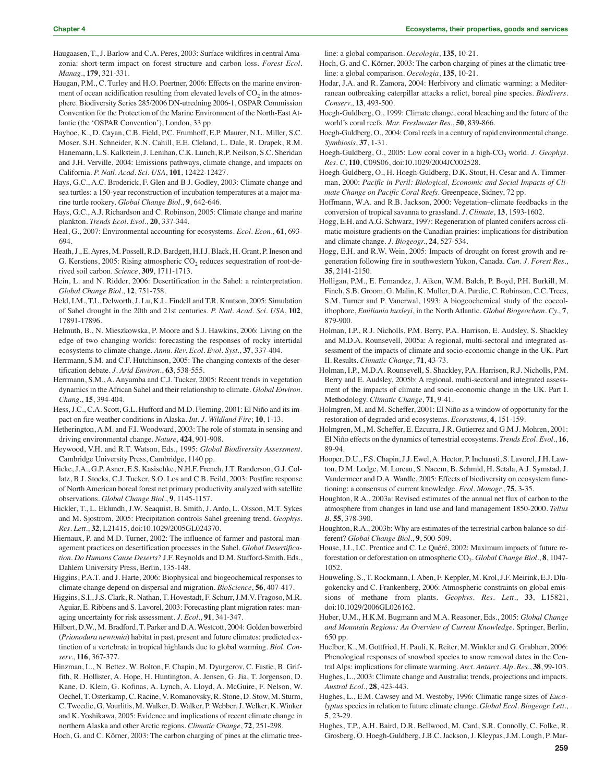- Haugaasen, T., J. Barlow and C.A. Peres, 2003: Surface wildfires in central Amazonia: short-term impact on forest structure and carbon loss. *Forest Ecol. Manag.*, **179**, 321-331.
- Haugan, P.M., C. Turley and H.O. Poertner, 2006: Effects on the marine environment of ocean acidification resulting from elevated levels of  $CO<sub>2</sub>$  in the atmosphere. Biodiversity Series 285/2006 DN-utredning 2006-1, OSPAR Commission Convention for the Protection of the Marine Environment of the North-East Atlantic (the 'OSPAR Convention'), London, 33 pp.

Hayhoe, K., D. Cayan, C.B. Field, P.C. Frumhoff, E.P. Maurer, N.L. Miller, S.C. Moser, S.H. Schneider, K.N. Cahill, E.E. Cleland, L. Dale, R. Drapek, R.M. Hanemann, L.S. Kalkstein, J. Lenihan, C.K. Lunch, R.P. Neilson, S.C. Sheridan and J.H. Verville, 2004: Emissions pathways, climate change, and impacts on California. *P. Natl. Acad. Sci. USA*, **101**, 12422-12427.

Hays, G.C., A.C. Broderick, F. Glen and B.J. Godley, 2003: Climate change and sea turtles: a 150-year reconstruction of incubation temperatures at a major marine turtle rookery. *Global Change Biol.*, **9**, 642-646.

Hays, G.C., A.J. Richardson and C. Robinson, 2005: Climate change and marine plankton. *Trends Ecol. Evol.*, **20**, 337-344.

Heal, G., 2007: Environmental accounting for ecosystems. *Ecol. Econ.*, **61**, 693- 694.

Heath, J., E. Ayres, M. Possell, R.D. Bardgett, H.I.J. Black, H. Grant, P. Ineson and G. Kerstiens, 2005: Rising atmospheric  $CO<sub>2</sub>$  reduces sequestration of root-derived soil carbon. *Science*, **309**, 1711-1713.

- Hein, L. and N. Ridder, 2006: Desertification in the Sahel: a reinterpretation. *Global Change Biol.*, **12**, 751-758.
- Held, I.M., T.L. Delworth, J. Lu, K.L. Findell and T.R. Knutson, 2005: Simulation of Sahel drought in the 20th and 21st centuries. *P. Natl. Acad. Sci. USA*, **102**, 17891-17896.
- Helmuth, B., N. Mieszkowska, P. Moore and S.J. Hawkins, 2006: Living on the edge of two changing worlds: forecasting the responses of rocky intertidal ecosystems to climate change. *Annu. Rev. Ecol. Evol. Syst.*, **37**, 337-404.

Herrmann, S.M. and C.F. Hutchinson, 2005: The changing contexts of the desertification debate. *J. Arid Environ.*, **63**, 538-555.

Herrmann, S.M., A. Anyamba and C.J. Tucker, 2005: Recent trends in vegetation dynamics in the African Sahel and their relationship to climate. *Global Environ. Chang.*, **15**, 394-404.

- Hess, J.C., C.A. Scott, G.L. Hufford and M.D. Fleming, 2001: El Niño and its impact on fire weather conditions in Alaska. *Int. J. Wildland Fire*; **10**, 1-13.
- Hetherington, A.M. and F.I. Woodward, 2003: The role of stomata in sensing and driving environmental change. *Nature*, **424**, 901-908.
- Heywood, V.H. and R.T. Watson, Eds., 1995: *Global Biodiversity Assessment*. Cambridge University Press, Cambridge, 1140 pp.
- Hicke, J.A., G.P. Asner, E.S. Kasischke, N.H.F. French, J.T. Randerson, G.J. Collatz, B.J. Stocks, C.J. Tucker, S.O. Los and C.B. Feild, 2003: Postfire response of North American boreal forest net primary productivity analyzed with satellite observations. *Global Change Biol.*, **9**, 1145-1157.

Hickler, T., L. Eklundh, J.W. Seaquist, B. Smith, J. Ardo, L. Olsson, M.T. Sykes and M. Sjostrom, 2005: Precipitation controls Sahel greening trend. *Geophys. Res. Lett.*, **32**, L21415, doi:10.1029/2005GL024370.

Hiernaux, P. and M.D. Turner, 2002: The influence of farmer and pastoral management practices on desertification processes in the Sahel. *Global Desertification. Do Humans Cause Deserts?* J.F. Reynolds and D.M. Stafford-Smith, Eds., Dahlem University Press, Berlin, 135-148.

Higgins, P.A.T. and J. Harte, 2006: Biophysical and biogeochemical responses to climate change depend on dispersal and migration. *BioScience*, **56**, 407-417.

Higgins, S.I., J.S. Clark, R. Nathan, T. Hovestadt, F. Schurr, J.M.V. Fragoso, M.R. Aguiar, E. Ribbens and S. Lavorel, 2003: Forecasting plant migration rates: managing uncertainty for risk assessment. *J. Ecol.*, **91**, 341-347.

Hilbert, D.W., M. Bradford, T. Parker and D.A. Westcott, 2004: Golden bowerbird (*Prionodura newtonia*) habitat in past, present and future climates: predicted extinction of a vertebrate in tropical highlands due to global warming. *Biol. Conserv.*, **116**, 367-377.

Hinzman, L., N. Bettez, W. Bolton, F. Chapin, M. Dyurgerov, C. Fastie, B. Griffith, R. Hollister, A. Hope, H. Huntington, A. Jensen, G. Jia, T. Jorgenson, D. Kane, D. Klein, G. Kofinas, A. Lynch, A. Lloyd, A. McGuire, F. Nelson, W. Oechel, T. Osterkamp, C. Racine, V. Romanovsky, R. Stone, D. Stow, M. Sturm, C. Tweedie, G. Vourlitis, M. Walker, D. Walker, P. Webber, J. Welker, K. Winker and K. Yoshikawa, 2005: Evidence and implications of recent climate change in northern Alaska and other Arctic regions. *Climatic Change*, **72**, 251-298.

Hoch, G. and C. Körner, 2003: The carbon charging of pines at the climatic tree-

line: a global comparison. *Oecologia*, **135**, 10-21.

- Hoch, G. and C. Körner, 2003: The carbon charging of pines at the climatic treeline: a global comparison. *Oecologia*, **135**, 10-21.
- Hodar, J.A. and R. Zamora, 2004: Herbivory and climatic warming: a Mediterranean outbreaking caterpillar attacks a relict, boreal pine species. *Biodivers. Conserv.*, **13**, 493-500.
- Hoegh-Guldberg, O., 1999: Climate change, coral bleaching and the future of the world's coral reefs. *Mar. Freshwater Res.*, **50**, 839-866.
- Hoegh-Guldberg, O., 2004: Coral reefs in a century of rapid environmental change. *Symbiosis*, **37**, 1-31.

Hoegh-Guldberg, O., 2005: Low coral cover in a high-CO<sub>2</sub> world. *J. Geophys. Res. C*, **110**, C09S06, doi:10.1029/2004JC002528.

- Hoegh-Guldberg, O., H. Hoegh-Guldberg, D.K. Stout, H. Cesar and A. Timmerman, 2000: *Pacific in Peril: Biological, Economic and Social Impacts of Climate Change on Pacific Coral Reefs*. Greenpeace, Sidney, 72 pp.
- Hoffmann, W.A. and R.B. Jackson, 2000: Vegetation–climate feedbacks in the conversion of tropical savanna to grassland. *J. Climate*, **13**, 1593-1602.
- Hogg, E.H. and A.G. Schwarz, 1997: Regeneration of planted conifers across climatic moisture gradients on the Canadian prairies: implications for distribution and climate change. *J. Biogeogr.*, **24**, 527-534.
- Hogg, E.H. and R.W. Wein, 2005: Impacts of drought on forest growth and regeneration following fire in southwestern Yukon, Canada. *Can. J. Forest Res.*, **35**, 2141-2150.
- Holligan, P.M., E. Fernandez, J. Aiken, W.M. Balch, P. Boyd, P.H. Burkill, M. Finch, S.B. Groom, G. Malin, K. Muller, D.A. Purdie, C. Robinson, C.C. Trees, S.M. Turner and P. Vanerwal, 1993: A biogeochemical study of the coccolithophore, *Emiliania huxleyi*, in the North Atlantic. *Global Biogeochem. Cy.*, **7**, 879-900.
- Holman, I.P., R.J. Nicholls, P.M. Berry, P.A. Harrison, E. Audsley, S. Shackley and M.D.A. Rounsevell, 2005a: A regional, multi-sectoral and integrated assessment of the impacts of climate and socio-economic change in the UK. Part II. Results. *Climatic Change*, **71**, 43-73.
- Holman, I.P., M.D.A. Rounsevell, S. Shackley, P.A. Harrison, R.J. Nicholls, P.M. Berry and E. Audsley, 2005b: A regional, multi-sectoral and integrated assessment of the impacts of climate and socio-economic change in the UK. Part I. Methodology. *Climatic Change*, **71**, 9-41.
- Holmgren, M. and M. Scheffer, 2001: El Niño as a window of opportunity for the restoration of degraded arid ecosystems. *Ecosystems*, **4**, 151-159.
- Holmgren, M., M. Scheffer, E. Ezcurra, J.R. Gutierrez and G.M.J. Mohren, 2001: El Niño effects on the dynamics of terrestrial ecosystems. *Trends Ecol. Evol.*, **16**, 89-94.
- Hooper, D.U., F.S. Chapin, J.J. Ewel, A. Hector, P. Inchausti, S. Lavorel, J.H. Lawton, D.M. Lodge, M. Loreau, S. Naeem, B. Schmid, H. Setala, A.J. Symstad, J. Vandermeer and D.A. Wardle, 2005: Effects of biodiversity on ecosystem functioning: a consensus of current knowledge. *Ecol. Monogr.*, **75**, 3-35.
- Houghton, R.A., 2003a: Revised estimates of the annual net flux of carbon to the atmosphere from changes in land use and land management 1850-2000. *Tellus B*, **55**, 378-390.
- Houghton, R.A., 2003b: Why are estimates of the terrestrial carbon balance so different? *Global Change Biol.*, **9**, 500-509.
- House, J.I., I.C. Prentice and C. Le Quéré, 2002: Maximum impacts of future reforestation or deforestation on atmospheric CO<sub>2</sub>. *Global Change Biol.*, **8**, 1047-1052.
- Houweling, S., T. Rockmann, I. Aben, F. Keppler, M. Krol, J.F. Meirink, E.J. Dlugokencky and C. Frankenberg, 2006: Atmospheric constraints on global emissions of methane from plants. *Geophys. Res. Lett.*, **33**, L15821, doi:10.1029/2006GL026162.
- Huber, U.M., H.K.M. Bugmann and M.A. Reasoner, Eds., 2005: *Global Change and Mountain Regions: An Overview of Current Knowledge*. Springer, Berlin, 650 pp.
- Huelber, K., M. Gottfried, H. Pauli, K. Reiter, M. Winkler and G. Grabherr, 2006: Phenological responses of snowbed species to snow removal dates in the Central Alps: implications for climate warming. *Arct. Antarct. Alp. Res.*, **38**, 99-103.
- Hughes, L., 2003: Climate change and Australia: trends, projections and impacts. *Austral Ecol.*, **28**, 423-443.
- Hughes, L., E.M. Cawsey and M. Westoby, 1996: Climatic range sizes of *Eucalyptus* species in relation to future climate change. *Global Ecol. Biogeogr. Lett.*, **5**, 23-29.
- Hughes, T.P., A.H. Baird, D.R. Bellwood, M. Card, S.R. Connolly, C. Folke, R. Grosberg, O. Hoegh-Guldberg, J.B.C. Jackson, J. Kleypas, J.M. Lough, P. Mar-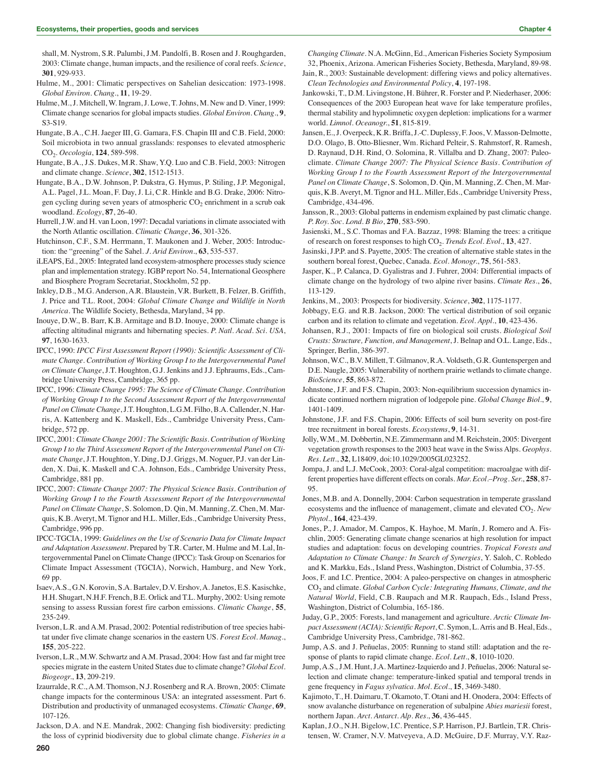shall, M. Nystrom, S.R. Palumbi, J.M. Pandolfi, B. Rosen and J. Roughgarden, 2003: Climate change, human impacts, and the resilience of coral reefs. *Science*, **301**, 929-933.

- Hulme, M., 2001: Climatic perspectives on Sahelian desiccation: 1973-1998. *Global Environ. Chang.*, **11**, 19-29.
- Hulme, M., J. Mitchell, W. Ingram, J. Lowe, T. Johns, M. New and D. Viner, 1999: Climate change scenarios for global impacts studies. *Global Environ. Chang.*, **9**, S3-S19.
- Hungate, B.A., C.H. Jaeger III, G. Gamara, F.S. Chapin III and C.B. Field, 2000: Soil microbiota in two annual grasslands: responses to elevated atmospheric CO2. *Oecologia*, **124**, 589-598.
- Hungate, B.A., J.S. Dukes, M.R. Shaw, Y.Q. Luo and C.B. Field, 2003: Nitrogen and climate change. *Science*, **302**, 1512-1513.
- Hungate, B.A., D.W. Johnson, P. Dukstra, G. Hymus, P. Stiling, J.P. Megonigal, A.L. Pagel, J.L. Moan, F. Day, J. Li, C.R. Hinkle and B.G. Drake, 2006: Nitrogen cycling during seven years of atmospheric  $CO<sub>2</sub>$  enrichment in a scrub oak woodland. *Ecology*, **87**, 26-40.
- Hurrell, J.W. and H. van Loon, 1997: Decadal variations in climate associated with the North Atlantic oscillation. *Climatic Change*, **36**, 301-326.
- Hutchinson, C.F., S.M. Herrmann, T. Maukonen and J. Weber, 2005: Introduction: the "greening" of the Sahel. *J. Arid Environ.*, **63**, 535-537.
- iLEAPS, Ed., 2005: Integrated land ecosystem-atmosphere processes study science plan and implementation strategy. IGBP report No. 54, International Geosphere and Biosphere Program Secretariat, Stockholm, 52 pp.
- Inkley, D.B., M.G. Anderson, A.R. Blaustein, V.R. Burkett, B. Felzer, B. Griffith, J. Price and T.L. Root, 2004: *Global Climate Change and Wildlife in North America*. The Wildlife Society, Bethesda, Maryland, 34 pp.
- Inouye, D.W., B. Barr, K.B. Armitage and B.D. Inouye, 2000: Climate change is affecting altitudinal migrants and hibernating species. *P. Natl. Acad. Sci. USA*, **97**, 1630-1633.
- IPCC, 1990: *IPCC First Assessment Report (1990): Scientific Assessment of Climate Change. Contribution of Working Group I to the Intergovernmental Panel on Climate Change*, J.T. Houghton, G.J. Jenkins and J.J. Ephraums, Eds., Cambridge University Press, Cambridge, 365 pp.
- IPCC, 1996: *Climate Change 1995: The Science of Climate Change. Contribution of Working Group I to the Second Assessment Report of the Intergovernmental Panel on Climate Change*, J.T. Houghton, L.G.M. Filho, B.A. Callender, N. Harris, A. Kattenberg and K. Maskell, Eds., Cambridge University Press, Cambridge, 572 pp.
- IPCC, 2001: *Climate Change 2001: The Scientific Basis. Contribution of Working Group I to the Third Assessment Report of the Intergovernmental Panel on Climate Change*, J.T. Houghton, Y. Ding, D.J. Griggs, M. Noguer, P.J. van der Linden, X. Dai, K. Maskell and C.A. Johnson, Eds., Cambridge University Press, Cambridge, 881 pp.
- IPCC, 2007: *Climate Change 2007: The Physical Science Basis. Contribution of Working Group I to the Fourth Assessment Report of the Intergovernmental Panel on Climate Change*, S. Solomon, D. Qin, M. Manning, Z. Chen, M. Marquis, K.B. Averyt, M. Tignor and H.L. Miller, Eds., Cambridge University Press, Cambridge, 996 pp.
- IPCC-TGCIA, 1999: *Guidelines on the Use of Scenario Data for Climate Impact and Adaptation Assessment*. Prepared by T.R. Carter, M. Hulme and M. Lal, Intergovernmental Panel on Climate Change (IPCC): Task Group on Scenarios for Climate Impact Assessment (TGCIA), Norwich, Hamburg, and New York, 69 pp.
- Isaev, A.S., G.N. Korovin, S.A. Bartalev, D.V. Ershov, A. Janetos, E.S. Kasischke, H.H. Shugart, N.H.F. French, B.E. Orlick and T.L. Murphy, 2002: Using remote sensing to assess Russian forest fire carbon emissions. *Climatic Change*, **55**, 235-249.
- Iverson, L.R. and A.M. Prasad, 2002: Potential redistribution of tree species habitat under five climate change scenarios in the eastern US. *Forest Ecol. Manag.*, **155**, 205-222.
- Iverson, L.R., M.W. Schwartz and A.M. Prasad, 2004: How fast and far might tree species migrate in the eastern United States due to climate change? *Global Ecol. Biogeogr.*, **13**, 209-219.
- Izaurralde, R.C., A.M. Thomson, N.J. Rosenberg and R.A. Brown, 2005: Climate change impacts for the conterminous USA: an integrated assessment. Part 6. Distribution and productivity of unmanaged ecosystems. *Climatic Change*, **69**, 107-126.
- Jackson, D.A. and N.E. Mandrak, 2002: Changing fish biodiversity: predicting the loss of cyprinid biodiversity due to global climate change. *Fisheries in a*
- *Changing Climate*. N.A. McGinn, Ed., American Fisheries Society Symposium 32, Phoenix, Arizona. American Fisheries Society, Bethesda, Maryland, 89-98.
- Jain, R., 2003: Sustainable development: differing views and policy alternatives. *Clean Technologies and Environmental Policy*, **4**, 197-198.
- Jankowski, T., D.M. Livingstone, H. Bührer, R. Forster and P. Niederhaser, 2006: Consequences of the 2003 European heat wave for lake temperature profiles, thermal stability and hypolimnetic oxygen depletion: implications for a warmer world. *Limnol. Oceanogr.*, **51**, 815-819.
- Jansen, E., J. Overpeck, K.R. Briffa, J.-C. Duplessy, F. Joos, V. Masson-Delmotte, D.O. Olago, B. Otto-Bliesner, Wm. Richard Pelteir, S. Rahmstorf, R. Ramesh, D. Raynaud, D.H. Rind, O. Solomina, R. Villalba and D. Zhang, 2007: Paleoclimate. *Climate Change 2007: The Physical Science Basis. Contribution of Working Group I to the Fourth Assessment Report of the Intergovernmental Panel on Climate Change*, S. Solomon, D. Qin, M. Manning, Z. Chen, M. Marquis, K.B. Averyt, M. Tignor and H.L. Miller, Eds., Cambridge University Press, Cambridge, 434-496.
- Jansson, R., 2003: Global patterns in endemism explained by past climatic change. *P. Roy. Soc. Lond. B Bio*, **270**, 583-590.
- Jasienski, M., S.C. Thomas and F.A. Bazzaz, 1998: Blaming the trees: a critique of research on forest responses to high CO<sub>2</sub>. *Trends Ecol. Evol.*, **13**, 427.
- Jasinski, J.P.P. and S. Payette, 2005: The creation of alternative stable states in the southern boreal forest, Quebec, Canada. *Ecol. Monogr.*, **75**, 561-583.
- Jasper, K., P. Calanca, D. Gyalistras and J. Fuhrer, 2004: Differential impacts of climate change on the hydrology of two alpine river basins. *Climate Res.*, **26**, 113-129.
- Jenkins, M., 2003: Prospects for biodiversity. *Science*, **302**, 1175-1177.
- Jobbagy, E.G. and R.B. Jackson, 2000: The vertical distribution of soil organic carbon and its relation to climate and vegetation. *Ecol. Appl.*, **10**, 423-436.
- Johansen, R.J., 2001: Impacts of fire on biological soil crusts. *Biological Soil Crusts: Structure, Function, and Management*, J. Belnap and O.L. Lange, Eds., Springer, Berlin, 386-397.
- Johnson, W.C., B.V. Millett, T. Gilmanov, R.A. Voldseth, G.R. Guntenspergen and D.E. Naugle, 2005: Vulnerability of northern prairie wetlands to climate change. *BioScience*, **55**, 863-872.
- Johnstone, J.F. and F.S. Chapin, 2003: Non-equilibrium succession dynamics indicate continued northern migration of lodgepole pine. *Global Change Biol.*, **9**, 1401-1409.
- Johnstone, J.F. and F.S. Chapin, 2006: Effects of soil burn severity on post-fire tree recruitment in boreal forests. *Ecosystems*, **9**, 14-31.
- Jolly, W.M., M. Dobbertin, N.E. Zimmermann and M. Reichstein, 2005: Divergent vegetation growth responses to the 2003 heat wave in the Swiss Alps. *Geophys. Res. Lett.*, **32**, L18409, doi:10.1029/2005GL023252.
- Jompa, J. and L.J. McCook, 2003: Coral-algal competition: macroalgae with different properties have different effects on corals. *Mar. Ecol.–Prog. Ser.*, **258**, 87- 95.
- Jones, M.B. and A. Donnelly, 2004: Carbon sequestration in temperate grassland ecosystems and the influence of management, climate and elevated CO<sub>2</sub>. *New Phytol.*, **164**, 423-439.
- Jones, P., J. Amador, M. Campos, K. Hayhoe, M. Marín, J. Romero and A. Fischlin, 2005: Generating climate change scenarios at high resolution for impact studies and adaptation: focus on developing countries. *Tropical Forests and Adaptation to Climate Change: In Search of Synergies*, Y. Saloh, C. Robledo and K. Markku, Eds., Island Press, Washington, District of Columbia, 37-55.
- Joos, F. and I.C. Prentice, 2004: A paleo-perspective on changes in atmospheric CO<sub>2</sub> and climate. *Global Carbon Cycle: Integrating Humans*, *Climate*, and the *Natural World*, Field, C.B. Raupach and M.R. Raupach, Eds., Island Press, Washington, District of Columbia, 165-186.
- Juday, G.P., 2005: Forests, land management and agriculture. *Arctic Climate Impact Assessment (ACIA): Scientific Report*, C. Symon, L. Arris and B. Heal, Eds., Cambridge University Press, Cambridge, 781-862.
- Jump, A.S. and J. Peñuelas, 2005: Running to stand still: adaptation and the response of plants to rapid climate change. *Ecol. Lett.*, **8**, 1010-1020.
- Jump, A.S., J.M. Hunt, J.A. Martinez-Izquierdo and J. Peñuelas, 2006: Natural selection and climate change: temperature-linked spatial and temporal trends in gene frequency in *Fagus sylvatica*. *Mol. Ecol.*, **15**, 3469-3480.
- Kajimoto, T., H. Daimaru, T. Okamoto, T. Otani and H. Onodera, 2004: Effects of snow avalanche disturbance on regeneration of subalpine *Abies mariesii* forest, northern Japan. *Arct. Antarct. Alp. Res.*, **36**, 436-445.
- Kaplan, J.O., N.H. Bigelow, I.C. Prentice, S.P. Harrison, P.J. Bartlein, T.R. Christensen, W. Cramer, N.V. Matveyeva, A.D. McGuire, D.F. Murray, V.Y. Raz-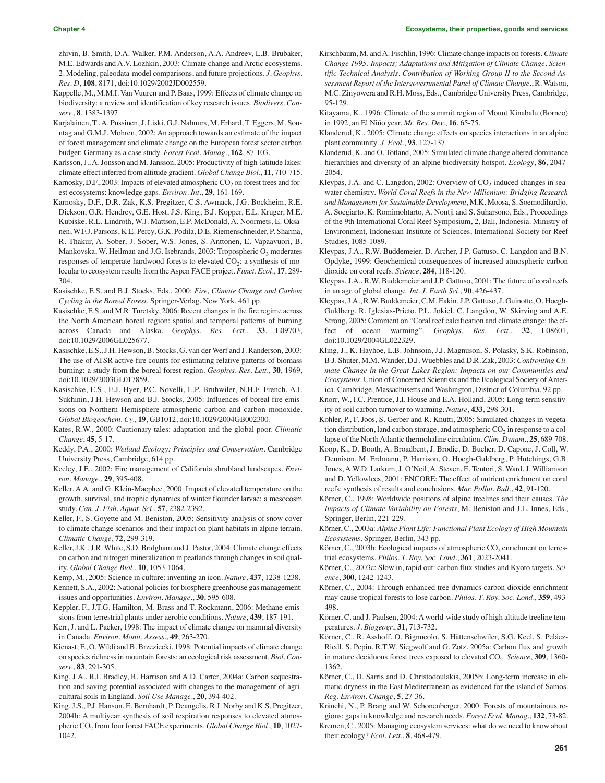zhivin, B. Smith, D.A. Walker, P.M. Anderson, A.A. Andreev, L.B. Brubaker, M.E. Edwards and A.V. Lozhkin, 2003: Climate change and Arctic ecosystems. 2. Modeling, paleodata-model comparisons, and future projections. *J. Geophys. Res. D*, **108**, 8171, doi:10.1029/2002JD002559.

- Kappelle, M., M.M.I. Van Vuuren and P. Baas, 1999: Effects of climate change on biodiversity: a review and identification of key research issues. *Biodivers. Conserv.*, **8**, 1383-1397.
- Karjalainen, T., A. Pussinen, J. Liski, G.J. Nabuurs, M. Erhard, T. Eggers, M. Sonntag and G.M.J. Mohren, 2002: An approach towards an estimate of the impact of forest management and climate change on the European forest sector carbon budget: Germany as a case study. *Forest Ecol. Manag.*, **162**, 87-103.
- Karlsson, J., A. Jonsson and M. Jansson, 2005: Productivity of high-latitude lakes: climate effect inferred from altitude gradient. *Global Change Biol.*, **11**, 710-715.
- Karnosky, D.F., 2003: Impacts of elevated atmospheric  $CO<sub>2</sub>$  on forest trees and forest ecosystems: knowledge gaps. *Environ. Int.*, **29**, 161-169.
- Karnosky, D.F., D.R. Zak, K.S. Pregitzer, C.S. Awmack, J.G. Bockheim, R.E. Dickson, G.R. Hendrey, G.E. Host, J.S. King, B.J. Kopper, E.L. Kruger, M.E. Kubiske, R.L. Lindroth, W.J. Mattson, E.P. McDonald, A. Noormets, E. Oksanen, W.F.J. Parsons, K.E. Percy, G.K. Podila, D.E. Riemenschneider, P. Sharma, R. Thakur, A. Sober, J. Sober, W.S. Jones, S. Anttonen, E. Vapaavuori, B. Mankovska, W. Heilman and J.G. Isebrands, 2003: Tropospheric  $O_3$  moderates responses of temperate hardwood forests to elevated  $CO<sub>2</sub>$ : a synthesis of molecular to ecosystem results from the Aspen FACE project. *Funct. Ecol.*, **17**, 289- 304.
- Kasischke, E.S. and B.J. Stocks, Eds., 2000: *Fire, Climate Change and Carbon Cycling in the Boreal Forest*. Springer-Verlag, New York, 461 pp.
- Kasischke, E.S. and M.R. Turetsky, 2006: Recent changes in the fire regime across the North American boreal region: spatial and temporal patterns of burning across Canada and Alaska. *Geophys. Res. Lett.*, **33**, L09703, doi:10.1029/2006GL025677.
- Kasischke, E.S., J.H. Hewson, B. Stocks, G. van der Werf and J. Randerson, 2003: The use of ATSR active fire counts for estimating relative patterns of biomass burning: a study from the boreal forest region. *Geophys. Res. Lett.*, **30**, 1969, doi:10.1029/2003GL017859.
- Kasischke, E.S., E.J. Hyer, P.C. Novelli, L.P. Bruhwiler, N.H.F. French, A.I. Sukhinin, J.H. Hewson and B.J. Stocks, 2005: Influences of boreal fire emissions on Northern Hemisphere atmospheric carbon and carbon monoxide. *Global Biogeochem. Cy.*, **19**, GB1012, doi:10.1029/2004GB002300.
- Kates, R.W., 2000: Cautionary tales: adaptation and the global poor. *Climatic Change*, **45**, 5-17.
- Keddy, P.A., 2000: *Wetland Ecology: Principles and Conservation*. Cambridge University Press, Cambridge, 614 pp.
- Keeley, J.E., 2002: Fire management of California shrubland landscapes. *Environ. Manage.*, **29**, 395-408.
- Keller, A.A. and G. Klein-Macphee, 2000: Impact of elevated temperature on the growth, survival, and trophic dynamics of winter flounder larvae: a mesocosm study. *Can. J. Fish. Aquat. Sci.*, **57**, 2382-2392.
- Keller, F., S. Goyette and M. Beniston, 2005: Sensitivity analysis of snow cover to climate change scenarios and their impact on plant habitats in alpine terrain. *Climatic Change*, **72**, 299-319.
- Keller, J.K., J.R. White, S.D. Bridgham and J. Pastor, 2004: Climate change effects on carbon and nitrogen mineralization in peatlands through changes in soil quality. *Global Change Biol.*, **10**, 1053-1064.
- Kemp, M., 2005: Science in culture: inventing an icon. *Nature*, **437**, 1238-1238.
- Kennett, S.A., 2002: National policies for biosphere greenhouse gas management: issues and opportunities. *Environ. Manage.*, **30**, 595-608.
- Keppler, F., J.T.G. Hamilton, M. Brass and T. Rockmann, 2006: Methane emissions from terrestrial plants under aerobic conditions. *Nature*, **439**, 187-191.
- Kerr, J. and L. Packer, 1998: The impact of climate change on mammal diversity in Canada. *Environ. Monit. Assess.*, **49**, 263-270.
- Kienast, F., O. Wildi and B. Brzeziecki, 1998: Potential impacts of climate change on species richness in mountain forests: an ecological risk assessment. *Biol. Conserv.*, **83**, 291-305.
- King, J.A., R.I. Bradley, R. Harrison and A.D. Carter, 2004a: Carbon sequestration and saving potential associated with changes to the management of agricultural soils in England. *Soil Use Manage.*, **20**, 394-402.
- King, J.S., P.J. Hanson, E. Bernhardt, P. Deangelis, R.J. Norby and K.S. Pregitzer, 2004b: A multiyear synthesis of soil respiration responses to elevated atmospheric CO<sub>2</sub> from four forest FACE experiments. *Global Change Biol.*, **10**, 1027-1042.
- Kirschbaum, M. and A. Fischlin, 1996: Climate change impacts on forests. *Climate Change 1995: Impacts; Adaptations and Mitigation of Climate Change. Scientific-Technical Analysis. Contribution of Working Group II to the Second Assessment Report of the Intergovernmental Panel of Climate Change.*, R. Watson, M.C. Zinyowera and R.H. Moss, Eds., Cambridge University Press, Cambridge, 95-129.
- Kitayama, K., 1996: Climate of the summit region of Mount Kinabalu (Borneo) in 1992, an El Niño year. *Mt. Res. Dev.*, **16**, 65-75.
- Klanderud, K., 2005: Climate change effects on species interactions in an alpine plant community. *J. Ecol.*, **93**, 127-137.
- Klanderud, K. and O. Totland, 2005: Simulated climate change altered dominance hierarchies and diversity of an alpine biodiversity hotspot. *Ecology*, **86**, 2047- 2054.
- Kleypas, J.A. and C. Langdon, 2002: Overview of  $CO<sub>2</sub>$ -induced changes in seawater chemistry. *World Coral Reefs in the New Millenium: Bridging Research and Management for Sustainable Development*, M.K. Moosa, S. Soemodihardjo, A. Soegiarto, K. Romimohtarto, A. Nontji and S. Suharsono, Eds., Proceedings of the 9th International Coral Reef Symposium, 2, Bali, Indonesia. Ministry of Environment, Indonesian Institute of Sciences, International Society for Reef Studies, 1085-1089.
- Kleypas, J.A., R.W. Buddemeier, D. Archer, J.P. Gattuso, C. Langdon and B.N. Opdyke, 1999: Geochemical consequences of increased atmospheric carbon dioxide on coral reefs. *Science*, **284**, 118-120.
- Kleypas, J.A., R.W. Buddemeier and J.P. Gattuso, 2001: The future of coral reefs in an age of global change. *Int. J. Earth Sci.*, **90**, 426-437.
- Kleypas, J.A., R.W. Buddemeier, C.M. Eakin, J.P. Gattuso, J. Guinotte, O. Hoegh-Guldberg, R. Iglesias-Prieto, P.L. Jokiel, C. Langdon, W. Skirving and A.E. Strong, 2005: Comment on "Coral reef calcification and climate change: the effect of ocean warming". *Geophys. Res. Lett.*, **32**, L08601, doi:10.1029/2004GL022329.
- Kling, J., K. Hayhoe, L.B. Johnsoin, J.J. Magnuson, S. Polasky, S.K. Robinson, B.J. Shuter, M.M. Wander, D.J. Wuebbles and D.R. Zak, 2003: *Confronting Climate Change in the Great Lakes Region: Impacts on our Communities and Ecosystems*. Union of Concerned Scientists and the Ecological Society of America, Cambridge, Massachusetts and Washington, District of Columbia, 92 pp.
- Knorr, W., I.C. Prentice, J.I. House and E.A. Holland, 2005: Long-term sensitivity of soil carbon turnover to warming. *Nature*, **433**, 298-301.
- Kohler, P., F. Joos, S. Gerber and R. Knutti, 2005: Simulated changes in vegetation distribution, land carbon storage, and atmospheric  $CO<sub>2</sub>$  in response to a collapse of the North Atlantic thermohaline circulation. *Clim. Dynam.*, **25**, 689-708.
- Koop, K., D. Booth, A. Broadbent, J. Brodie, D. Bucher, D. Capone, J. Coll, W. Dennison, M. Erdmann, P. Harrison, O. Hoegh-Guldberg, P. Hutchings, G.B. Jones, A.W.D. Larkum, J. O'Neil, A. Steven, E. Tentori, S. Ward, J. Williamson and D. Yellowlees, 2001: ENCORE: The effect of nutrient enrichment on coral reefs: synthesis of results and conclusions. *Mar. Pollut. Bull.*, **42**, 91-120.
- Körner, C., 1998: Worldwide positions of alpine treelines and their causes. *The Impacts of Climate Variability on Forests*, M. Beniston and J.L. Innes, Eds., Springer, Berlin, 221-229.
- Körner, C., 2003a: *Alpine Plant Life: Functional Plant Ecology of High Mountain Ecosystems*. Springer, Berlin, 343 pp.
- Körner, C., 2003b: Ecological impacts of atmospheric CO<sub>2</sub> enrichment on terrestrial ecosystems. *Philos. T. Roy. Soc. Lond.*, **361**, 2023-2041.
- Körner, C., 2003c: Slow in, rapid out: carbon flux studies and Kyoto targets. *Science*, **300**, 1242-1243.
- Körner, C., 2004: Through enhanced tree dynamics carbon dioxide enrichment may cause tropical forests to lose carbon. *Philos. T. Roy. Soc. Lond.*, **359**, 493- 498.
- Körner, C. and J. Paulsen, 2004: A world-wide study of high altitude treeline temperatures. *J. Biogeogr.*, **31**, 713-732.
- Körner, C., R. Asshoff, O. Bignucolo, S. Hättenschwiler, S.G. Keel, S. Peláez-Riedl, S. Pepin, R.T.W. Siegwolf and G. Zotz, 2005a: Carbon flux and growth in mature deciduous forest trees exposed to elevated CO<sub>2</sub>. *Science*, 309, 1360-1362.
- Körner, C., D. Sarris and D. Christodoulakis, 2005b: Long-term increase in climatic dryness in the East Mediterranean as evidenced for the island of Samos. *Reg. Environ. Change*, **5**, 27-36.
- Kräuchi, N., P. Brang and W. Schonenberger, 2000: Forests of mountainous regions: gaps in knowledge and research needs. *Forest Ecol. Manag.*, **132**, 73-82.
- Kremen, C., 2005: Managing ecosystem services: what do we need to know about their ecology? *Ecol. Lett.*, **8**, 468-479.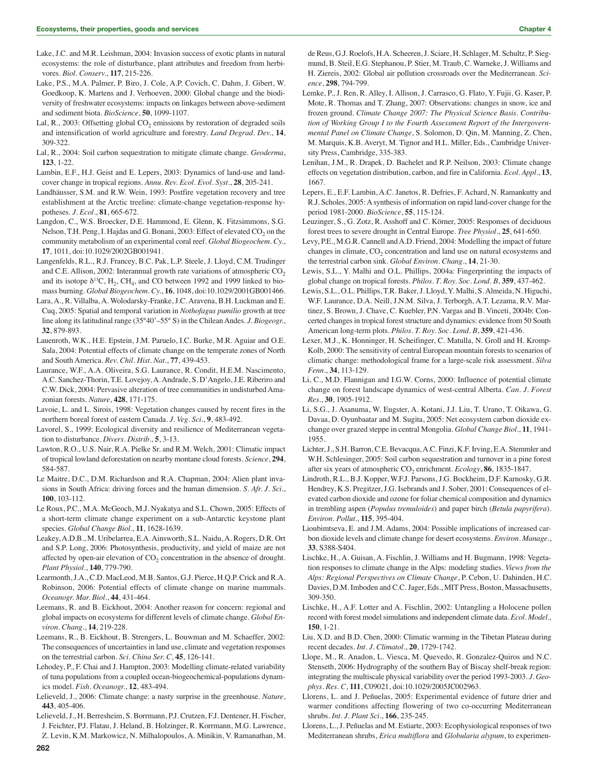- Lake, J.C. and M.R. Leishman, 2004: Invasion success of exotic plants in natural ecosystems: the role of disturbance, plant attributes and freedom from herbivores. *Biol. Conserv.*, **117**, 215-226.
- Lake, P.S., M.A. Palmer, P. Biro, J. Cole, A.P. Covich, C. Dahm, J. Gibert, W. Goedkoop, K. Martens and J. Verhoeven, 2000: Global change and the biodiversity of freshwater ecosystems: impacts on linkages between above-sediment and sediment biota. *BioScience*, **50**, 1099-1107.
- Lal, R., 2003: Offsetting global  $CO<sub>2</sub>$  emissions by restoration of degraded soils and intensification of world agriculture and forestry. *Land Degrad. Dev.*, **14**, 309-322.
- Lal, R., 2004: Soil carbon sequestration to mitigate climate change. *Geoderma*, **123**, 1-22.
- Lambin, E.F., H.J. Geist and E. Lepers, 2003: Dynamics of land-use and landcover change in tropical regions. *Annu. Rev. Ecol. Evol. Syst.*, **28**, 205-241.
- Landhäusser, S.M. and R.W. Wein, 1993: Postfire vegetation recovery and tree establishment at the Arctic treeline: climate-change vegetation-response hypotheses. *J. Ecol.*, **81**, 665-672.
- Langdon, C., W.S. Broecker, D.E. Hammond, E. Glenn, K. Fitzsimmons, S.G. Nelson, T.H. Peng, I. Hajdas and G. Bonani, 2003: Effect of elevated CO<sub>2</sub> on the community metabolism of an experimental coral reef. *Global Biogeochem. Cy.*, **17**, 1011, doi:10.1029/2002GB001941.
- Langenfelds, R.L., R.J. Francey, B.C. Pak, L.P. Steele, J. Lloyd, C.M. Trudinger and C.E. Allison, 2002: Interannual growth rate variations of atmospheric  $CO<sub>2</sub>$ and its isotope  $\delta^{13}C$ ,  $H_2$ ,  $CH_4$ , and CO between 1992 and 1999 linked to biomass burning. *Global Biogeochem. Cy.*, **16**, 1048, doi:10.1029/2001GB001466.
- Lara, A., R. Villalba, A. Wolodarsky-Franke, J.C. Aravena, B.H. Luckman and E. Cuq, 2005: Spatial and temporal variation in *Nothofagus pumilio* growth at tree line along its latitudinal range (35°40'–55° S) in the Chilean Andes. *J. Biogeogr.*, **32**, 879-893.
- Lauenroth, W.K., H.E. Epstein, J.M. Paruelo, I.C. Burke, M.R. Aguiar and O.E. Sala, 2004: Potential effects of climate change on the temperate zones of North and South America. *Rev. Chil. Hist. Nat.*, **77**, 439-453.
- Laurance, W.F., A.A. Oliveira, S.G. Laurance, R. Condit, H.E.M. Nascimento, A.C. Sanchez-Thorin, T.E. Lovejoy, A. Andrade, S. D'Angelo, J.E. Riberiro and C.W. Dick, 2004: Pervasive alteration of tree communities in undisturbed Amazonian forests. *Nature*, **428**, 171-175.
- Lavoie, L. and L. Sirois, 1998: Vegetation changes caused by recent fires in the northern boreal forest of eastern Canada. *J. Veg. Sci.*, **9**, 483-492.
- Lavorel, S., 1999: Ecological diversity and resilience of Mediterranean vegetation to disturbance. *Divers. Distrib.*, **5**, 3-13.
- Lawton, R.O., U.S. Nair, R.A. Pielke Sr. and R.M. Welch, 2001: Climatic impact of tropical lowland deforestation on nearby montane cloud forests. *Science*, **294**, 584-587.
- Le Maitre, D.C., D.M. Richardson and R.A. Chapman, 2004: Alien plant invasions in South Africa: driving forces and the human dimension. *S. Afr. J. Sci.*, **100**, 103-112.
- Le Roux, P.C., M.A. McGeoch, M.J. Nyakatya and S.L. Chown, 2005: Effects of a short-term climate change experiment on a sub-Antarctic keystone plant species. *Global Change Biol.*, **11**, 1628-1639.
- Leakey, A.D.B., M. Uribelarrea, E.A. Ainsworth, S.L. Naidu, A. Rogers, D.R. Ort and S.P. Long, 2006: Photosynthesis, productivity, and yield of maize are not affected by open-air elevation of  $CO<sub>2</sub>$  concentration in the absence of drought. *Plant Physiol.*, **140**, 779-790.
- Learmonth, J.A., C.D. MacLeod, M.B. Santos, G.J. Pierce, H.Q.P. Crick and R.A. Robinson, 2006: Potential effects of climate change on marine mammals. *Oceanogr. Mar. Biol.*, **44**, 431-464.
- Leemans, R. and B. Eickhout, 2004: Another reason for concern: regional and global impacts on ecosystems for different levels of climate change. *Global Environ. Chang.*, **14**, 219-228.
- Leemans, R., B. Eickhout, B. Strengers, L. Bouwman and M. Schaeffer, 2002: The consequences of uncertainties in land use, climate and vegetation responses on the terrestrial carbon. *Sci. China Ser. C*, **45**, 126-141.
- Lehodey, P., F. Chai and J. Hampton, 2003: Modelling climate-related variability of tuna populations from a coupled ocean-biogeochemical-populations dynamics model. *Fish. Oceanogr.*, **12**, 483-494.
- Lelieveld, J., 2006: Climate change: a nasty surprise in the greenhouse. *Nature*, **443**, 405-406.
- Lelieveld, J., H. Berresheim, S. Borrmann, P.J. Crutzen, F.J. Dentener, H. Fischer, J. Feichter, P.J. Flatau, J. Heland, B. Holzinger, R. Korrmann, M.G. Lawrence, Z. Levin, K.M. Markowicz, N. Milhalopoulos, A. Minikin, V. Ramanathan, M.

de Reus, G.J. Roelofs, H.A. Scheeren, J. Sciare, H. Schlager, M. Schultz, P. Siegmund, B. Steil, E.G. Stephanou, P. Stier, M. Traub, C. Warneke, J. Williams and H. Ziereis, 2002: Global air pollution crossroads over the Mediterranean. *Science*, **298**, 794-799.

- Lemke, P., J. Ren, R. Alley, I. Allison, J. Carrasco, G. Flato, Y. Fujii, G. Kaser, P. Mote, R. Thomas and T. Zhang, 2007: Observations: changes in snow, ice and frozen ground. *Climate Change 2007: The Physical Science Basis. Contribution of Working Group I to the Fourth Assessment Report of the Intergovernmental Panel on Climate Change*, S. Solomon, D. Qin, M. Manning, Z. Chen, M. Marquis, K.B. Averyt, M. Tignor and H.L. Miller, Eds., Cambridge University Press, Cambridge, 335-383.
- Lenihan, J.M., R. Drapek, D. Bachelet and R.P. Neilson, 2003: Climate change effects on vegetation distribution, carbon, and fire in California. *Ecol. Appl.*, **13**, 1667.
- Lepers, E., E.F. Lambin, A.C. Janetos, R. Defries, F. Achard, N. Ramankutty and R.J. Scholes, 2005: A synthesis of information on rapid land-cover change for the period 1981-2000. *BioScience*, **55**, 115-124.
- Leuzinger, S., G. Zotz, R. Asshoff and C. Körner, 2005: Responses of deciduous forest trees to severe drought in Central Europe. *Tree Physiol.*, **25**, 641-650.
- Levy, P.E., M.G.R. Cannell and A.D. Friend, 2004: Modelling the impact of future changes in climate,  $CO<sub>2</sub>$  concentration and land use on natural ecosystems and the terrestrial carbon sink. *Global Environ. Chang.*, **14**, 21-30.
- Lewis, S.L., Y. Malhi and O.L. Phillips, 2004a: Fingerprinting the impacts of global change on tropical forests. *Philos. T. Roy. Soc. Lond. B*, **359**, 437-462.
- Lewis, S.L., O.L. Phillips, T.R. Baker, J. Lloyd, Y. Malhi, S. Almeida, N. Higuchi, W.F. Laurance, D.A. Neill, J.N.M. Silva, J. Terborgh, A.T. Lezama, R.V. Martinez, S. Brown, J. Chave, C. Kuebler, P.N. Vargas and B. Vinceti, 2004b: Concerted changes in tropical forest structure and dynamics: evidence from 50 South American long-term plots. *Philos. T. Roy. Soc. Lond. B*, **359**, 421-436.
- Lexer, M.J., K. Honninger, H. Scheifinger, C. Matulla, N. Groll and H. Kromp-Kolb, 2000: The sensitivity of central European mountain forests to scenarios of climatic change: methodological frame for a large-scale risk assessment. *Silva Fenn.*, **34**, 113-129.
- Li, C., M.D. Flannigan and I.G.W. Corns, 2000: Influence of potential climate change on forest landscape dynamics of west-central Alberta. *Can. J. Forest Res.*, **30**, 1905-1912.
- Li, S.G., J. Asanuma, W. Eugster, A. Kotani, J.J. Liu, T. Urano, T. Oikawa, G. Davaa, D. Oyunbaatar and M. Sugita, 2005: Net ecosystem carbon dioxide exchange over grazed steppe in central Mongolia. *Global Change Biol.*, **11**, 1941- 1955.
- Lichter, J., S.H. Barron, C.E. Bevacqua, A.C. Finzi, K.F. Irving, E.A. Stemmler and W.H. Schlesinger, 2005: Soil carbon sequestration and turnover in a pine forest after six years of atmospheric CO<sub>2</sub> enrichment. *Ecology*, 86, 1835-1847.
- Lindroth, R.L., B.J. Kopper, W.F.J. Parsons, J.G. Bockheim, D.F. Karnosky, G.R. Hendrey, K.S. Pregitzer, J.G. Isebrands and J. Sober, 2001: Consequences of elevated carbon dioxide and ozone for foliar chemical composition and dynamics in trembling aspen (*Populus tremuloides*) and paper birch (*Betula papyrifera*). *Environ. Pollut.*, **115**, 395-404.
- Lioubimtseva, E. and J.M. Adams, 2004: Possible implications of increased carbon dioxide levels and climate change for desert ecosystems. *Environ. Manage.*, **33**, S388-S404.
- Lischke, H., A. Guisan, A. Fischlin, J. Williams and H. Bugmann, 1998: Vegetation responses to climate change in the Alps: modeling studies. *Views from the Alps: Regional Perspectives on Climate Change*, P. Cebon, U. Dahinden, H.C. Davies, D.M. Imboden and C.C. Jager, Eds., MIT Press, Boston, Massachusetts, 309-350.
- Lischke, H., A.F. Lotter and A. Fischlin, 2002: Untangling a Holocene pollen record with forest model simulations and independent climate data. *Ecol. Model.,* **150**, 1-21.
- Liu, X.D. and B.D. Chen, 2000: Climatic warming in the Tibetan Plateau during recent decades. *Int. J. Climatol.*, **20**, 1729-1742.
- Llope, M., R. Anadon, L. Viesca, M. Quevedo, R. Gonzalez-Quiros and N.C. Stenseth, 2006: Hydrography of the southern Bay of Biscay shelf-break region: integrating the multiscale physical variability over the period 1993-2003. *J. Geophys. Res. C*, **111**, C09021, doi:10.1029/2005JC002963.
- Llorens, L. and J. Peñuelas, 2005: Experimental evidence of future drier and warmer conditions affecting flowering of two co-occurring Mediterranean shrubs. *Int. J. Plant Sci.*, **166**, 235-245.
- Llorens, L., J. Peñuelas and M. Estiarte, 2003: Ecophysiological responses of two Mediterranean shrubs, *Erica multiflora* and *Globularia alypum*, to experimen-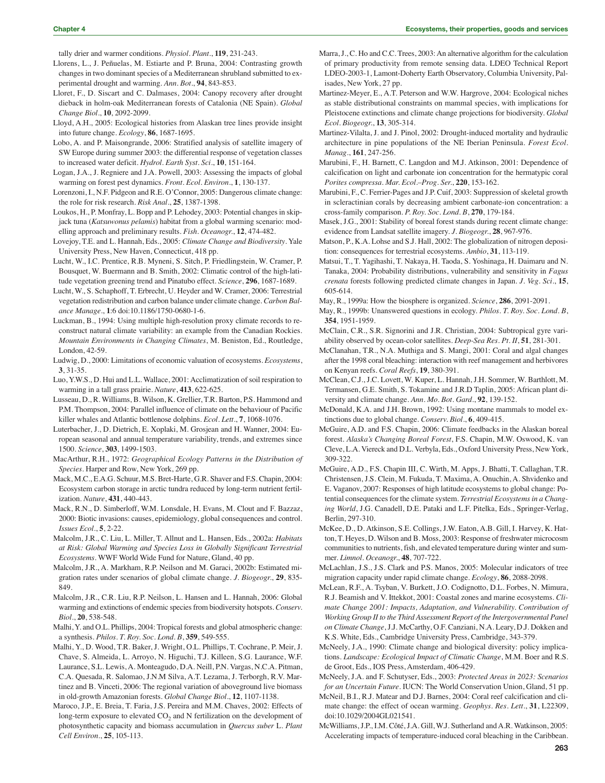tally drier and warmer conditions. *Physiol. Plant.*, **119**, 231-243.

- Llorens, L., J. Peñuelas, M. Estiarte and P. Bruna, 2004: Contrasting growth changes in two dominant species of a Mediterranean shrubland submitted to experimental drought and warming. *Ann. Bot.*, **94**, 843-853.
- Lloret, F., D. Siscart and C. Dalmases, 2004: Canopy recovery after drought dieback in holm-oak Mediterranean forests of Catalonia (NE Spain). *Global Change Biol.*, **10**, 2092-2099.
- Lloyd, A.H., 2005: Ecological histories from Alaskan tree lines provide insight into future change. *Ecology*, **86**, 1687-1695.
- Lobo, A. and P. Maisongrande, 2006: Stratified analysis of satellite imagery of SW Europe during summer 2003: the differential response of vegetation classes to increased water deficit. *Hydrol. Earth Syst. Sci.*, **10**, 151-164.
- Logan, J.A., J. Regniere and J.A. Powell, 2003: Assessing the impacts of global warming on forest pest dynamics. *Front. Ecol. Environ.*, **1**, 130-137.
- Lorenzoni, I., N.F. Pidgeon and R.E. O'Connor, 2005: Dangerous climate change: the role for risk research. *Risk Anal.*, **25**, 1387-1398.
- Loukos, H., P. Monfray, L. Bopp and P. Lehodey, 2003: Potential changes in skipjack tuna (*Katsuwonus pelamis*) habitat from a global warming scenario: modelling approach and preliminary results. *Fish. Oceanogr.*, **12**, 474-482.
- Lovejoy, T.E. and L. Hannah, Eds., 2005: *Climate Change and Biodiversity*. Yale University Press, New Haven, Connecticut, 418 pp.
- Lucht, W., I.C. Prentice, R.B. Myneni, S. Sitch, P. Friedlingstein, W. Cramer, P. Bousquet, W. Buermann and B. Smith, 2002: Climatic control of the high-latitude vegetation greening trend and Pinatubo effect. *Science*, **296**, 1687-1689.
- Lucht, W., S. Schaphoff, T. Erbrecht, U. Heyder and W. Cramer, 2006: Terrestrial vegetation redistribution and carbon balance under climate change. *Carbon Balance Manage.*, **1**:6 doi:10.1186/1750-0680-1-6.
- Luckman, B., 1994: Using multiple high-resolution proxy climate records to reconstruct natural climate variability: an example from the Canadian Rockies. *Mountain Environments in Changing Climates*, M. Beniston, Ed., Routledge, London, 42-59.
- Ludwig, D., 2000: Limitations of economic valuation of ecosystems. *Ecosystems*, **3**, 31-35.
- Luo, Y.W.S., D. Hui and L.L. Wallace, 2001: Acclimatization of soil respiration to warming in a tall grass prairie. *Nature*, **413**, 622-625.
- Lusseau, D., R. Williams, B. Wilson, K. Grellier, T.R. Barton, P.S. Hammond and P.M. Thompson, 2004: Parallel influence of climate on the behaviour of Pacific killer whales and Atlantic bottlenose dolphins. *Ecol. Lett.*, **7**, 1068-1076.
- Luterbacher, J., D. Dietrich, E. Xoplaki, M. Grosjean and H. Wanner, 2004: European seasonal and annual temperature variability, trends, and extremes since 1500. *Science*, **303**, 1499-1503.
- MacArthur, R.H., 1972: *Geographical Ecology Patterns in the Distribution of Species*. Harper and Row, New York, 269 pp.
- Mack, M.C., E.A.G. Schuur, M.S. Bret-Harte, G.R. Shaver and F.S. Chapin, 2004: Ecosystem carbon storage in arctic tundra reduced by long-term nutrient fertilization. *Nature*, **431**, 440-443.
- Mack, R.N., D. Simberloff, W.M. Lonsdale, H. Evans, M. Clout and F. Bazzaz, 2000: Biotic invasions: causes, epidemiology, global consequences and control. *Issues Ecol.*, **5**, 2-22.
- Malcolm, J.R., C. Liu, L. Miller, T. Allnut and L. Hansen, Eds., 2002a: *Habitats at Risk: Global Warming and Species Loss in Globally Significant Terrestrial Ecosystems*. WWF World Wide Fund for Nature, Gland, 40 pp.
- Malcolm, J.R., A. Markham, R.P. Neilson and M. Garaci, 2002b: Estimated migration rates under scenarios of global climate change. *J. Biogeogr.*, **29**, 835- 849.
- Malcolm, J.R., C.R. Liu, R.P. Neilson, L. Hansen and L. Hannah, 2006: Global warming and extinctions of endemic species from biodiversity hotspots. *Conserv. Biol.*, **20**, 538-548.
- Malhi, Y. and O.L. Phillips, 2004: Tropical forests and global atmospheric change: a synthesis. *Philos. T. Roy. Soc. Lond. B*, **359**, 549-555.
- Malhi, Y., D. Wood, T.R. Baker, J. Wright, O.L. Phillips, T. Cochrane, P. Meir, J. Chave, S. Almeida, L. Arroyo, N. Higuchi, T.J. Killeen, S.G. Laurance, W.F. Laurance, S.L. Lewis, A. Monteagudo, D.A. Neill, P.N. Vargas, N.C.A. Pitman, C.A. Quesada, R. Salomao, J.N.M Silva, A.T. Lezama, J. Terborgh, R.V. Martinez and B. Vinceti, 2006: The regional variation of aboveground live biomass in old-growth Amazonian forests. *Global Change Biol.*, **12**, 1107-1138.
- Maroco, J.P., E. Breia, T. Faria, J.S. Pereira and M.M. Chaves, 2002: Effects of long-term exposure to elevated  $CO<sub>2</sub>$  and N fertilization on the development of photosynthetic capacity and biomass accumulation in *Quercus suber* L. *Plant Cell Environ.*, **25**, 105-113.
- Marra, J., C. Ho and C.C. Trees, 2003: An alternative algorithm for the calculation of primary productivity from remote sensing data. LDEO Technical Report LDEO-2003-1, Lamont-Doherty Earth Observatory, Columbia University, Palisades, New York, 27 pp.
- Martinez-Meyer, E., A.T. Peterson and W.W. Hargrove, 2004: Ecological niches as stable distributional constraints on mammal species, with implications for Pleistocene extinctions and climate change projections for biodiversity. *Global Ecol. Biogeogr.*, **13**, 305-314.
- Martinez-Vilalta, J. and J. Pinol, 2002: Drought-induced mortality and hydraulic architecture in pine populations of the NE Iberian Peninsula. *Forest Ecol. Manag.*, **161**, 247-256.
- Marubini, F., H. Barnett, C. Langdon and M.J. Atkinson, 2001: Dependence of calcification on light and carbonate ion concentration for the hermatypic coral *Porites compressa*. *Mar. Ecol.–Prog. Ser.*, **220**, 153-162.
- Marubini, F., C. Ferrier-Pages and J.P. Cuif, 2003: Suppression of skeletal growth in scleractinian corals by decreasing ambient carbonate-ion concentration: a cross-family comparison. *P. Roy. Soc. Lond. B*, **270**, 179-184.
- Masek, J.G., 2001: Stability of boreal forest stands during recent climate change: evidence from Landsat satellite imagery. *J. Biogeogr.*, **28**, 967-976.
- Matson, P., K.A. Lohse and S.J. Hall, 2002: The globalization of nitrogen deposition: consequences for terrestrial ecosystems. *Ambio*, **31**, 113-119.
- Matsui, T., T. Yagihashi, T. Nakaya, H. Taoda, S. Yoshinaga, H. Daimaru and N. Tanaka, 2004: Probability distributions, vulnerability and sensitivity in *Fagus crenata* forests following predicted climate changes in Japan. *J. Veg. Sci.*, **15**, 605-614.
- May, R., 1999a: How the biosphere is organized. *Science*, **286**, 2091-2091.
- May, R., 1999b: Unanswered questions in ecology. *Philos. T. Roy. Soc. Lond. B*, **354**, 1951-1959.
- McClain, C.R., S.R. Signorini and J.R. Christian, 2004: Subtropical gyre variability observed by ocean-color satellites. *Deep-Sea Res. Pt. II*, **51**, 281-301.
- McClanahan, T.R., N.A. Muthiga and S. Mangi, 2001: Coral and algal changes after the 1998 coral bleaching: interaction with reef management and herbivores on Kenyan reefs. *Coral Reefs*, **19**, 380-391.
- McClean, C.J., J.C. Lovett, W. Kuper, L. Hannah, J.H. Sommer, W. Barthlott, M. Termansen, G.E. Smith, S. Tokamine and J.R.D Taplin, 2005: African plant diversity and climate change. *Ann. Mo. Bot. Gard.*, **92**, 139-152.
- McDonald, K.A. and J.H. Brown, 1992: Using montane mammals to model extinctions due to global change. *Conserv. Biol.*, **6**, 409-415.
- McGuire, A.D. and F.S. Chapin, 2006: Climate feedbacks in the Alaskan boreal forest. *Alaska's Changing Boreal Forest*, F.S. Chapin, M.W. Oswood, K. van Cleve, L.A. Viereck and D.L. Verbyla, Eds., Oxford University Press, New York, 309-322.
- McGuire, A.D., F.S. Chapin III, C. Wirth, M. Apps, J. Bhatti, T. Callaghan, T.R. Christensen, J.S. Clein, M. Fukuda, T. Maxima, A. Onuchin, A. Shvidenko and E. Vaganov, 2007: Responses of high latitude ecosystems to global change: Potential consequences for the climate system. *Terrestrial Ecosystems in a Changing World*, J.G. Canadell, D.E. Pataki and L.F. Pitelka, Eds., Springer-Verlag, Berlin, 297-310.
- McKee, D., D. Atkinson, S.E. Collings, J.W. Eaton, A.B. Gill, I. Harvey, K. Hatton, T. Heyes, D. Wilson and B. Moss, 2003: Response of freshwater microcosm communities to nutrients, fish, and elevated temperature during winter and summer. *Limnol. Oceanogr.*, **48**, 707-722.
- McLachlan, J.S., J.S. Clark and P.S. Manos, 2005: Molecular indicators of tree migration capacity under rapid climate change. *Ecology*, **86**, 2088-2098.
- McLean, R.F., A. Tsyban, V. Burkett, J.O. Codignotto, D.L. Forbes, N. Mimura, R.J. Beamish and V. Ittekkot, 2001: Coastal zones and marine ecosystems. *Climate Change 2001: Impacts, Adaptation, and Vulnerability. Contribution of Working Group II to the Third Assessment Report of the Intergovernmental Panel on Climate Change*, J.J. McCarthy, O.F. Canziani, N.A. Leary, D.J. Dokken and K.S. White, Eds., Cambridge University Press, Cambridge, 343-379.
- McNeely, J.A., 1990: Climate change and biological diversity: policy implications. *Landscape: Ecological Impact of Climatic Change*, M.M. Boer and R.S. de Groot, Eds., IOS Press, Amsterdam, 406-429.
- McNeely, J.A. and F. Schutyser, Eds., 2003: *Protected Areas in 2023: Scenarios for an Uncertain Future*. IUCN: The World Conservation Union, Gland, 51 pp.
- McNeil, B.I., R.J. Matear and D.J. Barnes, 2004: Coral reef calcification and climate change: the effect of ocean warming. *Geophys. Res. Lett.*, **31**, L22309, doi:10.1029/2004GL021541.
- McWilliams, J.P., I.M. Côté, J.A. Gill, W.J. Sutherland and A.R. Watkinson, 2005: Accelerating impacts of temperature-induced coral bleaching in the Caribbean.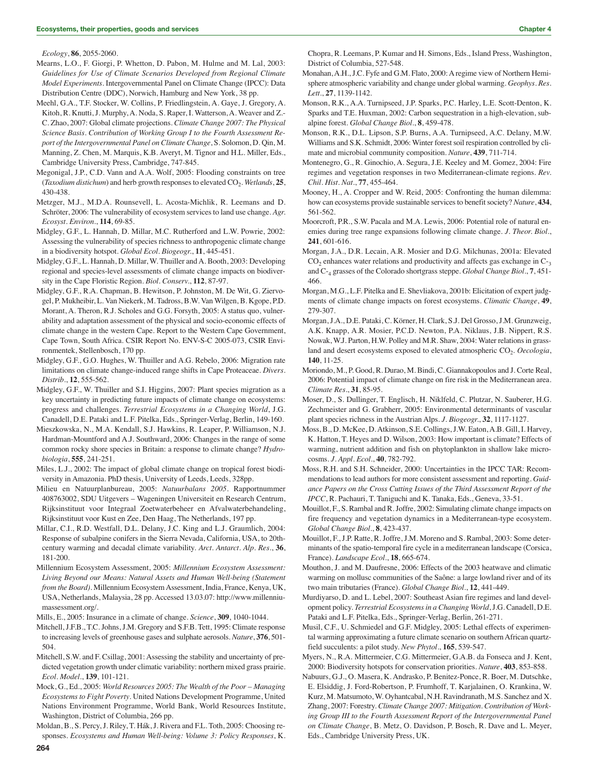*Ecology*, **86**, 2055-2060.

- Mearns, L.O., F. Giorgi, P. Whetton, D. Pabon, M. Hulme and M. Lal, 2003: *Guidelines for Use of Climate Scenarios Developed from Regional Climate Model Experiments*. Intergovernmental Panel on Climate Change (IPCC): Data Distribution Centre (DDC), Norwich, Hamburg and New York, 38 pp.
- Meehl, G.A., T.F. Stocker, W. Collins, P. Friedlingstein, A. Gaye, J. Gregory, A. Kitoh, R. Knutti, J. Murphy, A. Noda, S. Raper, I. Watterson, A. Weaver and Z.- C. Zhao, 2007: Global climate projections. *Climate Change 2007: The Physical Science Basis. Contribution of Working Group I to the Fourth Assessment Report of the Intergovernmental Panel on Climate Change*, S. Solomon, D. Qin, M. Manning, Z. Chen, M. Marquis, K.B. Averyt, M. Tignor and H.L. Miller, Eds., Cambridge University Press, Cambridge, 747-845.
- Megonigal, J.P., C.D. Vann and A.A. Wolf, 2005: Flooding constraints on tree (*Taxodium distichum*) and herb growth responses to elevated CO<sub>2</sub>. *Wetlands*, 25, 430-438.
- Metzger, M.J., M.D.A. Rounsevell, L. Acosta-Michlik, R. Leemans and D. Schröter, 2006: The vulnerability of ecosystem services to land use change. *Agr. Ecosyst. Environ.*, **114**, 69-85.
- Midgley, G.F., L. Hannah, D. Millar, M.C. Rutherford and L.W. Powrie, 2002: Assessing the vulnerability of species richness to anthropogenic climate change in a biodiversity hotspot. *Global Ecol. Biogeogr.*, **11**, 445-451.
- Midgley, G.F., L. Hannah, D. Millar, W. Thuiller and A. Booth, 2003: Developing regional and species-level assessments of climate change impacts on biodiversity in the Cape Floristic Region. *Biol. Conserv.*, **112**, 87-97.
- Midgley, G.F., R.A. Chapman, B. Hewitson, P. Johnston, M. De Wit, G. Ziervogel, P. Mukheibir, L. Van Niekerk, M. Tadross, B.W. Van Wilgen, B. Kgope, P.D. Morant, A. Theron, R.J. Scholes and G.G. Forsyth, 2005: A status quo, vulnerability and adaptation assessment of the physical and socio-economic effects of climate change in the western Cape. Report to the Western Cape Government, Cape Town, South Africa. CSIR Report No. ENV-S-C 2005-073, CSIR Environmentek, Stellenbosch, 170 pp.
- Midgley, G.F., G.O. Hughes, W. Thuiller and A.G. Rebelo, 2006: Migration rate limitations on climate change-induced range shifts in Cape Proteaceae. *Divers. Distrib.*, **12**, 555-562.
- Midgley, G.F., W. Thuiller and S.I. Higgins, 2007: Plant species migration as a key uncertainty in predicting future impacts of climate change on ecosystems: progress and challenges. *Terrestrial Ecosystems in a Changing World*, J.G. Canadell, D.E. Pataki and L.F. Pitelka, Eds., Springer-Verlag, Berlin, 149-160.
- Mieszkowska, N., M.A. Kendall, S.J. Hawkins, R. Leaper, P. Williamson, N.J. Hardman-Mountford and A.J. Southward, 2006: Changes in the range of some common rocky shore species in Britain: a response to climate change? *Hydrobiologia*, **555**, 241-251.
- Miles, L.J., 2002: The impact of global climate change on tropical forest biodiversity in Amazonia. PhD thesis, University of Leeds, Leeds, 328pp.
- Milieu en Natuurplanbureau, 2005: *Natuurbalans 2005*. Rapportnummer 408763002, SDU Uitgevers – Wageningen Universiteit en Research Centrum, Rijksinstituut voor Integraal Zoetwaterbeheer en Afvalwaterbehandeling, Rijksinstituut voor Kust en Zee, Den Haag, The Netherlands, 197 pp.
- Millar, C.I., R.D. Westfall, D.L. Delany, J.C. King and L.J. Graumlich, 2004: Response of subalpine conifers in the Sierra Nevada, California, USA, to 20thcentury warming and decadal climate variability. *Arct. Antarct. Alp. Res.*, **36**, 181-200.
- Millennium Ecosystem Assessment, 2005: *Millennium Ecosystem Assessment: Living Beyond our Means: Natural Assets and Human Well-being (Statement from the Board)*. Millennium Ecosystem Assessment, India, France, Kenya, UK, USA, Netherlands, Malaysia, 28 pp. Accessed 13.03.07: http://www.millenniumassessment.org/.
- Mills, E., 2005: Insurance in a climate of change. *Science*, **309**, 1040-1044.
- Mitchell, J.F.B., T.C. Johns, J.M. Gregory and S.F.B. Tett, 1995: Climate response to increasing levels of greenhouse gases and sulphate aerosols. *Nature*, **376**, 501- 504.
- Mitchell, S.W. and F. Csillag, 2001: Assessing the stability and uncertainty of predicted vegetation growth under climatic variability: northern mixed grass prairie. *Ecol. Model.*, **139**, 101-121.
- Mock, G., Ed., 2005: *World Resources 2005: The Wealth of the Poor Managing Ecosystems to Fight Poverty*. United Nations Development Programme, United Nations Environment Programme, World Bank, World Resources Institute, Washington, District of Columbia, 266 pp.
- Moldan, B., S. Percy, J. Riley, T. Hák, J. Rivera and F.L. Toth, 2005: Choosing responses. *Ecosystems and Human Well-being: Volume 3: Policy Responses*, K.

Chopra, R. Leemans, P. Kumar and H. Simons, Eds., Island Press, Washington, District of Columbia, 527-548.

- Monahan, A.H., J.C. Fyfe and G.M. Flato, 2000: A regime view of Northern Hemisphere atmospheric variability and change under global warming. *Geophys. Res. Lett.*, **27**, 1139-1142.
- Monson, R.K., A.A. Turnipseed, J.P. Sparks, P.C. Harley, L.E. Scott-Denton, K. Sparks and T.E. Huxman, 2002: Carbon sequestration in a high-elevation, subalpine forest. *Global Change Biol.*, **8**, 459-478.
- Monson, R.K., D.L. Lipson, S.P. Burns, A.A. Turnipseed, A.C. Delany, M.W. Williams and S.K. Schmidt, 2006: Winter forest soil respiration controlled by climate and microbial community composition. *Nature*, **439**, 711-714.
- Montenegro, G., R. Ginochio, A. Segura, J.E. Keeley and M. Gomez, 2004: Fire regimes and vegetation responses in two Mediterranean-climate regions. *Rev. Chil. Hist. Nat.*, **77**, 455-464.
- Mooney, H., A. Cropper and W. Reid, 2005: Confronting the human dilemma: how can ecosystems provide sustainable services to benefit society? *Nature*, **434**, 561-562.
- Moorcroft, P.R., S.W. Pacala and M.A. Lewis, 2006: Potential role of natural enemies during tree range expansions following climate change. *J. Theor. Biol.*, **241**, 601-616.
- Morgan, J.A., D.R. Lecain, A.R. Mosier and D.G. Milchunas, 2001a: Elevated  $CO<sub>2</sub>$  enhances water relations and productivity and affects gas exchange in  $C<sub>-3</sub>$ and C-4 grasses of the Colorado shortgrass steppe. *Global Change Biol.*, **7**, 451- 466.
- Morgan, M.G., L.F. Pitelka and E. Shevliakova, 2001b: Elicitation of expert judgments of climate change impacts on forest ecosystems. *Climatic Change*, **49**, 279-307.
- Morgan, J.A., D.E. Pataki, C. Körner, H. Clark, S.J. Del Grosso, J.M. Grunzweig, A.K. Knapp, A.R. Mosier, P.C.D. Newton, P.A. Niklaus, J.B. Nippert, R.S. Nowak, W.J. Parton, H.W. Polley and M.R. Shaw, 2004: Water relations in grassland and desert ecosystems exposed to elevated atmospheric CO<sub>2</sub>. Oecologia, **140**, 11-25.
- Moriondo, M., P. Good, R. Durao, M. Bindi, C. Giannakopoulos and J. Corte Real, 2006: Potential impact of climate change on fire risk in the Mediterranean area. *Climate Res.*, **31**, 85-95.
- Moser, D., S. Dullinger, T. Englisch, H. Niklfeld, C. Plutzar, N. Sauberer, H.G. Zechmeister and G. Grabherr, 2005: Environmental determinants of vascular plant species richness in the Austrian Alps. *J. Biogeogr.*, **32**, 1117-1127.
- Moss, B., D. McKee, D. Atkinson, S.E. Collings, J.W. Eaton, A.B. Gill, I. Harvey, K. Hatton, T. Heyes and D. Wilson, 2003: How important is climate? Effects of warming, nutrient addition and fish on phytoplankton in shallow lake microcosms. *J. Appl. Ecol.*, **40**, 782-792.
- Moss, R.H. and S.H. Schneider, 2000: Uncertainties in the IPCC TAR: Recommendations to lead authors for more consistent assessment and reporting. *Guidance Papers on the Cross Cutting Issues of the Third Assessment Report of the IPCC*, R. Pachauri, T. Taniguchi and K. Tanaka, Eds., Geneva, 33-51.
- Mouillot, F., S. Rambal and R. Joffre, 2002: Simulating climate change impacts on fire frequency and vegetation dynamics in a Mediterranean-type ecosystem. *Global Change Biol.*, **8**, 423-437.
- Mouillot, F., J.P. Ratte, R. Joffre, J.M. Moreno and S. Rambal, 2003: Some determinants of the spatio-temporal fire cycle in a mediterranean landscape (Corsica, France). *Landscape Ecol.*, **18**, 665-674.
- Mouthon, J. and M. Daufresne, 2006: Effects of the 2003 heatwave and climatic warming on mollusc communities of the Saône: a large lowland river and of its two main tributaries (France). *Global Change Biol.*, **12**, 441-449.
- Murdiyarso, D. and L. Lebel, 2007: Southeast Asian fire regimes and land development policy. *Terrestrial Ecosystems in a Changing World*, J.G. Canadell, D.E. Pataki and L.F. Pitelka, Eds., Springer-Verlag, Berlin, 261-271.
- Musil, C.F., U. Schmiedel and G.F. Midgley, 2005: Lethal effects of experimental warming approximating a future climate scenario on southern African quartzfield succulents: a pilot study. *New Phytol.*, **165**, 539-547.
- Myers, N., R.A. Mittermeier, C.G. Mittermeier, G.A.B. da Fonseca and J. Kent, 2000: Biodiversity hotspots for conservation priorities. *Nature*, **403**, 853-858.
- Nabuurs, G.J., O. Masera, K. Andrasko, P. Benitez-Ponce, R. Boer, M. Dutschke, E. Elsiddig, J. Ford-Robertson, P. Frumhoff, T. Karjalainen, O. Krankina, W. Kurz, M. Matsumoto, W. Oyhantcabal, N.H. Ravindranath, M.S. Sanchez and X. Zhang, 2007: Forestry. *Climate Change 2007: Mitigation. Contribution of Working Group III to the Fourth Assessment Report of the Intergovernmental Panel on Climate Change*, B. Metz, O. Davidson, P. Bosch, R. Dave and L. Meyer, Eds., Cambridge University Press, UK.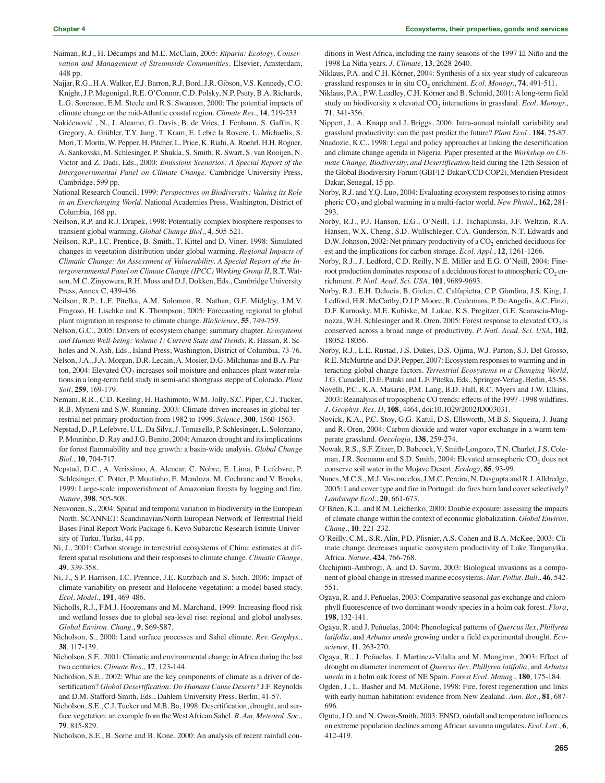- Naiman, R.J., H. Dêcamps and M.E. McClain, 2005: *Riparia: Ecology, Conservation and Management of Streamside Communities*. Elsevier, Amsterdam, 448 pp.
- Najjar, R.G., H.A. Walker, E.J. Barron, R.J. Bord, J.R. Gibson, V.S. Kennedy, C.G. Knight, J.P. Megonigal, R.E. O'Connor, C.D. Polsky, N.P. Psuty, B.A. Richards, L.G. Sorenson, E.M. Steele and R.S. Swanson, 2000: The potential impacts of climate change on the mid-Atlantic coastal region. *Climate Res.*, **14**, 219-233.
- Nakićenović , N., J. Alcamo, G. Davis, B. de Vries, J. Fenhann, S. Gaffin, K. Gregory, A. Grübler, T.Y. Jung, T. Kram, E. Lebre la Rovere, L. Michaelis, S. Mori, T. Morita, W. Pepper, H. Pitcher, L. Price, K. Riahi,A. Roehrl, H.H. Rogner, A. Sankovski, M. Schlesinger, P. Shukla, S. Smith, R. Swart, S. van Rooijen, N. Victor and Z. Dadi, Eds., 2000: *Emissions Scenarios: A Special Report of the Intergovernmental Panel on Climate Change*. Cambridge University Press, Cambridge, 599 pp.
- National Research Council, 1999: *Perspectives on Biodiversity: Valuing its Role in an Everchanging World*. National Academies Press, Washington, District of Columbia, 168 pp.
- Neilson, R.P. and R.J. Drapek, 1998: Potentially complex biosphere responses to transient global warming. *Global Change Biol.*, **4**, 505-521.
- Neilson, R.P., I.C. Prentice, B. Smith, T. Kittel and D. Viner, 1998: Simulated changes in vegetation distribution under global warming. *Regional Impacts of Climatic Change: An Assessment of Vulnerability. A Special Report of the Intergovernmental Panel on Climate Change (IPCC) Working Group II*, R.T. Watson, M.C. Zinyowera, R.H. Moss and D.J. Dokken, Eds., Cambridge University Press, Annex C, 439-456.
- Neilson, R.P., L.F. Pitelka, A.M. Solomon, R. Nathan, G.F. Midgley, J.M.V. Fragoso, H. Lischke and K. Thompson, 2005: Forecasting regional to global plant migration in response to climate change. *BioScience*, **55**, 749-759.
- Nelson, G.C., 2005: Drivers of ecosystem change: summary chapter. *Ecosystems and Human Well-being: Volume 1: Current State and Trends*, R. Hassan, R. Scholes and N. Ash, Eds., Island Press, Washington, District of Columbia, 73-76.
- Nelson, J.A., J.A. Morgan, D.R. Lecain, A. Mosier, D.G. Milchunas and B.A. Parton, 2004: Elevated  $CO<sub>2</sub>$  increases soil moisture and enhances plant water relations in a long-term field study in semi-arid shortgrass steppe of Colorado. *Plant Soil*, **259**, 169-179.
- Nemani, R.R., C.D. Keeling, H. Hashimoto, W.M. Jolly, S.C. Piper, C.J. Tucker, R.B. Myneni and S.W. Running, 2003: Climate-driven increases in global terrestrial net primary production from 1982 to 1999. *Science*, **300**, 1560-1563.
- Nepstad, D., P. Lefebvre, U.L. Da Silva, J. Tomasella, P. Schlesinger, L. Solorzano, P. Moutinho, D. Ray and J.G. Benito, 2004: Amazon drought and its implications for forest flammability and tree growth: a basin-wide analysis. *Global Change Biol.*, **10**, 704-717.
- Nepstad, D.C., A. Verissimo, A. Alencar, C. Nobre, E. Lima, P. Lefebvre, P. Schlesinger, C. Potter, P. Moutinho, E. Mendoza, M. Cochrane and V. Brooks, 1999: Large-scale impoverishment of Amazonian forests by logging and fire. *Nature*, **398**, 505-508.
- Neuvonen, S., 2004: Spatial and temporal variation in biodiversity in the European North. SCANNET: Scandinavian/North European Network of Terrestrial Field Bases Final Report Work Package 6, Kevo Subarctic Research Istitute University of Turku, Turku, 44 pp.
- Ni, J., 2001: Carbon storage in terrestrial ecosystems of China: estimates at different spatial resolutions and their responses to climate change. *Climatic Change*, **49**, 339-358.
- Ni, J., S.P. Harrison, I.C. Prentice, J.E. Kutzbach and S. Sitch, 2006: Impact of climate variability on present and Holocene vegetation: a model-based study. *Ecol. Model.*, **191**, 469-486.
- Nicholls, R.J., F.M.J. Hoozemans and M. Marchand, 1999: Increasing flood risk and wetland losses due to global sea-level rise: regional and global analyses. *Global Environ. Chang.*, **9**, S69-S87.
- Nicholson, S., 2000: Land surface processes and Sahel climate. *Rev. Geophys.*, **38**, 117-139.
- Nicholson, S.E., 2001: Climatic and environmental change in Africa during the last two centuries. *Climate Res.*, **17**, 123-144.
- Nicholson, S.E., 2002: What are the key components of climate as a driver of desertification? *Global Desertification: Do Humans Cause Deserts?* J.F. Reynolds and D.M. Stafford-Smith, Eds., Dahlem University Press, Berlin, 41-57.
- Nicholson, S.E., C.J. Tucker and M.B. Ba, 1998: Desertification, drought, and surface vegetation: an example from the West African Sahel. *B. Am. Meteorol. Soc.*, **79**, 815-829.
- Nicholson, S.E., B. Some and B. Kone, 2000: An analysis of recent rainfall con-

ditions in West Africa, including the rainy seasons of the 1997 El Niño and the 1998 La Niña years. *J. Climate*, **13**, 2628-2640.

- Niklaus, P.A. and C.H. Körner, 2004: Synthesis of a six-year study of calcareous grassland responses to in situ CO<sub>2</sub> enrichment. *Ecol. Monogr.*, **74**, 491-511.
- Niklaus, P.A., P.W. Leadley, C.H. Körner and B. Schmid, 2001: A long-term field study on biodiversity  $\times$  elevated  $CO<sub>2</sub>$  interactions in grassland. *Ecol. Monogr.*, **71**, 341-356.
- Nippert, J., A. Knapp and J. Briggs, 2006: Intra-annual rainfall variability and grassland productivity: can the past predict the future? *Plant Ecol.*, **184**, 75-87.
- Nnadozie, K.C., 1998: Legal and policy approaches at linking the desertification and climate change agenda in Nigeria. Paper presented at the *Workshop on Climate Change, Biodiversity, and Desertification* held during the 12th Session of the Global Biodiversity Forum (GBF12-Dakar/CCD COP2), Meridien President Dakar, Senegal, 15 pp.
- Norby, R.J. and Y.Q. Luo, 2004: Evaluating ecosystem responses to rising atmospheric CO2 and global warming in a multi-factor world. *New Phytol.*, **162**, 281- 293.
- Norby, R.J., P.J. Hanson, E.G., O'Neill, T.J. Tschaplinski, J.F. Weltzin, R.A. Hansen, W.X. Cheng, S.D. Wullschleger, C.A. Gunderson, N.T. Edwards and D.W. Johnson, 2002: Net primary productivity of a CO<sub>2</sub>-enriched deciduous forest and the implications for carbon storage. *Ecol. Appl.*, **12**, 1261-1266.
- Norby, R.J., J. Ledford, C.D. Reilly, N.E. Miller and E.G. O'Neill, 2004: Fineroot production dominates response of a deciduous forest to atmospheric CO<sub>2</sub> enrichment. *P. Natl. Acad. Sci. USA*, **101**, 9689-9693.
- Norby, R.J., E.H. Delucia, B. Gielen, C. Calfapietra, C.P. Giardina, J.S. King, J. Ledford, H.R. McCarthy, D.J.P. Moore, R. Ceulemans, P. De Angelis, A.C. Finzi, D.F. Karnosky, M.E. Kubiske, M. Lukac, K.S. Pregitzer, G.E. Scarascia-Mugnozza, W.H. Schlesinger and R. Oren, 2005: Forest response to elevated  $CO<sub>2</sub>$  is conserved across a broad range of productivity. *P. Natl. Acad. Sci. USA*, **102**, 18052-18056.
- Norby, R.J., L.E. Rustad, J.S. Dukes, D.S. Ojima, W.J. Parton, S.J. Del Grosso, R.E. McMurtrie and D.P. Pepper, 2007: Ecosystem responses to warming and interacting global change factors. *Terrestrial Ecosystems in a Changing World*, J.G. Canadell, D.E. Pataki and L.F. Pitelka, Eds., Springer-Verlag, Berlin, 45-58.
- Novelli, P.C., K.A. Masarie, P.M. Lang, B.D. Hall, R.C. Myers and J.W. Elkins, 2003: Reanalysis of tropospheric CO trends: effects of the 1997–1998 wildfires. *J. Geophys. Res. D*, **108**, 4464, doi:10.1029/2002JD003031.
- Novick, K.A., P.C. Stoy, G.G. Katul, D.S. Ellsworth, M.B.S. Siqueira, J. Juang and R. Oren, 2004: Carbon dioxide and water vapor exchange in a warm temperate grassland. *Oecologia*, **138**, 259-274.
- Nowak, R.S., S.F. Zitzer, D. Babcock, V. Smith-Longozo, T.N. Charlet, J.S. Coleman, J.R. Seemann and S.D. Smith, 2004: Elevated atmospheric CO<sub>2</sub> does not conserve soil water in the Mojave Desert. *Ecology*, **85**, 93-99.
- Nunes, M.C.S., M.J. Vasconcelos, J.M.C. Pereira, N. Dasgupta and R.J. Alldredge, 2005: Land cover type and fire in Portugal: do fires burn land cover selectively? *Landscape Ecol.*, **20**, 661-673.
- O'Brien, K.L. and R.M. Leichenko, 2000: Double exposure: assessing the impacts of climate change within the context of economic globalization. *Global Environ. Chang.*, **10**, 221-232.
- O'Reilly, C.M., S.R. Alin, P.D. Plisnier, A.S. Cohen and B.A. McKee, 2003: Climate change decreases aquatic ecosystem productivity of Lake Tanganyika, Africa. *Nature*, **424**, 766-768.
- Occhipinti-Ambrogi, A. and D. Savini, 2003: Biological invasions as a component of global change in stressed marine ecosystems. *Mar. Pollut. Bull.*, **46**, 542- 551.
- Ogaya, R. and J. Peñuelas, 2003: Comparative seasonal gas exchange and chlorophyll fluorescence of two dominant woody species in a holm oak forest. *Flora*, **198**, 132-141.
- Ogaya, R. and J. Peñuelas, 2004: Phenological patterns of *Quercus ilex*, *Phillyrea latifolia*, and *Arbutus unedo* growing under a field experimental drought. *Ecoscience*, **11**, 263-270.
- Ogaya, R., J. Peñuelas, J. Martinez-Vilalta and M. Mangiron, 2003: Effect of drought on diameter increment of *Quercus ilex*, *Phillyrea latifolia*, and *Arbutus unedo* in a holm oak forest of NE Spain. *Forest Ecol. Manag.*, **180**, 175-184.
- Ogden, J., L. Basher and M. McGlone, 1998: Fire, forest regeneration and links with early human habitation: evidence from New Zealand. *Ann. Bot.*, **81**, 687- 696.
- Ogutu, J.O. and N. Owen-Smith, 2003: ENSO, rainfall and temperature influences on extreme population declines among African savanna ungulates. *Ecol. Lett.*, **6**, 412-419.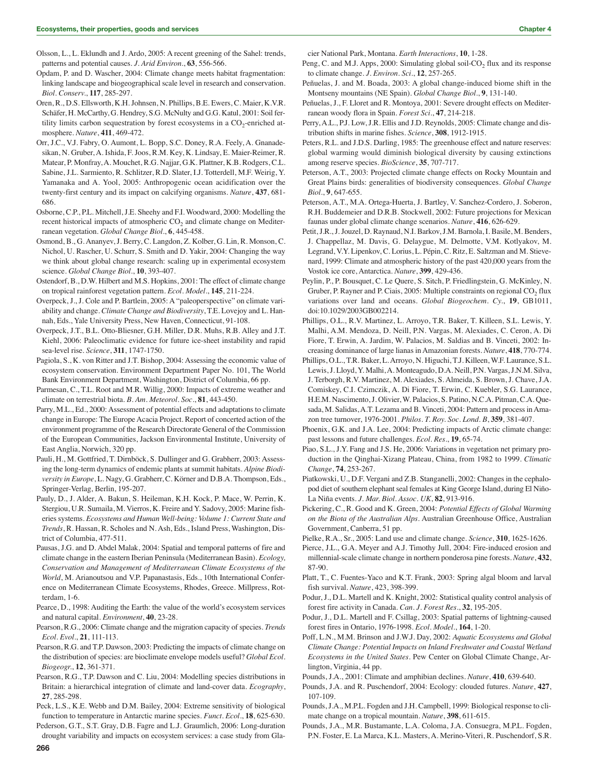- Olsson, L., L. Eklundh and J. Ardo, 2005: A recent greening of the Sahel: trends, patterns and potential causes. *J. Arid Environ.*, **63**, 556-566.
- Opdam, P. and D. Wascher, 2004: Climate change meets habitat fragmentation: linking landscape and biogeographical scale level in research and conservation. *Biol. Conserv.*, **117**, 285-297.
- Oren, R., D.S. Ellsworth, K.H. Johnsen, N. Phillips, B.E. Ewers, C. Maier, K.V.R. Schäfer, H. McCarthy, G. Hendrey, S.G. McNulty and G.G. Katul, 2001: Soil fertility limits carbon sequestration by forest ecosystems in a  $CO<sub>2</sub>$ -enriched atmosphere. *Nature*, **411**, 469-472.
- Orr, J.C., V.J. Fabry, O. Aumont, L. Bopp, S.C. Doney, R.A. Feely, A. Gnanadesikan, N. Gruber, A. Ishida, F. Joos, R.M. Key, K. Lindsay, E. Maier-Reimer, R. Matear, P. Monfray, A. Mouchet, R.G. Najjar, G.K. Plattner, K.B. Rodgers, C.L. Sabine, J.L. Sarmiento, R. Schlitzer, R.D. Slater, I.J. Totterdell, M.F. Weirig, Y. Yamanaka and A. Yool, 2005: Anthropogenic ocean acidification over the twenty-first century and its impact on calcifying organisms. *Nature*, **437**, 681- 686.
- Osborne, C.P., P.L. Mitchell, J.E. Sheehy and F.I. Woodward, 2000: Modelling the recent historical impacts of atmospheric CO<sub>2</sub> and climate change on Mediterranean vegetation. *Global Change Biol.*, **6**, 445-458.
- Osmond, B., G. Ananyev, J. Berry, C. Langdon, Z. Kolber, G. Lin, R. Monson, C. Nichol, U. Rascher, U. Schurr, S. Smith and D. Yakir, 2004: Changing the way we think about global change research: scaling up in experimental ecosystem science. *Global Change Biol.*, **10**, 393-407.
- Ostendorf, B., D.W. Hilbert and M.S. Hopkins, 2001: The effect of climate change on tropical rainforest vegetation pattern. *Ecol. Model.*, **145**, 211-224.
- Overpeck, J., J. Cole and P. Bartlein, 2005: A "paleoperspective" on climate variability and change. *Climate Change and Biodiversity*, T.E. Lovejoy and L. Hannah, Eds., Yale University Press, New Haven, Connecticut, 91-108.
- Overpeck, J.T., B.L. Otto-Bliesner, G.H. Miller, D.R. Muhs, R.B. Alley and J.T. Kiehl, 2006: Paleoclimatic evidence for future ice-sheet instability and rapid sea-level rise. *Science*, **311**, 1747-1750.
- Pagiola, S., K. von Ritter and J.T. Bishop, 2004: Assessing the economic value of ecosystem conservation. Environment Department Paper No. 101, The World Bank Environment Department, Washington, District of Columbia, 66 pp.
- Parmesan, C., T.L. Root and M.R. Willig, 2000: Impacts of extreme weather and climate on terrestrial biota. *B. Am. Meteorol. Soc.*, **81**, 443-450.
- Parry, M.L., Ed., 2000: Assessment of potential effects and adaptations to climate change in Europe: The Europe Acacia Project. Report of concerted action of the environment programme of the Research Directorate General of the Commission of the European Communities, Jackson Environmental Institute, University of East Anglia, Norwich, 320 pp.
- Pauli, H., M. Gottfried, T. Dirnböck, S. Dullinger and G. Grabherr, 2003: Assessing the long-term dynamics of endemic plants at summit habitats. *Alpine Biodiversity in Europe*, L. Nagy, G. Grabherr, C. Körner and D.B.A. Thompson, Eds., Springer-Verlag, Berlin, 195-207.
- Pauly, D., J. Alder, A. Bakun, S. Heileman, K.H. Kock, P. Mace, W. Perrin, K. Stergiou, U.R. Sumaila, M. Vierros, K. Freire and Y. Sadovy, 2005: Marine fisheries systems. *Ecosystems and Human Well-being: Volume 1: Current State and Trends*, R. Hassan, R. Scholes and N. Ash, Eds., Island Press, Washington, District of Columbia, 477-511.
- Pausas, J.G. and D. Abdel Malak, 2004: Spatial and temporal patterns of fire and climate change in the eastern Iberian Peninsula (Mediterranean Basin). *Ecology, Conservation and Management of Mediterranean Climate Ecosystems of the World*, M. Arianoutsou and V.P. Papanastasis, Eds., 10th International Conference on Mediterranean Climate Ecosystems, Rhodes, Greece. Millpress, Rotterdam, 1-6.
- Pearce, D., 1998: Auditing the Earth: the value of the world's ecosystem services and natural capital. *Environment*, **40**, 23-28.
- Pearson, R.G., 2006: Climate change and the migration capacity of species. *Trends Ecol. Evol.*, **21**, 111-113.
- Pearson, R.G. and T.P. Dawson, 2003: Predicting the impacts of climate change on the distribution of species: are bioclimate envelope models useful? *Global Ecol. Biogeogr.*, **12**, 361-371.
- Pearson, R.G., T.P. Dawson and C. Liu, 2004: Modelling species distributions in Britain: a hierarchical integration of climate and land-cover data. *Ecography*, **27**, 285-298.
- Peck, L.S., K.E. Webb and D.M. Bailey, 2004: Extreme sensitivity of biological function to temperature in Antarctic marine species. *Funct. Ecol.*, **18**, 625-630.
- Pederson, G.T., S.T. Gray, D.B. Fagre and L.J. Graumlich, 2006: Long-duration drought variability and impacts on ecosystem services: a case study from Gla-

cier National Park, Montana. *Earth Interactions*, **10**, 1-28.

- Peng, C. and M.J. Apps, 2000: Simulating global soil-CO<sub>2</sub> flux and its response to climate change. *J. Environ. Sci.*, **12**, 257-265.
- Peñuelas, J. and M. Boada, 2003: A global change-induced biome shift in the Montseny mountains (NE Spain). *Global Change Biol.*, **9**, 131-140.
- Peñuelas, J., F. Lloret and R. Montoya, 2001: Severe drought effects on Mediterranean woody flora in Spain. *Forest Sci.*, **47**, 214-218.
- Perry, A.L., P.J. Low, J.R. Ellis and J.D. Reynolds, 2005: Climate change and distribution shifts in marine fishes. *Science*, **308**, 1912-1915.
- Peters, R.L. and J.D.S. Darling, 1985: The greenhouse effect and nature reserves: global warming would diminish biological diversity by causing extinctions among reserve species. *BioScience*, **35**, 707-717.
- Peterson, A.T., 2003: Projected climate change effects on Rocky Mountain and Great Plains birds: generalities of biodiversity consequences. *Global Change Biol.*, **9**, 647-655.
- Peterson, A.T., M.A. Ortega-Huerta, J. Bartley, V. Sanchez-Cordero, J. Soberon, R.H. Buddemeier and D.R.B. Stockwell, 2002: Future projections for Mexican faunas under global climate change scenarios. *Nature*, **416**, 626-629.
- Petit, J.R., J. Jouzel, D. Raynaud, N.I. Barkov, J.M. Barnola, I. Basile, M. Benders, J. Chappellaz, M. Davis, G. Delaygue, M. Delmotte, V.M. Kotlyakov, M. Legrand, V.Y. Lipenkov, C. Lorius, L. Pépin, C. Ritz, E. Saltzman and M. Stievenard, 1999: Climate and atmospheric history of the past 420,000 years from the Vostok ice core, Antarctica. *Nature*, **399**, 429-436.
- Peylin, P., P. Bousquet, C. Le Quere, S. Sitch, P. Friedlingstein, G. McKinley, N. Gruber, P. Rayner and P. Ciais, 2005: Multiple constraints on regional  $CO<sub>2</sub>$  flux variations over land and oceans. *Global Biogeochem. Cy.*, **19**, GB1011, doi:10.1029/2003GB002214.
- Phillips, O.L., R.V. Martinez, L. Arroyo, T.R. Baker, T. Killeen, S.L. Lewis, Y. Malhi, A.M. Mendoza, D. Neill, P.N. Vargas, M. Alexiades, C. Ceron, A. Di Fiore, T. Erwin, A. Jardim, W. Palacios, M. Saldias and B. Vinceti, 2002: Increasing dominance of large lianas in Amazonian forests. *Nature*, **418**, 770-774.
- Phillips, O.L., T.R. Baker, L. Arroyo, N. Higuchi, T.J. Killeen, W.F. Laurance, S.L. Lewis, J. Lloyd, Y. Malhi, A. Monteagudo, D.A. Neill, P.N. Vargas, J.N.M. Silva, J. Terborgh, R.V. Martinez, M. Alexiades, S. Almeida, S. Brown, J. Chave, J.A. Comiskey, C.I. Czimczik, A. Di Fiore, T. Erwin, C. Kuebler, S.G. Laurance, H.E.M. Nascimento, J. Olivier, W. Palacios, S. Patino, N.C.A. Pitman, C.A. Quesada, M. Salidas, A.T. Lezama and B. Vinceti, 2004: Pattern and process in Amazon tree turnover, 1976-2001. *Philos. T. Roy. Soc. Lond. B*, **359**, 381-407.
- Phoenix, G.K. and J.A. Lee, 2004: Predicting impacts of Arctic climate change: past lessons and future challenges. *Ecol. Res.*, **19**, 65-74.
- Piao, S.L., J.Y. Fang and J.S. He, 2006: Variations in vegetation net primary production in the Qinghai-Xizang Plateau, China, from 1982 to 1999. *Climatic Change*, **74**, 253-267.
- Piatkowski, U., D.F. Vergani and Z.B. Stanganelli, 2002: Changes in the cephalopod diet of southern elephant seal females at King George Island, during El Niño-La Niña events. *J. Mar. Biol. Assoc. UK*, **82**, 913-916.
- Pickering, C., R. Good and K. Green, 2004: *Potential Effects of Global Warming on the Biota of the Australian Alps*. Australian Greenhouse Office, Australian Government, Canberra, 51 pp.
- Pielke, R.A., Sr., 2005: Land use and climate change. *Science*, **310**, 1625-1626.
- Pierce, J.L., G.A. Meyer and A.J. Timothy Jull, 2004: Fire-induced erosion and millennial-scale climate change in northern ponderosa pine forests. *Nature*, **432**, 87-90.
- Platt, T., C. Fuentes-Yaco and K.T. Frank, 2003: Spring algal bloom and larval fish survival. *Nature*, 423, 398-399.
- Podur, J., D.L. Martell and K. Knight, 2002: Statistical quality control analysis of forest fire activity in Canada. *Can. J. Forest Res.*, **32**, 195-205.
- Podur, J., D.L. Martell and F. Csillag, 2003: Spatial patterns of lightning-caused forest fires in Ontario, 1976-1998. *Ecol. Model.*, **164**, 1-20.
- Poff, L.N., M.M. Brinson and J.W.J. Day, 2002: *Aquatic Ecosystems and Global Climate Change: Potential Impacts on Inland Freshwater and Coastal Wetland Ecosystems in the United States*. Pew Center on Global Climate Change, Arlington, Virginia, 44 pp.
- Pounds, J.A., 2001: Climate and amphibian declines. *Nature*, **410**, 639-640.
- Pounds, J.A. and R. Puschendorf, 2004: Ecology: clouded futures. *Nature*, **427**, 107-109.
- Pounds, J.A., M.P.L. Fogden and J.H. Campbell, 1999: Biological response to climate change on a tropical mountain. *Nature*, **398**, 611-615.
- Pounds, J.A., M.R. Bustamante, L.A. Coloma, J.A. Consuegra, M.P.L. Fogden, P.N. Foster, E. La Marca, K.L. Masters, A. Merino-Viteri, R. Puschendorf, S.R.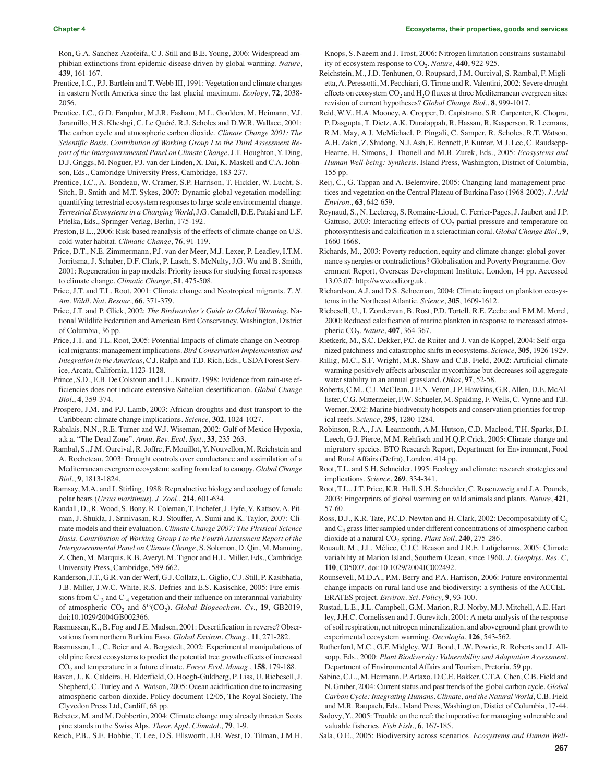Ron, G.A. Sanchez-Azofeifa, C.J. Still and B.E. Young, 2006: Widespread amphibian extinctions from epidemic disease driven by global warming. *Nature*, **439**, 161-167.

- Prentice, I.C., P.J. Bartlein and T. Webb III, 1991: Vegetation and climate changes in eastern North America since the last glacial maximum. *Ecology*, **72**, 2038- 2056.
- Prentice, I.C., G.D. Farquhar, M.J.R. Fasham, M.L. Goulden, M. Heimann, V.J. Jaramillo, H.S. Kheshgi, C. Le Quéré, R.J. Scholes and D.W.R. Wallace, 2001: The carbon cycle and atmospheric carbon dioxide. *Climate Change 2001: The Scientific Basis. Contribution of Working Group I to the Third Assessment Report of the Intergovernmental Panel on Climate Change*, J.T. Houghton, Y. Ding, D.J. Griggs, M. Noguer, P.J. van der Linden, X. Dai, K. Maskell and C.A. Johnson, Eds., Cambridge University Press, Cambridge, 183-237.
- Prentice, I.C., A. Bondeau, W. Cramer, S.P. Harrison, T. Hickler, W. Lucht, S. Sitch, B. Smith and M.T. Sykes, 2007: Dynamic global vegetation modelling: quantifying terrestrial ecosystem responses to large-scale environmental change. *Terrestrial Ecosystems in a Changing World*, J.G. Canadell, D.E. Pataki and L.F. Pitelka, Eds., Springer-Verlag, Berlin, 175-192.
- Preston, B.L., 2006: Risk-based reanalysis of the effects of climate change on U.S. cold-water habitat. *Climatic Change*, **76**, 91-119.
- Price, D.T., N.E. Zimmermann, P.J. van der Meer, M.J. Lexer, P. Leadley, I.T.M. Jorritsma, J. Schaber, D.F. Clark, P. Lasch, S. McNulty, J.G. Wu and B. Smith, 2001: Regeneration in gap models: Priority issues for studying forest responses to climate change. *Climatic Change*, **51**, 475-508.
- Price, J.T. and T.L. Root, 2001: Climate change and Neotropical migrants. *T. N. Am. Wildl. Nat. Resour.*, **66**, 371-379.
- Price, J.T. and P. Glick, 2002: *The Birdwatcher's Guide to Global Warming*. National Wildlife Federation and American Bird Conservancy, Washington, District of Columbia, 36 pp.
- Price, J.T. and T.L. Root, 2005: Potential Impacts of climate change on Neotropical migrants: management implications. *Bird Conservation Implementation and Integration in the Americas*, C.J. Ralph and T.D. Rich, Eds., USDA Forest Service, Arcata, California, 1123-1128.
- Prince, S.D., E.B. De Colstoun and L.L. Kravitz, 1998: Evidence from rain-use efficiencies does not indicate extensive Sahelian desertification. *Global Change Biol.*, **4**, 359-374.
- Prospero, J.M. and P.J. Lamb, 2003: African droughts and dust transport to the Caribbean: climate change implications. *Science*, **302**, 1024-1027.
- Rabalais, N.N., R.E. Turner and W.J. Wiseman, 2002: Gulf of Mexico Hypoxia, a.k.a. "The Dead Zone". *Annu. Rev. Ecol. Syst.*, **33**, 235-263.
- Rambal, S., J.M. Ourcival, R. Joffre, F. Mouillot, Y. Nouvellon, M. Reichstein and A. Rocheteau, 2003: Drought controls over conductance and assimilation of a Mediterranean evergreen ecosystem: scaling from leaf to canopy. *Global Change Biol.*, **9**, 1813-1824.
- Ramsay, M.A. and I. Stirling, 1988: Reproductive biology and ecology of female polar bears (*Ursus maritimus*). *J. Zool.*, **214**, 601-634.
- Randall, D., R. Wood, S. Bony, R. Coleman, T. Fichefet, J. Fyfe, V. Kattsov, A. Pitman, J. Shukla, J. Srinivasan, R.J. Stouffer, A. Sumi and K. Taylor, 2007: Climate models and their evaluation. *Climate Change 2007: The Physical Science Basis. Contribution of Working Group I to the Fourth Assessment Report of the Intergovernmental Panel on Climate Change*, S. Solomon, D. Qin, M. Manning, Z. Chen, M. Marquis, K.B. Averyt, M. Tignor and H.L. Miller, Eds., Cambridge University Press, Cambridge, 589-662.
- Randerson, J.T., G.R. van der Werf, G.J. Collatz, L. Giglio, C.J. Still, P. Kasibhatla, J.B. Miller, J.W.C. White, R.S. Defries and E.S. Kasischke, 2005: Fire emissions from  $C_{-3}$  and  $C_{-4}$  vegetation and their influence on interannual variability of atmospheric  $CO_2$  and  $\delta^{13}(CO_2)$ . *Global Biogeochem. Cy.*, **19**, GB2019, doi:10.1029/2004GB002366.
- Rasmussen, K., B. Fog and J.E. Madsen, 2001: Desertification in reverse? Observations from northern Burkina Faso. *Global Environ. Chang.*, **11**, 271-282.
- Rasmussen, L., C. Beier and A. Bergstedt, 2002: Experimental manipulations of old pine forest ecosystems to predict the potential tree growth effects of increased CO2 and temperature in a future climate. *Forest Ecol. Manag.*, **158**, 179-188.
- Raven, J., K. Caldeira, H. Elderfield, O. Hoegh-Guldberg, P. Liss, U. Riebesell, J. Shepherd, C. Turley and A. Watson, 2005: Ocean acidification due to increasing atmospheric carbon dioxide. Policy document 12/05, The Royal Society, The Clyvedon Press Ltd, Cardiff, 68 pp.
- Rebetez, M. and M. Dobbertin, 2004: Climate change may already threaten Scots pine stands in the Swiss Alps. *Theor. Appl. Climatol.*, **79**, 1-9.
- Reich, P.B., S.E. Hobbie, T. Lee, D.S. Ellsworth, J.B. West, D. Tilman, J.M.H.

Knops, S. Naeem and J. Trost, 2006: Nitrogen limitation constrains sustainability of ecosystem response to CO<sub>2</sub>. Nature, 440, 922-925.

- Reichstein, M., J.D. Tenhunen, O. Roupsard, J.M. Ourcival, S. Rambal, F. Miglietta, A. Peressotti, M. Pecchiari, G. Tirone and R. Valentini, 2002: Severe drought effects on ecosystem  $CO<sub>2</sub>$  and  $H<sub>2</sub>O$  fluxes at three Mediterranean evergreen sites: revision of current hypotheses? *Global Change Biol.*, **8**, 999-1017.
- Reid, W.V., H.A. Mooney, A. Cropper, D. Capistrano, S.R. Carpenter, K. Chopra, P. Dasgupta, T. Dietz, A.K. Duraiappah, R. Hassan, R. Kasperson, R. Leemans, R.M. May, A.J. McMichael, P. Pingali, C. Samper, R. Scholes, R.T. Watson, A.H. Zakri, Z. Shidong, N.J. Ash, E. Bennett, P. Kumar, M.J. Lee, C. Raudsepp-Hearne, H. Simons, J. Thonell and M.B. Zurek, Eds., 2005: *Ecosystems and Human Well-being: Synthesis*. Island Press, Washington, District of Columbia, 155 pp.
- Reij, C., G. Tappan and A. Belemvire, 2005: Changing land management practices and vegetation on the Central Plateau of Burkina Faso (1968-2002). *J. Arid Environ.*, **63**, 642-659.
- Reynaud, S., N. Leclercq, S. Romaine-Lioud, C. Ferrier-Pages, J. Jaubert and J.P. Gattuso, 2003: Interacting effects of  $CO<sub>2</sub>$  partial pressure and temperature on photosynthesis and calcification in a scleractinian coral. *Global Change Biol.*, **9**, 1660-1668.
- Richards, M., 2003: Poverty reduction, equity and climate change: global governance synergies or contradictions? Globalisation and Poverty Programme. Government Report, Overseas Development Institute, London, 14 pp. Accessed 13.03.07: http://www.odi.org.uk.
- Richardson, A.J. and D.S. Schoeman, 2004: Climate impact on plankton ecosystems in the Northeast Atlantic. *Science*, **305**, 1609-1612.
- Riebesell, U., I. Zondervan, B. Rost, P.D. Tortell, R.E. Zeebe and F.M.M. Morel, 2000: Reduced calcification of marine plankton in response to increased atmospheric CO2. *Nature*, **407**, 364-367.
- Rietkerk, M., S.C. Dekker, P.C. de Ruiter and J. van de Koppel, 2004: Self-organized patchiness and catastrophic shifts in ecosystems. *Science*, **305**, 1926-1929.
- Rillig, M.C., S.F. Wright, M.R. Shaw and C.B. Field, 2002: Artificial climate warming positively affects arbuscular mycorrhizae but decreases soil aggregate water stability in an annual grassland. *Oikos*, **97**, 52-58.
- Roberts, C.M., C.J. McClean, J.E.N. Veron, J.P. Hawkins, G.R. Allen, D.E. McAllister, C.G. Mittermeier, F.W. Schueler, M. Spalding, F. Wells, C. Vynne and T.B. Werner, 2002: Marine biodiversity hotspots and conservation priorities for tropical reefs. *Science*, **295**, 1280-1284.
- Robinson, R.A., J.A. Learmonth, A.M. Hutson, C.D. Macleod, T.H. Sparks, D.I. Leech, G.J. Pierce, M.M. Rehfisch and H.Q.P. Crick, 2005: Climate change and migratory species. BTO Research Report, Department for Environment, Food and Rural Affairs (Defra), London, 414 pp.
- Root, T.L. and S.H. Schneider, 1995: Ecology and climate: research strategies and implications. *Science*, **269**, 334-341.
- Root, T.L., J.T. Price, K.R. Hall, S.H. Schneider, C. Rosenzweig and J.A. Pounds, 2003: Fingerprints of global warming on wild animals and plants. *Nature*, **421**, 57-60.
- Ross, D.J., K.R. Tate, P.C.D. Newton and H. Clark, 2002: Decomposability of  $C_3$ and  $C_4$  grass litter sampled under different concentrations of atmospheric carbon dioxide at a natural CO<sub>2</sub> spring. *Plant Soil*, **240**, 275-286.
- Rouault, M., J.L. Mélice, C.J.C. Reason and J.R.E. Lutijeharms, 2005: Climate variability at Marion Island, Southern Ocean, since 1960. *J. Geophys. Res. C*, **110**, C05007, doi:10.1029/2004JC002492.
- Rounsevell, M.D.A., P.M. Berry and P.A. Harrison, 2006: Future environmental change impacts on rural land use and biodiversity: a synthesis of the ACCEL-ERATES project. *Environ. Sci. Policy*, **9**, 93-100.
- Rustad, L.E., J.L. Campbell, G.M. Marion, R.J. Norby, M.J. Mitchell, A.E. Hartley, J.H.C. Cornelissen and J. Gurevitch, 2001: A meta-analysis of the response of soil respiration, net nitrogen mineralization, and aboveground plant growth to experimental ecosystem warming. *Oecologia*, **126**, 543-562.
- Rutherford, M.C., G.F. Midgley, W.J. Bond, L.W. Powrie, R. Roberts and J. Allsopp, Eds., 2000: *Plant Biodiversity: Vulnerability and Adaptation Assessment*. Department of Environmental Affairs and Tourism, Pretoria, 59 pp.
- Sabine, C.L., M. Heimann, P. Artaxo, D.C.E. Bakker, C.T.A. Chen, C.B. Field and N. Gruber, 2004: Current status and past trends of the global carbon cycle. *Global Carbon Cycle: Integrating Humans, Climate, and the Natural World*, C.B. Field and M.R. Raupach, Eds., Island Press, Washington, Distict of Columbia, 17-44.
- Sadovy, Y., 2005: Trouble on the reef: the imperative for managing vulnerable and valuable fisheries. *Fish Fish.*, **6**, 167-185.
- Sala, O.E., 2005: Biodiversity across scenarios. *Ecosystems and Human Well-*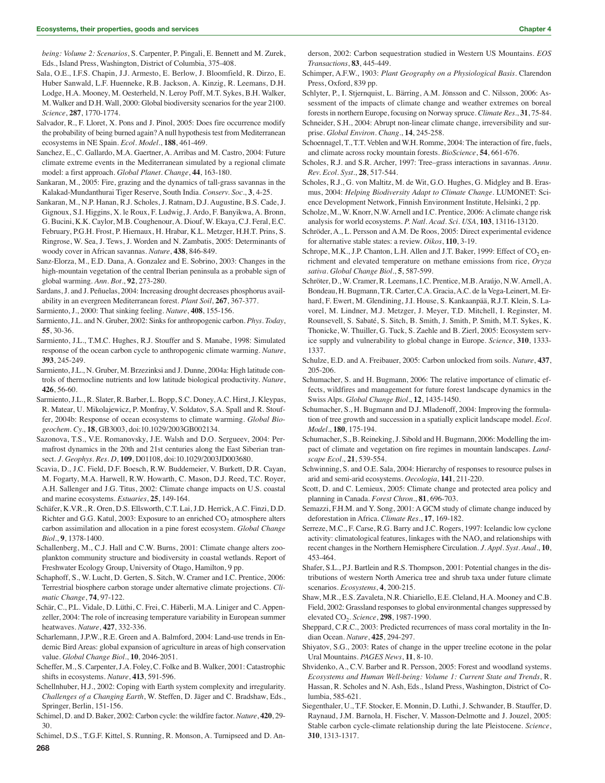- Sala, O.E., I.F.S. Chapin, J.J. Armesto, E. Berlow, J. Bloomfield, R. Dirzo, E. Huber Sanwald, L.F. Huenneke, R.B. Jackson, A. Kinzig, R. Leemans, D.H. Lodge, H.A. Mooney, M. Oesterheld, N. Leroy Poff, M.T. Sykes, B.H. Walker, M. Walker and D.H. Wall, 2000: Global biodiversity scenarios for the year 2100. *Science*, **287**, 1770-1774.
- Salvador, R., F. Lloret, X. Pons and J. Pinol, 2005: Does fire occurrence modify the probability of being burned again? A null hypothesis test from Mediterranean ecosystems in NE Spain. *Ecol. Model.*, **188**, 461-469.
- Sanchez, E., C. Gallardo, M.A. Gaertner, A. Arribas and M. Castro, 2004: Future climate extreme events in the Mediterranean simulated by a regional climate model: a first approach. *Global Planet. Change*, **44**, 163-180.
- Sankaran, M., 2005: Fire, grazing and the dynamics of tall-grass savannas in the Kalakad-Mundanthurai Tiger Reserve, South India. *Conserv. Soc.*, **3**, 4-25.
- Sankaran, M., N.P. Hanan, R.J. Scholes, J. Ratnam, D.J. Augustine, B.S. Cade, J. Gignoux, S.I. Higgins, X. le Roux, F. Ludwig, J. Ardo, F. Banyikwa, A. Bronn, G. Bucini, K.K. Caylor, M.B. Coughenour, A. Diouf, W. Ekaya, C.J. Feral, E.C. February, P.G.H. Frost, P. Hiernaux, H. Hrabar, K.L. Metzger, H.H.T. Prins, S. Ringrose, W. Sea, J. Tews, J. Worden and N. Zambatis, 2005: Determinants of woody cover in African savannas. *Nature*, **438**, 846-849.
- Sanz-Elorza, M., E.D. Dana, A. Gonzalez and E. Sobrino, 2003: Changes in the high-mountain vegetation of the central Iberian peninsula as a probable sign of global warming. *Ann. Bot.*, **92**, 273-280.
- Sardans, J. and J. Peñuelas, 2004: Increasing drought decreases phosphorus availability in an evergreen Mediterranean forest. *Plant Soil*, **267**, 367-377.
- Sarmiento, J., 2000: That sinking feeling. *Nature*, **408**, 155-156.
- Sarmiento, J.L. and N. Gruber, 2002: Sinks for anthropogenic carbon. *Phys. Today*, **55**, 30-36.
- Sarmiento, J.L., T.M.C. Hughes, R.J. Stouffer and S. Manabe, 1998: Simulated response of the ocean carbon cycle to anthropogenic climate warming. *Nature*, **393**, 245-249.
- Sarmiento, J.L., N. Gruber, M. Brzezinksi and J. Dunne, 2004a: High latitude controls of thermocline nutrients and low latitude biological productivity. *Nature*, **426**, 56-60.
- Sarmiento, J.L., R. Slater, R. Barber, L. Bopp, S.C. Doney, A.C. Hirst, J. Kleypas, R. Matear, U. Mikolajewicz, P. Monfray, V. Soldatov, S.A. Spall and R. Stouffer, 2004b: Response of ocean ecosystems to climate warming. *Global Biogeochem. Cy.*, **18**, GB3003, doi:10.1029/2003GB002134.
- Sazonova, T.S., V.E. Romanovsky, J.E. Walsh and D.O. Sergueev, 2004: Permafrost dynamics in the 20th and 21st centuries along the East Siberian transect. *J. Geophys. Res. D*, **109**, D01108, doi:10.1029/2003JD003680.
- Scavia, D., J.C. Field, D.F. Boesch, R.W. Buddemeier, V. Burkett, D.R. Cayan, M. Fogarty, M.A. Harwell, R.W. Howarth, C. Mason, D.J. Reed, T.C. Royer, A.H. Sallenger and J.G. Titus, 2002: Climate change impacts on U.S. coastal and marine ecosystems. *Estuaries*, **25**, 149-164.
- Schäfer, K.V.R., R. Oren, D.S. Ellsworth, C.T. Lai, J.D. Herrick, A.C. Finzi, D.D. Richter and G.G. Katul, 2003: Exposure to an enriched  $CO<sub>2</sub>$  atmosphere alters carbon assimilation and allocation in a pine forest ecosystem. *Global Change Biol.*, **9**, 1378-1400.
- Schallenberg, M., C.J. Hall and C.W. Burns, 2001: Climate change alters zooplankton community structure and biodiversity in coastal wetlands. Report of Freshwater Ecology Group, University of Otago, Hamilton, 9 pp.
- Schaphoff, S., W. Lucht, D. Gerten, S. Sitch, W. Cramer and I.C. Prentice, 2006: Terrestrial biosphere carbon storage under alternative climate projections. *Climatic Change*, **74**, 97-122.
- Schär, C., P.L. Vidale, D. Lüthi, C. Frei, C. Häberli, M.A. Liniger and C. Appenzeller, 2004: The role of increasing temperature variability in European summer heatwaves. *Nature*, **427**, 332-336.
- Scharlemann, J.P.W., R.E. Green and A. Balmford, 2004: Land-use trends in Endemic Bird Areas: global expansion of agriculture in areas of high conservation value. *Global Change Biol.*, **10**, 2046-2051.
- Scheffer, M., S. Carpenter, J.A. Foley, C. Folke and B. Walker, 2001: Catastrophic shifts in ecosystems. *Nature*, **413**, 591-596.
- Schellnhuber, H.J., 2002: Coping with Earth system complexity and irregularity. *Challenges of a Changing Earth*, W. Steffen, D. Jäger and C. Bradshaw, Eds., Springer, Berlin, 151-156.
- Schimel, D. and D. Baker, 2002: Carbon cycle: the wildfire factor. *Nature*, **420**, 29- 30.
- Schimel, D.S., T.G.F. Kittel, S. Running, R. Monson, A. Turnipseed and D. An-**268**
- Schimper, A.F.W., 1903: *Plant Geography on a Physiological Basis*. Clarendon Press, Oxford, 839 pp.
- Schlyter, P., I. Stjernquist, L. Bärring, A.M. Jönsson and C. Nilsson, 2006: Assessment of the impacts of climate change and weather extremes on boreal forests in northern Europe, focusing on Norway spruce. *Climate Res.*, **31**, 75-84.
- Schneider, S.H., 2004: Abrupt non-linear climate change, irreversibility and surprise. *Global Environ. Chang.*, **14**, 245-258.
- Schoennagel, T., T.T. Veblen and W.H. Romme, 2004: The interaction of fire, fuels, and climate across rocky mountain forests. *BioScience*, **54**, 661-676.
- Scholes, R.J. and S.R. Archer, 1997: Tree–grass interactions in savannas. *Annu. Rev. Ecol. Syst.*, **28**, 517-544.
- Scholes, R.J., G. von Maltitz, M. de Wit, G.O. Hughes, G. Midgley and B. Erasmus, 2004: *Helping Biodiversity Adapt to Climate Change*. LUMONET: Science Development Network, Finnish Environment Institute, Helsinki, 2 pp.
- Scholze, M., W. Knorr, N.W. Arnell and I.C. Prentice, 2006: A climate change risk analysis for world ecosystems. *P. Natl. Acad. Sci. USA*, **103**, 13116-13120.
- Schröder, A., L. Persson and A.M. De Roos, 2005: Direct experimental evidence for alternative stable states: a review. *Oikos*, **110**, 3-19.
- Schrope, M.K., J.P. Chanton, L.H. Allen and J.T. Baker, 1999: Effect of  $CO<sub>2</sub>$  enrichment and elevated temperature on methane emissions from rice, *Oryza sativa*. *Global Change Biol.*, **5**, 587-599.
- Schröter, D., W. Cramer, R. Leemans, I.C. Prentice, M.B. Araújo, N.W. Arnell, A. Bondeau, H. Bugmann, T.R. Carter, C.A. Gracia, A.C. de la Vega-Leinert, M. Erhard, F. Ewert, M. Glendining, J.I. House, S. Kankaanpää, R.J.T. Klein, S. Lavorel, M. Lindner, M.J. Metzger, J. Meyer, T.D. Mitchell, I. Reginster, M. Rounsevell, S. Sabaté, S. Sitch, B. Smith, J. Smith, P. Smith, M.T. Sykes, K. Thonicke, W. Thuiller, G. Tuck, S. Zaehle and B. Zierl, 2005: Ecosystem service supply and vulnerability to global change in Europe. *Science*, **310**, 1333- 1337.
- Schulze, E.D. and A. Freibauer, 2005: Carbon unlocked from soils. *Nature*, **437**, 205-206.
- Schumacher, S. and H. Bugmann, 2006: The relative importance of climatic effects, wildfires and management for future forest landscape dynamics in the Swiss Alps. *Global Change Biol.*, **12**, 1435-1450.
- Schumacher, S., H. Bugmann and D.J. Mladenoff, 2004: Improving the formulation of tree growth and succession in a spatially explicit landscape model. *Ecol. Model.*, **180**, 175-194.
- Schumacher, S., B. Reineking, J. Sibold and H. Bugmann, 2006: Modelling the impact of climate and vegetation on fire regimes in mountain landscapes. *Landscape Ecol.*, **21**, 539-554.
- Schwinning, S. and O.E. Sala, 2004: Hierarchy of responses to resource pulses in arid and semi-arid ecosystems. *Oecologia*, **141**, 211-220.
- Scott, D. and C. Lemieux, 2005: Climate change and protected area policy and planning in Canada. *Forest Chron.*, **81**, 696-703.
- Semazzi, F.H.M. and Y. Song, 2001: A GCM study of climate change induced by deforestation in Africa. *Climate Res.*, **17**, 169-182.
- Serreze, M.C., F. Carse, R.G. Barry and J.C. Rogers, 1997: Icelandic low cyclone activity: climatological features, linkages with the NAO, and relationships with recent changes in the Northern Hemisphere Circulation. *J. Appl. Syst. Anal.*, **10**, 453-464.
- Shafer, S.L., P.J. Bartlein and R.S. Thompson, 2001: Potential changes in the distributions of western North America tree and shrub taxa under future climate scenarios. *Ecosystems*, **4**, 200-215.
- Shaw, M.R., E.S. Zavaleta, N.R. Chiariello, E.E. Cleland, H.A. Mooney and C.B. Field, 2002: Grassland responses to global environmental changes suppressed by elevated CO2. *Science*, **298**, 1987-1990.
- Sheppard, C.R.C., 2003: Predicted recurrences of mass coral mortality in the Indian Ocean. *Nature*, **425**, 294-297.
- Shiyatov, S.G., 2003: Rates of change in the upper treeline ecotone in the polar Ural Mountains. *PAGES News*, **11**, 8-10.
- Shvidenko, A., C.V. Barber and R. Persson, 2005: Forest and woodland systems. *Ecosystems and Human Well-being: Volume 1: Current State and Trends*, R. Hassan, R. Scholes and N. Ash, Eds., Island Press, Washington, District of Columbia, 585-621.
- Siegenthaler, U., T.F. Stocker, E. Monnin, D. Luthi, J. Schwander, B. Stauffer, D. Raynaud, J.M. Barnola, H. Fischer, V. Masson-Delmotte and J. Jouzel, 2005: Stable carbon cycle-climate relationship during the late Pleistocene. *Science*, **310**, 1313-1317.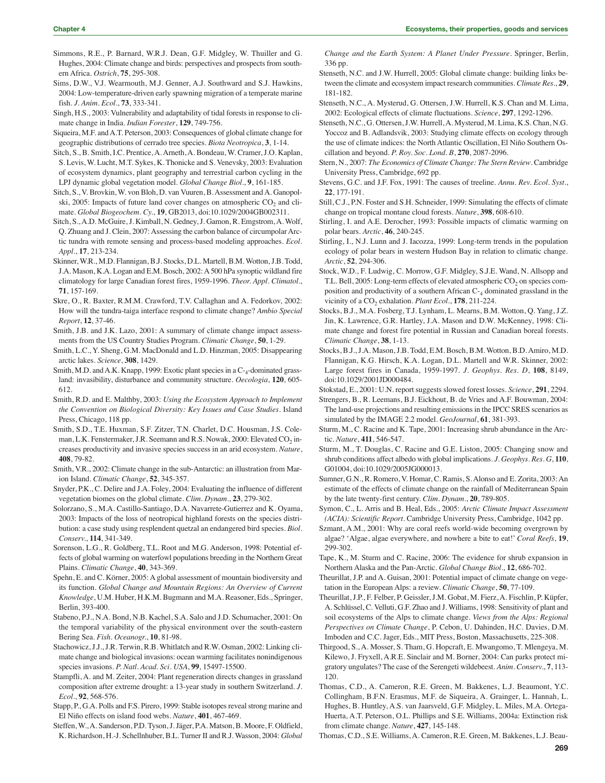- Simmons, R.E., P. Barnard, W.R.J. Dean, G.F. Midgley, W. Thuiller and G. Hughes, 2004: Climate change and birds: perspectives and prospects from southern Africa. *Ostrich*, **75**, 295-308.
- Sims, D.W., V.J. Wearmouth, M.J. Genner, A.J. Southward and S.J. Hawkins, 2004: Low-temperature-driven early spawning migration of a temperate marine fish. *J. Anim. Ecol.*, **73**, 333-341.
- Singh, H.S., 2003: Vulnerability and adaptability of tidal forests in response to climate change in India. *Indian Forester*, **129**, 749-756.
- Siqueira, M.F. and A.T. Peterson, 2003: Consequences of global climate change for geographic distributions of cerrado tree species. *Biota Neotropica*, **3**, 1-14.
- Sitch, S., B. Smith, I.C. Prentice, A. Arneth, A. Bondeau, W. Cramer, J.O. Kaplan, S. Levis, W. Lucht, M.T. Sykes, K. Thonicke and S. Venevsky, 2003: Evaluation of ecosystem dynamics, plant geography and terrestrial carbon cycling in the LPJ dynamic global vegetation model. *Global Change Biol.*, **9**, 161-185.
- Sitch, S., V. Brovkin, W. von Bloh, D. van Vuuren, B. Assessment and A. Ganopolski, 2005: Impacts of future land cover changes on atmospheric  $CO<sub>2</sub>$  and climate. *Global Biogeochem. Cy.*, **19**, GB2013, doi:10.1029/2004GB002311.
- Sitch, S., A.D. McGuire, J. Kimball, N. Gedney, J. Gamon, R. Emgstrom, A. Wolf, Q. Zhuang and J. Clein, 2007: Assessing the carbon balance of circumpolar Arctic tundra with remote sensing and process-based modeling approaches. *Ecol. Appl.*, **17**, 213-234.
- Skinner, W.R., M.D. Flannigan, B.J. Stocks, D.L. Martell, B.M. Wotton, J.B. Todd, J.A. Mason, K.A. Logan and E.M. Bosch, 2002: A 500 hPa synoptic wildland fire climatology for large Canadian forest fires, 1959-1996. *Theor. Appl. Climatol.*, **71**, 157-169.
- Skre, O., R. Baxter, R.M.M. Crawford, T.V. Callaghan and A. Fedorkov, 2002: How will the tundra-taiga interface respond to climate change? *Ambio Special Report*, **12**, 37-46.
- Smith, J.B. and J.K. Lazo, 2001: A summary of climate change impact assessments from the US Country Studies Program. *Climatic Change*, **50**, 1-29.
- Smith, L.C., Y. Sheng, G.M. MacDonald and L.D. Hinzman, 2005: Disappearing arctic lakes. *Science*, **308**, 1429.
- Smith, M.D. and A.K. Knapp, 1999: Exotic plant species in a  $C_{-4}$ -dominated grassland: invasibility, disturbance and community structure. *Oecologia*, **120**, 605- 612.
- Smith, R.D. and E. Malthby, 2003: *Using the Ecosystem Approach to Implement the Convention on Biological Diversity: Key Issues and Case Studies*. Island Press, Chicago, 118 pp.
- Smith, S.D., T.E. Huxman, S.F. Zitzer, T.N. Charlet, D.C. Housman, J.S. Coleman, L.K. Fenstermaker, J.R. Seemann and R.S. Nowak, 2000: Elevated  $CO<sub>2</sub>$  increases productivity and invasive species success in an arid ecosystem. *Nature*, **408**, 79-82.
- Smith, V.R., 2002: Climate change in the sub-Antarctic: an illustration from Marion Island. *Climatic Change*, **52**, 345-357.
- Snyder, P.K., C. Delire and J.A. Foley, 2004: Evaluating the influence of different vegetation biomes on the global climate. *Clim. Dynam.*, **23**, 279-302.
- Solorzano, S., M.A. Castillo-Santiago, D.A. Navarrete-Gutierrez and K. Oyama, 2003: Impacts of the loss of neotropical highland forests on the species distribution: a case study using resplendent quetzal an endangered bird species. *Biol. Conserv.*, **114**, 341-349.
- Sorenson, L.G., R. Goldberg, T.L. Root and M.G. Anderson, 1998: Potential effects of global warming on waterfowl populations breeding in the Northern Great Plains. *Climatic Change*, **40**, 343-369.
- Spehn, E. and C. Körner, 2005: A global assessment of mountain biodiversity and its function. *Global Change and Mountain Regions: An Overview of Current Knowledge*, U.M. Huber, H.K.M. Bugmann and M.A. Reasoner, Eds., Springer, Berlin, 393-400.
- Stabeno, P.J., N.A. Bond, N.B. Kachel, S.A. Salo and J.D. Schumacher, 2001: On the temporal variability of the physical environment over the south-eastern Bering Sea. *Fish. Oceanogr.*, **10**, 81-98.
- Stachowicz, J.J., J.R. Terwin, R.B. Whitlatch and R.W. Osman, 2002: Linking climate change and biological invasions: ocean warming facilitates nonindigenous species invasions. *P. Natl. Acad. Sci. USA*, **99**, 15497-15500.
- Stampfli, A. and M. Zeiter, 2004: Plant regeneration directs changes in grassland composition after extreme drought: a 13-year study in southern Switzerland. *J. Ecol.*, **92**, 568-576.
- Stapp, P., G.A. Polls and F.S. Pirero, 1999: Stable isotopes reveal strong marine and El Niño effects on island food webs. *Nature*, **401**, 467-469.
- Steffen, W., A. Sanderson, P.D. Tyson, J. Jäger, P.A. Matson, B. Moore, F. Oldfield, K. Richardson, H.-J. Schellnhuber, B.L. Turner II and R.J. Wasson, 2004: *Global*

*Change and the Earth System: A Planet Under Pressure*. Springer, Berlin, 336 pp.

- Stenseth, N.C. and J.W. Hurrell, 2005: Global climate change: building links between the climate and ecosystem impact research communities. *Climate Res.*, **29**, 181-182.
- Stenseth, N.C., A. Mysterud, G. Ottersen, J.W. Hurrell, K.S. Chan and M. Lima, 2002: Ecological effects of climate fluctuations. *Science*, **297**, 1292-1296.
- Stenseth, N.C., G. Ottersen, J.W. Hurrell, A. Mysterud, M. Lima, K.S. Chan, N.G. Yoccoz and B. Adlandsvik, 2003: Studying climate effects on ecology through the use of climate indices: the North Atlantic Oscillation, El Niño Southern Oscillation and beyond. *P. Roy. Soc. Lond. B*, **270**, 2087-2096.
- Stern, N., 2007: *The Economics of Climate Change: The Stern Review*. Cambridge University Press, Cambridge, 692 pp.
- Stevens, G.C. and J.F. Fox, 1991: The causes of treeline. *Annu. Rev. Ecol. Syst*., **22**, 177-191.
- Still, C.J., P.N. Foster and S.H. Schneider, 1999: Simulating the effects of climate change on tropical montane cloud forests. *Nature*, **398**, 608-610.
- Stirling, I. and A.E. Derocher, 1993: Possible impacts of climatic warming on polar bears. *Arctic*, **46**, 240-245.
- Stirling, I., N.J. Lunn and J. Iacozza, 1999: Long-term trends in the population ecology of polar bears in western Hudson Bay in relation to climatic change. *Arctic*, **52**, 294-306.
- Stock, W.D., F. Ludwig, C. Morrow, G.F. Midgley, S.J.E. Wand, N. Allsopp and T.L. Bell, 2005: Long-term effects of elevated atmospheric  $CO_2$  on species composition and productivity of a southern African C-4 dominated grassland in the vicinity of a CO<sub>2</sub> exhalation. *Plant Ecol.*, **178**, 211-224.
- Stocks, B.J., M.A. Fosberg, T.J. Lynham, L. Mearns, B.M. Wotton, Q. Yang, J.Z. Jin, K. Lawrence, G.R. Hartley, J.A. Mason and D.W. McKenney, 1998: Climate change and forest fire potential in Russian and Canadian boreal forests. *Climatic Change*, **38**, 1-13.
- Stocks, B.J., J.A. Mason, J.B. Todd, E.M. Bosch, B.M. Wotton, B.D. Amiro, M.D. Flannigan, K.G. Hirsch, K.A. Logan, D.L. Martell and W.R. Skinner, 2002: Large forest fires in Canada, 1959-1997. *J. Geophys. Res. D*, **108**, 8149, doi:10.1029/2001JD000484.
- Stokstad, E., 2001: U.N. report suggests slowed forest losses. *Science*, **291**, 2294.
- Strengers, B., R. Leemans, B.J. Eickhout, B. de Vries and A.F. Bouwman, 2004: The land-use projections and resulting emissions in the IPCC SRES scenarios as simulated by the IMAGE 2.2 model. *GeoJournal*, **61**, 381-393.
- Sturm, M., C. Racine and K. Tape, 2001: Increasing shrub abundance in the Arctic. *Nature*, **411**, 546-547.
- Sturm, M., T. Douglas, C. Racine and G.E. Liston, 2005: Changing snow and shrub conditions affect albedo with global implications. *J. Geophys. Res. G*, **110**, G01004, doi:10.1029/2005JG000013.
- Sumner, G.N., R. Romero, V. Homar, C. Ramis, S. Alonso and E. Zorita, 2003: An estimate of the effects of climate change on the rainfall of Mediterranean Spain by the late twenty-first century. *Clim. Dynam.*, **20**, 789-805.

Symon, C., L. Arris and B. Heal, Eds., 2005: *Arctic Climate Impact Assessment (ACIA): Scientific Report*. Cambridge University Press, Cambridge, 1042 pp.

- Szmant, A.M., 2001: Why are coral reefs world-wide becoming overgrown by algae? 'Algae, algae everywhere, and nowhere a bite to eat!' *Coral Reefs*, **19**, 299-302.
- Tape, K., M. Sturm and C. Racine, 2006: The evidence for shrub expansion in Northern Alaska and the Pan-Arctic. *Global Change Biol.*, **12**, 686-702.
- Theurillat, J.P. and A. Guisan, 2001: Potential impact of climate change on vegetation in the European Alps: a review. *Climatic Change*, **50**, 77-109.
- Theurillat, J.P., F. Felber, P. Geissler, J.M. Gobat, M. Fierz, A. Fischlin, P. Küpfer, A. Schlüssel, C. Velluti, G.F. Zhao and J. Williams, 1998: Sensitivity of plant and soil ecosystems of the Alps to climate change. *Views from the Alps: Regional Perspectives on Climate Change*, P. Cebon, U. Dahinden, H.C. Davies, D.M. Imboden and C.C. Jager, Eds., MIT Press, Boston, Massachusetts, 225-308.
- Thirgood, S., A. Mosser, S. Tham, G. Hopcraft, E. Mwangomo, T. Mlengeya, M. Kilewo, J. Fryxell, A.R.E. Sinclair and M. Borner, 2004: Can parks protect migratory ungulates? The case of the Serengeti wildebeest. *Anim. Conserv.*, **7**, 113- 120.
- Thomas, C.D., A. Cameron, R.E. Green, M. Bakkenes, L.J. Beaumont, Y.C. Collingham, B.F.N. Erasmus, M.F. de Siqueira, A. Grainger, L. Hannah, L. Hughes, B. Huntley, A.S. van Jaarsveld, G.F. Midgley, L. Miles, M.A. Ortega-Huerta, A.T. Peterson, O.L. Phillips and S.E. Williams, 2004a: Extinction risk from climate change. *Nature*, **427**, 145-148.
- Thomas, C.D., S.E. Williams, A. Cameron, R.E. Green, M. Bakkenes, L.J. Beau-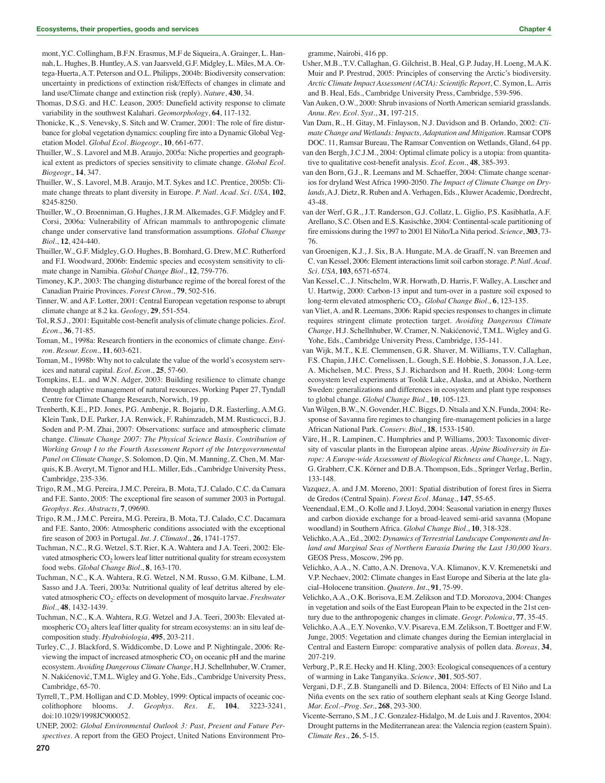mont, Y.C. Collingham, B.F.N. Erasmus, M.F de Siqueira, A. Grainger, L. Hannah, L. Hughes, B. Huntley, A.S. van Jaarsveld, G.F. Midgley, L. Miles, M.A. Ortega-Huerta, A.T. Peterson and O.L. Philipps, 2004b: Biodiversity conservation: uncertainty in predictions of extinction risk/Effects of changes in climate and land use/Climate change and extinction risk (reply). *Nature*, **430**, 34.

- Thomas, D.S.G. and H.C. Leason, 2005: Dunefield activity response to climate variability in the southwest Kalahari. *Geomorphology*, **64**, 117-132.
- Thonicke, K., S. Venevsky, S. Sitch and W. Cramer, 2001: The role of fire disturbance for global vegetation dynamics: coupling fire into a Dynamic Global Vegetation Model. *Global Ecol. Biogeogr.*, **10**, 661-677.
- Thuiller, W., S. Lavorel and M.B. Araujo, 2005a: Niche properties and geographical extent as predictors of species sensitivity to climate change. *Global Ecol. Biogeogr.*, **14**, 347.
- Thuiller, W., S. Lavorel, M.B. Araujo, M.T. Sykes and I.C. Prentice, 2005b: Climate change threats to plant diversity in Europe. *P. Natl. Acad. Sci. USA*, **102**, 8245-8250.
- Thuiller, W., O. Broenniman, G. Hughes, J.R.M. Alkemades, G.F. Midgley and F. Corsi, 2006a: Vulnerability of African mammals to anthropogenic climate change under conservative land transformation assumptions. *Global Change Biol.*, **12**, 424-440.
- Thuiller, W., G.F. Midgley, G.O. Hughes, B. Bomhard, G. Drew, M.C. Rutherford and F.I. Woodward, 2006b: Endemic species and ecosystem sensitivity to climate change in Namibia. *Global Change Biol.*, **12**, 759-776.
- Timoney, K.P., 2003: The changing disturbance regime of the boreal forest of the Canadian Prairie Provinces. *Forest Chron.*, **79**, 502-516.
- Tinner, W. and A.F. Lotter, 2001: Central European vegetation response to abrupt climate change at 8.2 ka. *Geology*, **29**, 551-554.
- Tol, R.S.J., 2001: Equitable cost-benefit analysis of climate change policies. *Ecol. Econ.*, **36**, 71-85.
- Toman, M., 1998a: Research frontiers in the economics of climate change. *Environ. Resour. Econ.*, **11**, 603-621.
- Toman, M., 1998b: Why not to calculate the value of the world's ecosystem services and natural capital. *Ecol. Econ.*, **25**, 57-60.
- Tompkins, E.L. and W.N. Adger, 2003: Building resilience to climate change through adaptive management of natural resources. Working Paper 27, Tyndall Centre for Climate Change Research, Norwich, 19 pp.
- Trenberth, K.E., P.D. Jones, P.G. Ambenje, R. Bojariu, D.R. Easterling, A.M.G. Klein Tank, D.E. Parker, J.A. Renwick, F. Rahimzadeh, M.M. Rusticucci, B.J. Soden and P.-M. Zhai, 2007: Observations: surface and atmospheric climate change. *Climate Change 2007: The Physical Science Basis. Contribution of Working Group I to the Fourth Assessment Report of the Intergovernmental Panel on Climate Change*, S. Solomon, D. Qin, M. Manning, Z. Chen, M. Marquis, K.B. Averyt, M. Tignor and H.L. Miller, Eds., Cambridge University Press, Cambridge, 235-336.
- Trigo, R.M., M.G. Pereira, J.M.C. Pereira, B. Mota, T.J. Calado, C.C. da Camara and F.E. Santo, 2005: The exceptional fire season of summer 2003 in Portugal. *Geophys. Res. Abstracts*, **7**, 09690.
- Trigo, R.M., J.M.C. Pereira, M.G. Pereira, B. Mota, T.J. Calado, C.C. Dacamara and F.E. Santo, 2006: Atmospheric conditions associated with the exceptional fire season of 2003 in Portugal. *Int. J. Climatol.*, **26**, 1741-1757.
- Tuchman, N.C., R.G. Wetzel, S.T. Rier, K.A. Wahtera and J.A. Teeri, 2002: Elevated atmospheric  $CO<sub>2</sub>$  lowers leaf litter nutritional quality for stream ecosystem food webs. *Global Change Biol.*, **8**, 163-170.
- Tuchman, N.C., K.A. Wahtera, R.G. Wetzel, N.M. Russo, G.M. Kilbane, L.M. Sasso and J.A. Teeri, 2003a: Nutritional quality of leaf detritus altered by elevated atmospheric CO<sub>2</sub>: effects on development of mosquito larvae. *Freshwater Biol.*, **48**, 1432-1439.
- Tuchman, N.C., K.A. Wahtera, R.G. Wetzel and J.A. Teeri, 2003b: Elevated atmospheric  $CO<sub>2</sub>$  alters leaf litter quality for stream ecosystems: an in situ leaf decomposition study. *Hydrobiologia*, **495**, 203-211.
- Turley, C., J. Blackford, S. Widdicombe, D. Lowe and P. Nightingale, 2006: Reviewing the impact of increased atmospheric  $CO<sub>2</sub>$  on oceanic pH and the marine ecosystem. *Avoiding Dangerous Climate Change*, H.J. Schellnhuber, W. Cramer, N. Nakićenović, T.M.L. Wigley and G. Yohe, Eds., Cambridge University Press, Cambridge, 65-70.
- Tyrrell, T., P.M. Holligan and C.D. Mobley, 1999: Optical impacts of oceanic coccolithophore blooms. *J. Geophys. Res. E*, **104**, 3223-3241, doi:10.1029/1998JC900052.
- UNEP, 2002: *Global Environmental Outlook 3: Past, Present and Future Perspectives*. A report from the GEO Project, United Nations Environment Pro-

gramme, Nairobi, 416 pp.

- Usher, M.B., T.V. Callaghan, G. Gilchrist, B. Heal, G.P. Juday, H. Loeng, M.A.K. Muir and P. Prestrud, 2005: Principles of conserving the Arctic's biodiversity. *Arctic Climate Impact Assessment (ACIA): Scientific Report*, C. Symon, L. Arris and B. Heal, Eds., Cambridge University Press, Cambridge, 539-596.
- Van Auken, O.W., 2000: Shrub invasions of North American semiarid grasslands. *Annu. Rev. Ecol. Syst.*, **31**, 197-215.
- Van Dam, R., H. Gitay, M. Finlayson, N.J. Davidson and B. Orlando, 2002: *Climate Change and Wetlands: Impacts, Adaptation and Mitigation*. Ramsar COP8 DOC. 11, Ramsar Bureau, The Ramsar Convention on Wetlands, Gland, 64 pp.
- van den Bergh, J.C.J.M., 2004: Optimal climate policy is a utopia: from quantitative to qualitative cost-benefit analysis. *Ecol. Econ.*, **48**, 385-393.
- van den Born, G.J., R. Leemans and M. Schaeffer, 2004: Climate change scenarios for dryland West Africa 1990-2050. *The Impact of Climate Change on Drylands*, A.J. Dietz, R. Ruben and A. Verhagen, Eds., Kluwer Academic, Dordrecht, 43-48.
- van der Werf, G.R., J.T. Randerson, G.J. Collatz, L. Giglio, P.S. Kasibhatla, A.F. Arellano, S.C. Olsen and E.S. Kasischke, 2004: Continental-scale partitioning of fire emissions during the 1997 to 2001 El Niño/La Niña period. *Science*, **303**, 73- 76.
- van Groenigen, K.J., J. Six, B.A. Hungate, M.A. de Graaff, N. van Breemen and C. van Kessel, 2006: Element interactions limit soil carbon storage. *P. Natl. Acad. Sci. USA*, **103**, 6571-6574.
- Van Kessel, C., J. Nitschelm, W.R. Horwath, D. Harris, F. Walley, A. Luscher and U. Hartwig, 2000: Carbon-13 input and turn-over in a pasture soil exposed to long-term elevated atmospheric CO<sub>2</sub>. *Global Change Biol.*, **6**, 123-135.
- van Vliet, A. and R. Leemans, 2006: Rapid species responses to changes in climate requires stringent climate protection target. *Avoiding Dangerous Climate Change*, H.J. Schellnhuber, W. Cramer, N. Nakićenović, T.M.L. Wigley and G. Yohe, Eds., Cambridge University Press, Cambridge, 135-141.
- van Wijk, M.T., K.E. Clemmensen, G.R. Shaver, M. Williams, T.V. Callaghan, F.S. Chapin, J.H.C. Cornelissen, L. Gough, S.E. Hobbie, S. Jonasson, J.A. Lee, A. Michelsen, M.C. Press, S.J. Richardson and H. Rueth, 2004: Long-term ecosystem level experiments at Toolik Lake, Alaska, and at Abisko, Northern Sweden: generalizations and differences in ecosystem and plant type responses to global change. *Global Change Biol.*, **10**, 105-123.
- Van Wilgen, B.W., N. Govender, H.C. Biggs, D. Ntsala and X.N. Funda, 2004: Response of Savanna fire regimes to changing fire-management policies in a large African National Park. *Conserv. Biol.*, **18**, 1533-1540.
- Väre, H., R. Lampinen, C. Humphries and P. Williams, 2003: Taxonomic diversity of vascular plants in the European alpine areas. *Alpine Biodiversity in Europe: A Europe-wide Assessment of Biological Richness and Change*, L. Nagy, G. Grabherr, C.K. Körner and D.B.A. Thompson, Eds., Springer Verlag, Berlin, 133-148.
- Vazquez, A. and J.M. Moreno, 2001: Spatial distribution of forest fires in Sierra de Gredos (Central Spain). *Forest Ecol. Manag.*, **147**, 55-65.
- Veenendaal, E.M., O. Kolle and J. Lloyd, 2004: Seasonal variation in energy fluxes and carbon dioxide exchange for a broad-leaved semi-arid savanna (Mopane woodland) in Southern Africa. *Global Change Biol.*, **10**, 318-328.
- Velichko, A.A., Ed., 2002: *Dynamics of Terrestrial Landscape Components and Inland and Marginal Seas of Northern Eurasia During the Last 130,000 Years*. GEOS Press, Moscow, 296 pp.
- Velichko, A.A., N. Catto, A.N. Drenova, V.A. Klimanov, K.V. Kremenetski and V.P. Nechaev, 2002: Climate changes in East Europe and Siberia at the late glacial–Holocene transition. *Quatern. Int.*, **91**, 75-99.
- Velichko, A.A., O.K. Borisova, E.M. Zelikson and T.D. Morozova, 2004: Changes in vegetation and soils of the East European Plain to be expected in the 21st century due to the anthropogenic changes in climate. *Geogr. Polonica*, **77**, 35-45.
- Velichko, A.A., E.Y. Novenko, V.V. Pisareva, E.M. Zelikson, T. Boettger and F.W. Junge, 2005: Vegetation and climate changes during the Eemian interglacial in Central and Eastern Europe: comparative analysis of pollen data. *Boreas*, **34**, 207-219.
- Verburg, P., R.E. Hecky and H. Kling, 2003: Ecological consequences of a century of warming in Lake Tanganyika. *Science*, **301**, 505-507.
- Vergani, D.F., Z.B. Stanganelli and D. Bilenca, 2004: Effects of El Niño and La Niña events on the sex ratio of southern elephant seals at King George Island. *Mar. Ecol.–Prog. Ser.*, **268**, 293-300.
- Vicente-Serrano, S.M., J.C. Gonzalez-Hidalgo, M. de Luis and J. Raventos, 2004: Drought patterns in the Mediterranean area: the Valencia region (eastern Spain). *Climate Res.*, **26**, 5-15.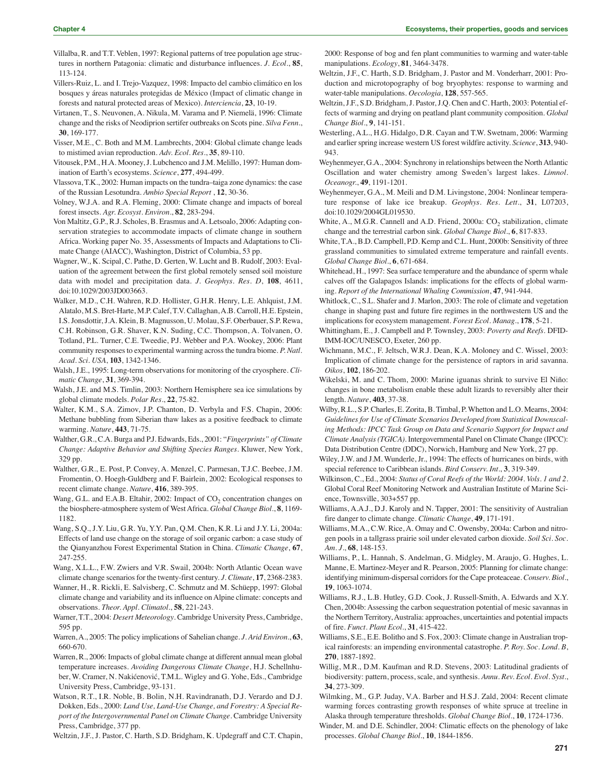- Villalba, R. and T.T. Veblen, 1997: Regional patterns of tree population age structures in northern Patagonia: climatic and disturbance influences. *J. Ecol.*, **85**, 113-124.
- Villers-Ruiz, L. and I. Trejo-Vazquez, 1998: Impacto del cambio climático en los bosques y áreas naturales protegidas de México (Impact of climatic change in forests and natural protected areas of Mexico). *Interciencia*, **23**, 10-19.
- Virtanen, T., S. Neuvonen, A. Nikula, M. Varama and P. Niemelä, 1996: Climate change and the risks of Neodiprion sertifer outbreaks on Scots pine. *Silva Fenn.*, **30**, 169-177.
- Visser, M.E., C. Both and M.M. Lambrechts, 2004: Global climate change leads to mistimed avian reproduction. *Adv. Ecol. Res.*, **35**, 89-110.
- Vitousek, P.M., H.A. Mooney, J. Lubchenco and J.M. Melillo, 1997: Human domination of Earth's ecosystems. *Science*, **277**, 494-499.
- Vlassova, T.K., 2002: Human impacts on the tundra–taiga zone dynamics: the case of the Russian Lesotundra. *Ambio Special Report* , **12**, 30-36.
- Volney, W.J.A. and R.A. Fleming, 2000: Climate change and impacts of boreal forest insects. *Agr. Ecosyst. Environ.*, **82**, 283-294.
- Von Maltitz, G.P., R.J. Scholes, B. Erasmus and A. Letsoalo, 2006: Adapting conservation strategies to accommodate impacts of climate change in southern Africa. Working paper No. 35, Assessments of Impacts and Adaptations to Climate Change (AIACC), Washington, District of Columbia, 53 pp.
- Wagner, W., K. Scipal, C. Pathe, D. Gerten, W. Lucht and B. Rudolf, 2003: Evaluation of the agreement between the first global remotely sensed soil moisture data with model and precipitation data. *J. Geophys. Res. D*, **108**, 4611, doi:10.1029/2003JD003663.
- Walker, M.D., C.H. Wahren, R.D. Hollister, G.H.R. Henry, L.E. Ahlquist, J.M. Alatalo, M.S. Bret-Harte, M.P. Calef, T.V. Callaghan, A.B. Carroll, H.E. Epstein, I.S. Jonsdottir, J.A. Klein, B. Magnusson, U. Molau, S.F. Oberbauer, S.P. Rewa, C.H. Robinson, G.R. Shaver, K.N. Suding, C.C. Thompson, A. Tolvanen, O. Totland, P.L. Turner, C.E. Tweedie, P.J. Webber and P.A. Wookey, 2006: Plant community responses to experimental warming across the tundra biome. *P. Natl. Acad. Sci. USA*, **103**, 1342-1346.
- Walsh, J.E., 1995: Long-term observations for monitoring of the cryosphere. *Climatic Change*, **31**, 369-394.
- Walsh, J.E. and M.S. Timlin, 2003: Northern Hemisphere sea ice simulations by global climate models. *Polar Res.*, **22**, 75-82.
- Walter, K.M., S.A. Zimov, J.P. Chanton, D. Verbyla and F.S. Chapin, 2006: Methane bubbling from Siberian thaw lakes as a positive feedback to climate warming. *Nature*, **443**, 71-75.
- Walther, G.R., C.A. Burga and P.J. Edwards, Eds., 2001: "*Fingerprints" of Climate Change: Adaptive Behavior and Shifting Species Ranges*. Kluwer, New York, 329 pp.
- Walther, G.R., E. Post, P. Convey, A. Menzel, C. Parmesan, T.J.C. Beebee, J.M. Fromentin, O. Hoegh-Guldberg and F. Bairlein, 2002: Ecological responses to recent climate change. *Nature*, **416**, 389-395.
- Wang, G.L. and E.A.B. Eltahir, 2002: Impact of  $CO<sub>2</sub>$  concentration changes on the biosphere-atmosphere system of West Africa. *Global Change Biol.*, **8**, 1169- 1182.
- Wang, S.Q., J.Y. Liu, G.R. Yu, Y.Y. Pan, Q.M. Chen, K.R. Li and J.Y. Li, 2004a: Effects of land use change on the storage of soil organic carbon: a case study of the Qianyanzhou Forest Experimental Station in China. *Climatic Change*, **67**, 247-255.
- Wang, X.L.L., F.W. Zwiers and V.R. Swail, 2004b: North Atlantic Ocean wave climate change scenarios for the twenty-first century. *J. Climate*, **17**, 2368-2383.
- Wanner, H., R. Rickli, E. Salvisberg, C. Schmutz and M. Schüepp, 1997: Global climate change and variability and its influence on Alpine climate: concepts and observations. *Theor. Appl. Climatol.*, **58**, 221-243.
- Warner, T.T., 2004: *Desert Meteorology*. Cambridge University Press, Cambridge, 595 pp.
- Warren, A., 2005: The policy implications of Sahelian change. *J. Arid Environ.*, **63**, 660-670.
- Warren, R., 2006: Impacts of global climate change at different annual mean global temperature increases. *Avoiding Dangerous Climate Change*, H.J. Schellnhuber, W. Cramer, N. Nakićenović, T.M.L. Wigley and G. Yohe, Eds., Cambridge University Press, Cambridge, 93-131.
- Watson, R.T., I.R. Noble, B. Bolin, N.H. Ravindranath, D.J. Verardo and D.J. Dokken, Eds., 2000: *Land Use, Land-Use Change, and Forestry: A Special Report of the Intergovernmental Panel on Climate Change*. Cambridge University Press, Cambridge, 377 pp.
- Weltzin, J.F., J. Pastor, C. Harth, S.D. Bridgham, K. Updegraff and C.T. Chapin,

2000: Response of bog and fen plant communities to warming and water-table manipulations. *Ecology*, **81**, 3464-3478.

- Weltzin, J.F., C. Harth, S.D. Bridgham, J. Pastor and M. Vonderharr, 2001: Production and microtopography of bog bryophytes: response to warming and water-table manipulations. *Oecologia*, **128**, 557-565.
- Weltzin, J.F., S.D. Bridgham, J. Pastor, J.Q. Chen and C. Harth, 2003: Potential effects of warming and drying on peatland plant community composition. *Global Change Biol.*, **9**, 141-151.
- Westerling, A.L., H.G. Hidalgo, D.R. Cayan and T.W. Swetnam, 2006: Warming and earlier spring increase western US forest wildfire activity. *Science*, **313**, 940- 943.
- Weyhenmeyer, G.A., 2004: Synchrony in relationships between the North Atlantic Oscillation and water chemistry among Sweden's largest lakes. *Limnol. Oceanogr.*, **49**, 1191-1201.
- Weyhenmeyer, G.A., M. Meili and D.M. Livingstone, 2004: Nonlinear temperature response of lake ice breakup. *Geophys. Res. Lett.*, **31**, L07203, doi:10.1029/2004GL019530.
- White, A., M.G.R. Cannell and A.D. Friend, 2000a: CO<sub>2</sub> stabilization, climate change and the terrestrial carbon sink. *Global Change Biol.*, **6**, 817-833.
- White, T.A., B.D. Campbell, P.D. Kemp and C.L. Hunt, 2000b: Sensitivity of three grassland communities to simulated extreme temperature and rainfall events. *Global Change Biol.*, **6**, 671-684.
- Whitehead, H., 1997: Sea surface temperature and the abundance of sperm whale calves off the Galapagos Islands: implications for the effects of global warming. *Report of the International Whaling Commission*, **47**, 941-944.
- Whitlock, C., S.L. Shafer and J. Marlon, 2003: The role of climate and vegetation change in shaping past and future fire regimes in the northwestern US and the implications for ecosystem management. *Forest Ecol. Manag.*, **178**, 5-21.
- Whittingham, E., J. Campbell and P. Townsley, 2003: *Poverty and Reefs*. DFID-IMM-IOC/UNESCO, Exeter, 260 pp.
- Wichmann, M.C., F. Jeltsch, W.R.J. Dean, K.A. Moloney and C. Wissel, 2003: Implication of climate change for the persistence of raptors in arid savanna. *Oikos*, **102**, 186-202.
- Wikelski, M. and C. Thom, 2000: Marine iguanas shrink to survive El Niño: changes in bone metabolism enable these adult lizards to reversibly alter their length. *Nature*, **403**, 37-38.
- Wilby, R.L., S.P. Charles, E. Zorita, B. Timbal, P. Whetton and L.O. Mearns, 2004: *Guidelines for Use of Climate Scenarios Developed from Statistical Downscaling Methods: IPCC Task Group on Data and Scenario Support for Impact and Climate Analysis (TGICA)*. Intergovernmental Panel on Climate Change (IPCC): Data Distribution Centre (DDC), Norwich, Hamburg and New York, 27 pp.
- Wiley, J.W. and J.M. Wunderle, Jr., 1994: The effects of hurricanes on birds, with special reference to Caribbean islands. *Bird Conserv. Int.*, **3**, 319-349.
- Wilkinson, C., Ed., 2004: *Status of Coral Reefs of the World: 2004. Vols. 1 and 2*. Global Coral Reef Monitoring Network and Australian Institute of Marine Science, Townsville, 303+557 pp.
- Williams, A.A.J., D.J. Karoly and N. Tapper, 2001: The sensitivity of Australian fire danger to climate change. *Climatic Change*, **49**, 171-191.
- Williams, M.A., C.W. Rice, A. Omay and C. Owensby, 2004a: Carbon and nitrogen pools in a tallgrass prairie soil under elevated carbon dioxide. *Soil Sci. Soc. Am. J.*, **68**, 148-153.
- Williams, P., L. Hannah, S. Andelman, G. Midgley, M. Araujo, G. Hughes, L. Manne, E. Martinez-Meyer and R. Pearson, 2005: Planning for climate change: identifying minimum-dispersal corridors for the Cape proteaceae. *Conserv. Biol.*, **19**, 1063-1074.
- Williams, R.J., L.B. Hutley, G.D. Cook, J. Russell-Smith, A. Edwards and X.Y. Chen, 2004b: Assessing the carbon sequestration potential of mesic savannas in the Northern Territory, Australia: approaches, uncertainties and potential impacts of fire. *Funct. Plant Ecol.*, **31**, 415-422.
- Williams, S.E., E.E. Bolitho and S. Fox, 2003: Climate change in Australian tropical rainforests: an impending environmental catastrophe. *P. Roy. Soc. Lond. B*, **270**, 1887-1892.
- Willig, M.R., D.M. Kaufman and R.D. Stevens, 2003: Latitudinal gradients of biodiversity: pattern, process, scale, and synthesis. *Annu. Rev. Ecol. Evol. Syst.*, **34**, 273-309.
- Wilmking, M., G.P. Juday, V.A. Barber and H.S.J. Zald, 2004: Recent climate warming forces contrasting growth responses of white spruce at treeline in Alaska through temperature thresholds. *Global Change Biol.*, **10**, 1724-1736.
- Winder, M. and D.E. Schindler, 2004: Climatic effects on the phenology of lake processes. *Global Change Biol.*, **10**, 1844-1856.